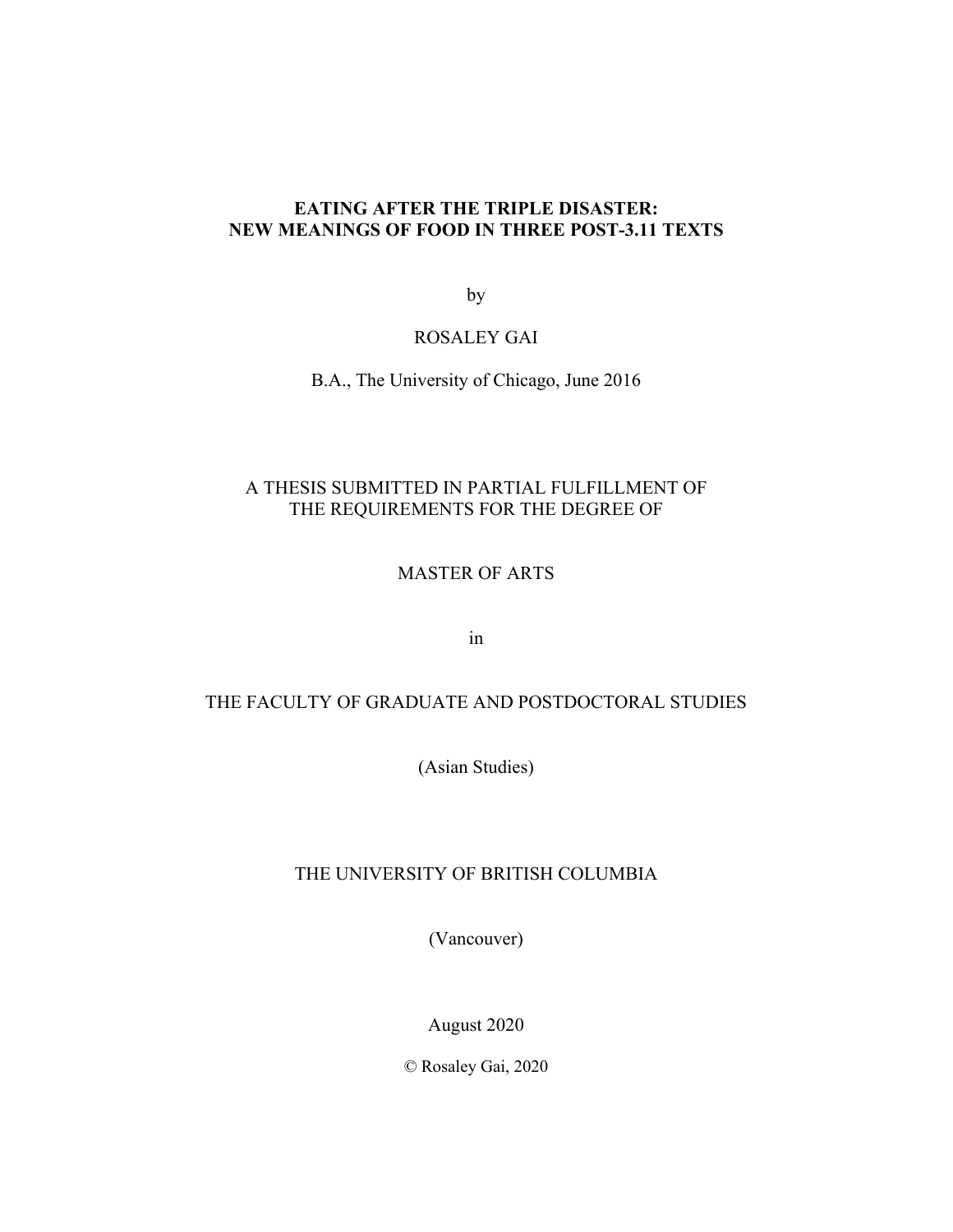# **EATING AFTER THE TRIPLE DISASTER: NEW MEANINGS OF FOOD IN THREE POST-3.11 TEXTS**

by

## ROSALEY GAI

B.A., The University of Chicago, June 2016

# A THESIS SUBMITTED IN PARTIAL FULFILLMENT OF THE REQUIREMENTS FOR THE DEGREE OF

# MASTER OF ARTS

in

## THE FACULTY OF GRADUATE AND POSTDOCTORAL STUDIES

(Asian Studies)

# THE UNIVERSITY OF BRITISH COLUMBIA

(Vancouver)

August 2020

© Rosaley Gai, 2020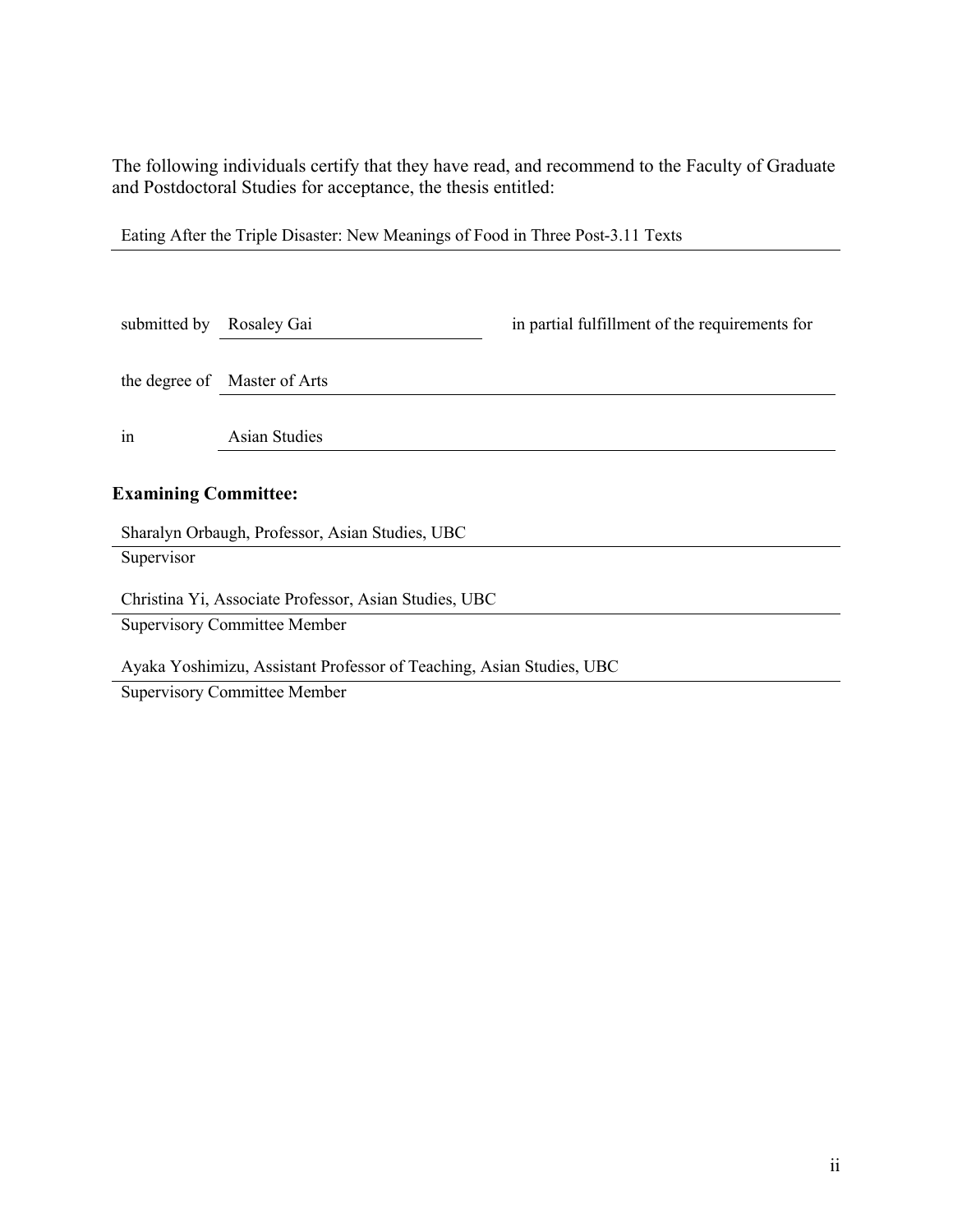The following individuals certify that they have read, and recommend to the Faculty of Graduate and Postdoctoral Studies for acceptance, the thesis entitled:

| Eating After the Triple Disaster: New Meanings of Food in Three Post-3.11 Texts |  |  |  |
|---------------------------------------------------------------------------------|--|--|--|
|                                                                                 |  |  |  |

| submitted by                                          | Rosaley Gai                                     | in partial fulfillment of the requirements for |  |  |
|-------------------------------------------------------|-------------------------------------------------|------------------------------------------------|--|--|
|                                                       | the degree of Master of Arts                    |                                                |  |  |
| 1n                                                    | <b>Asian Studies</b>                            |                                                |  |  |
| <b>Examining Committee:</b>                           |                                                 |                                                |  |  |
|                                                       | Sharalyn Orbaugh, Professor, Asian Studies, UBC |                                                |  |  |
| Supervisor                                            |                                                 |                                                |  |  |
| Christina Yi, Associate Professor, Asian Studies, UBC |                                                 |                                                |  |  |
|                                                       | <b>Supervisory Committee Member</b>             |                                                |  |  |

Ayaka Yoshimizu, Assistant Professor of Teaching, Asian Studies, UBC

Supervisory Committee Member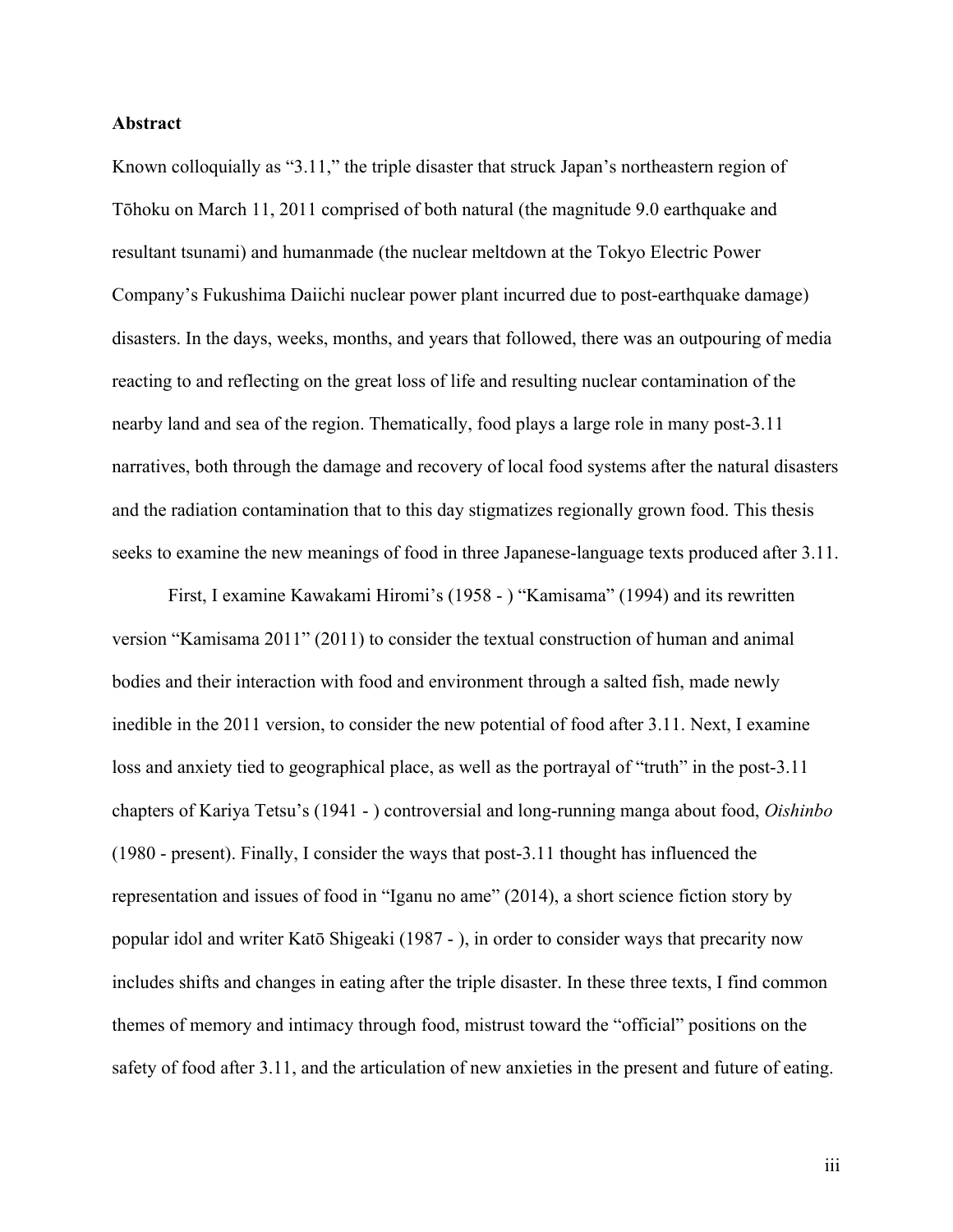### **Abstract**

Known colloquially as "3.11," the triple disaster that struck Japan's northeastern region of Tōhoku on March 11, 2011 comprised of both natural (the magnitude 9.0 earthquake and resultant tsunami) and humanmade (the nuclear meltdown at the Tokyo Electric Power Company's Fukushima Daiichi nuclear power plant incurred due to post-earthquake damage) disasters. In the days, weeks, months, and years that followed, there was an outpouring of media reacting to and reflecting on the great loss of life and resulting nuclear contamination of the nearby land and sea of the region. Thematically, food plays a large role in many post-3.11 narratives, both through the damage and recovery of local food systems after the natural disasters and the radiation contamination that to this day stigmatizes regionally grown food. This thesis seeks to examine the new meanings of food in three Japanese-language texts produced after 3.11.

First, I examine Kawakami Hiromi's (1958 - ) "Kamisama" (1994) and its rewritten version "Kamisama 2011" (2011) to consider the textual construction of human and animal bodies and their interaction with food and environment through a salted fish, made newly inedible in the 2011 version, to consider the new potential of food after 3.11. Next, I examine loss and anxiety tied to geographical place, as well as the portrayal of "truth" in the post-3.11 chapters of Kariya Tetsu's (1941 - ) controversial and long-running manga about food, *Oishinbo* (1980 - present). Finally, I consider the ways that post-3.11 thought has influenced the representation and issues of food in "Iganu no ame" (2014), a short science fiction story by popular idol and writer Katō Shigeaki (1987 - ), in order to consider ways that precarity now includes shifts and changes in eating after the triple disaster. In these three texts, I find common themes of memory and intimacy through food, mistrust toward the "official" positions on the safety of food after 3.11, and the articulation of new anxieties in the present and future of eating.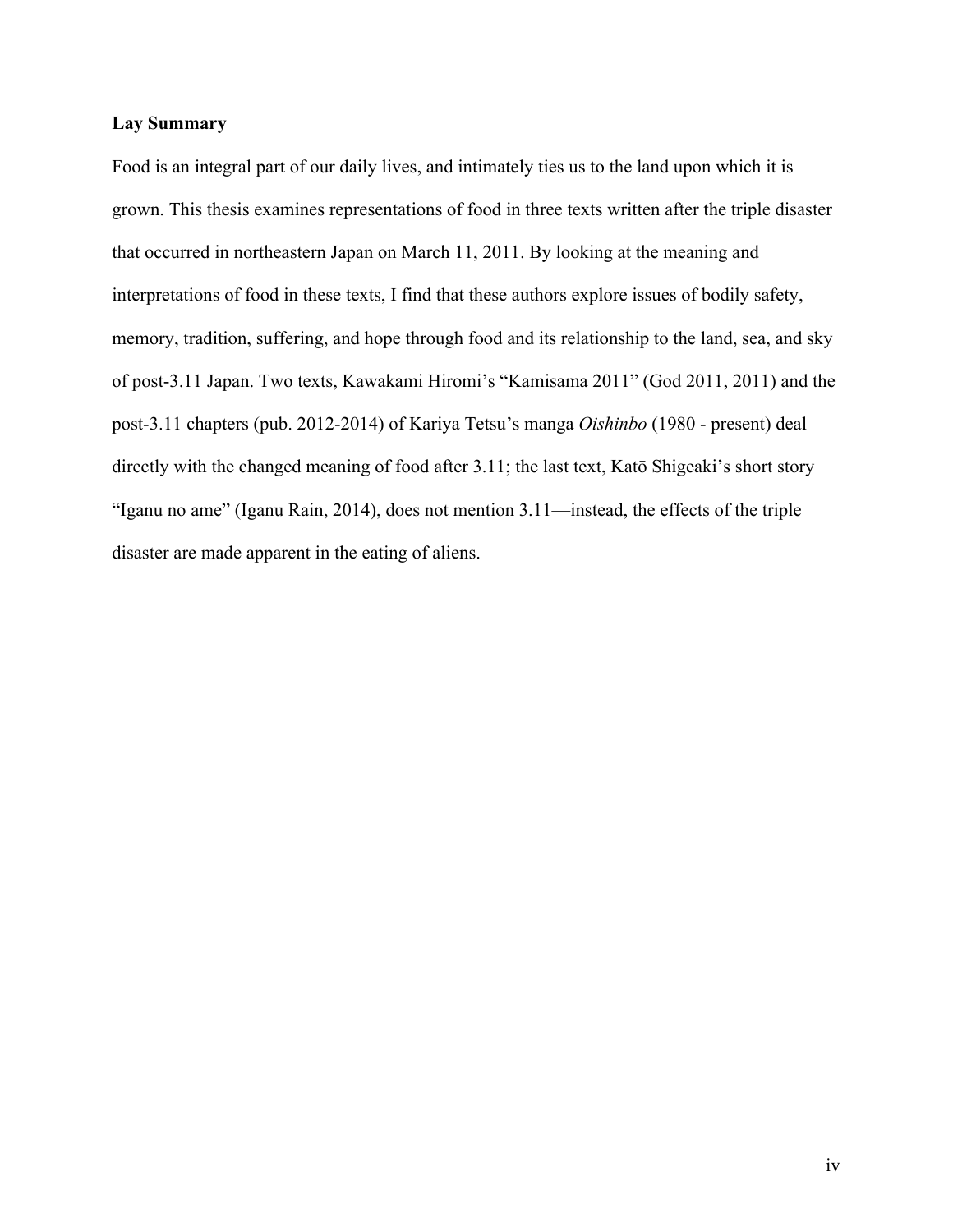### **Lay Summary**

Food is an integral part of our daily lives, and intimately ties us to the land upon which it is grown. This thesis examines representations of food in three texts written after the triple disaster that occurred in northeastern Japan on March 11, 2011. By looking at the meaning and interpretations of food in these texts, I find that these authors explore issues of bodily safety, memory, tradition, suffering, and hope through food and its relationship to the land, sea, and sky of post-3.11 Japan. Two texts, Kawakami Hiromi's "Kamisama 2011" (God 2011, 2011) and the post-3.11 chapters (pub. 2012-2014) of Kariya Tetsu's manga *Oishinbo* (1980 - present) deal directly with the changed meaning of food after 3.11; the last text, Katō Shigeaki's short story "Iganu no ame" (Iganu Rain, 2014), does not mention 3.11—instead, the effects of the triple disaster are made apparent in the eating of aliens.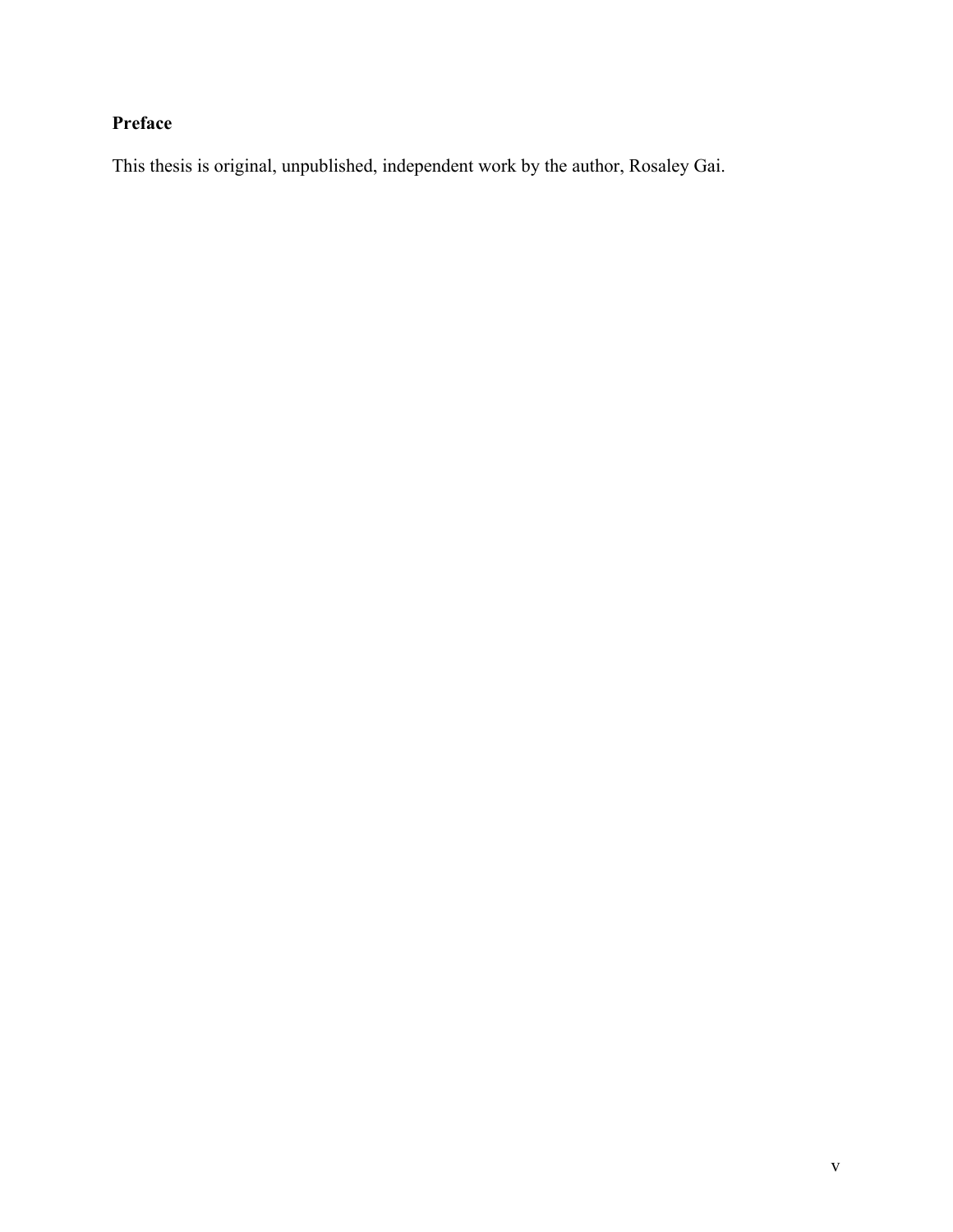# **Preface**

This thesis is original, unpublished, independent work by the author, Rosaley Gai.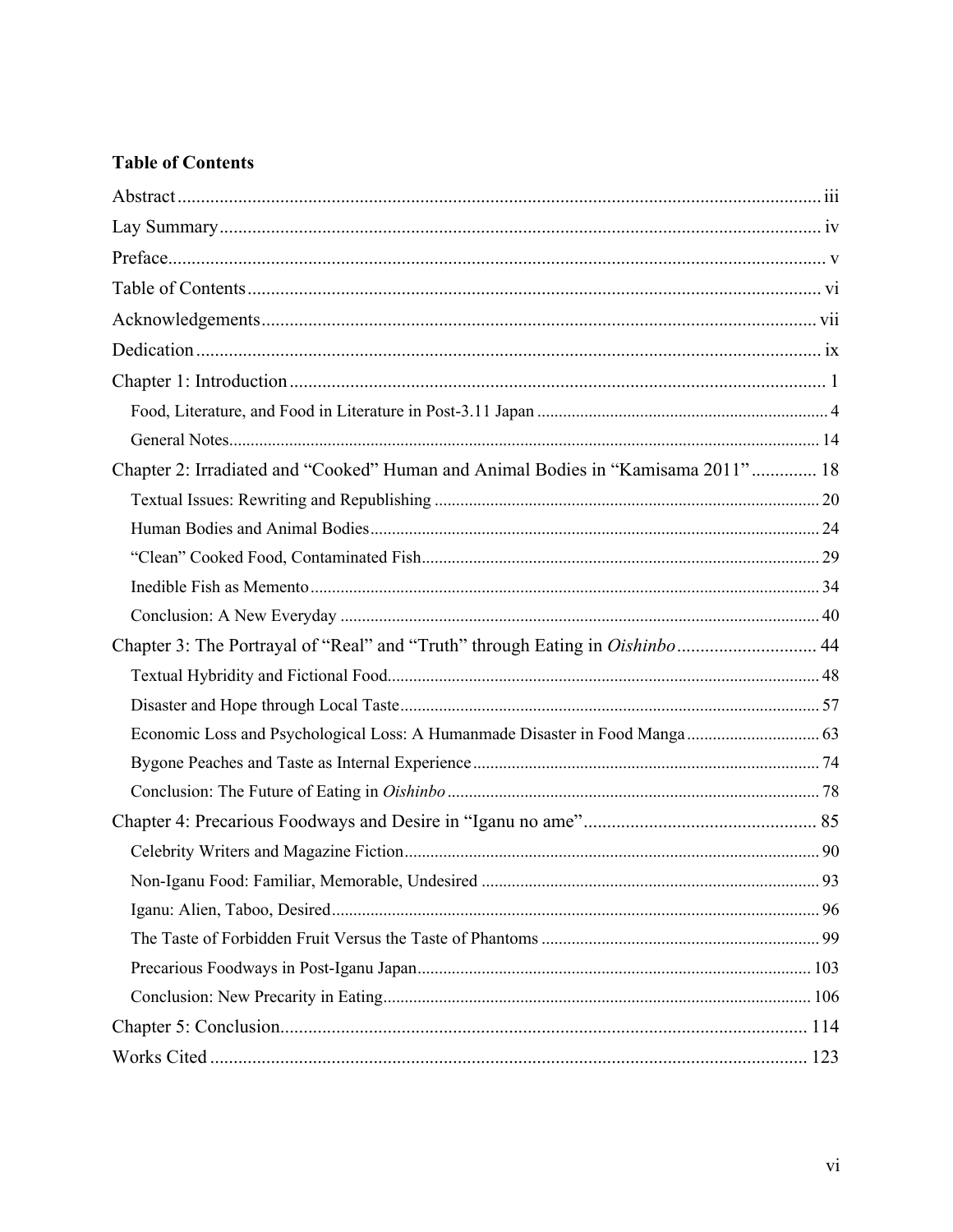# **Table of Contents**

| Chapter 2: Irradiated and "Cooked" Human and Animal Bodies in "Kamisama 2011" 18 |  |
|----------------------------------------------------------------------------------|--|
|                                                                                  |  |
|                                                                                  |  |
|                                                                                  |  |
|                                                                                  |  |
|                                                                                  |  |
| Chapter 3: The Portrayal of "Real" and "Truth" through Eating in Oishinbo 44     |  |
|                                                                                  |  |
|                                                                                  |  |
|                                                                                  |  |
|                                                                                  |  |
|                                                                                  |  |
|                                                                                  |  |
|                                                                                  |  |
|                                                                                  |  |
|                                                                                  |  |
|                                                                                  |  |
|                                                                                  |  |
|                                                                                  |  |
|                                                                                  |  |
|                                                                                  |  |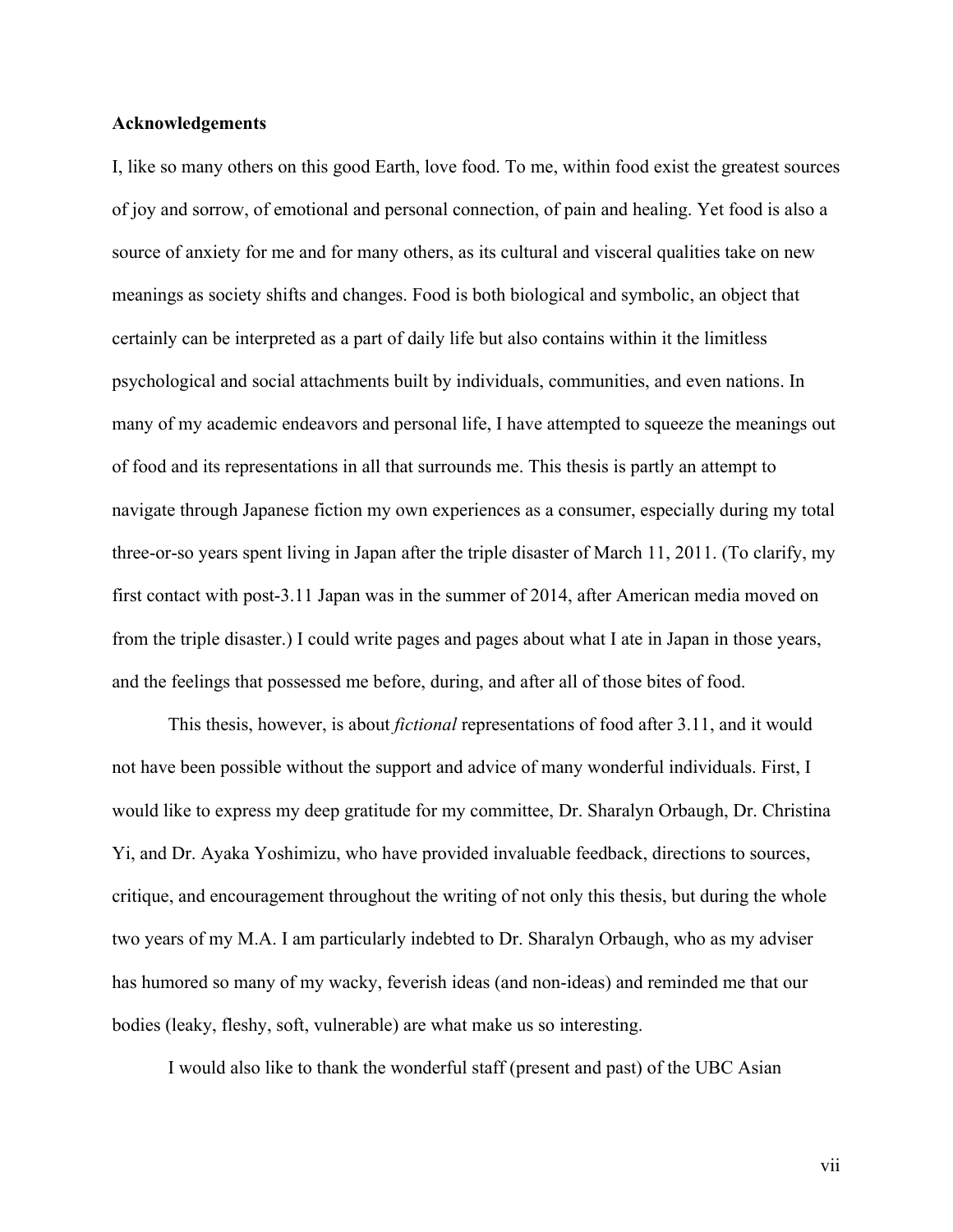### **Acknowledgements**

I, like so many others on this good Earth, love food. To me, within food exist the greatest sources of joy and sorrow, of emotional and personal connection, of pain and healing. Yet food is also a source of anxiety for me and for many others, as its cultural and visceral qualities take on new meanings as society shifts and changes. Food is both biological and symbolic, an object that certainly can be interpreted as a part of daily life but also contains within it the limitless psychological and social attachments built by individuals, communities, and even nations. In many of my academic endeavors and personal life, I have attempted to squeeze the meanings out of food and its representations in all that surrounds me. This thesis is partly an attempt to navigate through Japanese fiction my own experiences as a consumer, especially during my total three-or-so years spent living in Japan after the triple disaster of March 11, 2011. (To clarify, my first contact with post-3.11 Japan was in the summer of 2014, after American media moved on from the triple disaster.) I could write pages and pages about what I ate in Japan in those years, and the feelings that possessed me before, during, and after all of those bites of food.

This thesis, however, is about *fictional* representations of food after 3.11, and it would not have been possible without the support and advice of many wonderful individuals. First, I would like to express my deep gratitude for my committee, Dr. Sharalyn Orbaugh, Dr. Christina Yi, and Dr. Ayaka Yoshimizu, who have provided invaluable feedback, directions to sources, critique, and encouragement throughout the writing of not only this thesis, but during the whole two years of my M.A. I am particularly indebted to Dr. Sharalyn Orbaugh, who as my adviser has humored so many of my wacky, feverish ideas (and non-ideas) and reminded me that our bodies (leaky, fleshy, soft, vulnerable) are what make us so interesting.

I would also like to thank the wonderful staff (present and past) of the UBC Asian

vii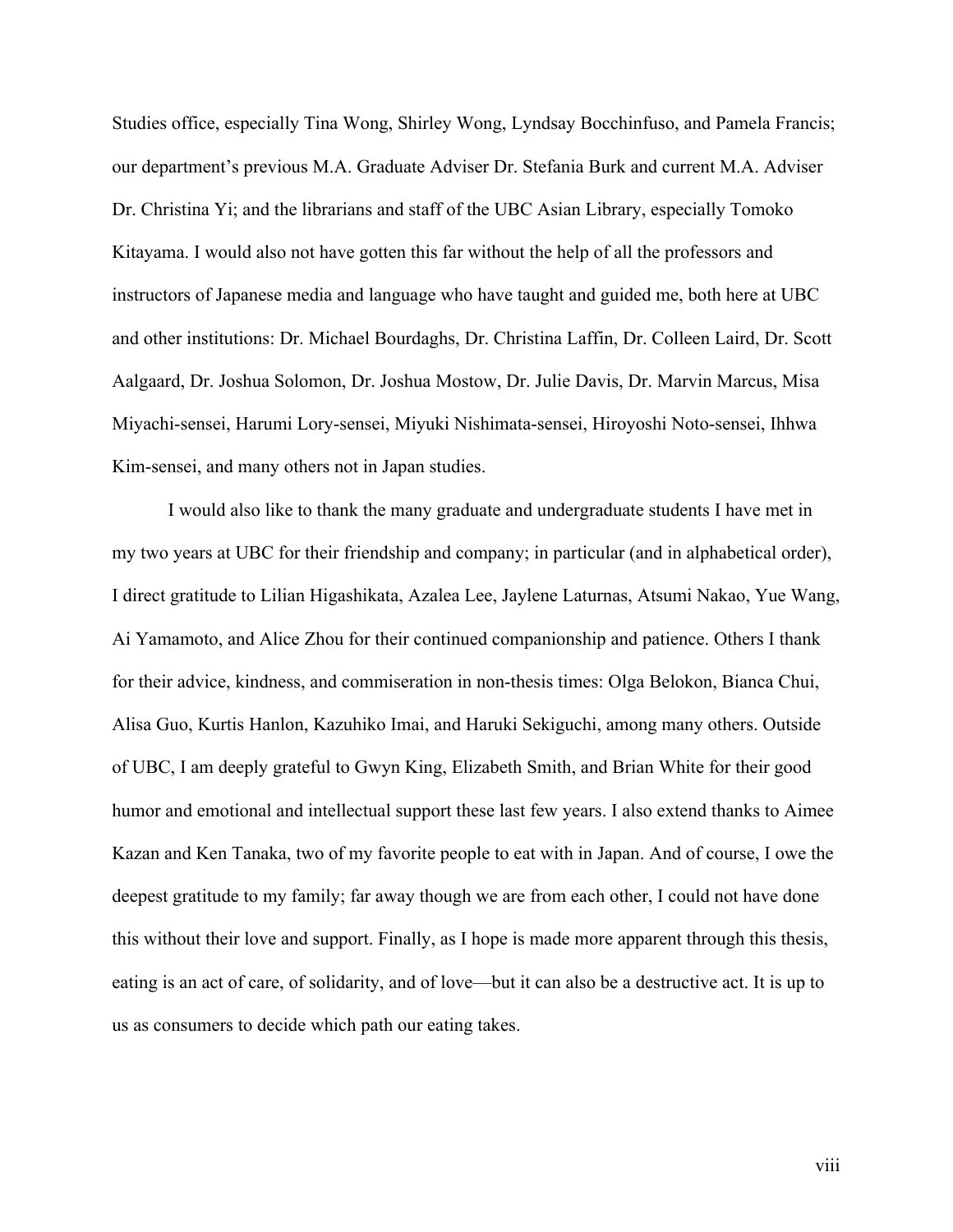Studies office, especially Tina Wong, Shirley Wong, Lyndsay Bocchinfuso, and Pamela Francis; our department's previous M.A. Graduate Adviser Dr. Stefania Burk and current M.A. Adviser Dr. Christina Yi; and the librarians and staff of the UBC Asian Library, especially Tomoko Kitayama. I would also not have gotten this far without the help of all the professors and instructors of Japanese media and language who have taught and guided me, both here at UBC and other institutions: Dr. Michael Bourdaghs, Dr. Christina Laffin, Dr. Colleen Laird, Dr. Scott Aalgaard, Dr. Joshua Solomon, Dr. Joshua Mostow, Dr. Julie Davis, Dr. Marvin Marcus, Misa Miyachi-sensei, Harumi Lory-sensei, Miyuki Nishimata-sensei, Hiroyoshi Noto-sensei, Ihhwa Kim-sensei, and many others not in Japan studies.

I would also like to thank the many graduate and undergraduate students I have met in my two years at UBC for their friendship and company; in particular (and in alphabetical order), I direct gratitude to Lilian Higashikata, Azalea Lee, Jaylene Laturnas, Atsumi Nakao, Yue Wang, Ai Yamamoto, and Alice Zhou for their continued companionship and patience. Others I thank for their advice, kindness, and commiseration in non-thesis times: Olga Belokon, Bianca Chui, Alisa Guo, Kurtis Hanlon, Kazuhiko Imai, and Haruki Sekiguchi, among many others. Outside of UBC, I am deeply grateful to Gwyn King, Elizabeth Smith, and Brian White for their good humor and emotional and intellectual support these last few years. I also extend thanks to Aimee Kazan and Ken Tanaka, two of my favorite people to eat with in Japan. And of course, I owe the deepest gratitude to my family; far away though we are from each other, I could not have done this without their love and support. Finally, as I hope is made more apparent through this thesis, eating is an act of care, of solidarity, and of love—but it can also be a destructive act. It is up to us as consumers to decide which path our eating takes.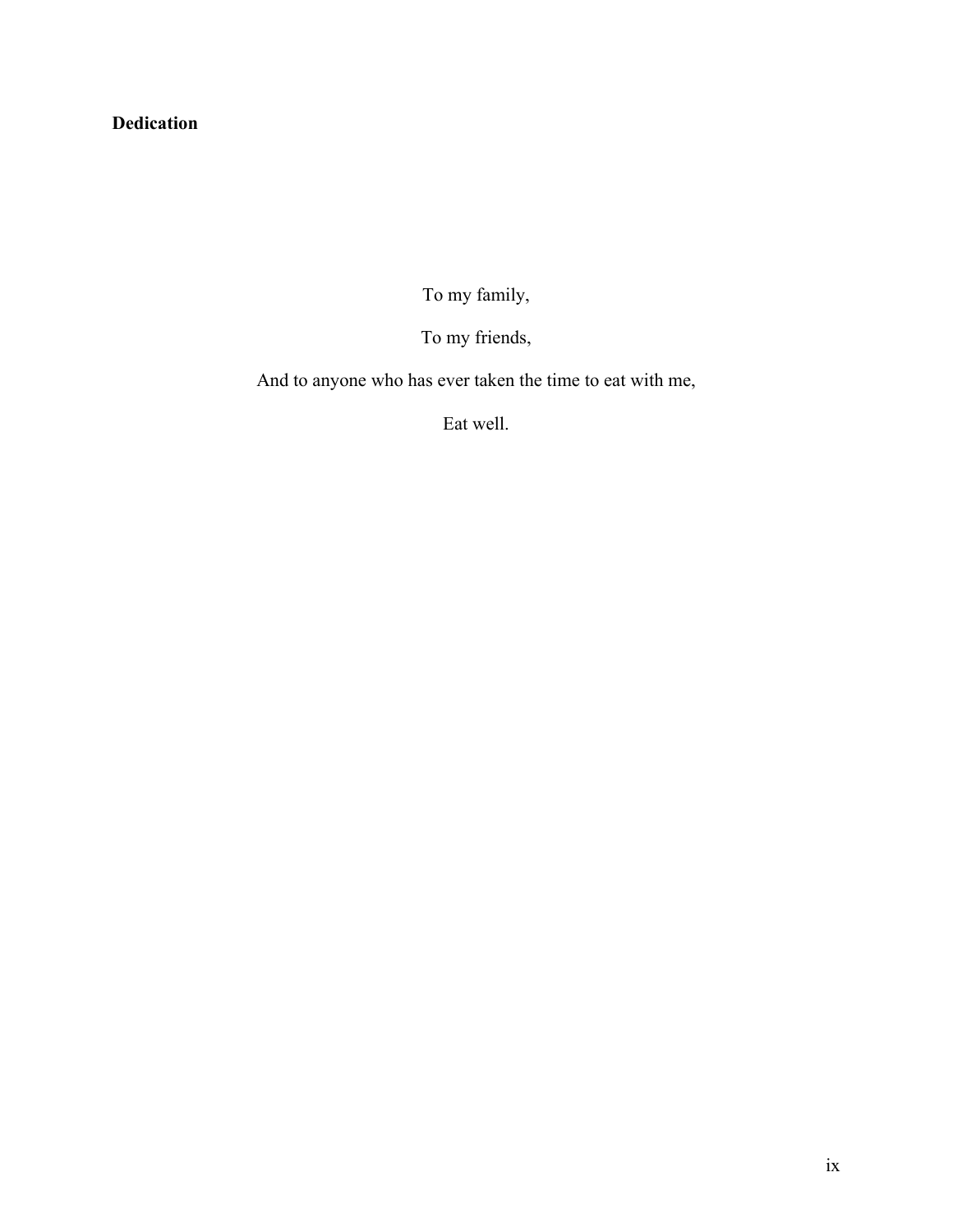# **Dedication**

To my family,

To my friends,

And to anyone who has ever taken the time to eat with me,

Eat well.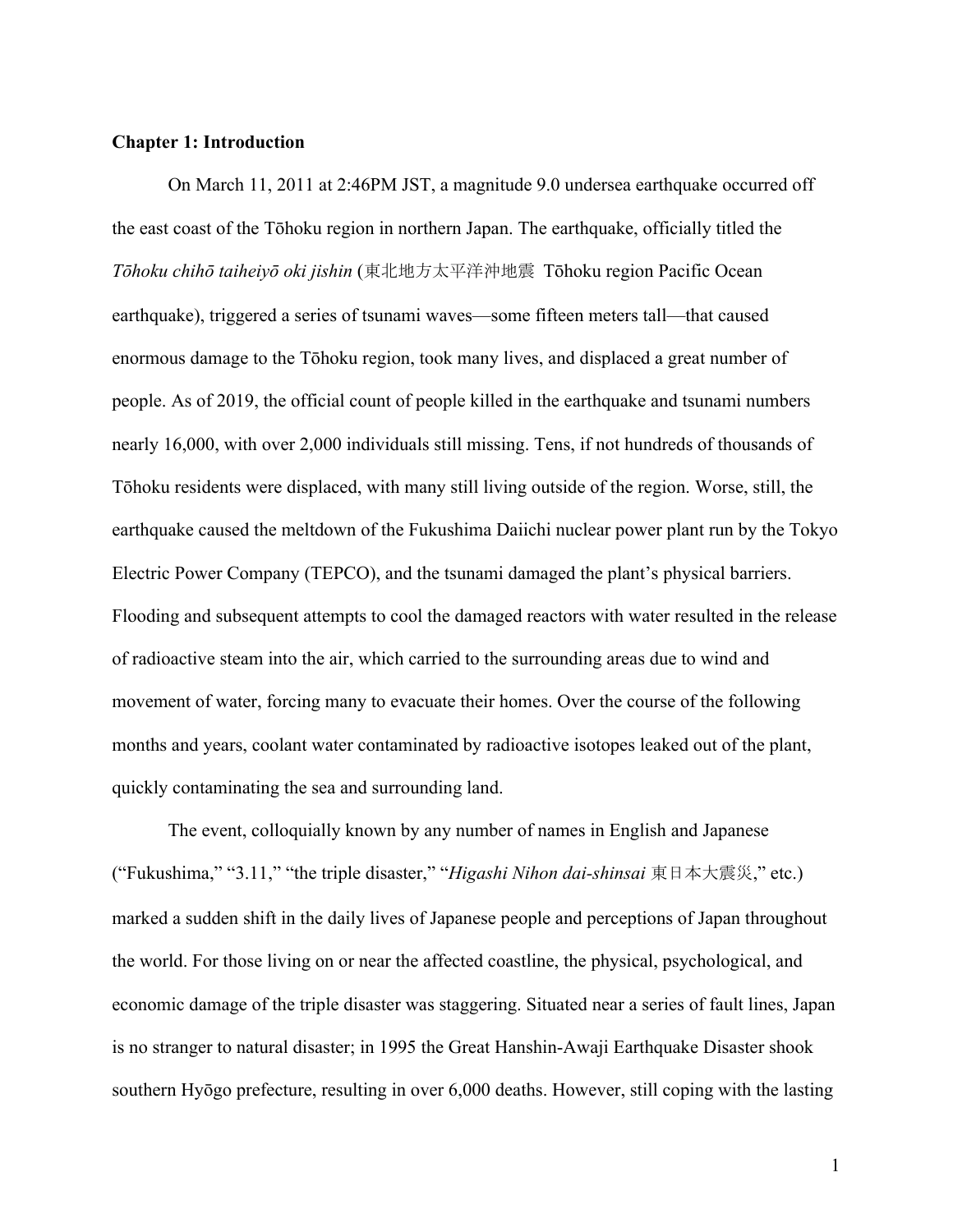#### **Chapter 1: Introduction**

On March 11, 2011 at 2:46PM JST, a magnitude 9.0 undersea earthquake occurred off the east coast of the Tōhoku region in northern Japan. The earthquake, officially titled the *Tōhoku chihō taiheiyō oki jishin* (東北地方太平洋沖地震 Tōhoku region Pacific Ocean earthquake), triggered a series of tsunami waves—some fifteen meters tall—that caused enormous damage to the Tōhoku region, took many lives, and displaced a great number of people. As of 2019, the official count of people killed in the earthquake and tsunami numbers nearly 16,000, with over 2,000 individuals still missing. Tens, if not hundreds of thousands of Tōhoku residents were displaced, with many still living outside of the region. Worse, still, the earthquake caused the meltdown of the Fukushima Daiichi nuclear power plant run by the Tokyo Electric Power Company (TEPCO), and the tsunami damaged the plant's physical barriers. Flooding and subsequent attempts to cool the damaged reactors with water resulted in the release of radioactive steam into the air, which carried to the surrounding areas due to wind and movement of water, forcing many to evacuate their homes. Over the course of the following months and years, coolant water contaminated by radioactive isotopes leaked out of the plant, quickly contaminating the sea and surrounding land.

The event, colloquially known by any number of names in English and Japanese ("Fukushima," "3.11," "the triple disaster," "*Higashi Nihon dai-shinsai* 東日本大震災," etc.) marked a sudden shift in the daily lives of Japanese people and perceptions of Japan throughout the world. For those living on or near the affected coastline, the physical, psychological, and economic damage of the triple disaster was staggering. Situated near a series of fault lines, Japan is no stranger to natural disaster; in 1995 the Great Hanshin-Awaji Earthquake Disaster shook southern Hyōgo prefecture, resulting in over 6,000 deaths. However, still coping with the lasting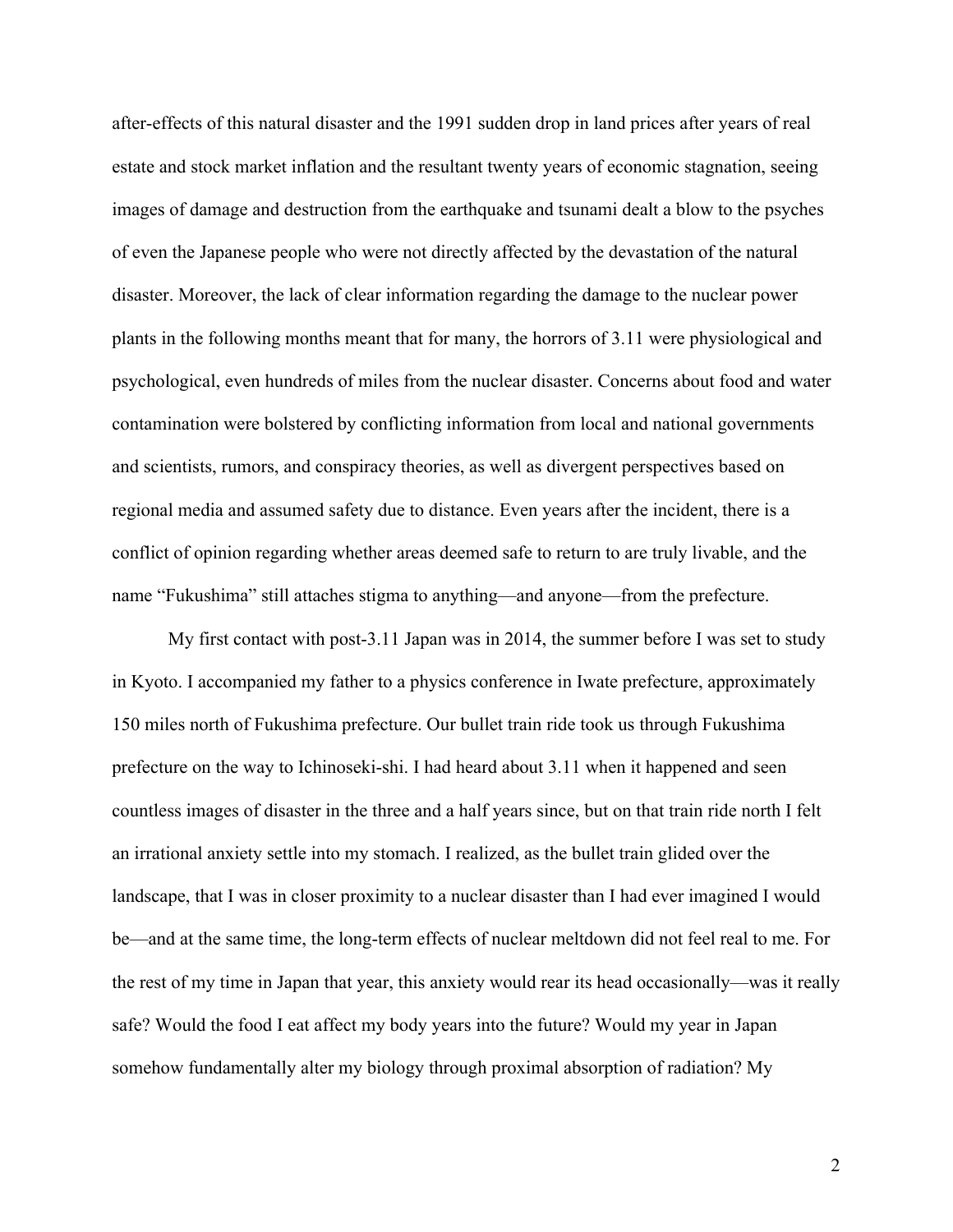after-effects of this natural disaster and the 1991 sudden drop in land prices after years of real estate and stock market inflation and the resultant twenty years of economic stagnation, seeing images of damage and destruction from the earthquake and tsunami dealt a blow to the psyches of even the Japanese people who were not directly affected by the devastation of the natural disaster. Moreover, the lack of clear information regarding the damage to the nuclear power plants in the following months meant that for many, the horrors of 3.11 were physiological and psychological, even hundreds of miles from the nuclear disaster. Concerns about food and water contamination were bolstered by conflicting information from local and national governments and scientists, rumors, and conspiracy theories, as well as divergent perspectives based on regional media and assumed safety due to distance. Even years after the incident, there is a conflict of opinion regarding whether areas deemed safe to return to are truly livable, and the name "Fukushima" still attaches stigma to anything—and anyone—from the prefecture.

My first contact with post-3.11 Japan was in 2014, the summer before I was set to study in Kyoto. I accompanied my father to a physics conference in Iwate prefecture, approximately 150 miles north of Fukushima prefecture. Our bullet train ride took us through Fukushima prefecture on the way to Ichinoseki-shi. I had heard about 3.11 when it happened and seen countless images of disaster in the three and a half years since, but on that train ride north I felt an irrational anxiety settle into my stomach. I realized, as the bullet train glided over the landscape, that I was in closer proximity to a nuclear disaster than I had ever imagined I would be—and at the same time, the long-term effects of nuclear meltdown did not feel real to me. For the rest of my time in Japan that year, this anxiety would rear its head occasionally—was it really safe? Would the food I eat affect my body years into the future? Would my year in Japan somehow fundamentally alter my biology through proximal absorption of radiation? My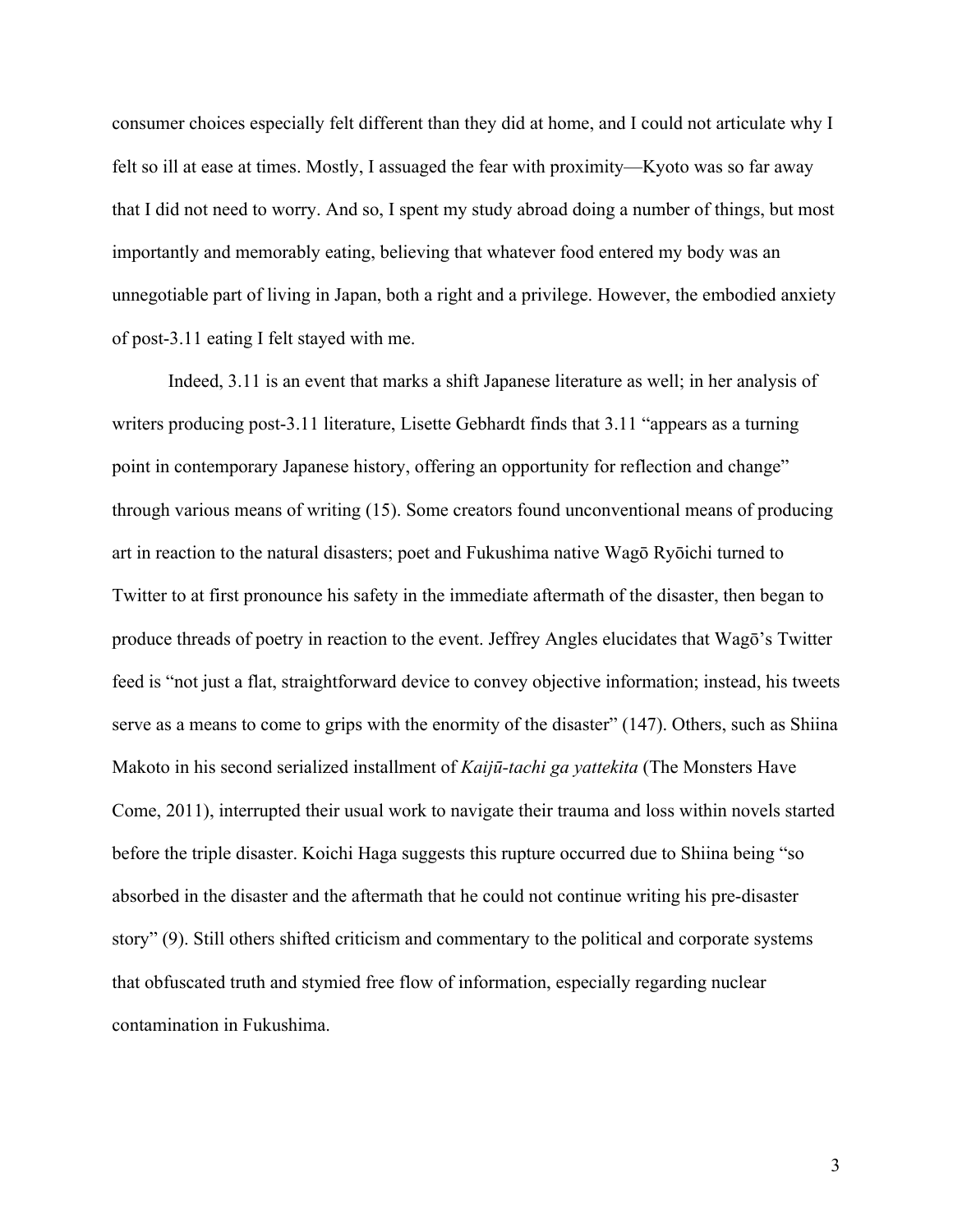consumer choices especially felt different than they did at home, and I could not articulate why I felt so ill at ease at times. Mostly, I assuaged the fear with proximity—Kyoto was so far away that I did not need to worry. And so, I spent my study abroad doing a number of things, but most importantly and memorably eating, believing that whatever food entered my body was an unnegotiable part of living in Japan, both a right and a privilege. However, the embodied anxiety of post-3.11 eating I felt stayed with me.

Indeed, 3.11 is an event that marks a shift Japanese literature as well; in her analysis of writers producing post-3.11 literature, Lisette Gebhardt finds that 3.11 "appears as a turning point in contemporary Japanese history, offering an opportunity for reflection and change" through various means of writing (15). Some creators found unconventional means of producing art in reaction to the natural disasters; poet and Fukushima native Wagō Ryōichi turned to Twitter to at first pronounce his safety in the immediate aftermath of the disaster, then began to produce threads of poetry in reaction to the event. Jeffrey Angles elucidates that Wagō's Twitter feed is "not just a flat, straightforward device to convey objective information; instead, his tweets serve as a means to come to grips with the enormity of the disaster" (147). Others, such as Shiina Makoto in his second serialized installment of *Kaijū-tachi ga yattekita* (The Monsters Have Come, 2011), interrupted their usual work to navigate their trauma and loss within novels started before the triple disaster. Koichi Haga suggests this rupture occurred due to Shiina being "so absorbed in the disaster and the aftermath that he could not continue writing his pre-disaster story" (9). Still others shifted criticism and commentary to the political and corporate systems that obfuscated truth and stymied free flow of information, especially regarding nuclear contamination in Fukushima.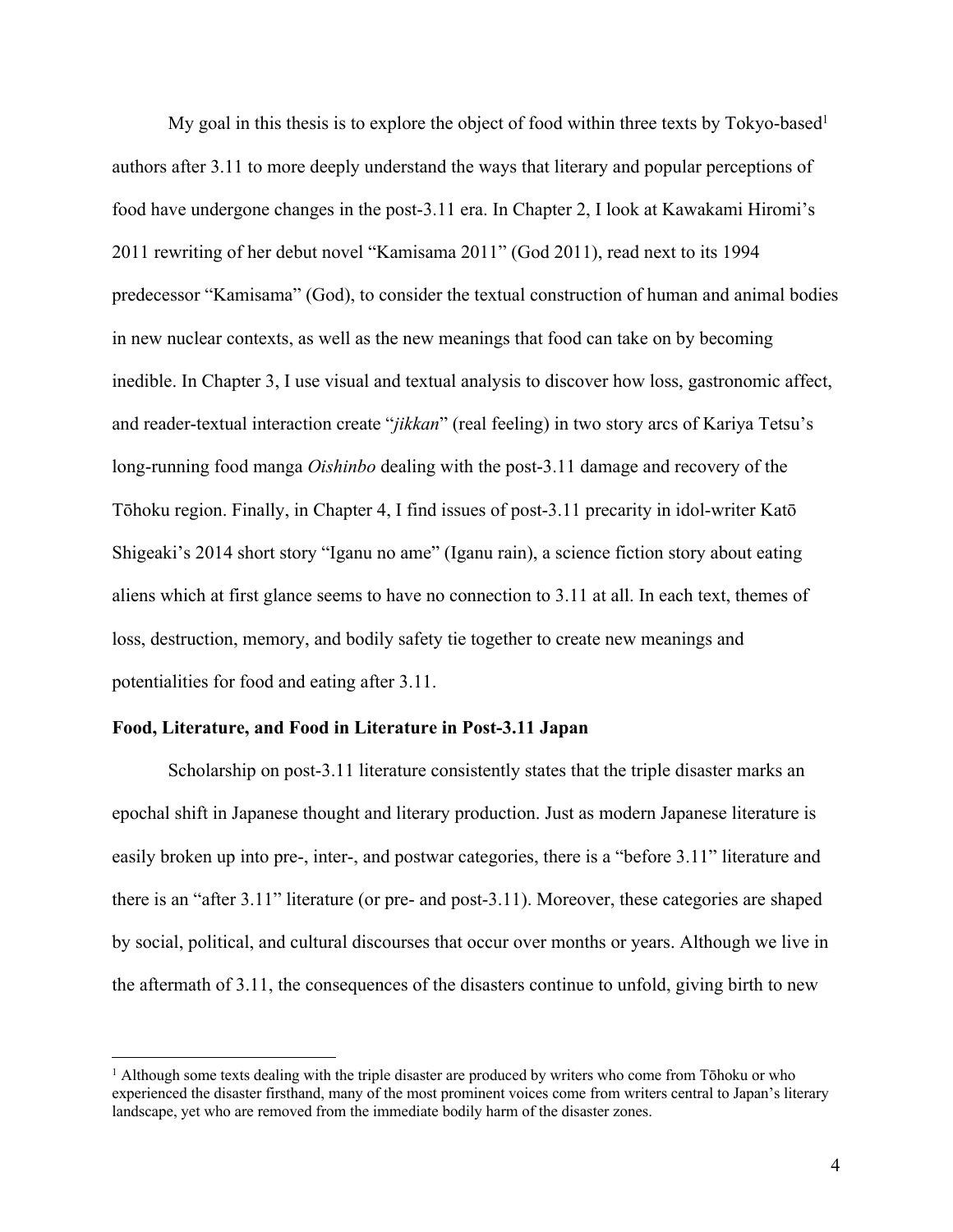My goal in this thesis is to explore the object of food within three texts by Tokyo-based<sup>1</sup> authors after 3.11 to more deeply understand the ways that literary and popular perceptions of food have undergone changes in the post-3.11 era. In Chapter 2, I look at Kawakami Hiromi's 2011 rewriting of her debut novel "Kamisama 2011" (God 2011), read next to its 1994 predecessor "Kamisama" (God), to consider the textual construction of human and animal bodies in new nuclear contexts, as well as the new meanings that food can take on by becoming inedible. In Chapter 3, I use visual and textual analysis to discover how loss, gastronomic affect, and reader-textual interaction create "*jikkan*" (real feeling) in two story arcs of Kariya Tetsu's long-running food manga *Oishinbo* dealing with the post-3.11 damage and recovery of the Tōhoku region. Finally, in Chapter 4, I find issues of post-3.11 precarity in idol-writer Katō Shigeaki's 2014 short story "Iganu no ame" (Iganu rain), a science fiction story about eating aliens which at first glance seems to have no connection to 3.11 at all. In each text, themes of loss, destruction, memory, and bodily safety tie together to create new meanings and potentialities for food and eating after 3.11.

#### **Food, Literature, and Food in Literature in Post-3.11 Japan**

Scholarship on post-3.11 literature consistently states that the triple disaster marks an epochal shift in Japanese thought and literary production. Just as modern Japanese literature is easily broken up into pre-, inter-, and postwar categories, there is a "before 3.11" literature and there is an "after 3.11" literature (or pre- and post-3.11). Moreover, these categories are shaped by social, political, and cultural discourses that occur over months or years. Although we live in the aftermath of 3.11, the consequences of the disasters continue to unfold, giving birth to new

 $<sup>1</sup>$  Although some texts dealing with the triple disaster are produced by writers who come from Tōhoku or who</sup> experienced the disaster firsthand, many of the most prominent voices come from writers central to Japan's literary landscape, yet who are removed from the immediate bodily harm of the disaster zones.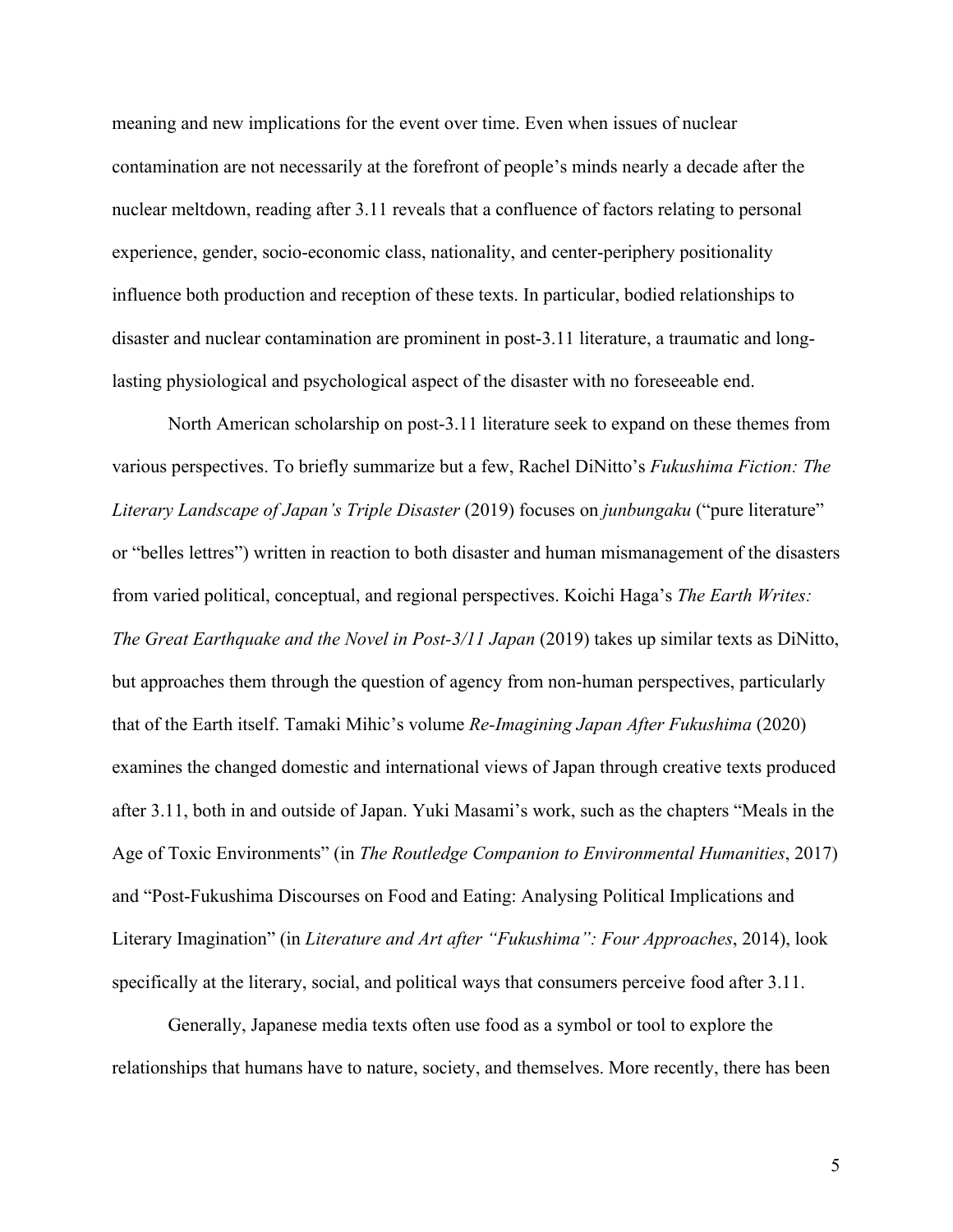meaning and new implications for the event over time. Even when issues of nuclear contamination are not necessarily at the forefront of people's minds nearly a decade after the nuclear meltdown, reading after 3.11 reveals that a confluence of factors relating to personal experience, gender, socio-economic class, nationality, and center-periphery positionality influence both production and reception of these texts. In particular, bodied relationships to disaster and nuclear contamination are prominent in post-3.11 literature, a traumatic and longlasting physiological and psychological aspect of the disaster with no foreseeable end.

North American scholarship on post-3.11 literature seek to expand on these themes from various perspectives. To briefly summarize but a few, Rachel DiNitto's *Fukushima Fiction: The Literary Landscape of Japan's Triple Disaster* (2019) focuses on *junbungaku* ("pure literature" or "belles lettres") written in reaction to both disaster and human mismanagement of the disasters from varied political, conceptual, and regional perspectives. Koichi Haga's *The Earth Writes: The Great Earthquake and the Novel in Post-3/11 Japan* (2019) takes up similar texts as DiNitto, but approaches them through the question of agency from non-human perspectives, particularly that of the Earth itself. Tamaki Mihic's volume *Re-Imagining Japan After Fukushima* (2020) examines the changed domestic and international views of Japan through creative texts produced after 3.11, both in and outside of Japan. Yuki Masami's work, such as the chapters "Meals in the Age of Toxic Environments" (in *The Routledge Companion to Environmental Humanities*, 2017) and "Post-Fukushima Discourses on Food and Eating: Analysing Political Implications and Literary Imagination" (in *Literature and Art after "Fukushima": Four Approaches*, 2014), look specifically at the literary, social, and political ways that consumers perceive food after 3.11.

Generally, Japanese media texts often use food as a symbol or tool to explore the relationships that humans have to nature, society, and themselves. More recently, there has been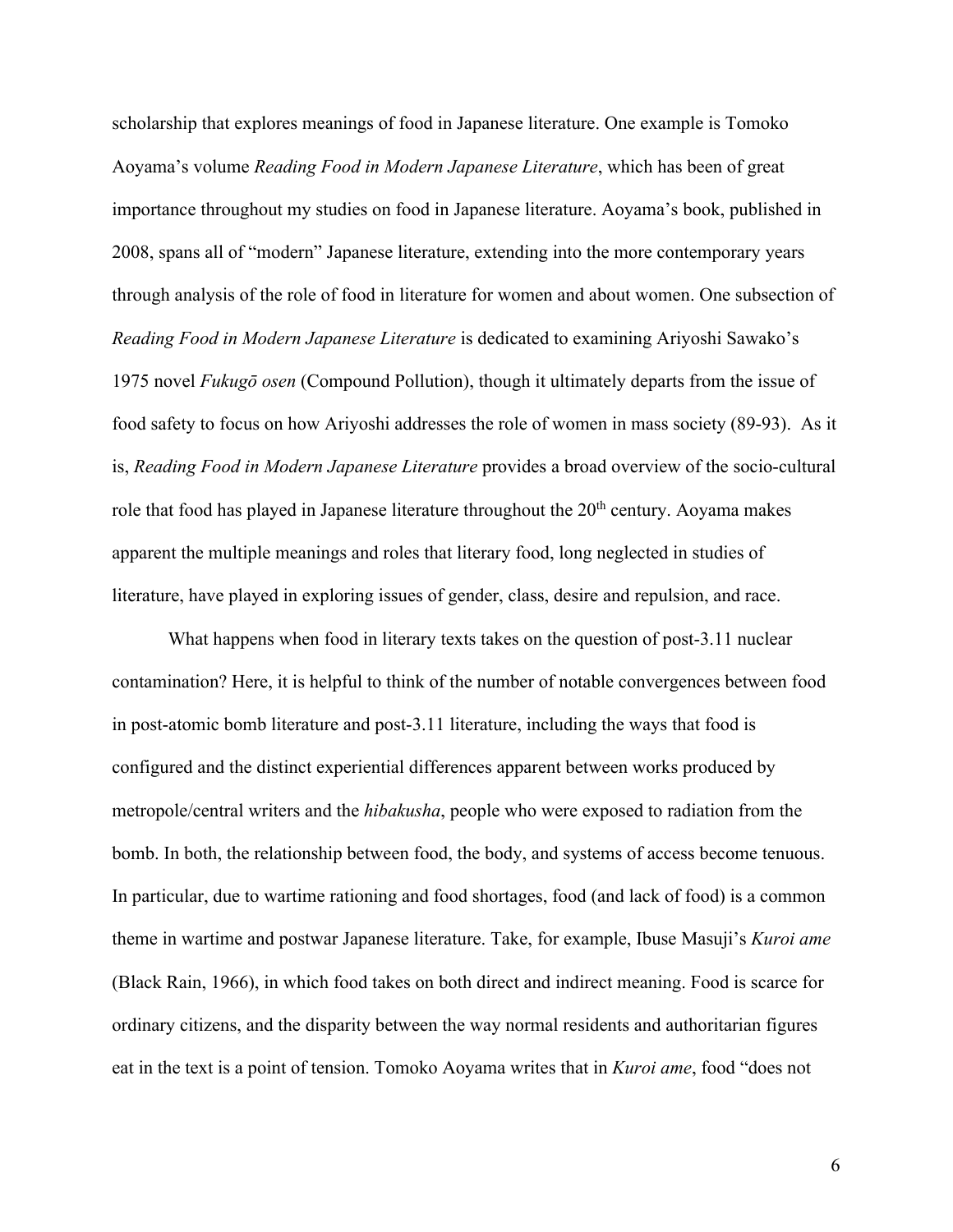scholarship that explores meanings of food in Japanese literature. One example is Tomoko Aoyama's volume *Reading Food in Modern Japanese Literature*, which has been of great importance throughout my studies on food in Japanese literature. Aoyama's book, published in 2008, spans all of "modern" Japanese literature, extending into the more contemporary years through analysis of the role of food in literature for women and about women. One subsection of *Reading Food in Modern Japanese Literature* is dedicated to examining Ariyoshi Sawako's 1975 novel *Fukugō osen* (Compound Pollution), though it ultimately departs from the issue of food safety to focus on how Ariyoshi addresses the role of women in mass society (89-93). As it is, *Reading Food in Modern Japanese Literature* provides a broad overview of the socio-cultural role that food has played in Japanese literature throughout the  $20<sup>th</sup>$  century. Aoyama makes apparent the multiple meanings and roles that literary food, long neglected in studies of literature, have played in exploring issues of gender, class, desire and repulsion, and race.

What happens when food in literary texts takes on the question of post-3.11 nuclear contamination? Here, it is helpful to think of the number of notable convergences between food in post-atomic bomb literature and post-3.11 literature, including the ways that food is configured and the distinct experiential differences apparent between works produced by metropole/central writers and the *hibakusha*, people who were exposed to radiation from the bomb. In both, the relationship between food, the body, and systems of access become tenuous. In particular, due to wartime rationing and food shortages, food (and lack of food) is a common theme in wartime and postwar Japanese literature. Take, for example, Ibuse Masuji's *Kuroi ame* (Black Rain, 1966), in which food takes on both direct and indirect meaning. Food is scarce for ordinary citizens, and the disparity between the way normal residents and authoritarian figures eat in the text is a point of tension. Tomoko Aoyama writes that in *Kuroi ame*, food "does not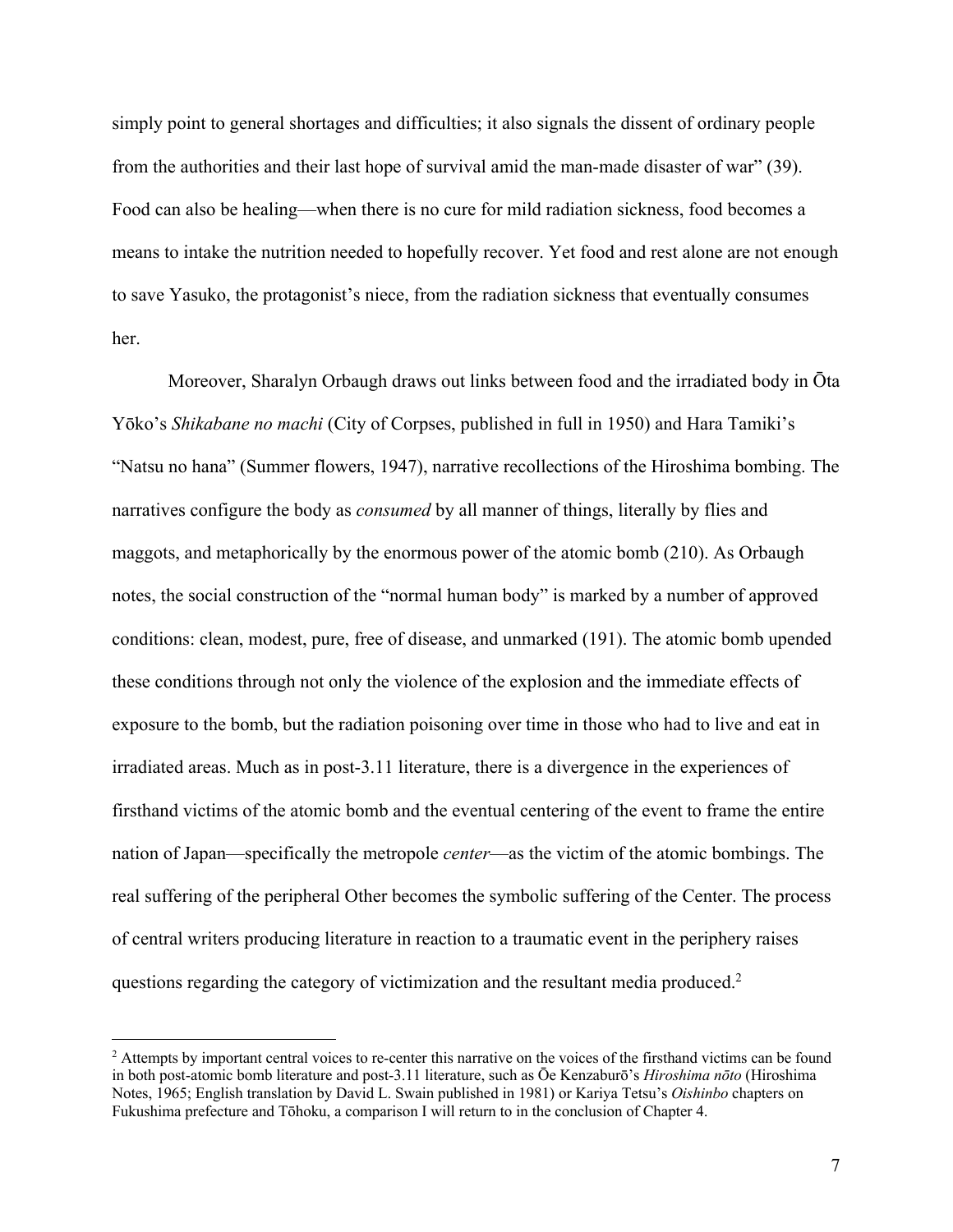simply point to general shortages and difficulties; it also signals the dissent of ordinary people from the authorities and their last hope of survival amid the man-made disaster of war" (39). Food can also be healing—when there is no cure for mild radiation sickness, food becomes a means to intake the nutrition needed to hopefully recover. Yet food and rest alone are not enough to save Yasuko, the protagonist's niece, from the radiation sickness that eventually consumes her.

Moreover, Sharalyn Orbaugh draws out links between food and the irradiated body in Ōta Yōko's *Shikabane no machi* (City of Corpses, published in full in 1950) and Hara Tamiki's "Natsu no hana" (Summer flowers, 1947), narrative recollections of the Hiroshima bombing. The narratives configure the body as *consumed* by all manner of things, literally by flies and maggots, and metaphorically by the enormous power of the atomic bomb (210). As Orbaugh notes, the social construction of the "normal human body" is marked by a number of approved conditions: clean, modest, pure, free of disease, and unmarked (191). The atomic bomb upended these conditions through not only the violence of the explosion and the immediate effects of exposure to the bomb, but the radiation poisoning over time in those who had to live and eat in irradiated areas. Much as in post-3.11 literature, there is a divergence in the experiences of firsthand victims of the atomic bomb and the eventual centering of the event to frame the entire nation of Japan—specifically the metropole *center*—as the victim of the atomic bombings. The real suffering of the peripheral Other becomes the symbolic suffering of the Center. The process of central writers producing literature in reaction to a traumatic event in the periphery raises questions regarding the category of victimization and the resultant media produced.2

<sup>&</sup>lt;sup>2</sup> Attempts by important central voices to re-center this narrative on the voices of the firsthand victims can be found in both post-atomic bomb literature and post-3.11 literature, such as Ōe Kenzaburō's *Hiroshima nōto* (Hiroshima Notes, 1965; English translation by David L. Swain published in 1981) or Kariya Tetsu's *Oishinbo* chapters on Fukushima prefecture and Tōhoku, a comparison I will return to in the conclusion of Chapter 4.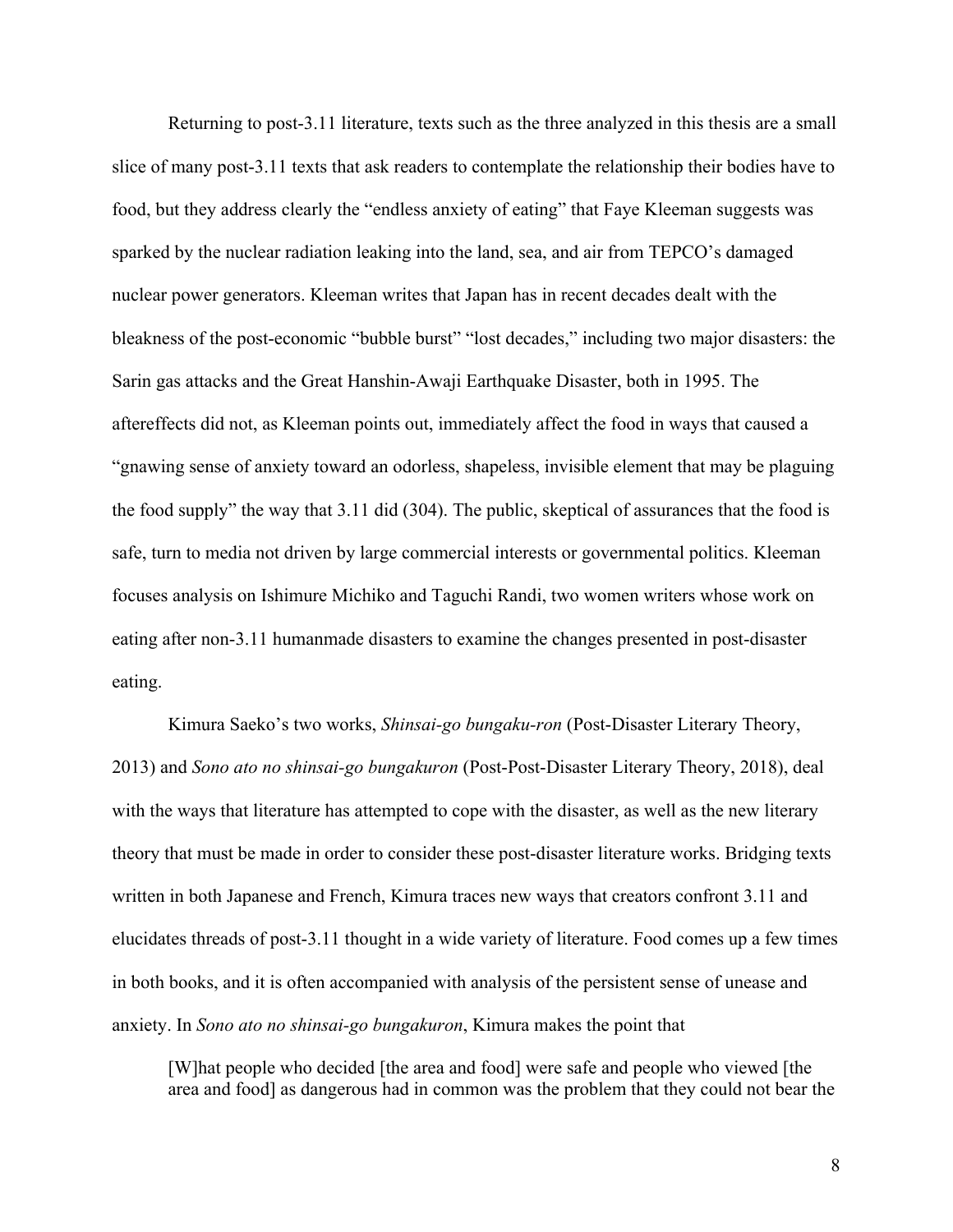Returning to post-3.11 literature, texts such as the three analyzed in this thesis are a small slice of many post-3.11 texts that ask readers to contemplate the relationship their bodies have to food, but they address clearly the "endless anxiety of eating" that Faye Kleeman suggests was sparked by the nuclear radiation leaking into the land, sea, and air from TEPCO's damaged nuclear power generators. Kleeman writes that Japan has in recent decades dealt with the bleakness of the post-economic "bubble burst" "lost decades," including two major disasters: the Sarin gas attacks and the Great Hanshin-Awaji Earthquake Disaster, both in 1995. The aftereffects did not, as Kleeman points out, immediately affect the food in ways that caused a "gnawing sense of anxiety toward an odorless, shapeless, invisible element that may be plaguing the food supply" the way that 3.11 did (304). The public, skeptical of assurances that the food is safe, turn to media not driven by large commercial interests or governmental politics. Kleeman focuses analysis on Ishimure Michiko and Taguchi Randi, two women writers whose work on eating after non-3.11 humanmade disasters to examine the changes presented in post-disaster eating.

Kimura Saeko's two works, *Shinsai-go bungaku-ron* (Post-Disaster Literary Theory, 2013) and *Sono ato no shinsai-go bungakuron* (Post-Post-Disaster Literary Theory, 2018), deal with the ways that literature has attempted to cope with the disaster, as well as the new literary theory that must be made in order to consider these post-disaster literature works. Bridging texts written in both Japanese and French, Kimura traces new ways that creators confront 3.11 and elucidates threads of post-3.11 thought in a wide variety of literature. Food comes up a few times in both books, and it is often accompanied with analysis of the persistent sense of unease and anxiety. In *Sono ato no shinsai-go bungakuron*, Kimura makes the point that

[W]hat people who decided [the area and food] were safe and people who viewed [the area and food] as dangerous had in common was the problem that they could not bear the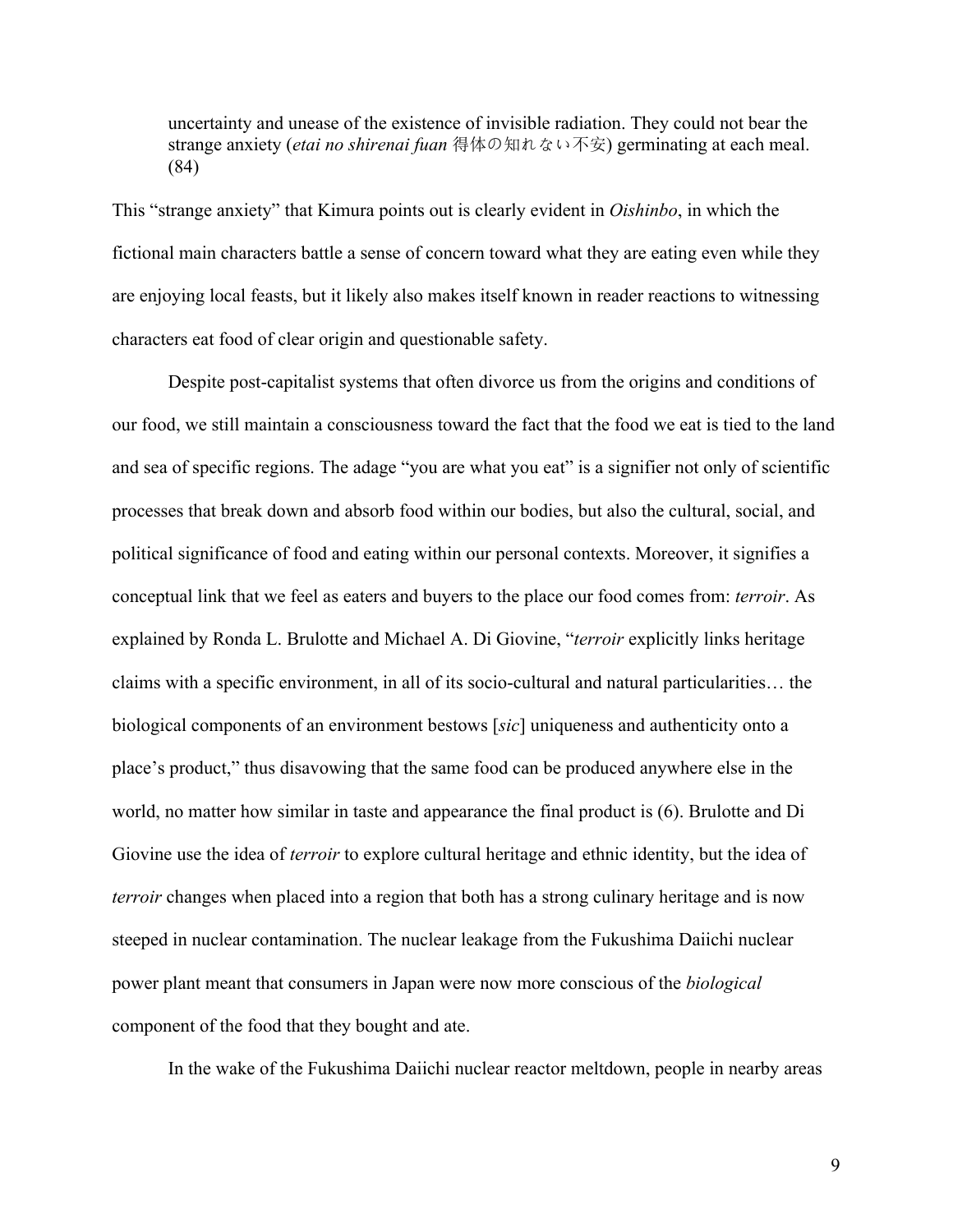uncertainty and unease of the existence of invisible radiation. They could not bear the strange anxiety (*etai no shirenai fuan* 得体の知れない不安) germinating at each meal. (84)

This "strange anxiety" that Kimura points out is clearly evident in *Oishinbo*, in which the fictional main characters battle a sense of concern toward what they are eating even while they are enjoying local feasts, but it likely also makes itself known in reader reactions to witnessing characters eat food of clear origin and questionable safety.

Despite post-capitalist systems that often divorce us from the origins and conditions of our food, we still maintain a consciousness toward the fact that the food we eat is tied to the land and sea of specific regions. The adage "you are what you eat" is a signifier not only of scientific processes that break down and absorb food within our bodies, but also the cultural, social, and political significance of food and eating within our personal contexts. Moreover, it signifies a conceptual link that we feel as eaters and buyers to the place our food comes from: *terroir*. As explained by Ronda L. Brulotte and Michael A. Di Giovine, "*terroir* explicitly links heritage claims with a specific environment, in all of its socio-cultural and natural particularities… the biological components of an environment bestows [*sic*] uniqueness and authenticity onto a place's product," thus disavowing that the same food can be produced anywhere else in the world, no matter how similar in taste and appearance the final product is (6). Brulotte and Di Giovine use the idea of *terroir* to explore cultural heritage and ethnic identity, but the idea of *terroir* changes when placed into a region that both has a strong culinary heritage and is now steeped in nuclear contamination. The nuclear leakage from the Fukushima Daiichi nuclear power plant meant that consumers in Japan were now more conscious of the *biological* component of the food that they bought and ate.

In the wake of the Fukushima Daiichi nuclear reactor meltdown, people in nearby areas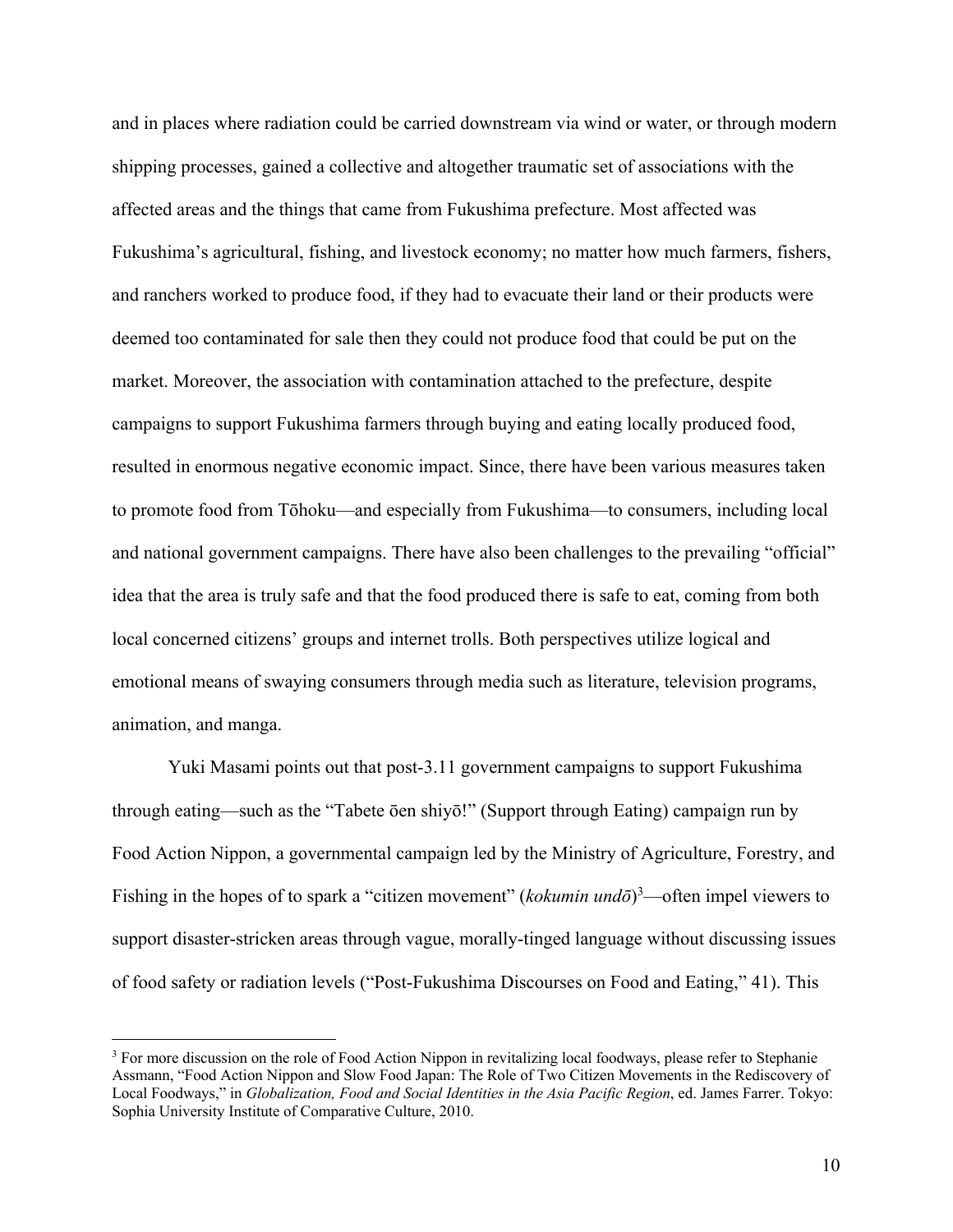and in places where radiation could be carried downstream via wind or water, or through modern shipping processes, gained a collective and altogether traumatic set of associations with the affected areas and the things that came from Fukushima prefecture. Most affected was Fukushima's agricultural, fishing, and livestock economy; no matter how much farmers, fishers, and ranchers worked to produce food, if they had to evacuate their land or their products were deemed too contaminated for sale then they could not produce food that could be put on the market. Moreover, the association with contamination attached to the prefecture, despite campaigns to support Fukushima farmers through buying and eating locally produced food, resulted in enormous negative economic impact. Since, there have been various measures taken to promote food from Tōhoku—and especially from Fukushima—to consumers, including local and national government campaigns. There have also been challenges to the prevailing "official" idea that the area is truly safe and that the food produced there is safe to eat, coming from both local concerned citizens' groups and internet trolls. Both perspectives utilize logical and emotional means of swaying consumers through media such as literature, television programs, animation, and manga.

Yuki Masami points out that post-3.11 government campaigns to support Fukushima through eating—such as the "Tabete ōen shiyō!" (Support through Eating) campaign run by Food Action Nippon, a governmental campaign led by the Ministry of Agriculture, Forestry, and Fishing in the hopes of to spark a "citizen movement" (*kokumin undō*)<sup>3</sup>—often impel viewers to support disaster-stricken areas through vague, morally-tinged language without discussing issues of food safety or radiation levels ("Post-Fukushima Discourses on Food and Eating," 41). This

<sup>&</sup>lt;sup>3</sup> For more discussion on the role of Food Action Nippon in revitalizing local foodways, please refer to Stephanie Assmann, "Food Action Nippon and Slow Food Japan: The Role of Two Citizen Movements in the Rediscovery of Local Foodways," in *Globalization, Food and Social Identities in the Asia Pacific Region*, ed. James Farrer. Tokyo: Sophia University Institute of Comparative Culture, 2010.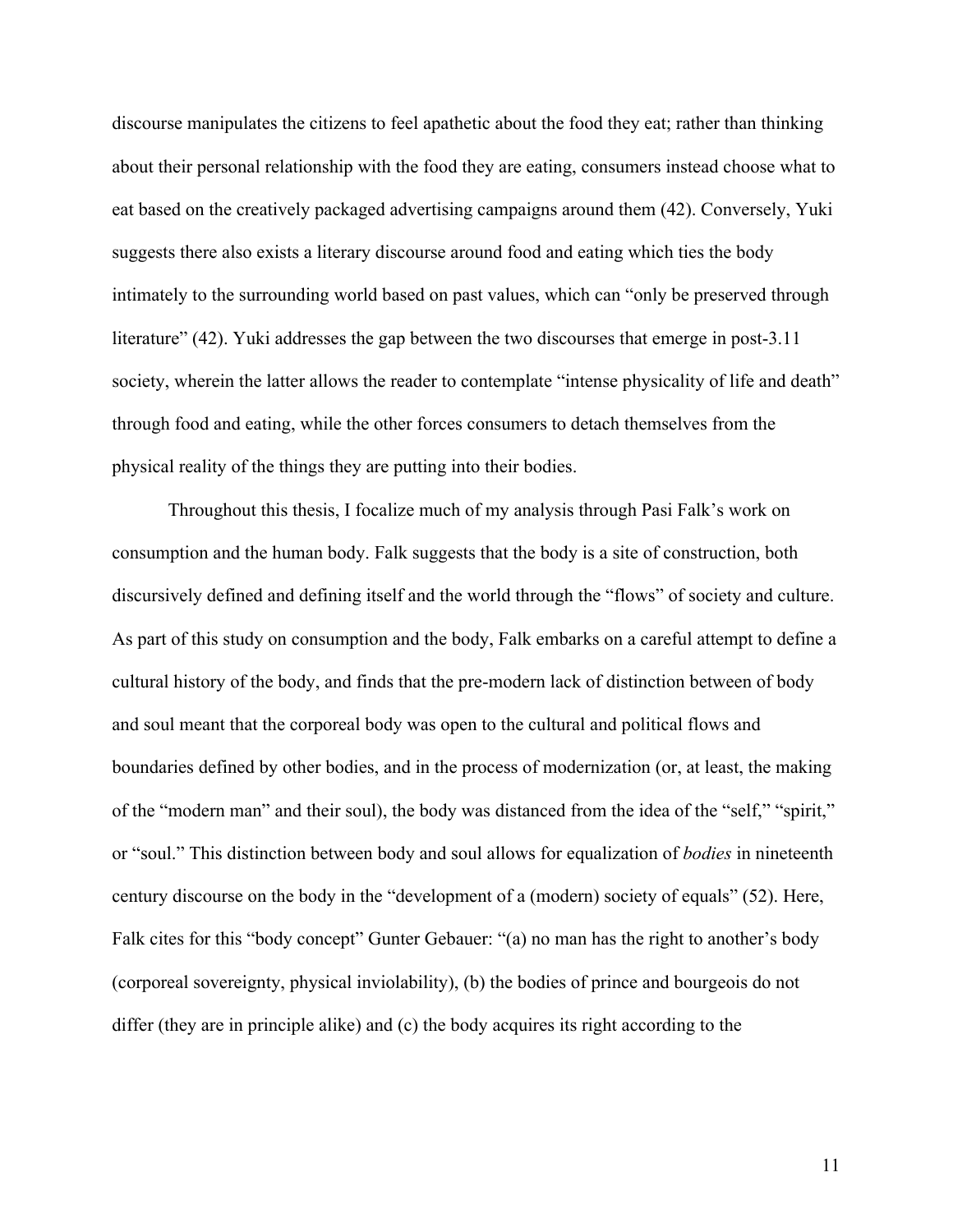discourse manipulates the citizens to feel apathetic about the food they eat; rather than thinking about their personal relationship with the food they are eating, consumers instead choose what to eat based on the creatively packaged advertising campaigns around them (42). Conversely, Yuki suggests there also exists a literary discourse around food and eating which ties the body intimately to the surrounding world based on past values, which can "only be preserved through literature" (42). Yuki addresses the gap between the two discourses that emerge in post-3.11 society, wherein the latter allows the reader to contemplate "intense physicality of life and death" through food and eating, while the other forces consumers to detach themselves from the physical reality of the things they are putting into their bodies.

Throughout this thesis, I focalize much of my analysis through Pasi Falk's work on consumption and the human body. Falk suggests that the body is a site of construction, both discursively defined and defining itself and the world through the "flows" of society and culture. As part of this study on consumption and the body, Falk embarks on a careful attempt to define a cultural history of the body, and finds that the pre-modern lack of distinction between of body and soul meant that the corporeal body was open to the cultural and political flows and boundaries defined by other bodies, and in the process of modernization (or, at least, the making of the "modern man" and their soul), the body was distanced from the idea of the "self," "spirit," or "soul." This distinction between body and soul allows for equalization of *bodies* in nineteenth century discourse on the body in the "development of a (modern) society of equals" (52). Here, Falk cites for this "body concept" Gunter Gebauer: "(a) no man has the right to another's body (corporeal sovereignty, physical inviolability), (b) the bodies of prince and bourgeois do not differ (they are in principle alike) and (c) the body acquires its right according to the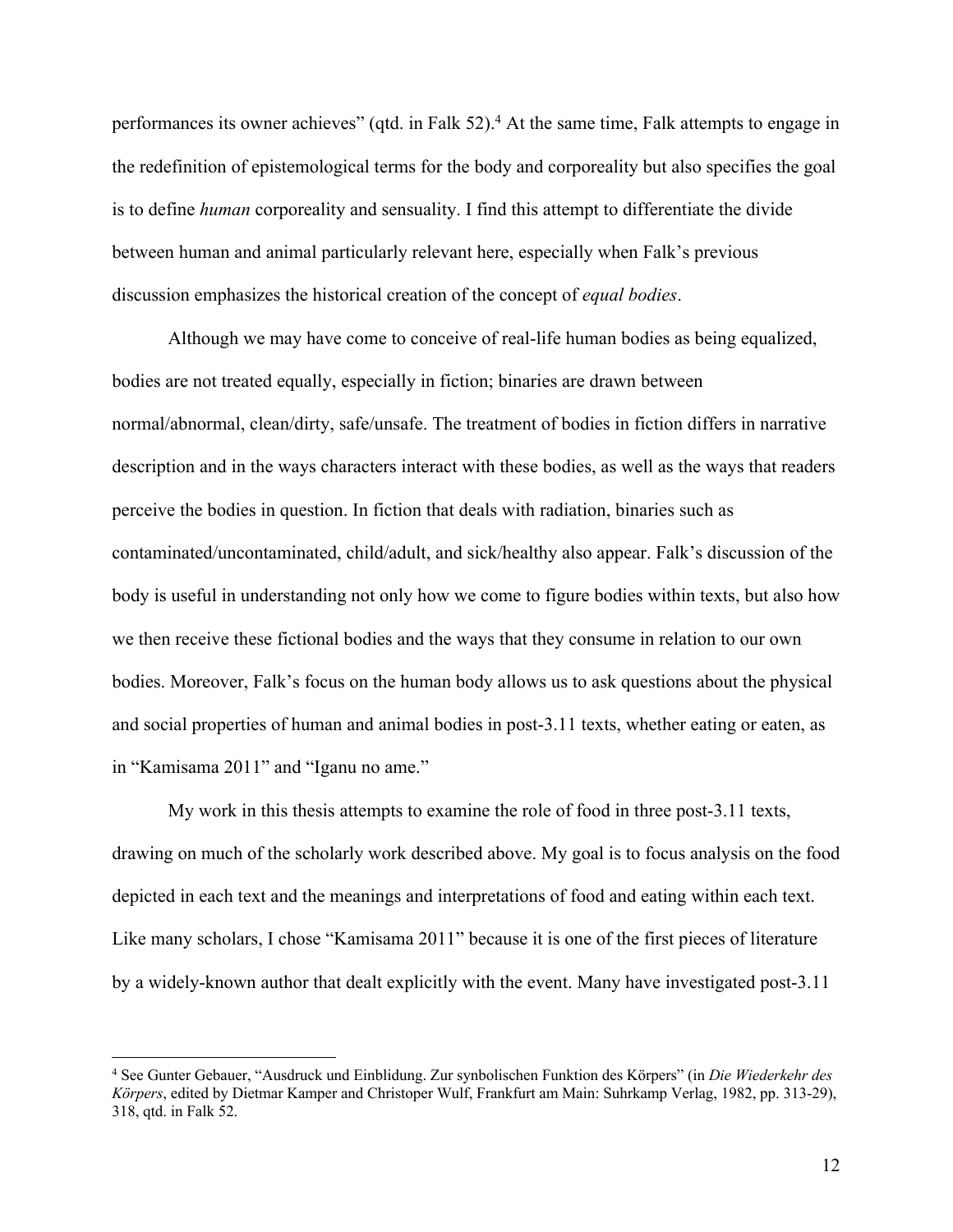performances its owner achieves" (qtd. in Falk 52).<sup>4</sup> At the same time, Falk attempts to engage in the redefinition of epistemological terms for the body and corporeality but also specifies the goal is to define *human* corporeality and sensuality. I find this attempt to differentiate the divide between human and animal particularly relevant here, especially when Falk's previous discussion emphasizes the historical creation of the concept of *equal bodies*.

Although we may have come to conceive of real-life human bodies as being equalized, bodies are not treated equally, especially in fiction; binaries are drawn between normal/abnormal, clean/dirty, safe/unsafe. The treatment of bodies in fiction differs in narrative description and in the ways characters interact with these bodies, as well as the ways that readers perceive the bodies in question. In fiction that deals with radiation, binaries such as contaminated/uncontaminated, child/adult, and sick/healthy also appear. Falk's discussion of the body is useful in understanding not only how we come to figure bodies within texts, but also how we then receive these fictional bodies and the ways that they consume in relation to our own bodies. Moreover, Falk's focus on the human body allows us to ask questions about the physical and social properties of human and animal bodies in post-3.11 texts, whether eating or eaten, as in "Kamisama 2011" and "Iganu no ame."

My work in this thesis attempts to examine the role of food in three post-3.11 texts, drawing on much of the scholarly work described above. My goal is to focus analysis on the food depicted in each text and the meanings and interpretations of food and eating within each text. Like many scholars, I chose "Kamisama 2011" because it is one of the first pieces of literature by a widely-known author that dealt explicitly with the event. Many have investigated post-3.11

<sup>4</sup> See Gunter Gebauer, "Ausdruck und Einblidung. Zur synbolischen Funktion des Körpers" (in *Die Wiederkehr des Körpers*, edited by Dietmar Kamper and Christoper Wulf, Frankfurt am Main: Suhrkamp Verlag, 1982, pp. 313-29), 318, qtd. in Falk 52.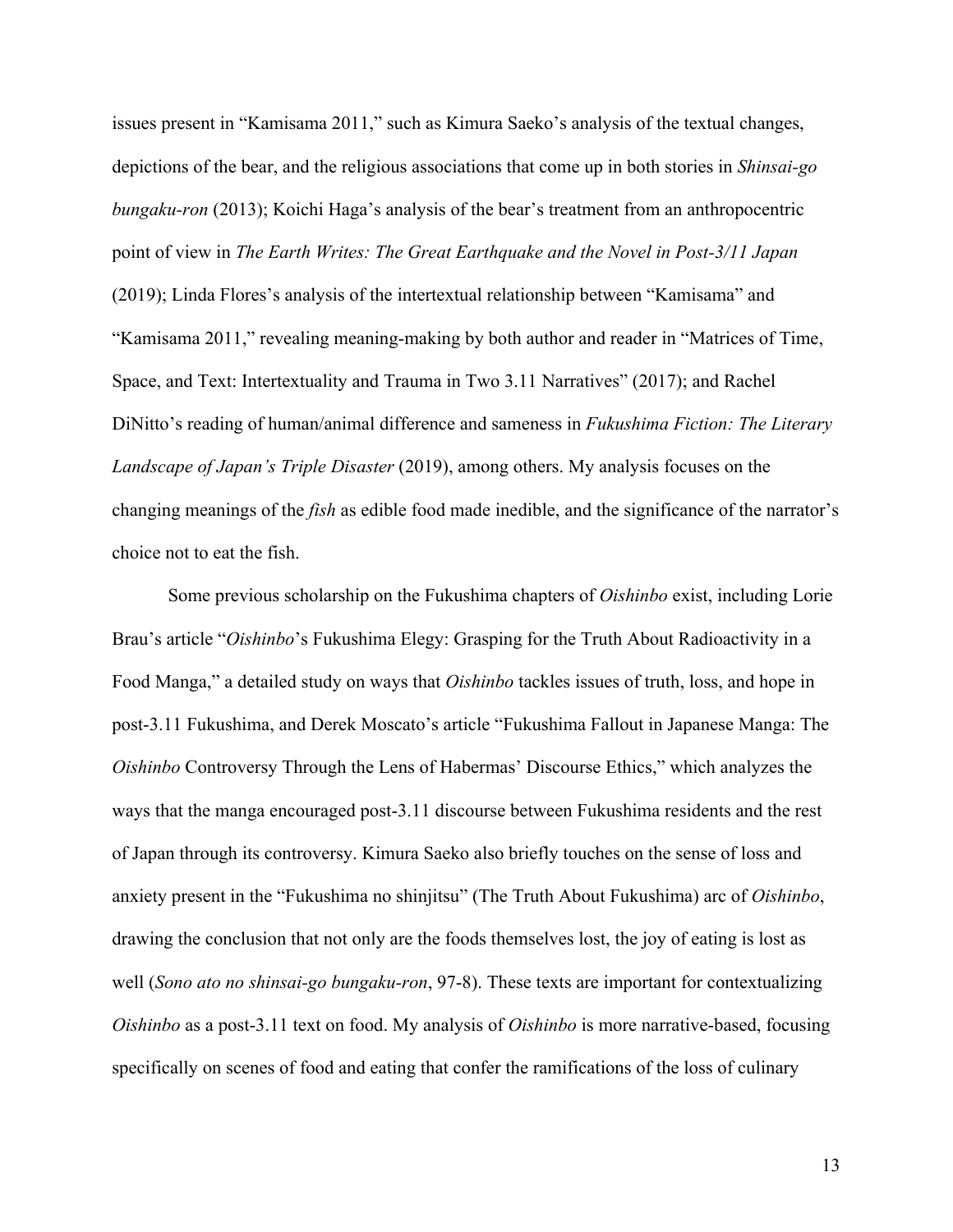issues present in "Kamisama 2011," such as Kimura Saeko's analysis of the textual changes, depictions of the bear, and the religious associations that come up in both stories in *Shinsai-go bungaku-ron* (2013); Koichi Haga's analysis of the bear's treatment from an anthropocentric point of view in *The Earth Writes: The Great Earthquake and the Novel in Post-3/11 Japan* (2019); Linda Flores's analysis of the intertextual relationship between "Kamisama" and "Kamisama 2011," revealing meaning-making by both author and reader in "Matrices of Time, Space, and Text: Intertextuality and Trauma in Two 3.11 Narratives" (2017); and Rachel DiNitto's reading of human/animal difference and sameness in *Fukushima Fiction: The Literary Landscape of Japan's Triple Disaster* (2019), among others. My analysis focuses on the changing meanings of the *fish* as edible food made inedible, and the significance of the narrator's choice not to eat the fish.

Some previous scholarship on the Fukushima chapters of *Oishinbo* exist, including Lorie Brau's article "*Oishinbo*'s Fukushima Elegy: Grasping for the Truth About Radioactivity in a Food Manga," a detailed study on ways that *Oishinbo* tackles issues of truth, loss, and hope in post-3.11 Fukushima, and Derek Moscato's article "Fukushima Fallout in Japanese Manga: The *Oishinbo* Controversy Through the Lens of Habermas' Discourse Ethics," which analyzes the ways that the manga encouraged post-3.11 discourse between Fukushima residents and the rest of Japan through its controversy. Kimura Saeko also briefly touches on the sense of loss and anxiety present in the "Fukushima no shinjitsu" (The Truth About Fukushima) arc of *Oishinbo*, drawing the conclusion that not only are the foods themselves lost, the joy of eating is lost as well (*Sono ato no shinsai-go bungaku-ron*, 97-8). These texts are important for contextualizing *Oishinbo* as a post-3.11 text on food. My analysis of *Oishinbo* is more narrative-based, focusing specifically on scenes of food and eating that confer the ramifications of the loss of culinary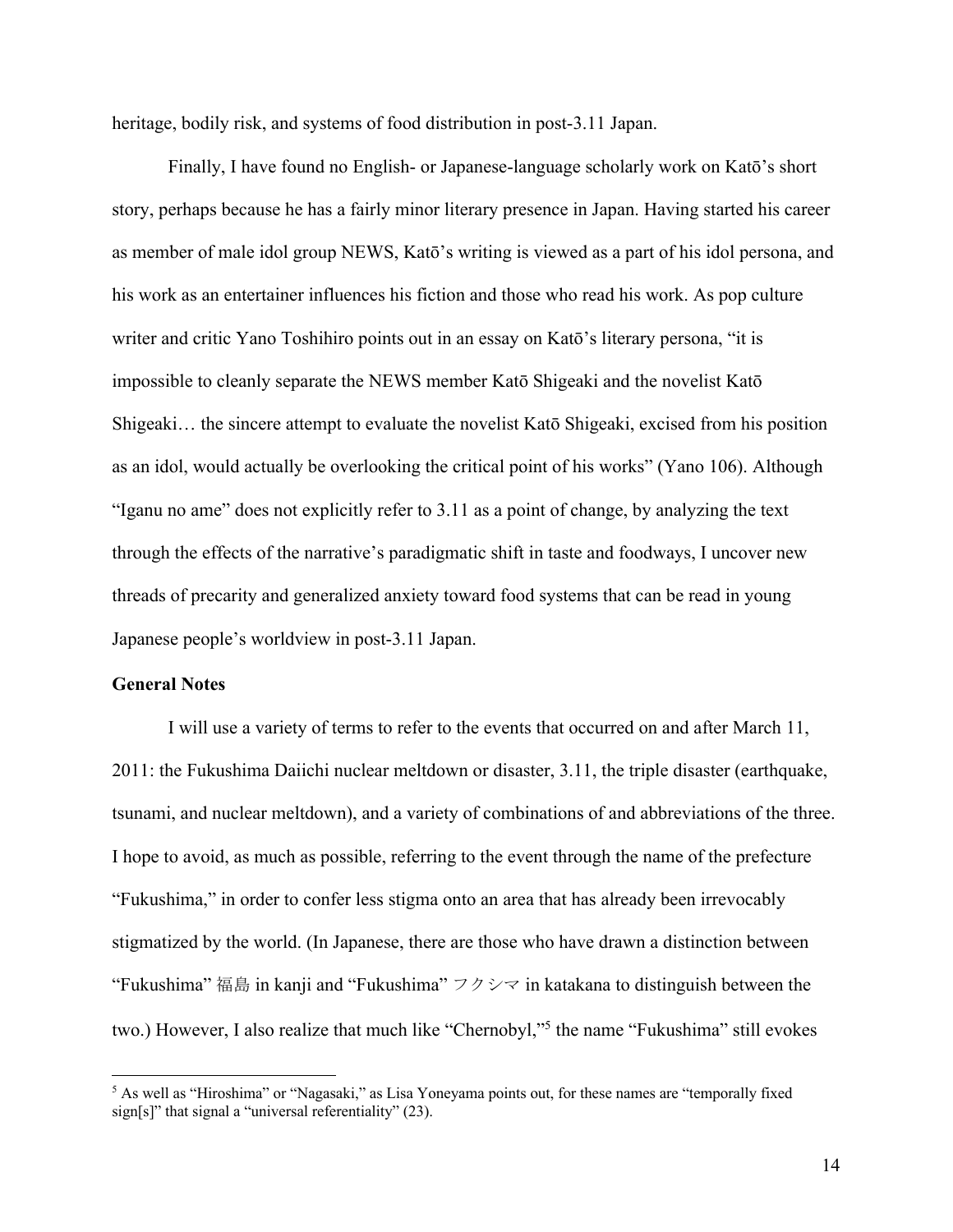heritage, bodily risk, and systems of food distribution in post-3.11 Japan.

Finally, I have found no English- or Japanese-language scholarly work on Katō's short story, perhaps because he has a fairly minor literary presence in Japan. Having started his career as member of male idol group NEWS, Katō's writing is viewed as a part of his idol persona, and his work as an entertainer influences his fiction and those who read his work. As pop culture writer and critic Yano Toshihiro points out in an essay on Katō's literary persona, "it is impossible to cleanly separate the NEWS member Katō Shigeaki and the novelist Katō Shigeaki… the sincere attempt to evaluate the novelist Katō Shigeaki, excised from his position as an idol, would actually be overlooking the critical point of his works" (Yano 106). Although "Iganu no ame" does not explicitly refer to 3.11 as a point of change, by analyzing the text through the effects of the narrative's paradigmatic shift in taste and foodways, I uncover new threads of precarity and generalized anxiety toward food systems that can be read in young Japanese people's worldview in post-3.11 Japan.

### **General Notes**

I will use a variety of terms to refer to the events that occurred on and after March 11, 2011: the Fukushima Daiichi nuclear meltdown or disaster, 3.11, the triple disaster (earthquake, tsunami, and nuclear meltdown), and a variety of combinations of and abbreviations of the three. I hope to avoid, as much as possible, referring to the event through the name of the prefecture "Fukushima," in order to confer less stigma onto an area that has already been irrevocably stigmatized by the world. (In Japanese, there are those who have drawn a distinction between "Fukushima" 福島 in kanji and "Fukushima" フクシマ in katakana to distinguish between the two.) However, I also realize that much like "Chernobyl,"5 the name "Fukushima" still evokes

<sup>&</sup>lt;sup>5</sup> As well as "Hiroshima" or "Nagasaki," as Lisa Yoneyama points out, for these names are "temporally fixed sign[s]" that signal a "universal referentiality" (23).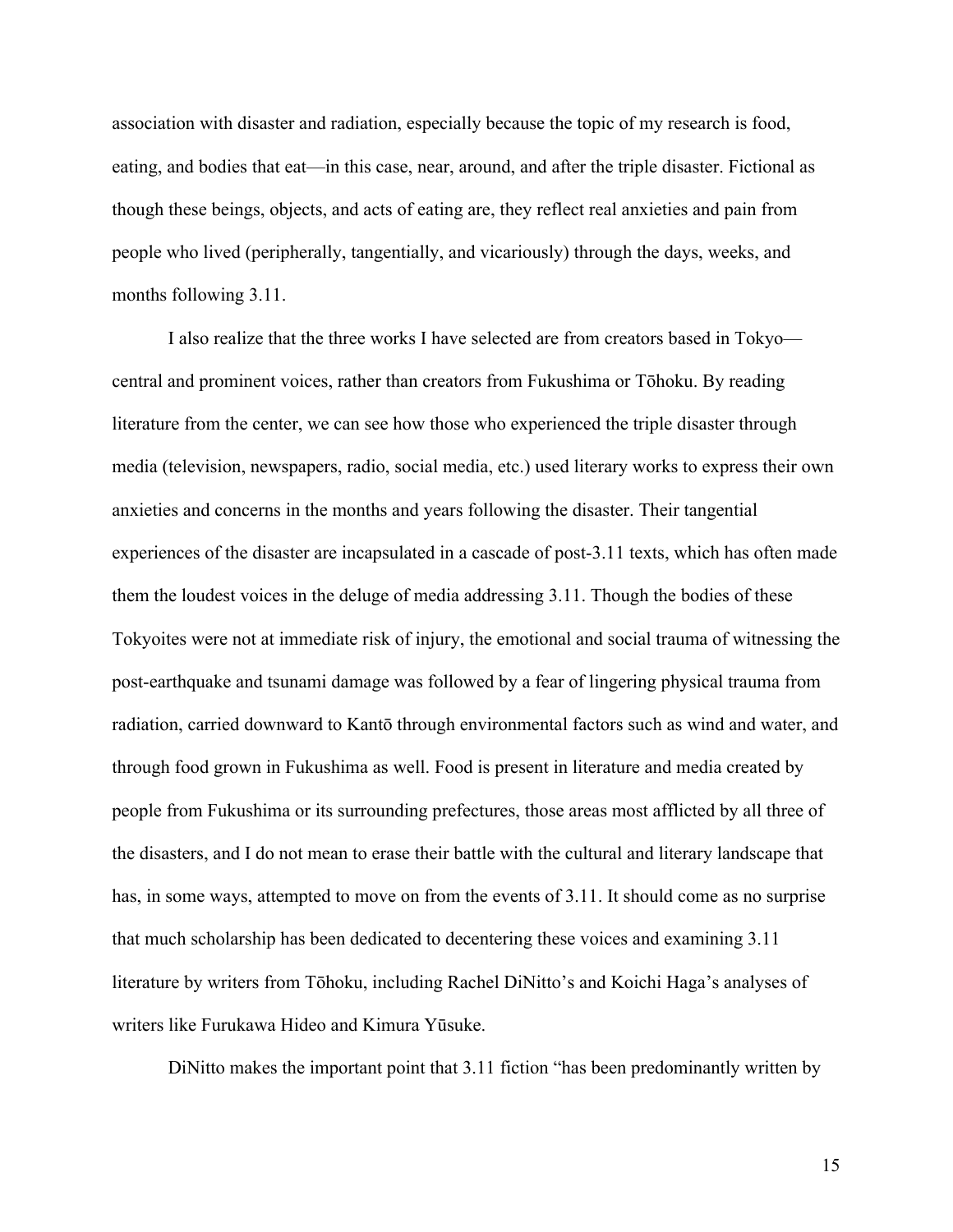association with disaster and radiation, especially because the topic of my research is food, eating, and bodies that eat—in this case, near, around, and after the triple disaster. Fictional as though these beings, objects, and acts of eating are, they reflect real anxieties and pain from people who lived (peripherally, tangentially, and vicariously) through the days, weeks, and months following 3.11.

I also realize that the three works I have selected are from creators based in Tokyo central and prominent voices, rather than creators from Fukushima or Tōhoku. By reading literature from the center, we can see how those who experienced the triple disaster through media (television, newspapers, radio, social media, etc.) used literary works to express their own anxieties and concerns in the months and years following the disaster. Their tangential experiences of the disaster are incapsulated in a cascade of post-3.11 texts, which has often made them the loudest voices in the deluge of media addressing 3.11. Though the bodies of these Tokyoites were not at immediate risk of injury, the emotional and social trauma of witnessing the post-earthquake and tsunami damage was followed by a fear of lingering physical trauma from radiation, carried downward to Kantō through environmental factors such as wind and water, and through food grown in Fukushima as well. Food is present in literature and media created by people from Fukushima or its surrounding prefectures, those areas most afflicted by all three of the disasters, and I do not mean to erase their battle with the cultural and literary landscape that has, in some ways, attempted to move on from the events of 3.11. It should come as no surprise that much scholarship has been dedicated to decentering these voices and examining 3.11 literature by writers from Tōhoku, including Rachel DiNitto's and Koichi Haga's analyses of writers like Furukawa Hideo and Kimura Yūsuke.

DiNitto makes the important point that 3.11 fiction "has been predominantly written by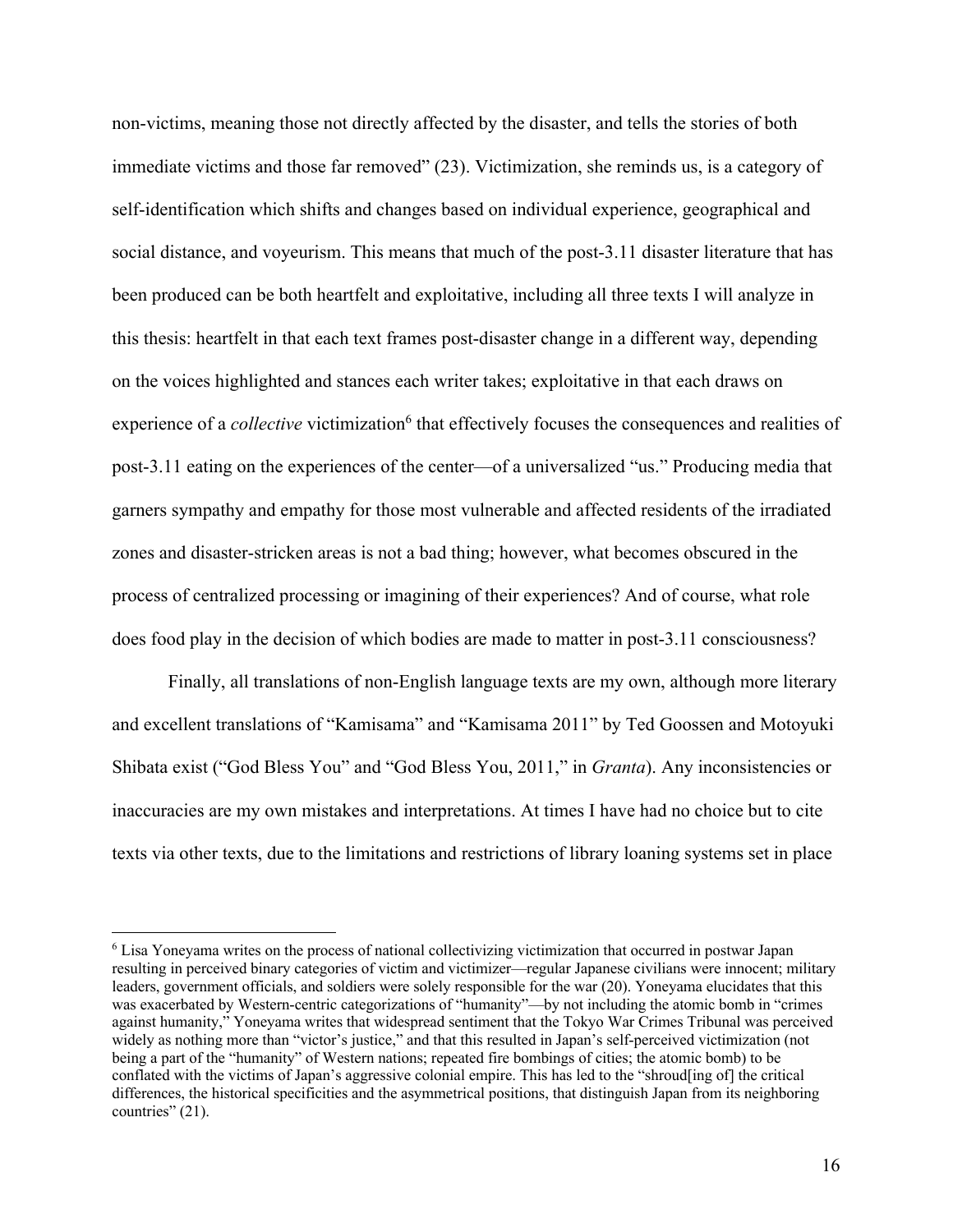non-victims, meaning those not directly affected by the disaster, and tells the stories of both immediate victims and those far removed" (23). Victimization, she reminds us, is a category of self-identification which shifts and changes based on individual experience, geographical and social distance, and voyeurism. This means that much of the post-3.11 disaster literature that has been produced can be both heartfelt and exploitative, including all three texts I will analyze in this thesis: heartfelt in that each text frames post-disaster change in a different way, depending on the voices highlighted and stances each writer takes; exploitative in that each draws on experience of a *collective* victimization<sup>6</sup> that effectively focuses the consequences and realities of post-3.11 eating on the experiences of the center—of a universalized "us." Producing media that garners sympathy and empathy for those most vulnerable and affected residents of the irradiated zones and disaster-stricken areas is not a bad thing; however, what becomes obscured in the process of centralized processing or imagining of their experiences? And of course, what role does food play in the decision of which bodies are made to matter in post-3.11 consciousness?

Finally, all translations of non-English language texts are my own, although more literary and excellent translations of "Kamisama" and "Kamisama 2011" by Ted Goossen and Motoyuki Shibata exist ("God Bless You" and "God Bless You, 2011," in *Granta*). Any inconsistencies or inaccuracies are my own mistakes and interpretations. At times I have had no choice but to cite texts via other texts, due to the limitations and restrictions of library loaning systems set in place

<sup>6</sup> Lisa Yoneyama writes on the process of national collectivizing victimization that occurred in postwar Japan resulting in perceived binary categories of victim and victimizer—regular Japanese civilians were innocent; military leaders, government officials, and soldiers were solely responsible for the war (20). Yoneyama elucidates that this was exacerbated by Western-centric categorizations of "humanity"—by not including the atomic bomb in "crimes against humanity," Yoneyama writes that widespread sentiment that the Tokyo War Crimes Tribunal was perceived widely as nothing more than "victor's justice," and that this resulted in Japan's self-perceived victimization (not being a part of the "humanity" of Western nations; repeated fire bombings of cities; the atomic bomb) to be conflated with the victims of Japan's aggressive colonial empire. This has led to the "shroud[ing of] the critical differences, the historical specificities and the asymmetrical positions, that distinguish Japan from its neighboring countries" (21).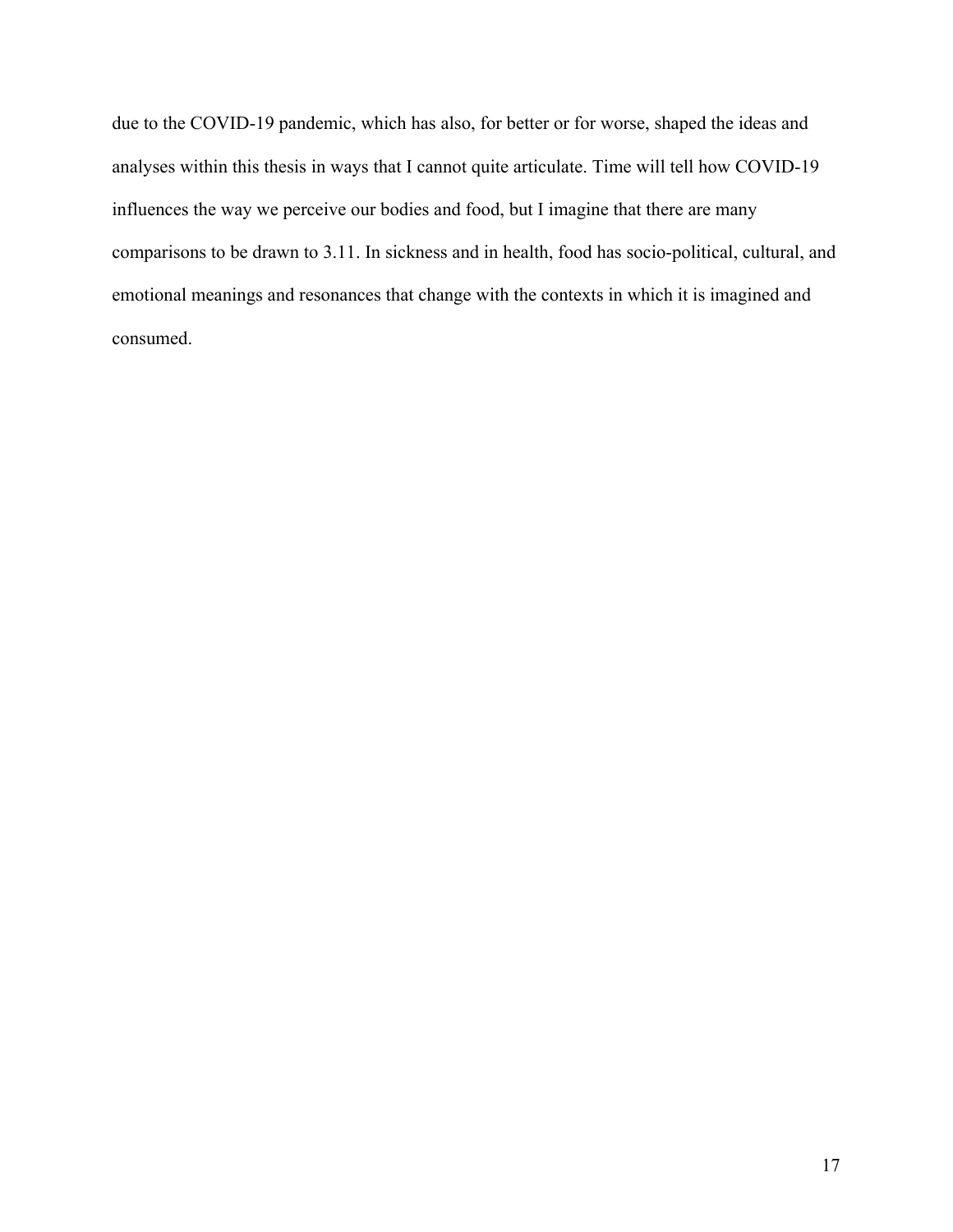due to the COVID-19 pandemic, which has also, for better or for worse, shaped the ideas and analyses within this thesis in ways that I cannot quite articulate. Time will tell how COVID-19 influences the way we perceive our bodies and food, but I imagine that there are many comparisons to be drawn to 3.11. In sickness and in health, food has socio-political, cultural, and emotional meanings and resonances that change with the contexts in which it is imagined and consumed.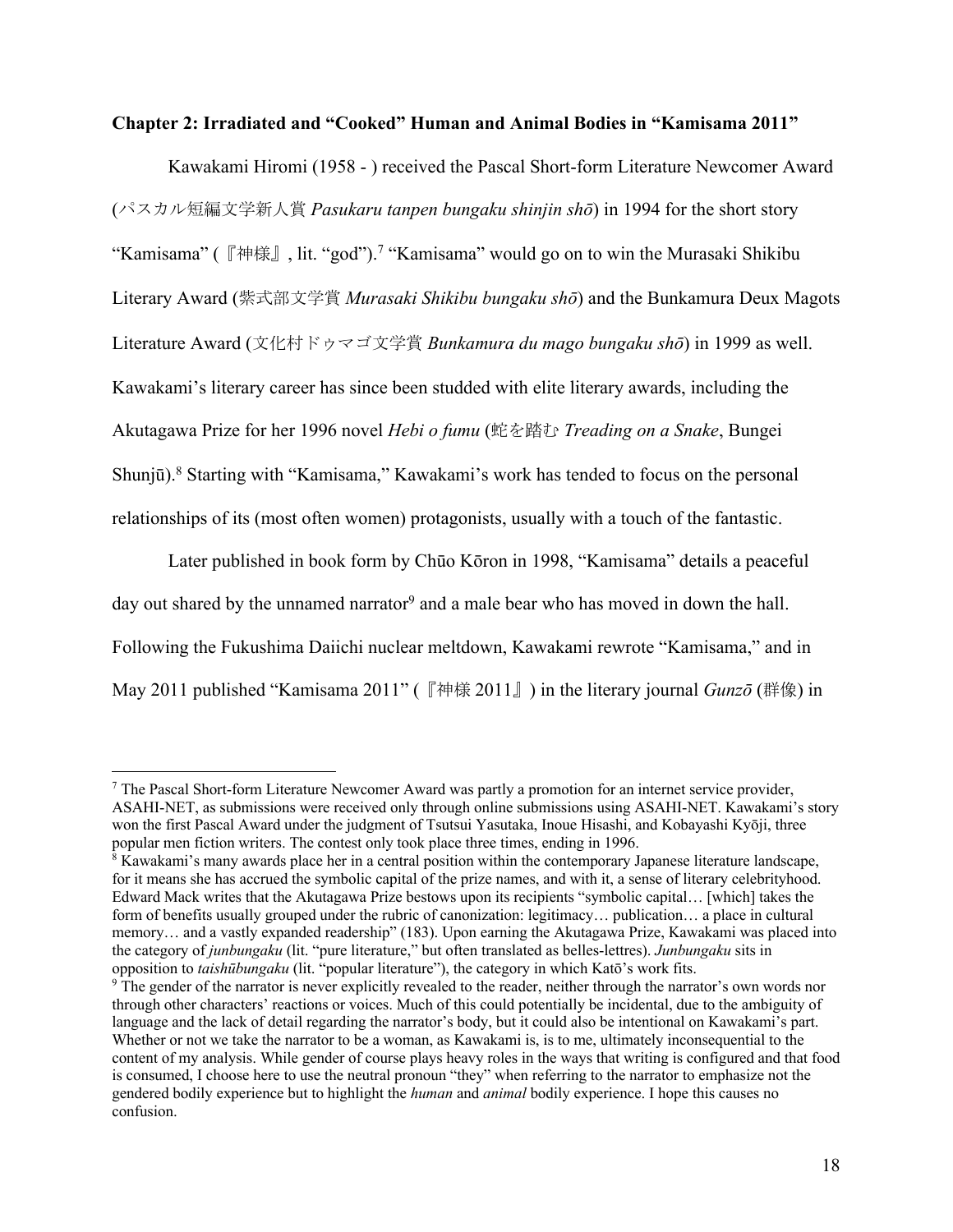#### **Chapter 2: Irradiated and "Cooked" Human and Animal Bodies in "Kamisama 2011"**

Kawakami Hiromi (1958 - ) received the Pascal Short-form Literature Newcomer Award (パスカル短編文学新人賞 *Pasukaru tanpen bungaku shinjin shō*) in 1994 for the short story "Kamisama" (『神様』, lit. "god"). <sup>7</sup> "Kamisama" would go on to win the Murasaki Shikibu Literary Award (紫式部文学賞 *Murasaki Shikibu bungaku shō*) and the Bunkamura Deux Magots Literature Award (文化村ドゥマゴ文学賞 *Bunkamura du mago bungaku shō*) in 1999 as well. Kawakami's literary career has since been studded with elite literary awards, including the Akutagawa Prize for her 1996 novel *Hebi o fumu* (蛇を踏む *Treading on a Snake*, Bungei Shunjū).<sup>8</sup> Starting with "Kamisama," Kawakami's work has tended to focus on the personal relationships of its (most often women) protagonists, usually with a touch of the fantastic.

Later published in book form by Chūo Kōron in 1998, "Kamisama" details a peaceful day out shared by the unnamed narrator<sup>9</sup> and a male bear who has moved in down the hall. Following the Fukushima Daiichi nuclear meltdown, Kawakami rewrote "Kamisama," and in May 2011 published "Kamisama 2011" (『神様 2011』) in the literary journal *Gunzō* (群像) in

 $<sup>7</sup>$  The Pascal Short-form Literature Newcomer Award was partly a promotion for an internet service provider,</sup> ASAHI-NET, as submissions were received only through online submissions using ASAHI-NET. Kawakami's story won the first Pascal Award under the judgment of Tsutsui Yasutaka, Inoue Hisashi, and Kobayashi Kyōji, three popular men fiction writers. The contest only took place three times, ending in 1996.

<sup>8</sup> Kawakami's many awards place her in a central position within the contemporary Japanese literature landscape, for it means she has accrued the symbolic capital of the prize names, and with it, a sense of literary celebrityhood. Edward Mack writes that the Akutagawa Prize bestows upon its recipients "symbolic capital… [which] takes the form of benefits usually grouped under the rubric of canonization: legitimacy… publication… a place in cultural memory… and a vastly expanded readership" (183). Upon earning the Akutagawa Prize, Kawakami was placed into the category of *junbungaku* (lit. "pure literature," but often translated as belles-lettres). *Junbungaku* sits in opposition to *taishūbungaku* (lit. "popular literature"), the category in which Katō's work fits.

<sup>&</sup>lt;sup>9</sup> The gender of the narrator is never explicitly revealed to the reader, neither through the narrator's own words nor through other characters' reactions or voices. Much of this could potentially be incidental, due to the ambiguity of language and the lack of detail regarding the narrator's body, but it could also be intentional on Kawakami's part. Whether or not we take the narrator to be a woman, as Kawakami is, is to me, ultimately inconsequential to the content of my analysis. While gender of course plays heavy roles in the ways that writing is configured and that food is consumed, I choose here to use the neutral pronoun "they" when referring to the narrator to emphasize not the gendered bodily experience but to highlight the *human* and *animal* bodily experience. I hope this causes no confusion.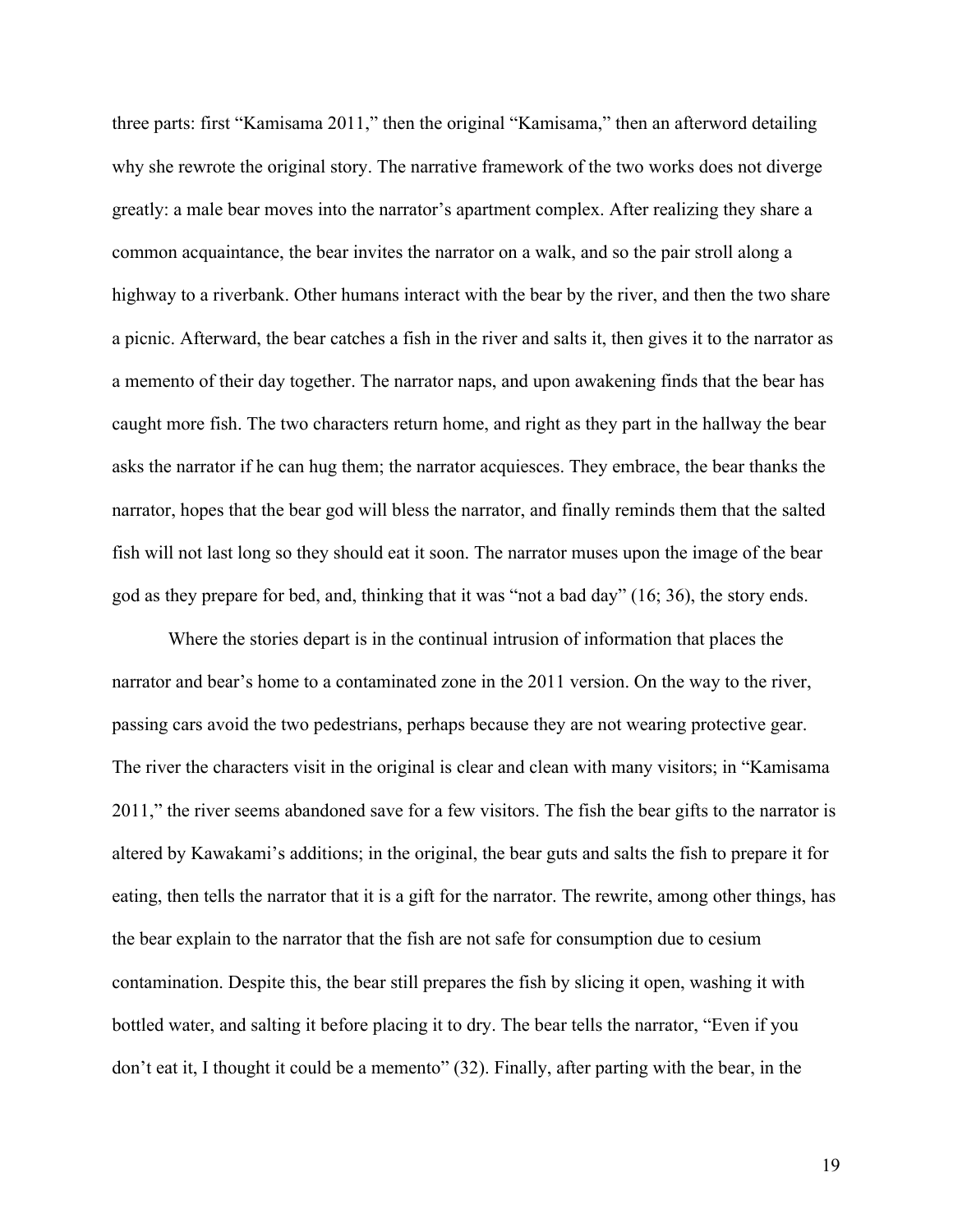three parts: first "Kamisama 2011," then the original "Kamisama," then an afterword detailing why she rewrote the original story. The narrative framework of the two works does not diverge greatly: a male bear moves into the narrator's apartment complex. After realizing they share a common acquaintance, the bear invites the narrator on a walk, and so the pair stroll along a highway to a riverbank. Other humans interact with the bear by the river, and then the two share a picnic. Afterward, the bear catches a fish in the river and salts it, then gives it to the narrator as a memento of their day together. The narrator naps, and upon awakening finds that the bear has caught more fish. The two characters return home, and right as they part in the hallway the bear asks the narrator if he can hug them; the narrator acquiesces. They embrace, the bear thanks the narrator, hopes that the bear god will bless the narrator, and finally reminds them that the salted fish will not last long so they should eat it soon. The narrator muses upon the image of the bear god as they prepare for bed, and, thinking that it was "not a bad day" (16; 36), the story ends.

Where the stories depart is in the continual intrusion of information that places the narrator and bear's home to a contaminated zone in the 2011 version. On the way to the river, passing cars avoid the two pedestrians, perhaps because they are not wearing protective gear. The river the characters visit in the original is clear and clean with many visitors; in "Kamisama 2011," the river seems abandoned save for a few visitors. The fish the bear gifts to the narrator is altered by Kawakami's additions; in the original, the bear guts and salts the fish to prepare it for eating, then tells the narrator that it is a gift for the narrator. The rewrite, among other things, has the bear explain to the narrator that the fish are not safe for consumption due to cesium contamination. Despite this, the bear still prepares the fish by slicing it open, washing it with bottled water, and salting it before placing it to dry. The bear tells the narrator, "Even if you don't eat it, I thought it could be a memento" (32). Finally, after parting with the bear, in the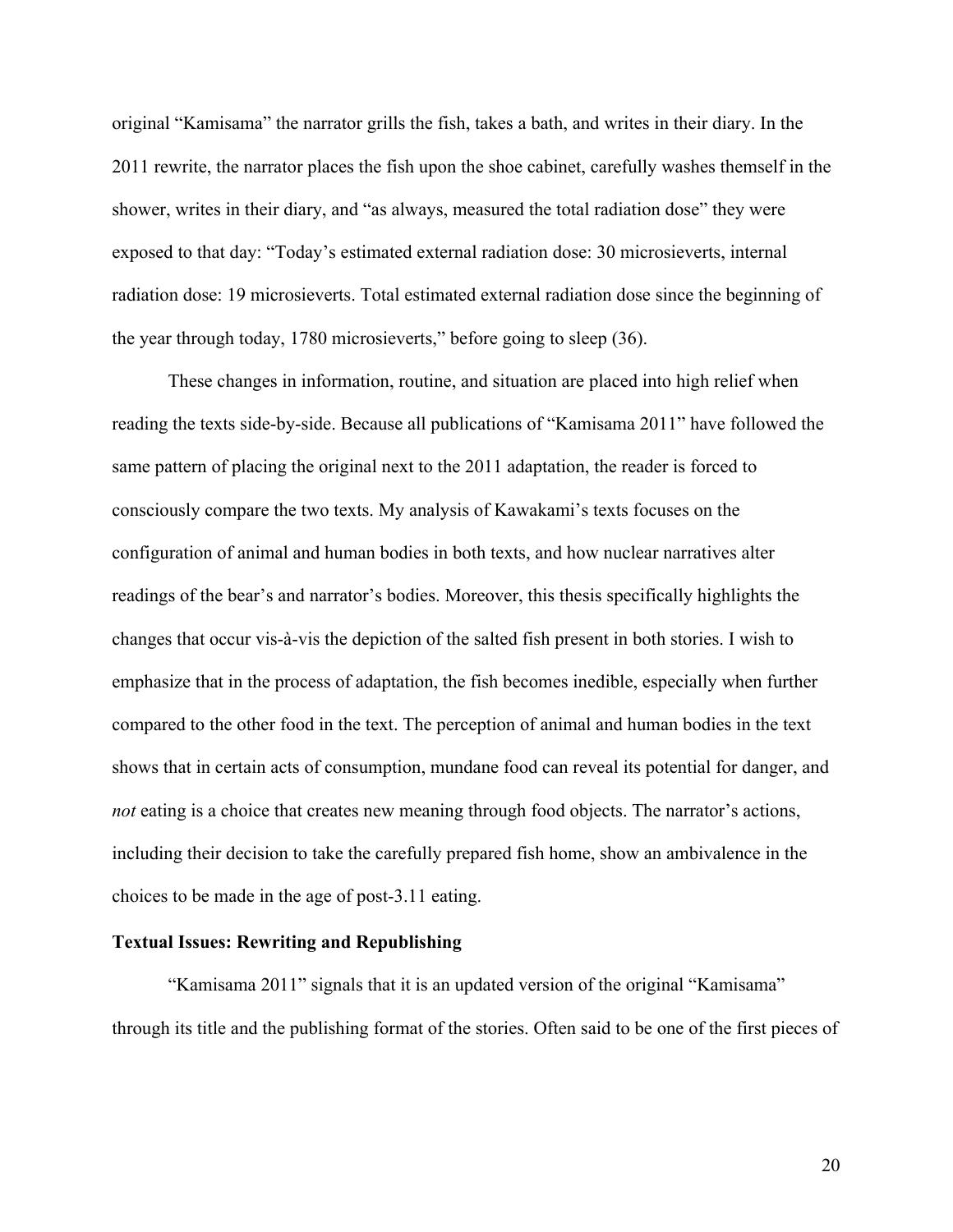original "Kamisama" the narrator grills the fish, takes a bath, and writes in their diary. In the 2011 rewrite, the narrator places the fish upon the shoe cabinet, carefully washes themself in the shower, writes in their diary, and "as always, measured the total radiation dose" they were exposed to that day: "Today's estimated external radiation dose: 30 microsieverts, internal radiation dose: 19 microsieverts. Total estimated external radiation dose since the beginning of the year through today, 1780 microsieverts," before going to sleep (36).

These changes in information, routine, and situation are placed into high relief when reading the texts side-by-side. Because all publications of "Kamisama 2011" have followed the same pattern of placing the original next to the 2011 adaptation, the reader is forced to consciously compare the two texts. My analysis of Kawakami's texts focuses on the configuration of animal and human bodies in both texts, and how nuclear narratives alter readings of the bear's and narrator's bodies. Moreover, this thesis specifically highlights the changes that occur vis-à-vis the depiction of the salted fish present in both stories. I wish to emphasize that in the process of adaptation, the fish becomes inedible, especially when further compared to the other food in the text. The perception of animal and human bodies in the text shows that in certain acts of consumption, mundane food can reveal its potential for danger, and *not* eating is a choice that creates new meaning through food objects. The narrator's actions, including their decision to take the carefully prepared fish home, show an ambivalence in the choices to be made in the age of post-3.11 eating.

#### **Textual Issues: Rewriting and Republishing**

"Kamisama 2011" signals that it is an updated version of the original "Kamisama" through its title and the publishing format of the stories. Often said to be one of the first pieces of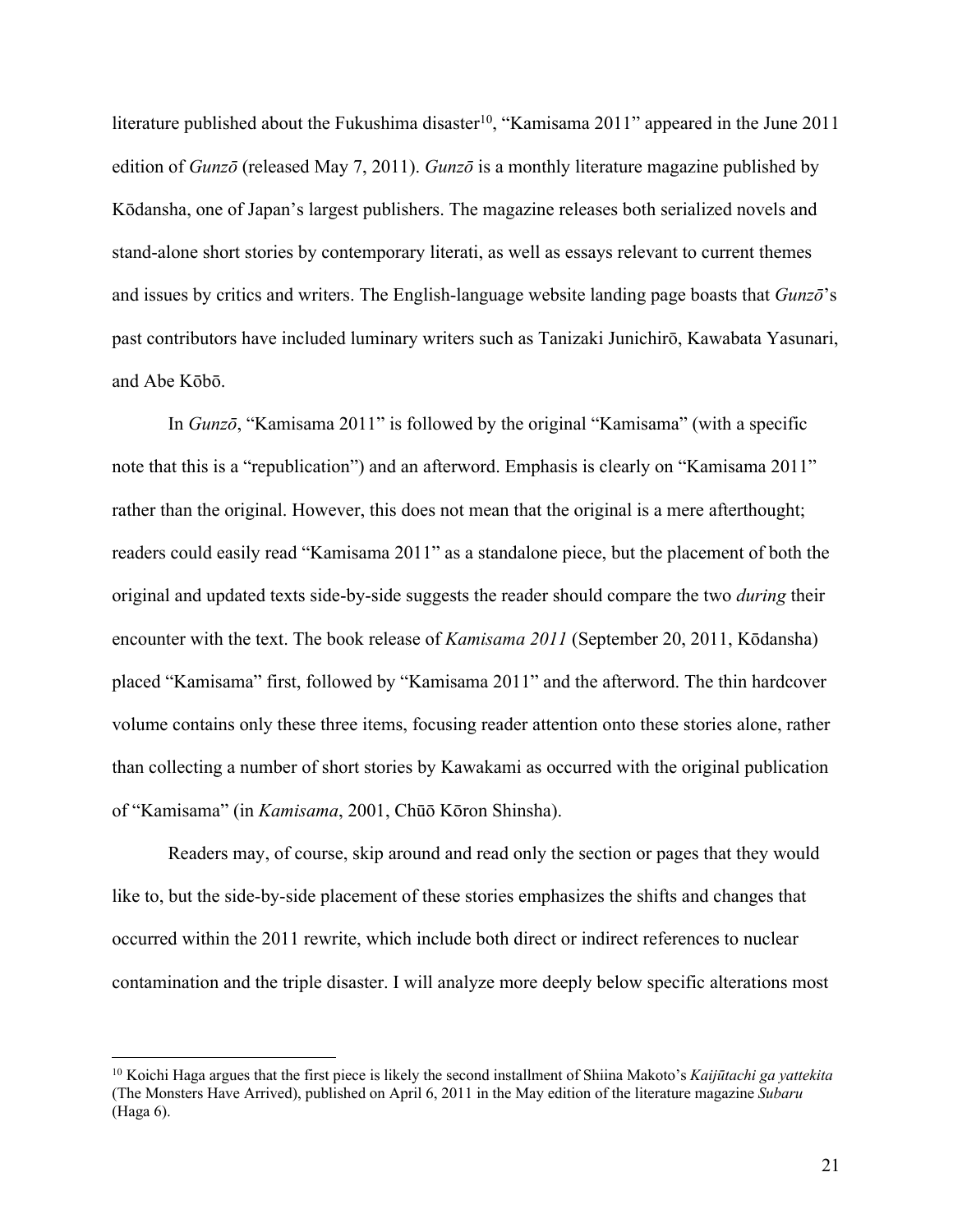literature published about the Fukushima disaster<sup>10</sup>, "Kamisama 2011" appeared in the June 2011 edition of *Gunzō* (released May 7, 2011). *Gunzō* is a monthly literature magazine published by Kōdansha, one of Japan's largest publishers. The magazine releases both serialized novels and stand-alone short stories by contemporary literati, as well as essays relevant to current themes and issues by critics and writers. The English-language website landing page boasts that *Gunzō*'s past contributors have included luminary writers such as Tanizaki Junichirō, Kawabata Yasunari, and Abe Kōbō.

In *Gunzō*, "Kamisama 2011" is followed by the original "Kamisama" (with a specific note that this is a "republication") and an afterword. Emphasis is clearly on "Kamisama 2011" rather than the original. However, this does not mean that the original is a mere afterthought; readers could easily read "Kamisama 2011" as a standalone piece, but the placement of both the original and updated texts side-by-side suggests the reader should compare the two *during* their encounter with the text. The book release of *Kamisama 2011* (September 20, 2011, Kōdansha) placed "Kamisama" first, followed by "Kamisama 2011" and the afterword. The thin hardcover volume contains only these three items, focusing reader attention onto these stories alone, rather than collecting a number of short stories by Kawakami as occurred with the original publication of "Kamisama" (in *Kamisama*, 2001, Chūō Kōron Shinsha).

Readers may, of course, skip around and read only the section or pages that they would like to, but the side-by-side placement of these stories emphasizes the shifts and changes that occurred within the 2011 rewrite, which include both direct or indirect references to nuclear contamination and the triple disaster. I will analyze more deeply below specific alterations most

<sup>10</sup> Koichi Haga argues that the first piece is likely the second installment of Shiina Makoto's *Kaijūtachi ga yattekita* (The Monsters Have Arrived), published on April 6, 2011 in the May edition of the literature magazine *Subaru* (Haga 6).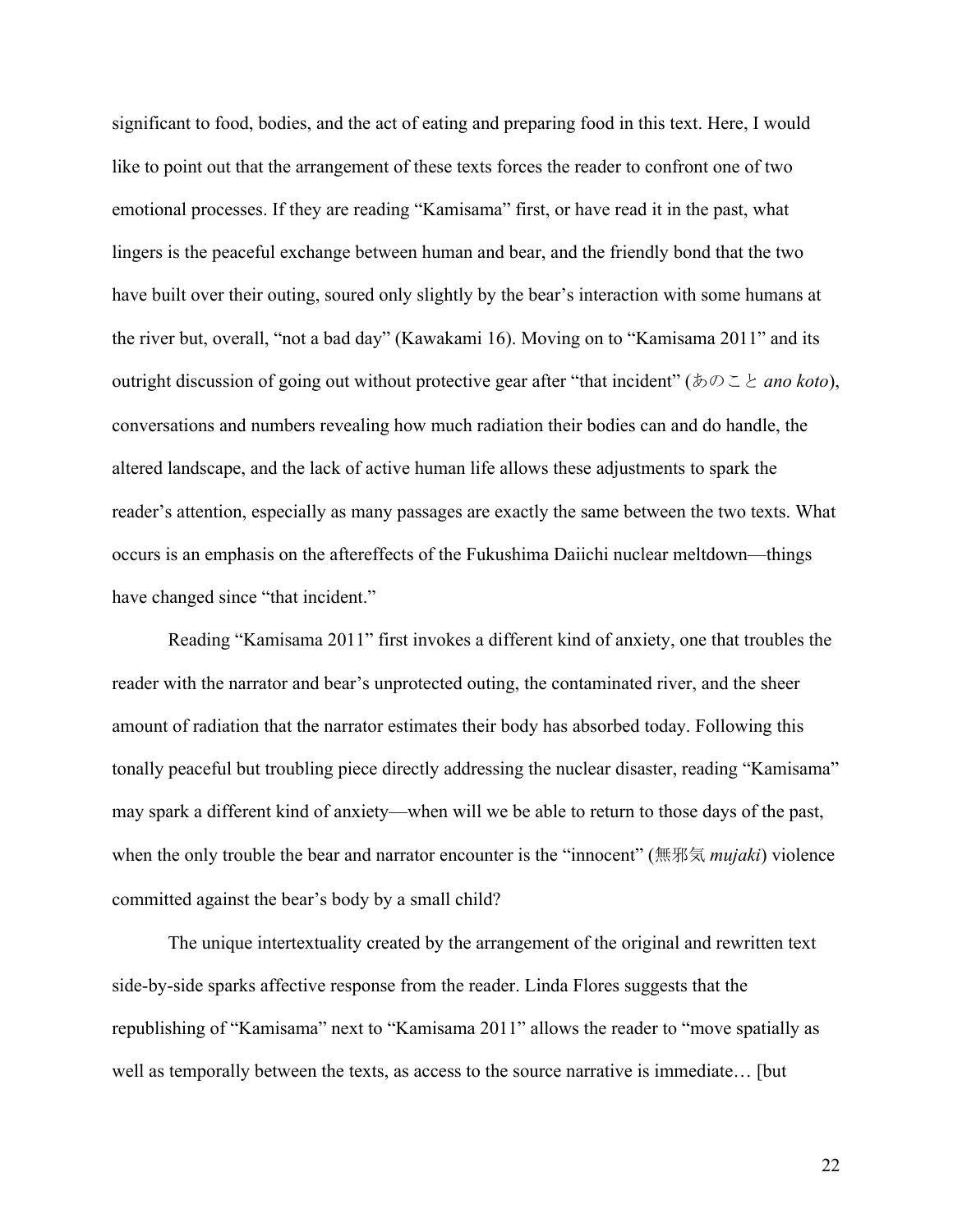significant to food, bodies, and the act of eating and preparing food in this text. Here, I would like to point out that the arrangement of these texts forces the reader to confront one of two emotional processes. If they are reading "Kamisama" first, or have read it in the past, what lingers is the peaceful exchange between human and bear, and the friendly bond that the two have built over their outing, soured only slightly by the bear's interaction with some humans at the river but, overall, "not a bad day" (Kawakami 16). Moving on to "Kamisama 2011" and its outright discussion of going out without protective gear after "that incident" (あのこと *ano koto*), conversations and numbers revealing how much radiation their bodies can and do handle, the altered landscape, and the lack of active human life allows these adjustments to spark the reader's attention, especially as many passages are exactly the same between the two texts. What occurs is an emphasis on the aftereffects of the Fukushima Daiichi nuclear meltdown—things have changed since "that incident."

Reading "Kamisama 2011" first invokes a different kind of anxiety, one that troubles the reader with the narrator and bear's unprotected outing, the contaminated river, and the sheer amount of radiation that the narrator estimates their body has absorbed today. Following this tonally peaceful but troubling piece directly addressing the nuclear disaster, reading "Kamisama" may spark a different kind of anxiety—when will we be able to return to those days of the past, when the only trouble the bear and narrator encounter is the "innocent" (無邪気 *mujaki*) violence committed against the bear's body by a small child?

The unique intertextuality created by the arrangement of the original and rewritten text side-by-side sparks affective response from the reader. Linda Flores suggests that the republishing of "Kamisama" next to "Kamisama 2011" allows the reader to "move spatially as well as temporally between the texts, as access to the source narrative is immediate… [but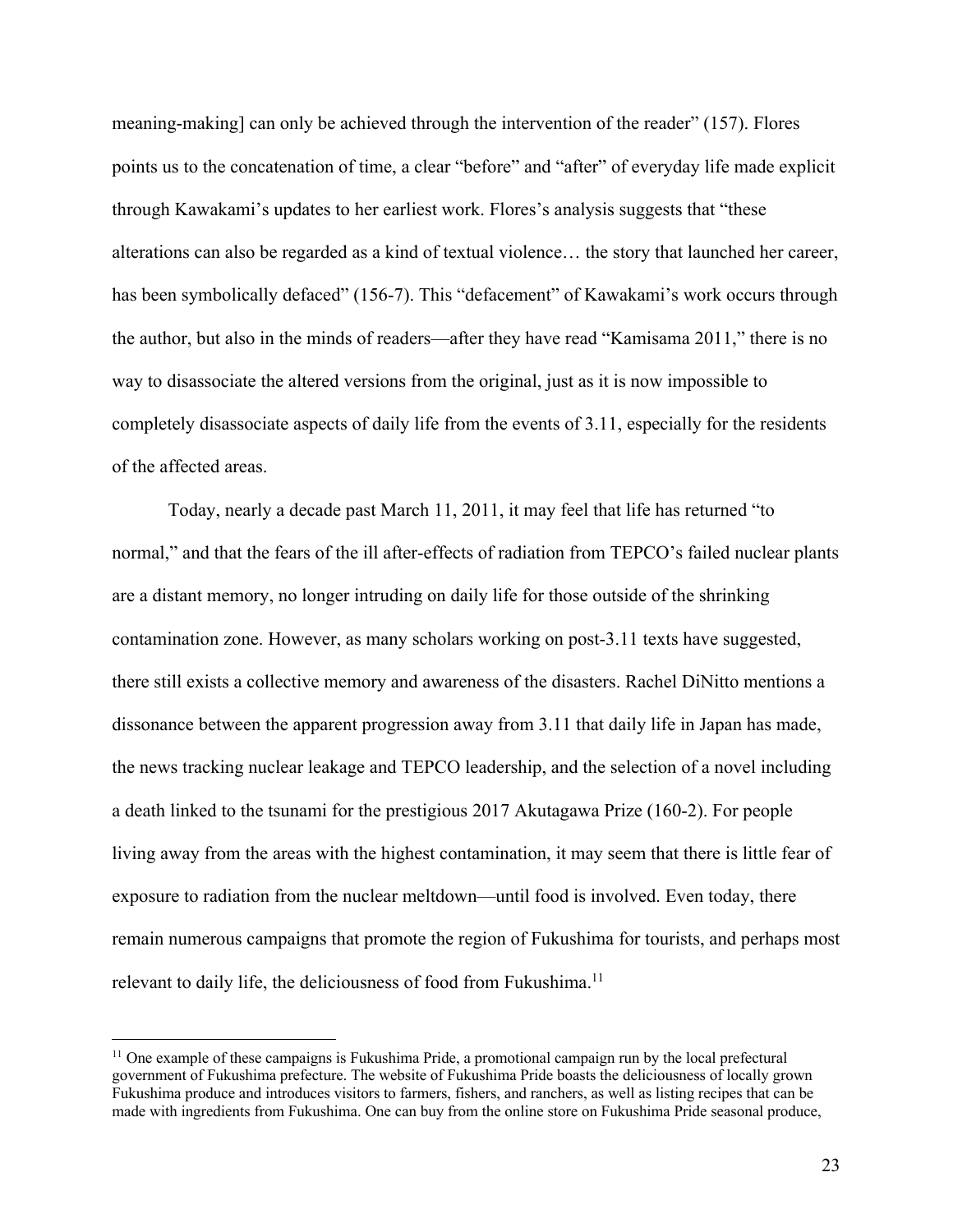meaning-making] can only be achieved through the intervention of the reader" (157). Flores points us to the concatenation of time, a clear "before" and "after" of everyday life made explicit through Kawakami's updates to her earliest work. Flores's analysis suggests that "these alterations can also be regarded as a kind of textual violence… the story that launched her career, has been symbolically defaced" (156-7). This "defacement" of Kawakami's work occurs through the author, but also in the minds of readers—after they have read "Kamisama 2011," there is no way to disassociate the altered versions from the original, just as it is now impossible to completely disassociate aspects of daily life from the events of 3.11, especially for the residents of the affected areas.

Today, nearly a decade past March 11, 2011, it may feel that life has returned "to normal," and that the fears of the ill after-effects of radiation from TEPCO's failed nuclear plants are a distant memory, no longer intruding on daily life for those outside of the shrinking contamination zone. However, as many scholars working on post-3.11 texts have suggested, there still exists a collective memory and awareness of the disasters. Rachel DiNitto mentions a dissonance between the apparent progression away from 3.11 that daily life in Japan has made, the news tracking nuclear leakage and TEPCO leadership, and the selection of a novel including a death linked to the tsunami for the prestigious 2017 Akutagawa Prize (160-2). For people living away from the areas with the highest contamination, it may seem that there is little fear of exposure to radiation from the nuclear meltdown—until food is involved. Even today, there remain numerous campaigns that promote the region of Fukushima for tourists, and perhaps most relevant to daily life, the deliciousness of food from Fukushima.<sup>11</sup>

<sup>&</sup>lt;sup>11</sup> One example of these campaigns is Fukushima Pride, a promotional campaign run by the local prefectural government of Fukushima prefecture. The website of Fukushima Pride boasts the deliciousness of locally grown Fukushima produce and introduces visitors to farmers, fishers, and ranchers, as well as listing recipes that can be made with ingredients from Fukushima. One can buy from the online store on Fukushima Pride seasonal produce,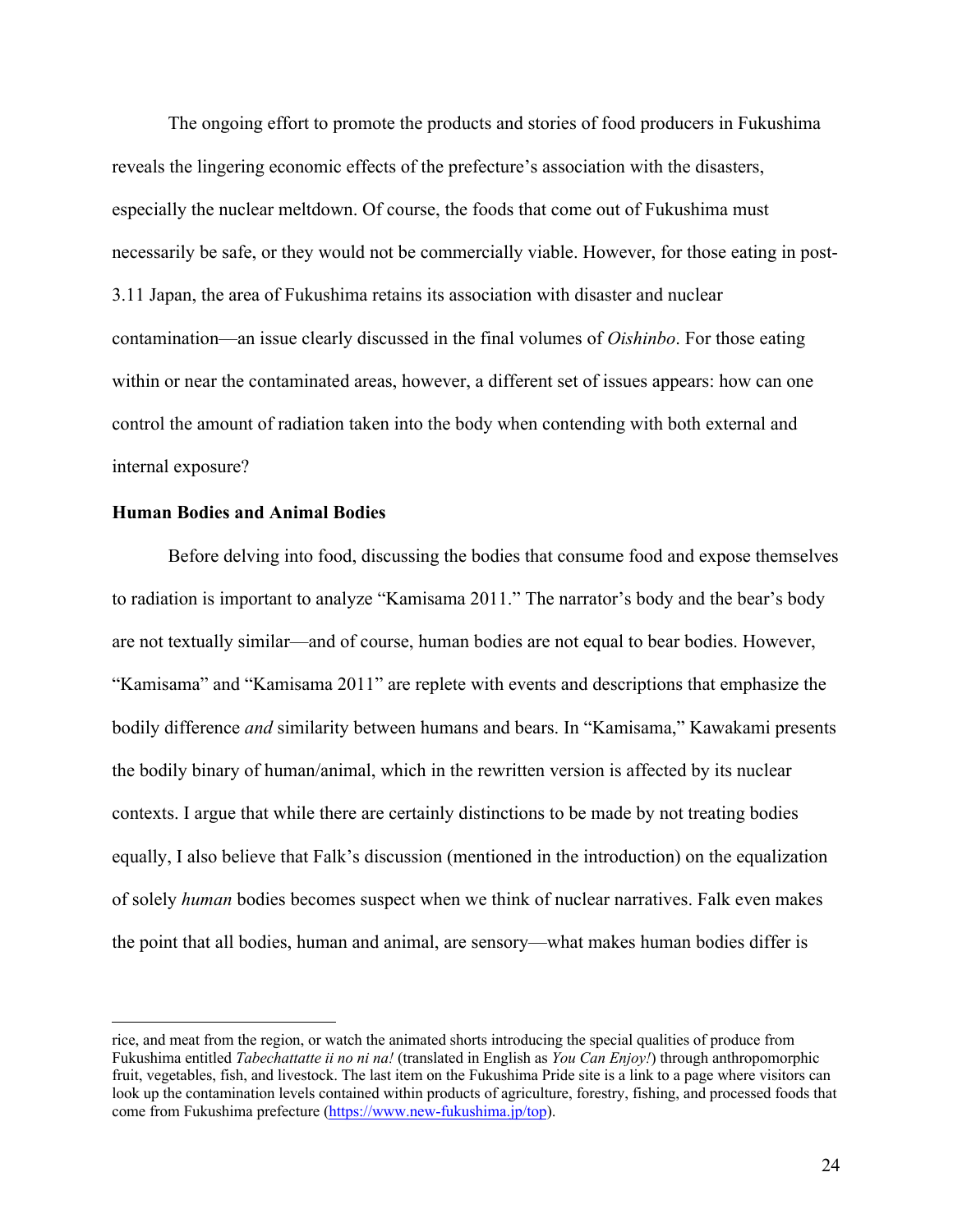The ongoing effort to promote the products and stories of food producers in Fukushima reveals the lingering economic effects of the prefecture's association with the disasters, especially the nuclear meltdown. Of course, the foods that come out of Fukushima must necessarily be safe, or they would not be commercially viable. However, for those eating in post-3.11 Japan, the area of Fukushima retains its association with disaster and nuclear contamination—an issue clearly discussed in the final volumes of *Oishinbo*. For those eating within or near the contaminated areas, however, a different set of issues appears: how can one control the amount of radiation taken into the body when contending with both external and internal exposure?

## **Human Bodies and Animal Bodies**

Before delving into food, discussing the bodies that consume food and expose themselves to radiation is important to analyze "Kamisama 2011." The narrator's body and the bear's body are not textually similar—and of course, human bodies are not equal to bear bodies. However, "Kamisama" and "Kamisama 2011" are replete with events and descriptions that emphasize the bodily difference *and* similarity between humans and bears. In "Kamisama," Kawakami presents the bodily binary of human/animal, which in the rewritten version is affected by its nuclear contexts. I argue that while there are certainly distinctions to be made by not treating bodies equally, I also believe that Falk's discussion (mentioned in the introduction) on the equalization of solely *human* bodies becomes suspect when we think of nuclear narratives. Falk even makes the point that all bodies, human and animal, are sensory—what makes human bodies differ is

rice, and meat from the region, or watch the animated shorts introducing the special qualities of produce from Fukushima entitled *Tabechattatte ii no ni na!* (translated in English as *You Can Enjoy!*) through anthropomorphic fruit, vegetables, fish, and livestock. The last item on the Fukushima Pride site is a link to a page where visitors can look up the contamination levels contained within products of agriculture, forestry, fishing, and processed foods that come from Fukushima prefecture (https://www.new-fukushima.jp/top).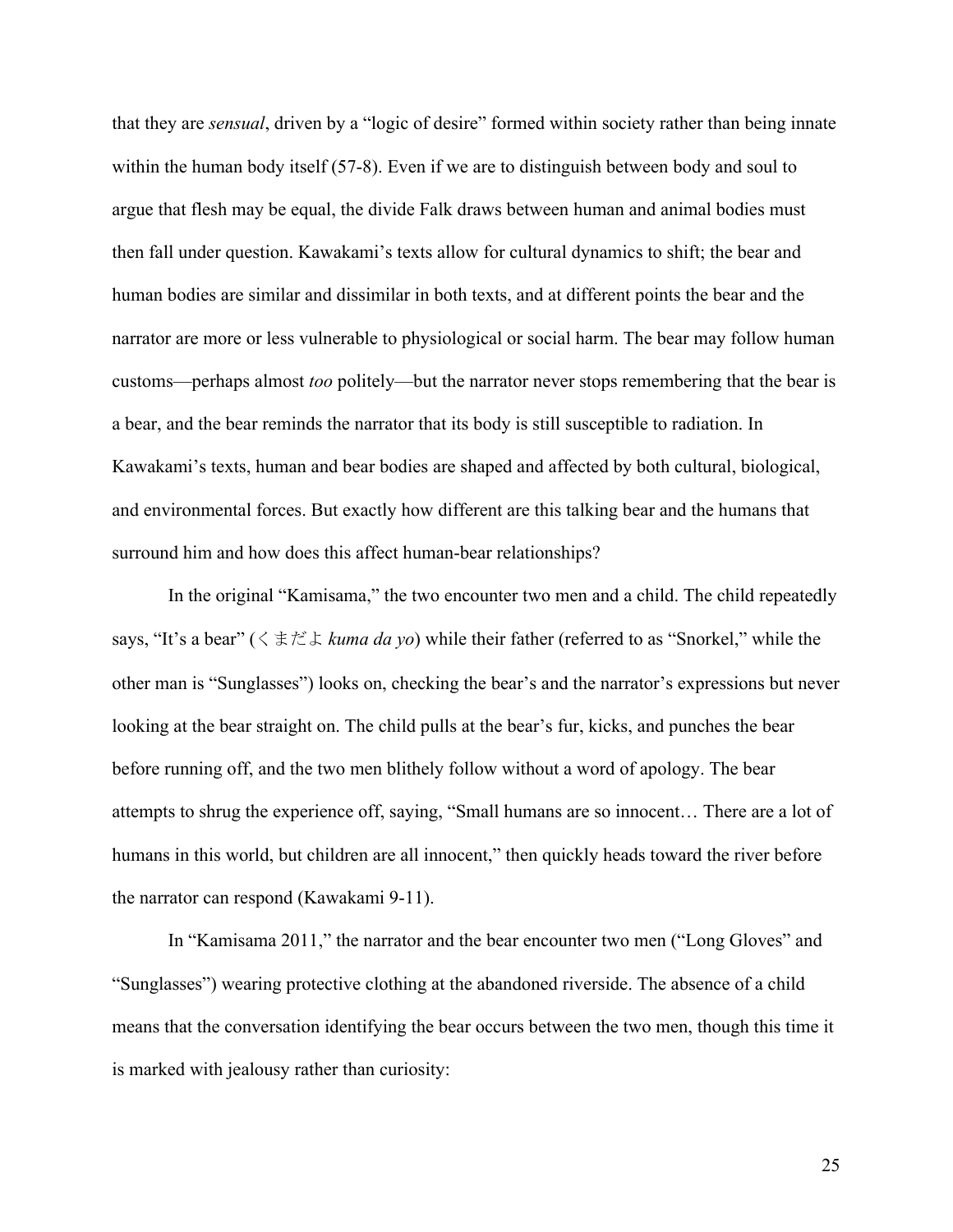that they are *sensual*, driven by a "logic of desire" formed within society rather than being innate within the human body itself (57-8). Even if we are to distinguish between body and soul to argue that flesh may be equal, the divide Falk draws between human and animal bodies must then fall under question. Kawakami's texts allow for cultural dynamics to shift; the bear and human bodies are similar and dissimilar in both texts, and at different points the bear and the narrator are more or less vulnerable to physiological or social harm. The bear may follow human customs—perhaps almost *too* politely—but the narrator never stops remembering that the bear is a bear, and the bear reminds the narrator that its body is still susceptible to radiation. In Kawakami's texts, human and bear bodies are shaped and affected by both cultural, biological, and environmental forces. But exactly how different are this talking bear and the humans that surround him and how does this affect human-bear relationships?

In the original "Kamisama," the two encounter two men and a child. The child repeatedly says, "It's a bear" (くまだよ *kuma da yo*) while their father (referred to as "Snorkel," while the other man is "Sunglasses") looks on, checking the bear's and the narrator's expressions but never looking at the bear straight on. The child pulls at the bear's fur, kicks, and punches the bear before running off, and the two men blithely follow without a word of apology. The bear attempts to shrug the experience off, saying, "Small humans are so innocent… There are a lot of humans in this world, but children are all innocent," then quickly heads toward the river before the narrator can respond (Kawakami 9-11).

In "Kamisama 2011," the narrator and the bear encounter two men ("Long Gloves" and "Sunglasses") wearing protective clothing at the abandoned riverside. The absence of a child means that the conversation identifying the bear occurs between the two men, though this time it is marked with jealousy rather than curiosity: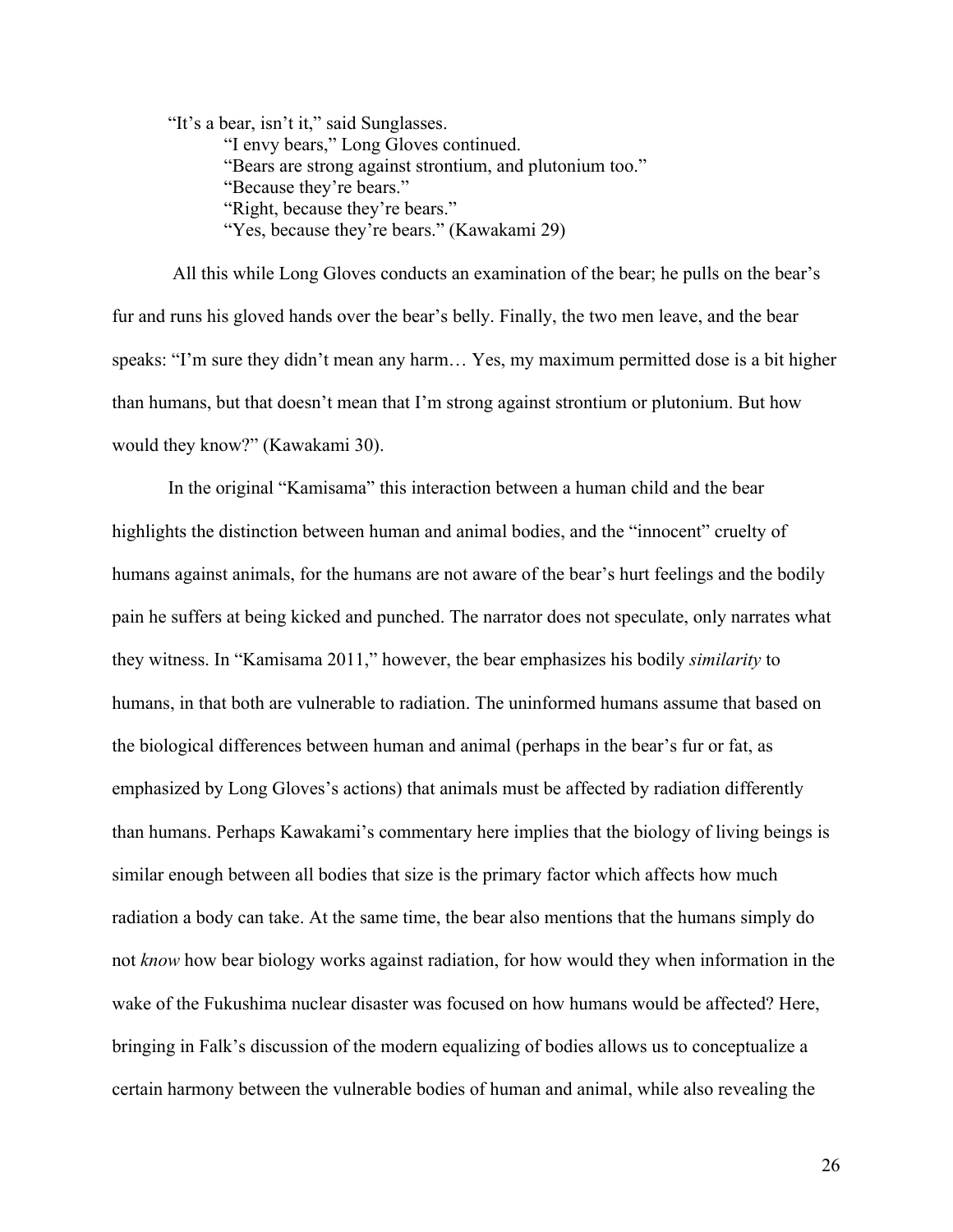"It's a bear, isn't it," said Sunglasses.

"I envy bears," Long Gloves continued. "Bears are strong against strontium, and plutonium too." "Because they're bears." "Right, because they're bears." "Yes, because they're bears." (Kawakami 29)

All this while Long Gloves conducts an examination of the bear; he pulls on the bear's fur and runs his gloved hands over the bear's belly. Finally, the two men leave, and the bear speaks: "I'm sure they didn't mean any harm… Yes, my maximum permitted dose is a bit higher than humans, but that doesn't mean that I'm strong against strontium or plutonium. But how would they know?" (Kawakami 30).

In the original "Kamisama" this interaction between a human child and the bear highlights the distinction between human and animal bodies, and the "innocent" cruelty of humans against animals, for the humans are not aware of the bear's hurt feelings and the bodily pain he suffers at being kicked and punched. The narrator does not speculate, only narrates what they witness. In "Kamisama 2011," however, the bear emphasizes his bodily *similarity* to humans, in that both are vulnerable to radiation. The uninformed humans assume that based on the biological differences between human and animal (perhaps in the bear's fur or fat, as emphasized by Long Gloves's actions) that animals must be affected by radiation differently than humans. Perhaps Kawakami's commentary here implies that the biology of living beings is similar enough between all bodies that size is the primary factor which affects how much radiation a body can take. At the same time, the bear also mentions that the humans simply do not *know* how bear biology works against radiation, for how would they when information in the wake of the Fukushima nuclear disaster was focused on how humans would be affected? Here, bringing in Falk's discussion of the modern equalizing of bodies allows us to conceptualize a certain harmony between the vulnerable bodies of human and animal, while also revealing the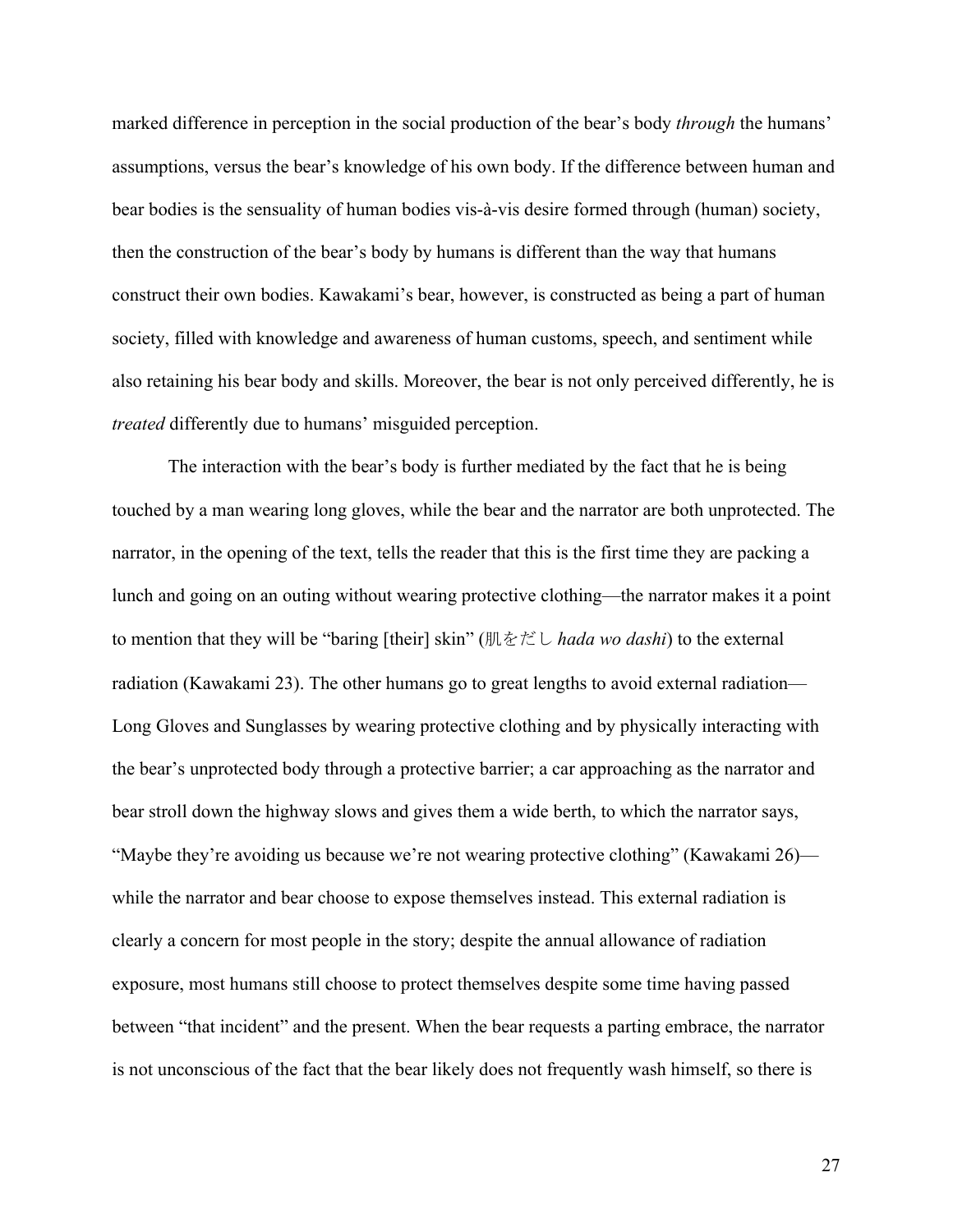marked difference in perception in the social production of the bear's body *through* the humans' assumptions, versus the bear's knowledge of his own body. If the difference between human and bear bodies is the sensuality of human bodies vis-à-vis desire formed through (human) society, then the construction of the bear's body by humans is different than the way that humans construct their own bodies. Kawakami's bear, however, is constructed as being a part of human society, filled with knowledge and awareness of human customs, speech, and sentiment while also retaining his bear body and skills. Moreover, the bear is not only perceived differently, he is *treated* differently due to humans' misguided perception.

The interaction with the bear's body is further mediated by the fact that he is being touched by a man wearing long gloves, while the bear and the narrator are both unprotected. The narrator, in the opening of the text, tells the reader that this is the first time they are packing a lunch and going on an outing without wearing protective clothing—the narrator makes it a point to mention that they will be "baring [their] skin" (肌をだし *hada wo dashi*) to the external radiation (Kawakami 23). The other humans go to great lengths to avoid external radiation— Long Gloves and Sunglasses by wearing protective clothing and by physically interacting with the bear's unprotected body through a protective barrier; a car approaching as the narrator and bear stroll down the highway slows and gives them a wide berth, to which the narrator says, "Maybe they're avoiding us because we're not wearing protective clothing" (Kawakami 26) while the narrator and bear choose to expose themselves instead. This external radiation is clearly a concern for most people in the story; despite the annual allowance of radiation exposure, most humans still choose to protect themselves despite some time having passed between "that incident" and the present. When the bear requests a parting embrace, the narrator is not unconscious of the fact that the bear likely does not frequently wash himself, so there is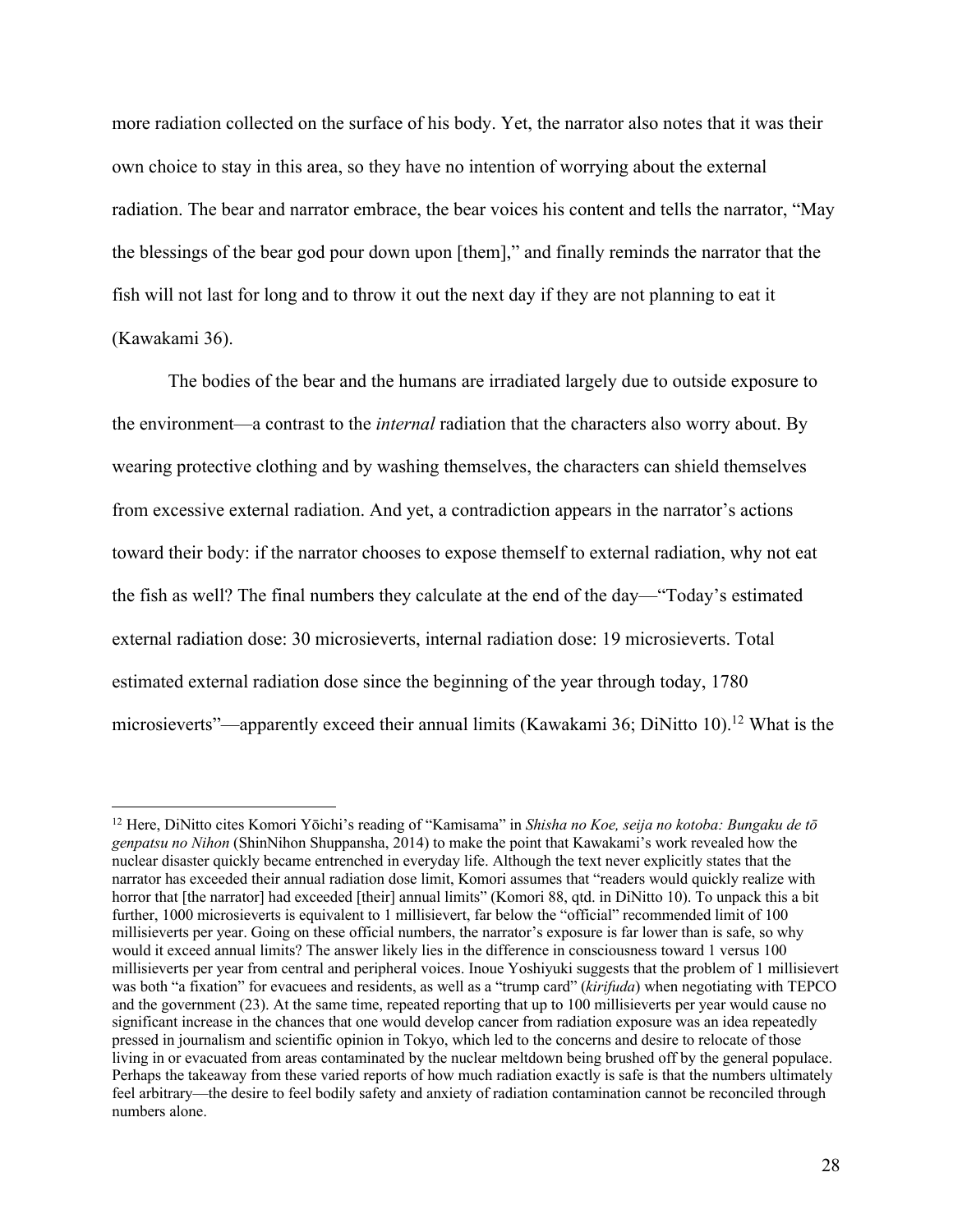more radiation collected on the surface of his body. Yet, the narrator also notes that it was their own choice to stay in this area, so they have no intention of worrying about the external radiation. The bear and narrator embrace, the bear voices his content and tells the narrator, "May the blessings of the bear god pour down upon [them]," and finally reminds the narrator that the fish will not last for long and to throw it out the next day if they are not planning to eat it (Kawakami 36).

The bodies of the bear and the humans are irradiated largely due to outside exposure to the environment—a contrast to the *internal* radiation that the characters also worry about. By wearing protective clothing and by washing themselves, the characters can shield themselves from excessive external radiation. And yet, a contradiction appears in the narrator's actions toward their body: if the narrator chooses to expose themself to external radiation, why not eat the fish as well? The final numbers they calculate at the end of the day—"Today's estimated external radiation dose: 30 microsieverts, internal radiation dose: 19 microsieverts. Total estimated external radiation dose since the beginning of the year through today, 1780 microsieverts"—apparently exceed their annual limits (Kawakami 36; DiNitto 10).<sup>12</sup> What is the

<sup>12</sup> Here, DiNitto cites Komori Yōichi's reading of "Kamisama" in *Shisha no Koe, seija no kotoba: Bungaku de tō genpatsu no Nihon* (ShinNihon Shuppansha, 2014) to make the point that Kawakami's work revealed how the nuclear disaster quickly became entrenched in everyday life. Although the text never explicitly states that the narrator has exceeded their annual radiation dose limit, Komori assumes that "readers would quickly realize with horror that [the narrator] had exceeded [their] annual limits" (Komori 88, qtd. in DiNitto 10). To unpack this a bit further, 1000 microsieverts is equivalent to 1 millisievert, far below the "official" recommended limit of 100 millisieverts per year. Going on these official numbers, the narrator's exposure is far lower than is safe, so why would it exceed annual limits? The answer likely lies in the difference in consciousness toward 1 versus 100 millisieverts per year from central and peripheral voices. Inoue Yoshiyuki suggests that the problem of 1 millisievert was both "a fixation" for evacuees and residents, as well as a "trump card" (*kirifuda*) when negotiating with TEPCO and the government (23). At the same time, repeated reporting that up to 100 millisieverts per year would cause no significant increase in the chances that one would develop cancer from radiation exposure was an idea repeatedly pressed in journalism and scientific opinion in Tokyo, which led to the concerns and desire to relocate of those living in or evacuated from areas contaminated by the nuclear meltdown being brushed off by the general populace. Perhaps the takeaway from these varied reports of how much radiation exactly is safe is that the numbers ultimately feel arbitrary—the desire to feel bodily safety and anxiety of radiation contamination cannot be reconciled through numbers alone.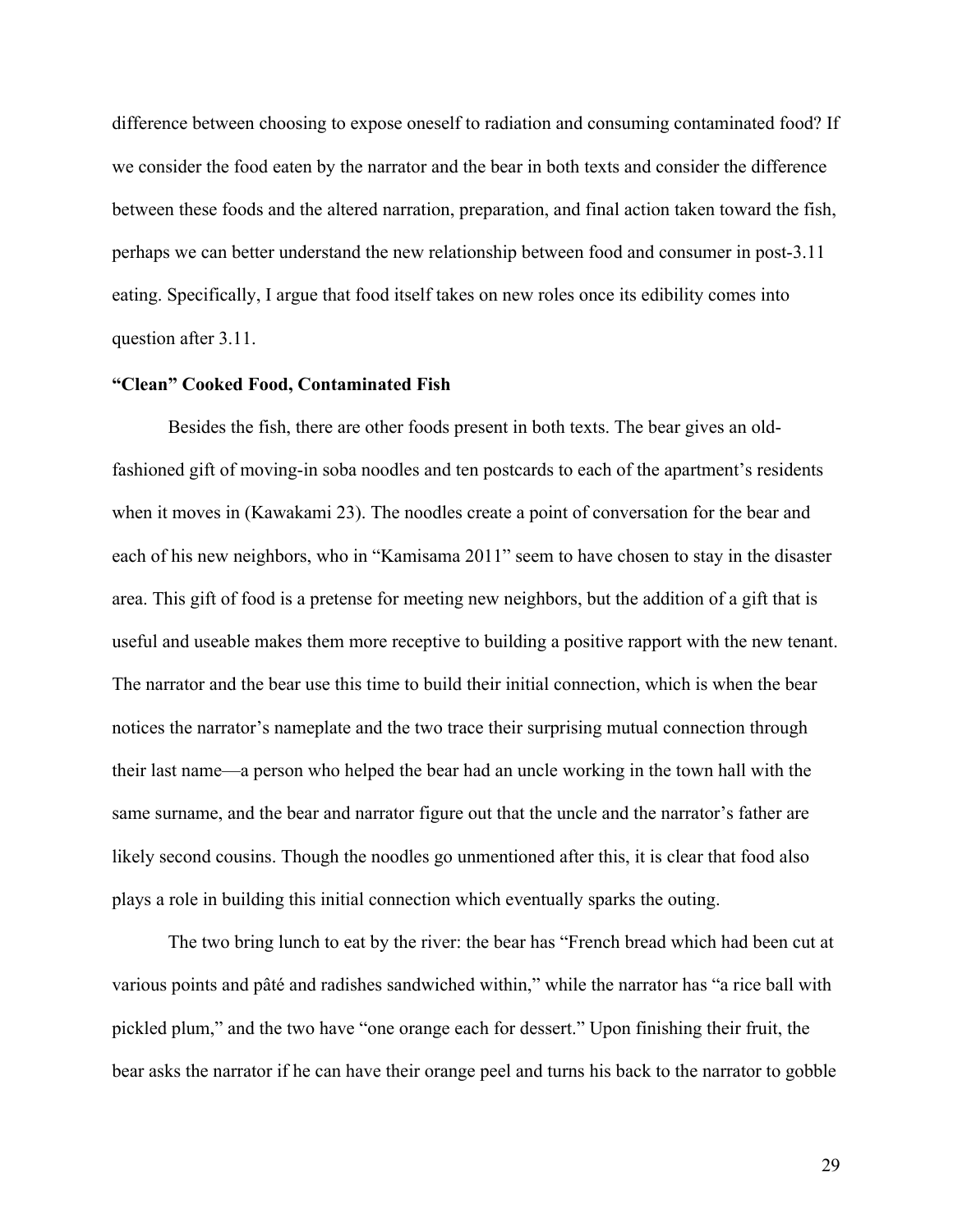difference between choosing to expose oneself to radiation and consuming contaminated food? If we consider the food eaten by the narrator and the bear in both texts and consider the difference between these foods and the altered narration, preparation, and final action taken toward the fish, perhaps we can better understand the new relationship between food and consumer in post-3.11 eating. Specifically, I argue that food itself takes on new roles once its edibility comes into question after 3.11.

## **"Clean" Cooked Food, Contaminated Fish**

Besides the fish, there are other foods present in both texts. The bear gives an oldfashioned gift of moving-in soba noodles and ten postcards to each of the apartment's residents when it moves in (Kawakami 23). The noodles create a point of conversation for the bear and each of his new neighbors, who in "Kamisama 2011" seem to have chosen to stay in the disaster area. This gift of food is a pretense for meeting new neighbors, but the addition of a gift that is useful and useable makes them more receptive to building a positive rapport with the new tenant. The narrator and the bear use this time to build their initial connection, which is when the bear notices the narrator's nameplate and the two trace their surprising mutual connection through their last name—a person who helped the bear had an uncle working in the town hall with the same surname, and the bear and narrator figure out that the uncle and the narrator's father are likely second cousins. Though the noodles go unmentioned after this, it is clear that food also plays a role in building this initial connection which eventually sparks the outing.

The two bring lunch to eat by the river: the bear has "French bread which had been cut at various points and pâté and radishes sandwiched within," while the narrator has "a rice ball with pickled plum," and the two have "one orange each for dessert." Upon finishing their fruit, the bear asks the narrator if he can have their orange peel and turns his back to the narrator to gobble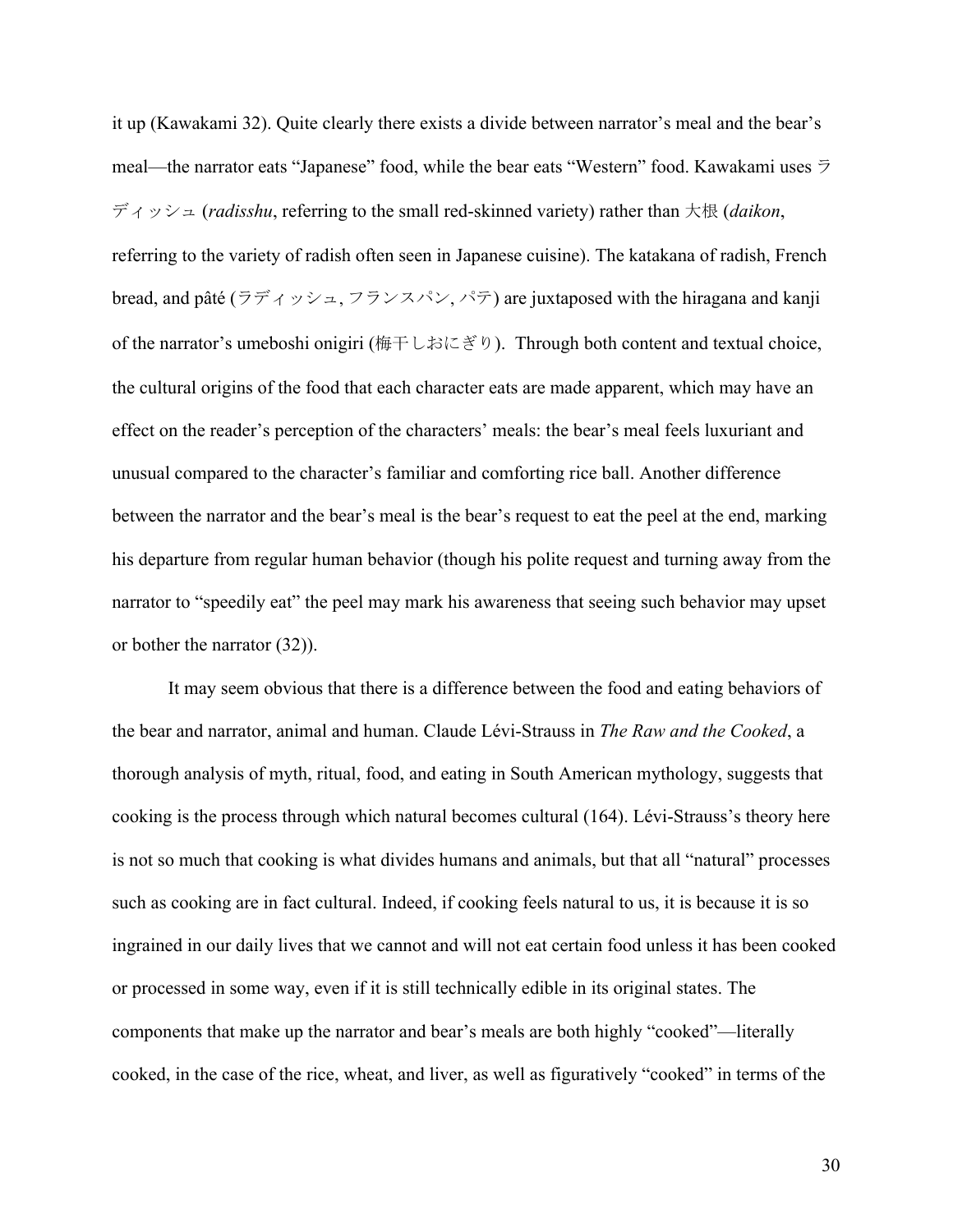it up (Kawakami 32). Quite clearly there exists a divide between narrator's meal and the bear's meal—the narrator eats "Japanese" food, while the bear eats "Western" food. Kawakami uses ラ ディッシュ (*radisshu*, referring to the small red-skinned variety) rather than 大根 (*daikon*, referring to the variety of radish often seen in Japanese cuisine). The katakana of radish, French bread, and pâté (ラディッシュ, フランスパン, パテ) are juxtaposed with the hiragana and kanji of the narrator's umeboshi onigiri (梅干しおにぎり). Through both content and textual choice, the cultural origins of the food that each character eats are made apparent, which may have an effect on the reader's perception of the characters' meals: the bear's meal feels luxuriant and unusual compared to the character's familiar and comforting rice ball. Another difference between the narrator and the bear's meal is the bear's request to eat the peel at the end, marking his departure from regular human behavior (though his polite request and turning away from the narrator to "speedily eat" the peel may mark his awareness that seeing such behavior may upset or bother the narrator (32)).

It may seem obvious that there is a difference between the food and eating behaviors of the bear and narrator, animal and human. Claude Lévi-Strauss in *The Raw and the Cooked*, a thorough analysis of myth, ritual, food, and eating in South American mythology, suggests that cooking is the process through which natural becomes cultural (164). Lévi-Strauss's theory here is not so much that cooking is what divides humans and animals, but that all "natural" processes such as cooking are in fact cultural. Indeed, if cooking feels natural to us, it is because it is so ingrained in our daily lives that we cannot and will not eat certain food unless it has been cooked or processed in some way, even if it is still technically edible in its original states. The components that make up the narrator and bear's meals are both highly "cooked"—literally cooked, in the case of the rice, wheat, and liver, as well as figuratively "cooked" in terms of the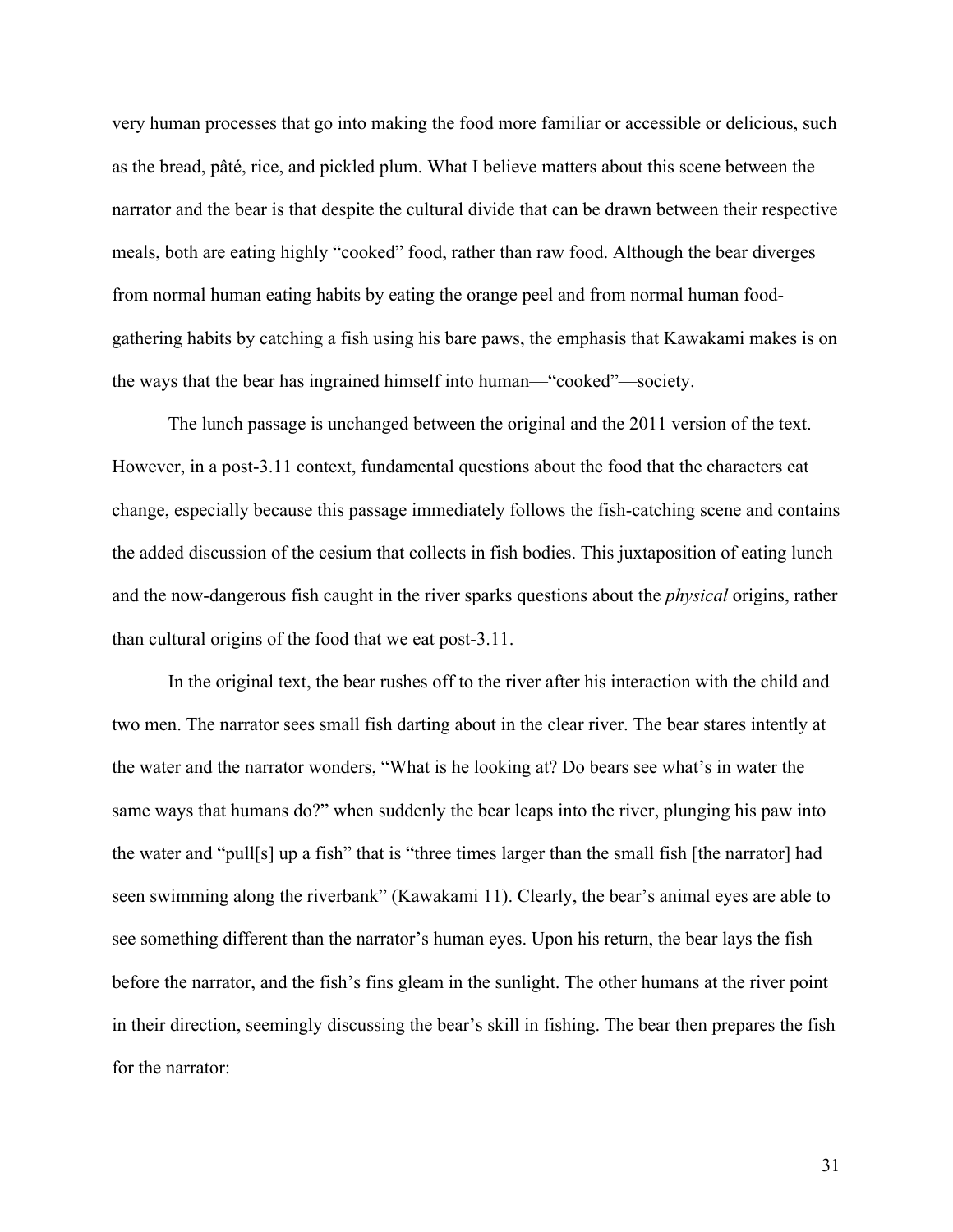very human processes that go into making the food more familiar or accessible or delicious, such as the bread, pâté, rice, and pickled plum. What I believe matters about this scene between the narrator and the bear is that despite the cultural divide that can be drawn between their respective meals, both are eating highly "cooked" food, rather than raw food. Although the bear diverges from normal human eating habits by eating the orange peel and from normal human foodgathering habits by catching a fish using his bare paws, the emphasis that Kawakami makes is on the ways that the bear has ingrained himself into human—"cooked"—society.

The lunch passage is unchanged between the original and the 2011 version of the text. However, in a post-3.11 context, fundamental questions about the food that the characters eat change, especially because this passage immediately follows the fish-catching scene and contains the added discussion of the cesium that collects in fish bodies. This juxtaposition of eating lunch and the now-dangerous fish caught in the river sparks questions about the *physical* origins, rather than cultural origins of the food that we eat post-3.11.

In the original text, the bear rushes off to the river after his interaction with the child and two men. The narrator sees small fish darting about in the clear river. The bear stares intently at the water and the narrator wonders, "What is he looking at? Do bears see what's in water the same ways that humans do?" when suddenly the bear leaps into the river, plunging his paw into the water and "pull[s] up a fish" that is "three times larger than the small fish [the narrator] had seen swimming along the riverbank" (Kawakami 11). Clearly, the bear's animal eyes are able to see something different than the narrator's human eyes. Upon his return, the bear lays the fish before the narrator, and the fish's fins gleam in the sunlight. The other humans at the river point in their direction, seemingly discussing the bear's skill in fishing. The bear then prepares the fish for the narrator: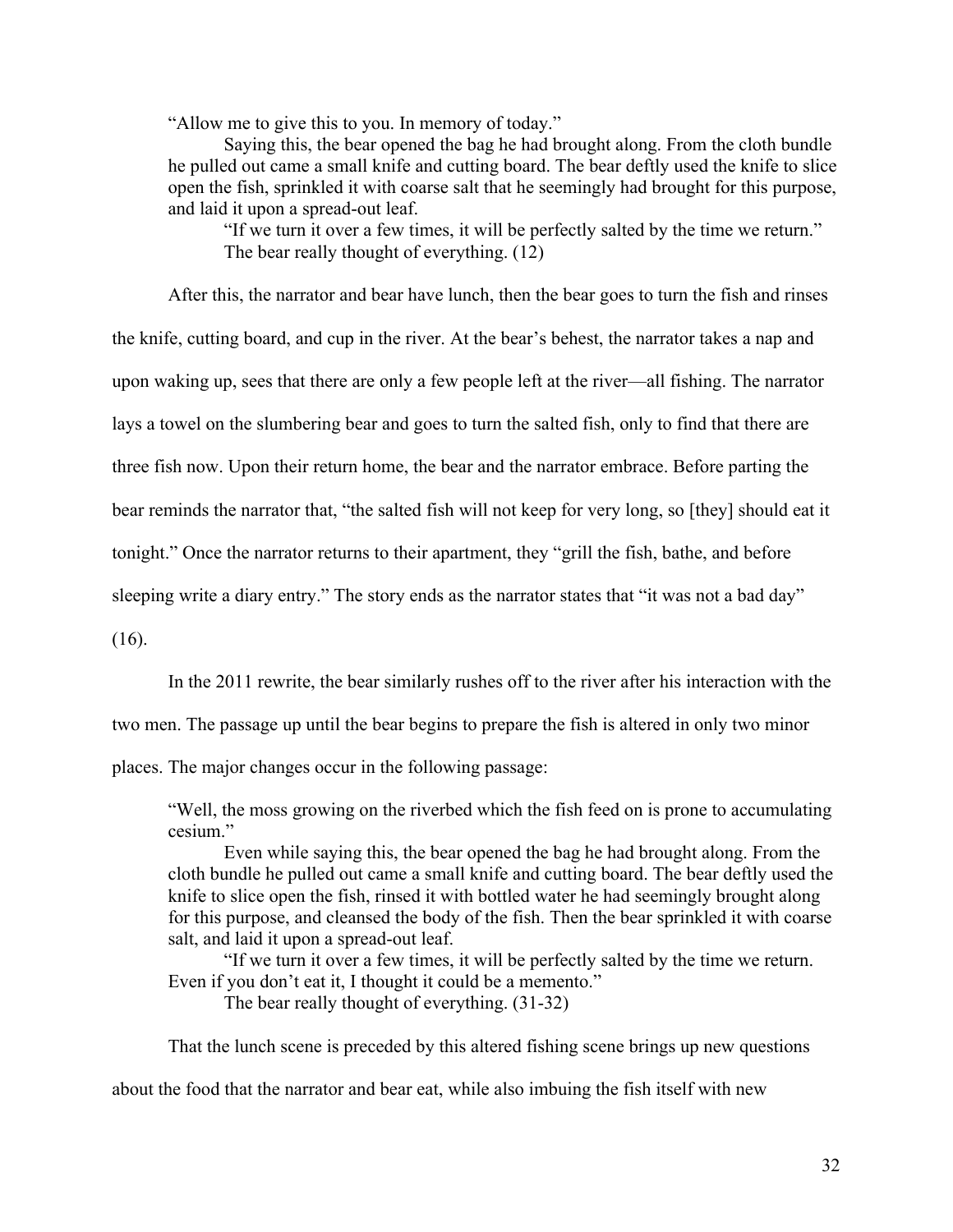"Allow me to give this to you. In memory of today."

Saying this, the bear opened the bag he had brought along. From the cloth bundle he pulled out came a small knife and cutting board. The bear deftly used the knife to slice open the fish, sprinkled it with coarse salt that he seemingly had brought for this purpose, and laid it upon a spread-out leaf.

"If we turn it over a few times, it will be perfectly salted by the time we return." The bear really thought of everything. (12)

After this, the narrator and bear have lunch, then the bear goes to turn the fish and rinses

the knife, cutting board, and cup in the river. At the bear's behest, the narrator takes a nap and

upon waking up, sees that there are only a few people left at the river—all fishing. The narrator

lays a towel on the slumbering bear and goes to turn the salted fish, only to find that there are

three fish now. Upon their return home, the bear and the narrator embrace. Before parting the

bear reminds the narrator that, "the salted fish will not keep for very long, so [they] should eat it

tonight." Once the narrator returns to their apartment, they "grill the fish, bathe, and before

sleeping write a diary entry." The story ends as the narrator states that "it was not a bad day"

(16).

In the 2011 rewrite, the bear similarly rushes off to the river after his interaction with the

two men. The passage up until the bear begins to prepare the fish is altered in only two minor

places. The major changes occur in the following passage:

"Well, the moss growing on the riverbed which the fish feed on is prone to accumulating cesium."

Even while saying this, the bear opened the bag he had brought along. From the cloth bundle he pulled out came a small knife and cutting board. The bear deftly used the knife to slice open the fish, rinsed it with bottled water he had seemingly brought along for this purpose, and cleansed the body of the fish. Then the bear sprinkled it with coarse salt, and laid it upon a spread-out leaf.

"If we turn it over a few times, it will be perfectly salted by the time we return. Even if you don't eat it, I thought it could be a memento."

The bear really thought of everything. (31-32)

That the lunch scene is preceded by this altered fishing scene brings up new questions

about the food that the narrator and bear eat, while also imbuing the fish itself with new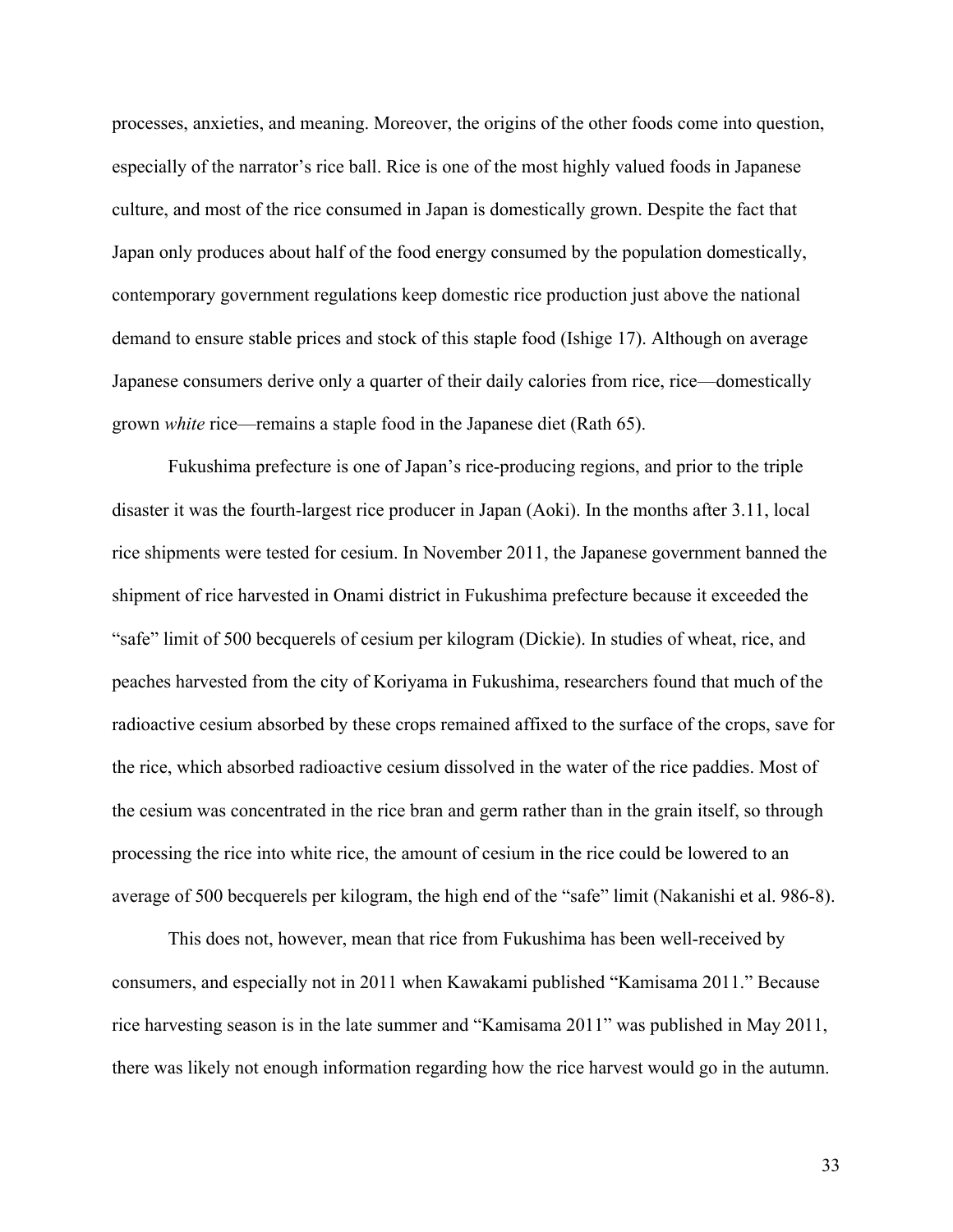processes, anxieties, and meaning. Moreover, the origins of the other foods come into question, especially of the narrator's rice ball. Rice is one of the most highly valued foods in Japanese culture, and most of the rice consumed in Japan is domestically grown. Despite the fact that Japan only produces about half of the food energy consumed by the population domestically, contemporary government regulations keep domestic rice production just above the national demand to ensure stable prices and stock of this staple food (Ishige 17). Although on average Japanese consumers derive only a quarter of their daily calories from rice, rice—domestically grown *white* rice—remains a staple food in the Japanese diet (Rath 65).

Fukushima prefecture is one of Japan's rice-producing regions, and prior to the triple disaster it was the fourth-largest rice producer in Japan (Aoki). In the months after 3.11, local rice shipments were tested for cesium. In November 2011, the Japanese government banned the shipment of rice harvested in Onami district in Fukushima prefecture because it exceeded the "safe" limit of 500 becquerels of cesium per kilogram (Dickie). In studies of wheat, rice, and peaches harvested from the city of Koriyama in Fukushima, researchers found that much of the radioactive cesium absorbed by these crops remained affixed to the surface of the crops, save for the rice, which absorbed radioactive cesium dissolved in the water of the rice paddies. Most of the cesium was concentrated in the rice bran and germ rather than in the grain itself, so through processing the rice into white rice, the amount of cesium in the rice could be lowered to an average of 500 becquerels per kilogram, the high end of the "safe" limit (Nakanishi et al. 986-8).

This does not, however, mean that rice from Fukushima has been well-received by consumers, and especially not in 2011 when Kawakami published "Kamisama 2011." Because rice harvesting season is in the late summer and "Kamisama 2011" was published in May 2011, there was likely not enough information regarding how the rice harvest would go in the autumn.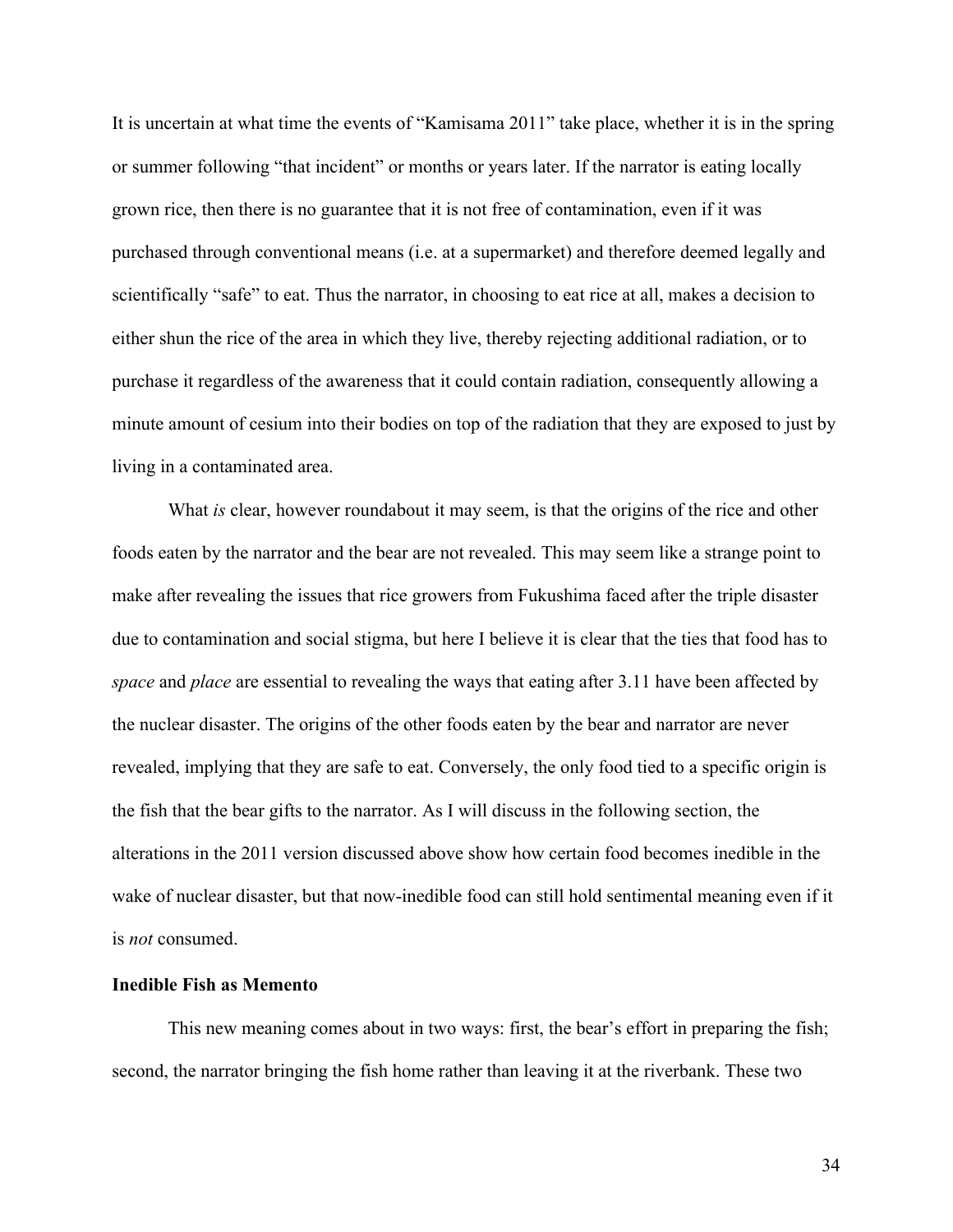It is uncertain at what time the events of "Kamisama 2011" take place, whether it is in the spring or summer following "that incident" or months or years later. If the narrator is eating locally grown rice, then there is no guarantee that it is not free of contamination, even if it was purchased through conventional means (i.e. at a supermarket) and therefore deemed legally and scientifically "safe" to eat. Thus the narrator, in choosing to eat rice at all, makes a decision to either shun the rice of the area in which they live, thereby rejecting additional radiation, or to purchase it regardless of the awareness that it could contain radiation, consequently allowing a minute amount of cesium into their bodies on top of the radiation that they are exposed to just by living in a contaminated area.

What *is* clear, however roundabout it may seem, is that the origins of the rice and other foods eaten by the narrator and the bear are not revealed. This may seem like a strange point to make after revealing the issues that rice growers from Fukushima faced after the triple disaster due to contamination and social stigma, but here I believe it is clear that the ties that food has to *space* and *place* are essential to revealing the ways that eating after 3.11 have been affected by the nuclear disaster. The origins of the other foods eaten by the bear and narrator are never revealed, implying that they are safe to eat. Conversely, the only food tied to a specific origin is the fish that the bear gifts to the narrator. As I will discuss in the following section, the alterations in the 2011 version discussed above show how certain food becomes inedible in the wake of nuclear disaster, but that now-inedible food can still hold sentimental meaning even if it is *not* consumed.

## **Inedible Fish as Memento**

This new meaning comes about in two ways: first, the bear's effort in preparing the fish; second, the narrator bringing the fish home rather than leaving it at the riverbank. These two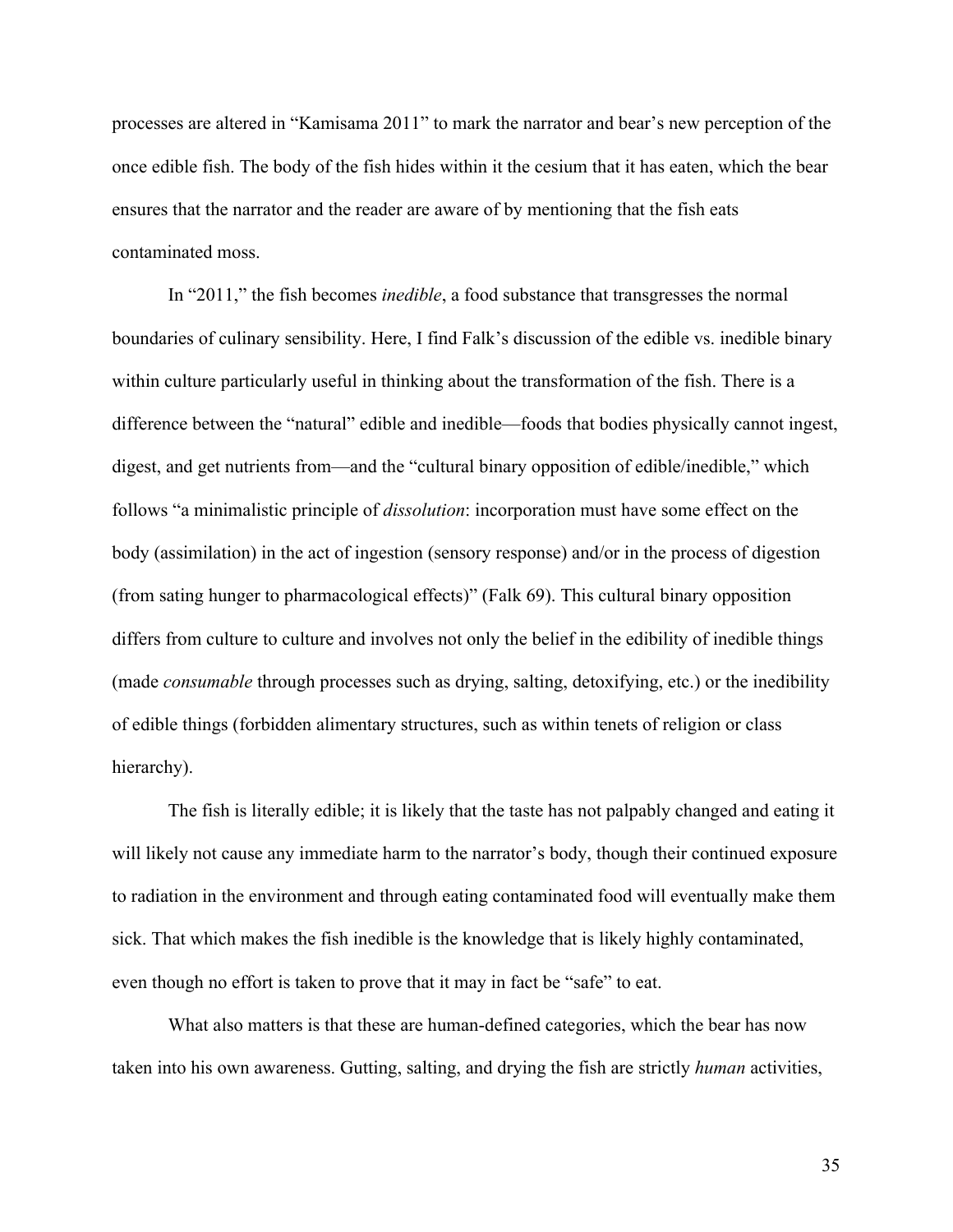processes are altered in "Kamisama 2011" to mark the narrator and bear's new perception of the once edible fish. The body of the fish hides within it the cesium that it has eaten, which the bear ensures that the narrator and the reader are aware of by mentioning that the fish eats contaminated moss.

In "2011," the fish becomes *inedible*, a food substance that transgresses the normal boundaries of culinary sensibility. Here, I find Falk's discussion of the edible vs. inedible binary within culture particularly useful in thinking about the transformation of the fish. There is a difference between the "natural" edible and inedible—foods that bodies physically cannot ingest, digest, and get nutrients from—and the "cultural binary opposition of edible/inedible," which follows "a minimalistic principle of *dissolution*: incorporation must have some effect on the body (assimilation) in the act of ingestion (sensory response) and/or in the process of digestion (from sating hunger to pharmacological effects)" (Falk 69). This cultural binary opposition differs from culture to culture and involves not only the belief in the edibility of inedible things (made *consumable* through processes such as drying, salting, detoxifying, etc.) or the inedibility of edible things (forbidden alimentary structures, such as within tenets of religion or class hierarchy).

The fish is literally edible; it is likely that the taste has not palpably changed and eating it will likely not cause any immediate harm to the narrator's body, though their continued exposure to radiation in the environment and through eating contaminated food will eventually make them sick. That which makes the fish inedible is the knowledge that is likely highly contaminated, even though no effort is taken to prove that it may in fact be "safe" to eat.

What also matters is that these are human-defined categories, which the bear has now taken into his own awareness. Gutting, salting, and drying the fish are strictly *human* activities,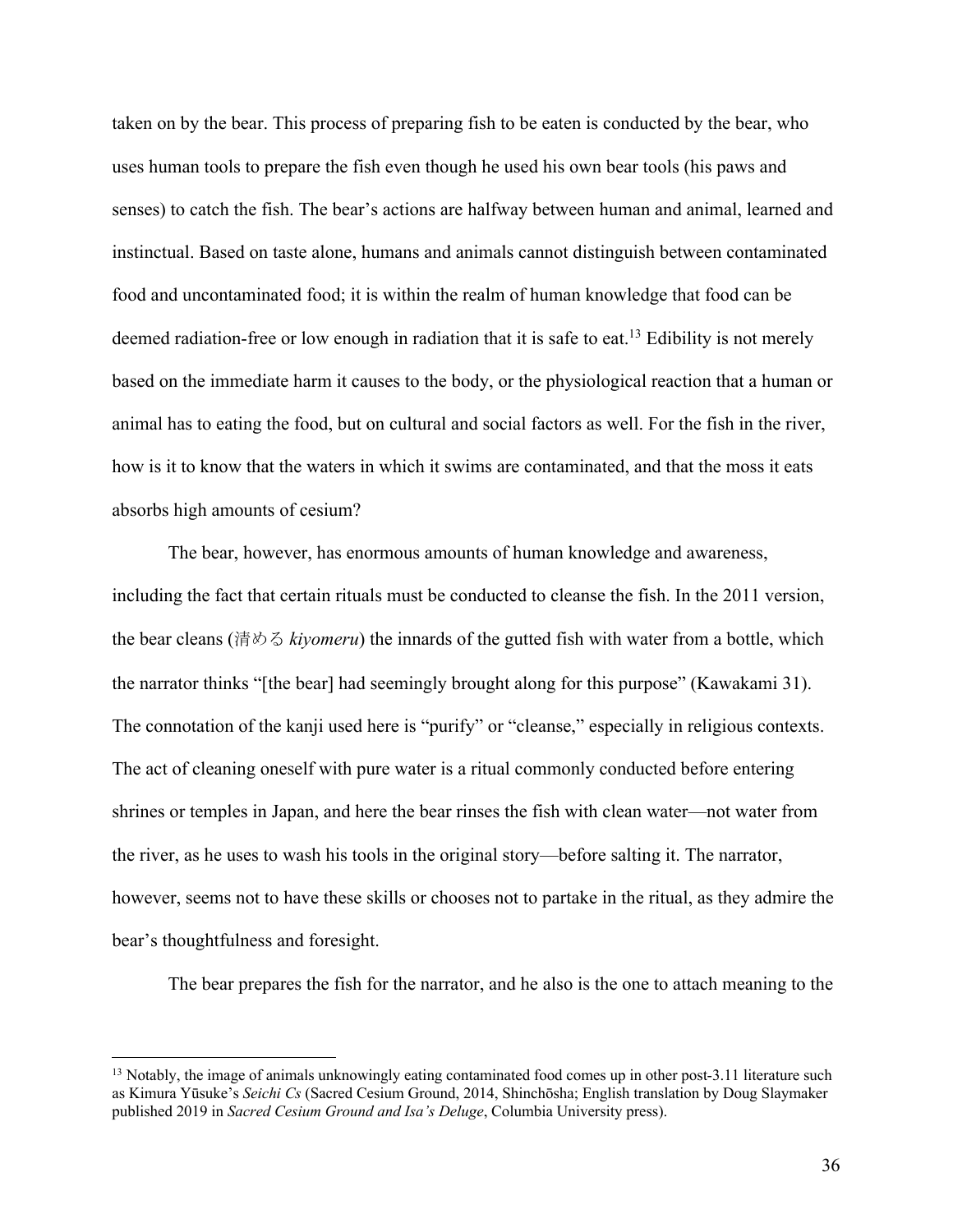taken on by the bear. This process of preparing fish to be eaten is conducted by the bear, who uses human tools to prepare the fish even though he used his own bear tools (his paws and senses) to catch the fish. The bear's actions are halfway between human and animal, learned and instinctual. Based on taste alone, humans and animals cannot distinguish between contaminated food and uncontaminated food; it is within the realm of human knowledge that food can be deemed radiation-free or low enough in radiation that it is safe to eat.<sup>13</sup> Edibility is not merely based on the immediate harm it causes to the body, or the physiological reaction that a human or animal has to eating the food, but on cultural and social factors as well. For the fish in the river, how is it to know that the waters in which it swims are contaminated, and that the moss it eats absorbs high amounts of cesium?

The bear, however, has enormous amounts of human knowledge and awareness, including the fact that certain rituals must be conducted to cleanse the fish. In the 2011 version, the bear cleans (清める *kiyomeru*) the innards of the gutted fish with water from a bottle, which the narrator thinks "[the bear] had seemingly brought along for this purpose" (Kawakami 31). The connotation of the kanji used here is "purify" or "cleanse," especially in religious contexts. The act of cleaning oneself with pure water is a ritual commonly conducted before entering shrines or temples in Japan, and here the bear rinses the fish with clean water—not water from the river, as he uses to wash his tools in the original story—before salting it. The narrator, however, seems not to have these skills or chooses not to partake in the ritual, as they admire the bear's thoughtfulness and foresight.

The bear prepares the fish for the narrator, and he also is the one to attach meaning to the

<sup>&</sup>lt;sup>13</sup> Notably, the image of animals unknowingly eating contaminated food comes up in other post-3.11 literature such as Kimura Yūsuke's *Seichi Cs* (Sacred Cesium Ground, 2014, Shinchōsha; English translation by Doug Slaymaker published 2019 in *Sacred Cesium Ground and Isa's Deluge*, Columbia University press).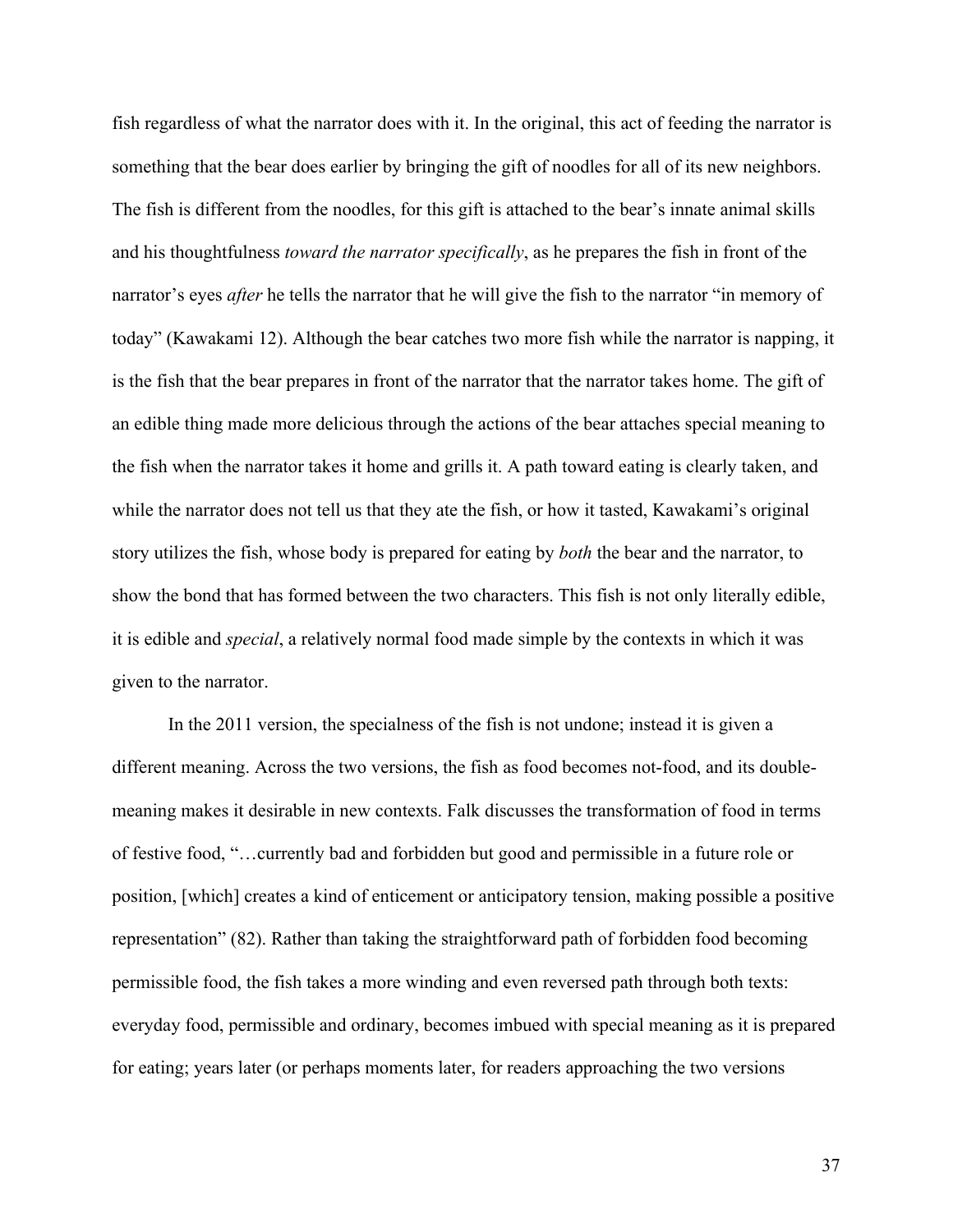fish regardless of what the narrator does with it. In the original, this act of feeding the narrator is something that the bear does earlier by bringing the gift of noodles for all of its new neighbors. The fish is different from the noodles, for this gift is attached to the bear's innate animal skills and his thoughtfulness *toward the narrator specifically*, as he prepares the fish in front of the narrator's eyes *after* he tells the narrator that he will give the fish to the narrator "in memory of today" (Kawakami 12). Although the bear catches two more fish while the narrator is napping, it is the fish that the bear prepares in front of the narrator that the narrator takes home. The gift of an edible thing made more delicious through the actions of the bear attaches special meaning to the fish when the narrator takes it home and grills it. A path toward eating is clearly taken, and while the narrator does not tell us that they ate the fish, or how it tasted, Kawakami's original story utilizes the fish, whose body is prepared for eating by *both* the bear and the narrator, to show the bond that has formed between the two characters. This fish is not only literally edible, it is edible and *special*, a relatively normal food made simple by the contexts in which it was given to the narrator.

In the 2011 version, the specialness of the fish is not undone; instead it is given a different meaning. Across the two versions, the fish as food becomes not-food, and its doublemeaning makes it desirable in new contexts. Falk discusses the transformation of food in terms of festive food, "…currently bad and forbidden but good and permissible in a future role or position, [which] creates a kind of enticement or anticipatory tension, making possible a positive representation" (82). Rather than taking the straightforward path of forbidden food becoming permissible food, the fish takes a more winding and even reversed path through both texts: everyday food, permissible and ordinary, becomes imbued with special meaning as it is prepared for eating; years later (or perhaps moments later, for readers approaching the two versions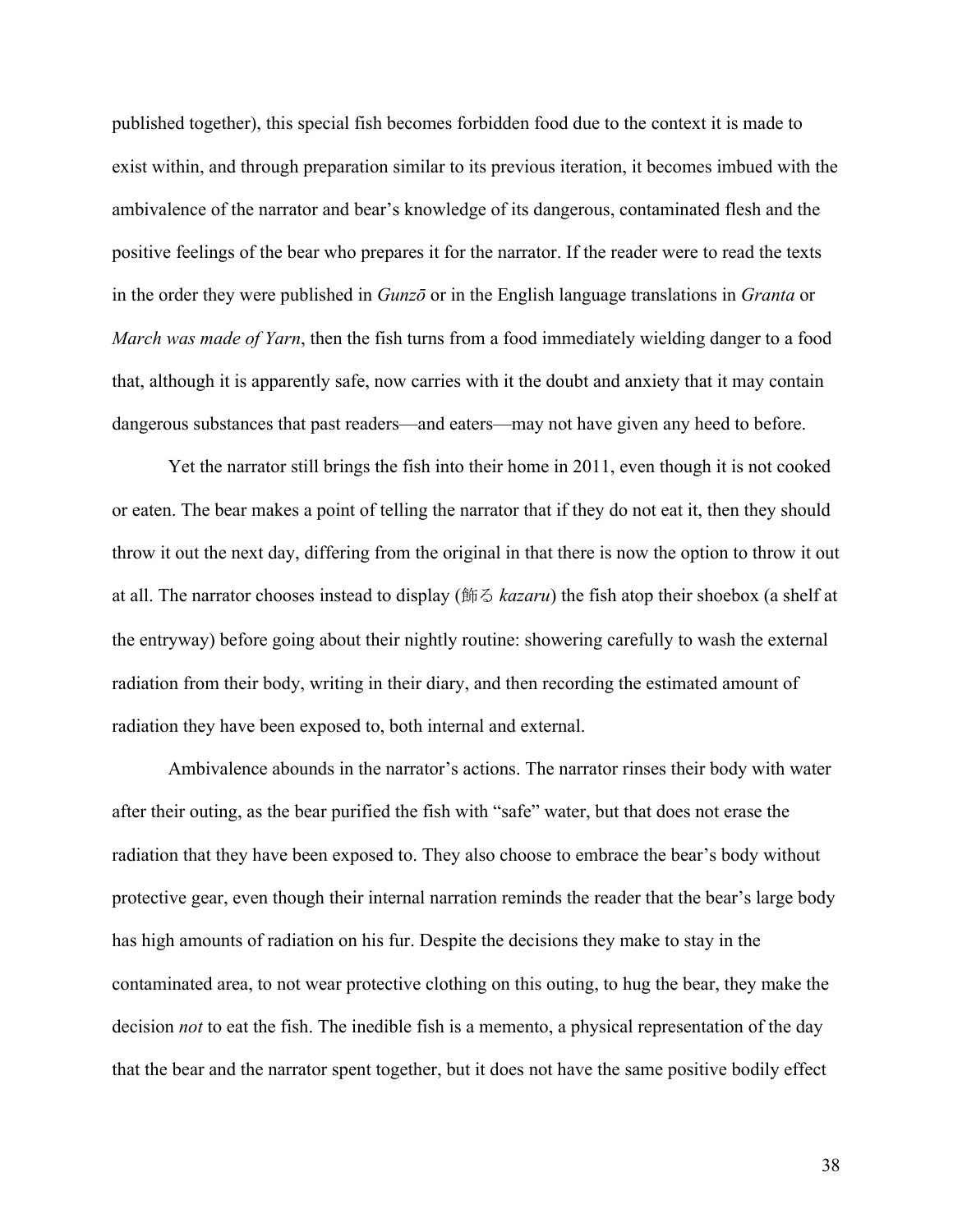published together), this special fish becomes forbidden food due to the context it is made to exist within, and through preparation similar to its previous iteration, it becomes imbued with the ambivalence of the narrator and bear's knowledge of its dangerous, contaminated flesh and the positive feelings of the bear who prepares it for the narrator. If the reader were to read the texts in the order they were published in *Gunzō* or in the English language translations in *Granta* or *March was made of Yarn*, then the fish turns from a food immediately wielding danger to a food that, although it is apparently safe, now carries with it the doubt and anxiety that it may contain dangerous substances that past readers—and eaters—may not have given any heed to before.

Yet the narrator still brings the fish into their home in 2011, even though it is not cooked or eaten. The bear makes a point of telling the narrator that if they do not eat it, then they should throw it out the next day, differing from the original in that there is now the option to throw it out at all. The narrator chooses instead to display (飾る *kazaru*) the fish atop their shoebox (a shelf at the entryway) before going about their nightly routine: showering carefully to wash the external radiation from their body, writing in their diary, and then recording the estimated amount of radiation they have been exposed to, both internal and external.

Ambivalence abounds in the narrator's actions. The narrator rinses their body with water after their outing, as the bear purified the fish with "safe" water, but that does not erase the radiation that they have been exposed to. They also choose to embrace the bear's body without protective gear, even though their internal narration reminds the reader that the bear's large body has high amounts of radiation on his fur. Despite the decisions they make to stay in the contaminated area, to not wear protective clothing on this outing, to hug the bear, they make the decision *not* to eat the fish. The inedible fish is a memento, a physical representation of the day that the bear and the narrator spent together, but it does not have the same positive bodily effect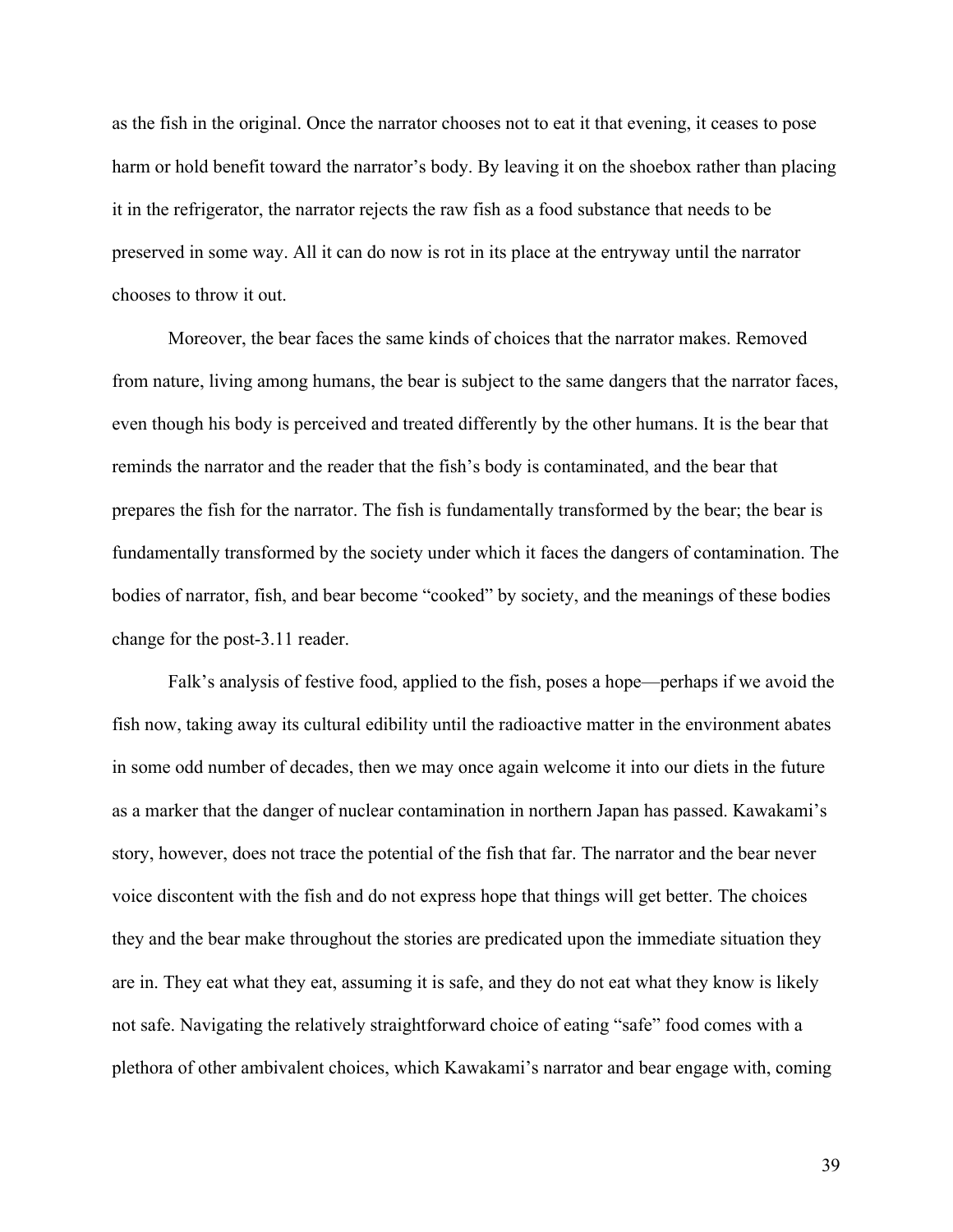as the fish in the original. Once the narrator chooses not to eat it that evening, it ceases to pose harm or hold benefit toward the narrator's body. By leaving it on the shoebox rather than placing it in the refrigerator, the narrator rejects the raw fish as a food substance that needs to be preserved in some way. All it can do now is rot in its place at the entryway until the narrator chooses to throw it out.

Moreover, the bear faces the same kinds of choices that the narrator makes. Removed from nature, living among humans, the bear is subject to the same dangers that the narrator faces, even though his body is perceived and treated differently by the other humans. It is the bear that reminds the narrator and the reader that the fish's body is contaminated, and the bear that prepares the fish for the narrator. The fish is fundamentally transformed by the bear; the bear is fundamentally transformed by the society under which it faces the dangers of contamination. The bodies of narrator, fish, and bear become "cooked" by society, and the meanings of these bodies change for the post-3.11 reader.

Falk's analysis of festive food, applied to the fish, poses a hope—perhaps if we avoid the fish now, taking away its cultural edibility until the radioactive matter in the environment abates in some odd number of decades, then we may once again welcome it into our diets in the future as a marker that the danger of nuclear contamination in northern Japan has passed. Kawakami's story, however, does not trace the potential of the fish that far. The narrator and the bear never voice discontent with the fish and do not express hope that things will get better. The choices they and the bear make throughout the stories are predicated upon the immediate situation they are in. They eat what they eat, assuming it is safe, and they do not eat what they know is likely not safe. Navigating the relatively straightforward choice of eating "safe" food comes with a plethora of other ambivalent choices, which Kawakami's narrator and bear engage with, coming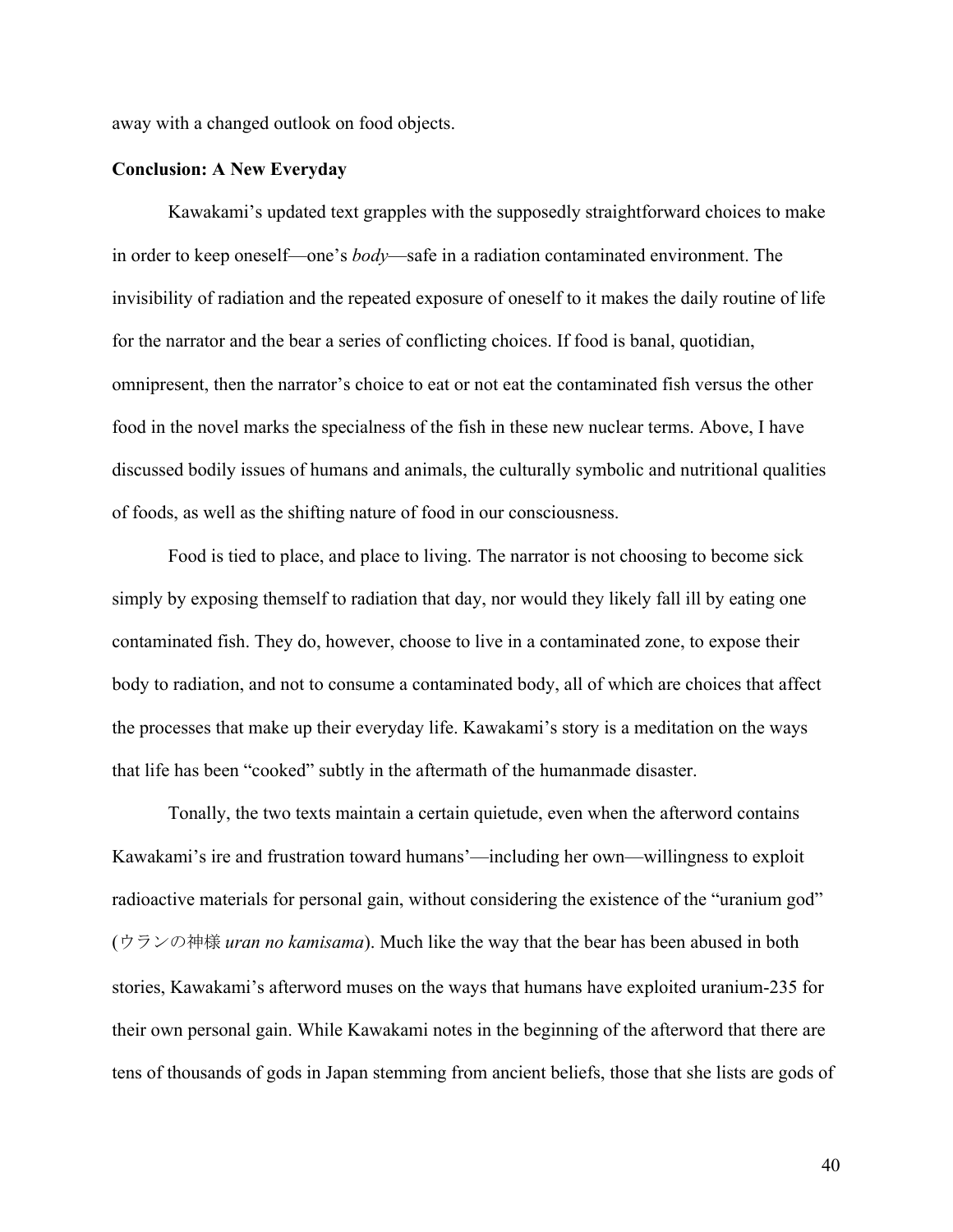away with a changed outlook on food objects.

#### **Conclusion: A New Everyday**

Kawakami's updated text grapples with the supposedly straightforward choices to make in order to keep oneself—one's *body*—safe in a radiation contaminated environment. The invisibility of radiation and the repeated exposure of oneself to it makes the daily routine of life for the narrator and the bear a series of conflicting choices. If food is banal, quotidian, omnipresent, then the narrator's choice to eat or not eat the contaminated fish versus the other food in the novel marks the specialness of the fish in these new nuclear terms. Above, I have discussed bodily issues of humans and animals, the culturally symbolic and nutritional qualities of foods, as well as the shifting nature of food in our consciousness.

Food is tied to place, and place to living. The narrator is not choosing to become sick simply by exposing themself to radiation that day, nor would they likely fall ill by eating one contaminated fish. They do, however, choose to live in a contaminated zone, to expose their body to radiation, and not to consume a contaminated body, all of which are choices that affect the processes that make up their everyday life. Kawakami's story is a meditation on the ways that life has been "cooked" subtly in the aftermath of the humanmade disaster.

Tonally, the two texts maintain a certain quietude, even when the afterword contains Kawakami's ire and frustration toward humans'—including her own—willingness to exploit radioactive materials for personal gain, without considering the existence of the "uranium god" (ウランの神様 *uran no kamisama*). Much like the way that the bear has been abused in both stories, Kawakami's afterword muses on the ways that humans have exploited uranium-235 for their own personal gain. While Kawakami notes in the beginning of the afterword that there are tens of thousands of gods in Japan stemming from ancient beliefs, those that she lists are gods of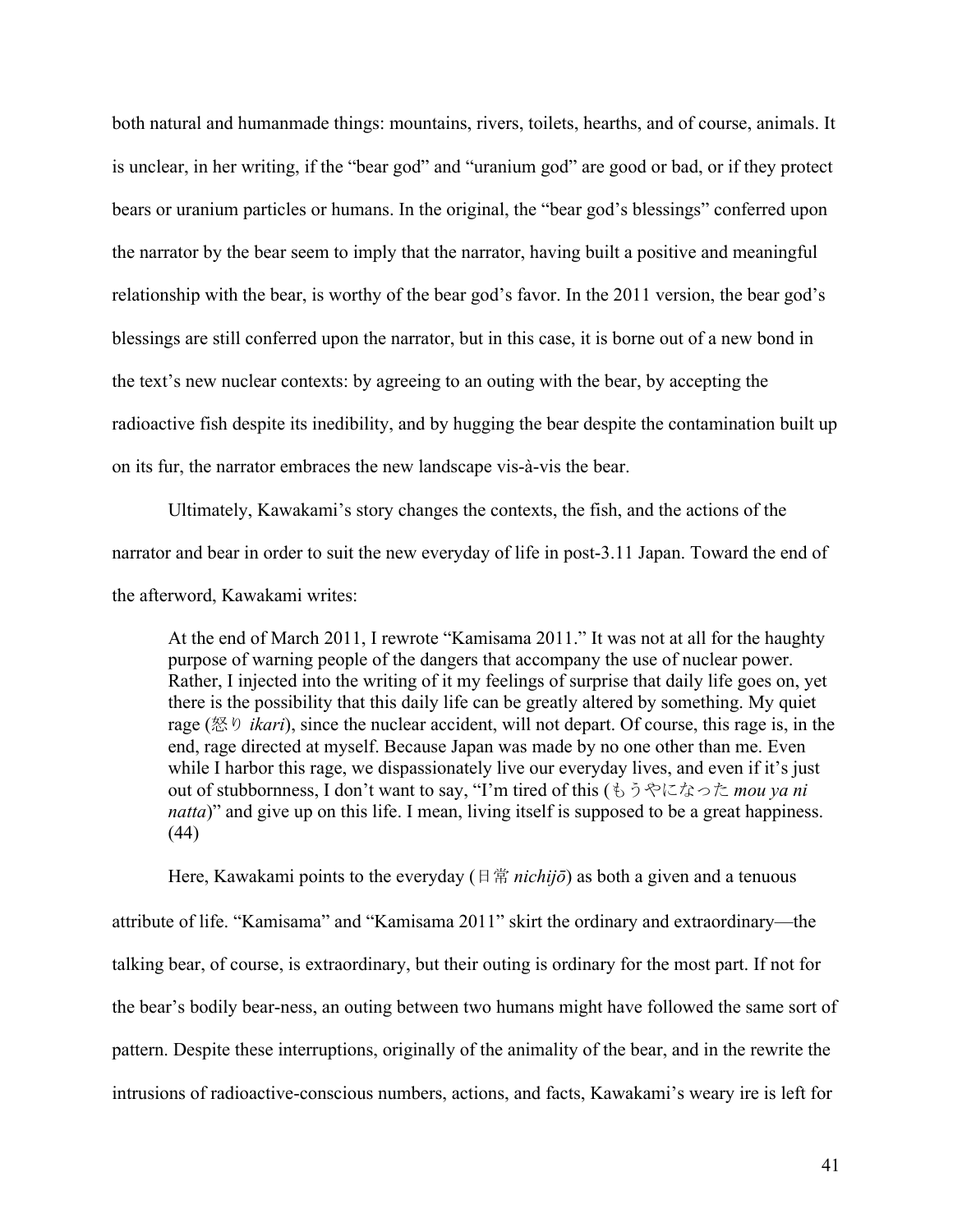both natural and humanmade things: mountains, rivers, toilets, hearths, and of course, animals. It is unclear, in her writing, if the "bear god" and "uranium god" are good or bad, or if they protect bears or uranium particles or humans. In the original, the "bear god's blessings" conferred upon the narrator by the bear seem to imply that the narrator, having built a positive and meaningful relationship with the bear, is worthy of the bear god's favor. In the 2011 version, the bear god's blessings are still conferred upon the narrator, but in this case, it is borne out of a new bond in the text's new nuclear contexts: by agreeing to an outing with the bear, by accepting the radioactive fish despite its inedibility, and by hugging the bear despite the contamination built up on its fur, the narrator embraces the new landscape vis-à-vis the bear.

Ultimately, Kawakami's story changes the contexts, the fish, and the actions of the narrator and bear in order to suit the new everyday of life in post-3.11 Japan. Toward the end of the afterword, Kawakami writes:

At the end of March 2011, I rewrote "Kamisama 2011." It was not at all for the haughty purpose of warning people of the dangers that accompany the use of nuclear power. Rather, I injected into the writing of it my feelings of surprise that daily life goes on, yet there is the possibility that this daily life can be greatly altered by something. My quiet rage (怒り *ikari*), since the nuclear accident, will not depart. Of course, this rage is, in the end, rage directed at myself. Because Japan was made by no one other than me. Even while I harbor this rage, we dispassionately live our everyday lives, and even if it's just out of stubbornness, I don't want to say, "I'm tired of this (もうやになった *mou ya ni natta*)" and give up on this life. I mean, living itself is supposed to be a great happiness. (44)

Here, Kawakami points to the everyday  $(\exists \, \ddot{\mathbb{E}} \text{ } nichij\bar{o})$  as both a given and a tenuous attribute of life. "Kamisama" and "Kamisama 2011" skirt the ordinary and extraordinary—the talking bear, of course, is extraordinary, but their outing is ordinary for the most part. If not for the bear's bodily bear-ness, an outing between two humans might have followed the same sort of pattern. Despite these interruptions, originally of the animality of the bear, and in the rewrite the intrusions of radioactive-conscious numbers, actions, and facts, Kawakami's weary ire is left for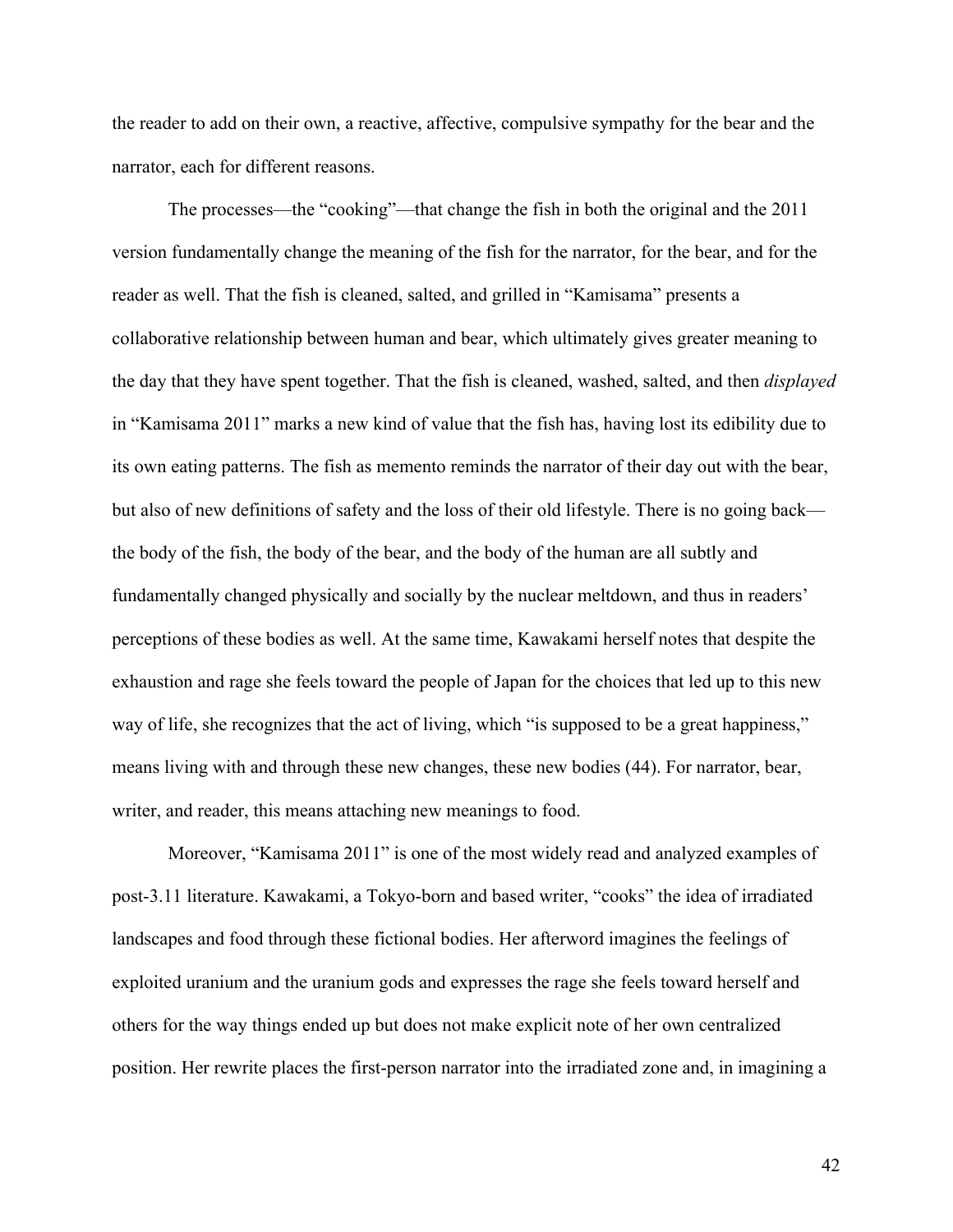the reader to add on their own, a reactive, affective, compulsive sympathy for the bear and the narrator, each for different reasons.

The processes—the "cooking"—that change the fish in both the original and the 2011 version fundamentally change the meaning of the fish for the narrator, for the bear, and for the reader as well. That the fish is cleaned, salted, and grilled in "Kamisama" presents a collaborative relationship between human and bear, which ultimately gives greater meaning to the day that they have spent together. That the fish is cleaned, washed, salted, and then *displayed* in "Kamisama 2011" marks a new kind of value that the fish has, having lost its edibility due to its own eating patterns. The fish as memento reminds the narrator of their day out with the bear, but also of new definitions of safety and the loss of their old lifestyle. There is no going back the body of the fish, the body of the bear, and the body of the human are all subtly and fundamentally changed physically and socially by the nuclear meltdown, and thus in readers' perceptions of these bodies as well. At the same time, Kawakami herself notes that despite the exhaustion and rage she feels toward the people of Japan for the choices that led up to this new way of life, she recognizes that the act of living, which "is supposed to be a great happiness," means living with and through these new changes, these new bodies (44). For narrator, bear, writer, and reader, this means attaching new meanings to food.

Moreover, "Kamisama 2011" is one of the most widely read and analyzed examples of post-3.11 literature. Kawakami, a Tokyo-born and based writer, "cooks" the idea of irradiated landscapes and food through these fictional bodies. Her afterword imagines the feelings of exploited uranium and the uranium gods and expresses the rage she feels toward herself and others for the way things ended up but does not make explicit note of her own centralized position. Her rewrite places the first-person narrator into the irradiated zone and, in imagining a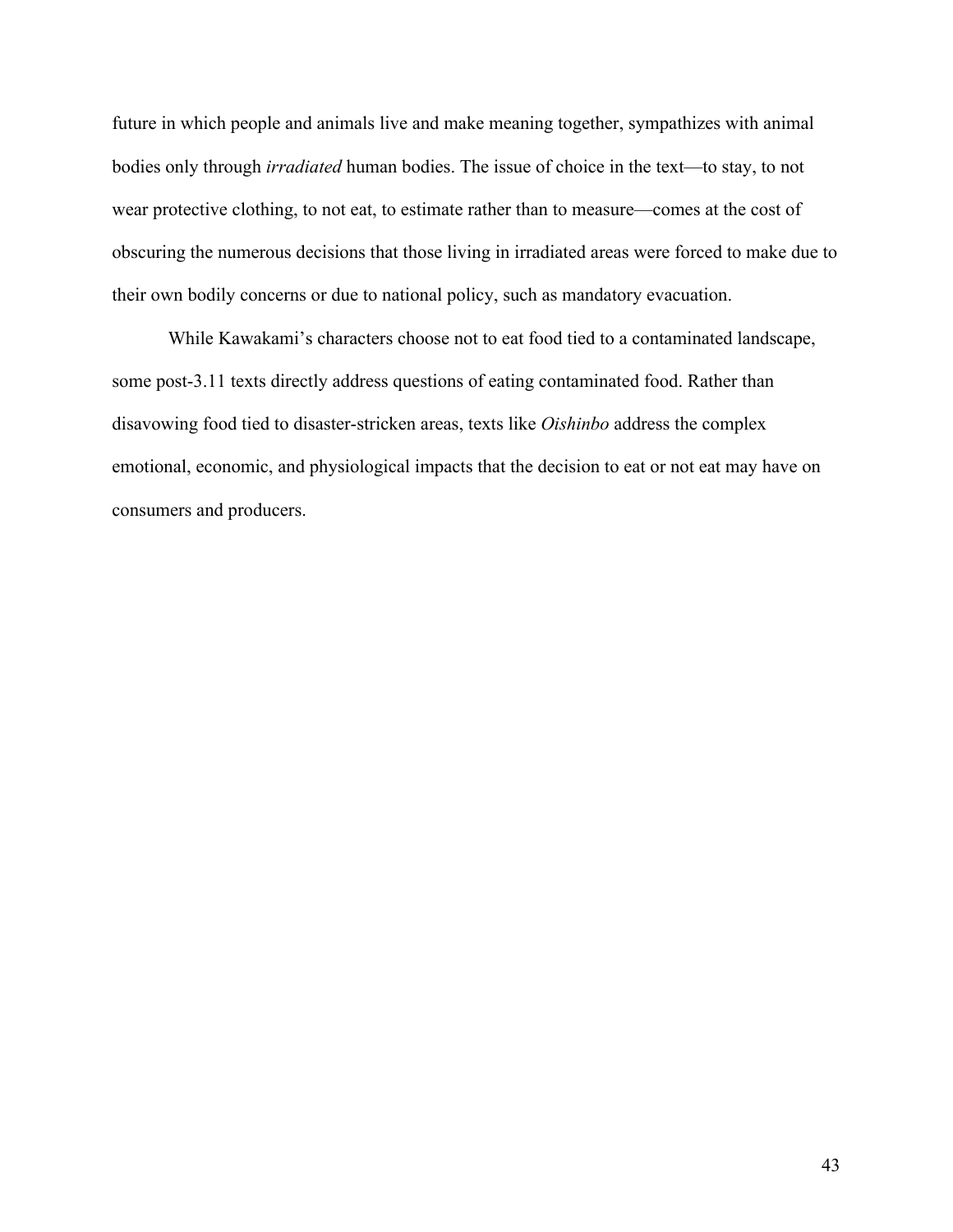future in which people and animals live and make meaning together, sympathizes with animal bodies only through *irradiated* human bodies. The issue of choice in the text—to stay, to not wear protective clothing, to not eat, to estimate rather than to measure—comes at the cost of obscuring the numerous decisions that those living in irradiated areas were forced to make due to their own bodily concerns or due to national policy, such as mandatory evacuation.

While Kawakami's characters choose not to eat food tied to a contaminated landscape, some post-3.11 texts directly address questions of eating contaminated food. Rather than disavowing food tied to disaster-stricken areas, texts like *Oishinbo* address the complex emotional, economic, and physiological impacts that the decision to eat or not eat may have on consumers and producers.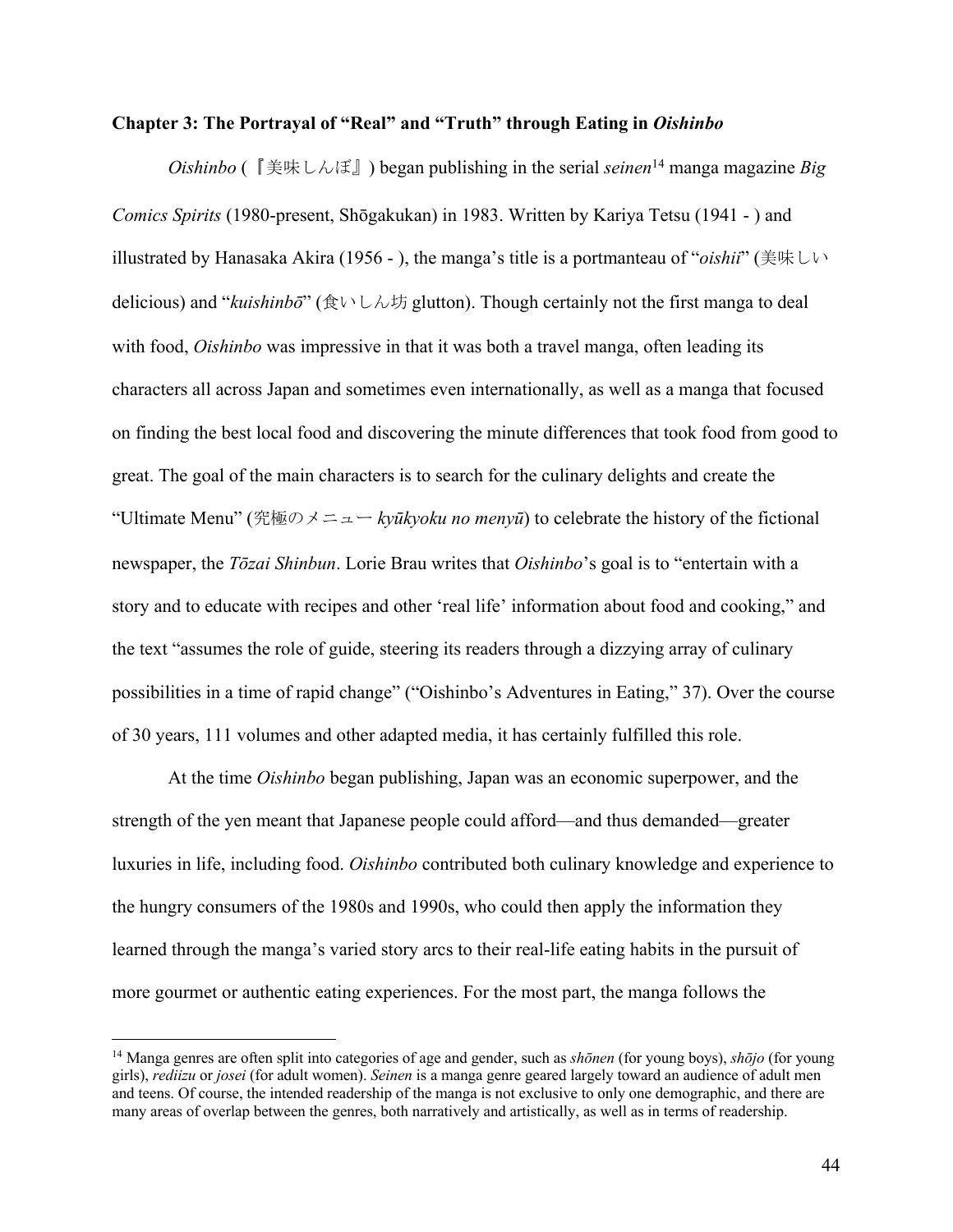#### **Chapter 3: The Portrayal of "Real" and "Truth" through Eating in** *Oishinbo*

*Oishinbo* (『美味しんぼ』) began publishing in the serial *seinen*<sup>14</sup> manga magazine *Big Comics Spirits* (1980-present, Shōgakukan) in 1983. Written by Kariya Tetsu (1941 - ) and illustrated by Hanasaka Akira (1956 - ), the manga's title is a portmanteau of "*oishii*" (美味しい delicious) and "*kuishinbō*" (食いしん坊 glutton). Though certainly not the first manga to deal with food, *Oishinbo* was impressive in that it was both a travel manga, often leading its characters all across Japan and sometimes even internationally, as well as a manga that focused on finding the best local food and discovering the minute differences that took food from good to great. The goal of the main characters is to search for the culinary delights and create the "Ultimate Menu" (究極のメニュー *kyūkyoku no menyū*) to celebrate the history of the fictional newspaper, the *Tōzai Shinbun*. Lorie Brau writes that *Oishinbo*'s goal is to "entertain with a story and to educate with recipes and other 'real life' information about food and cooking," and the text "assumes the role of guide, steering its readers through a dizzying array of culinary possibilities in a time of rapid change" ("Oishinbo's Adventures in Eating," 37). Over the course of 30 years, 111 volumes and other adapted media, it has certainly fulfilled this role.

At the time *Oishinbo* began publishing, Japan was an economic superpower, and the strength of the yen meant that Japanese people could afford—and thus demanded—greater luxuries in life, including food. *Oishinbo* contributed both culinary knowledge and experience to the hungry consumers of the 1980s and 1990s, who could then apply the information they learned through the manga's varied story arcs to their real-life eating habits in the pursuit of more gourmet or authentic eating experiences. For the most part, the manga follows the

<sup>14</sup> Manga genres are often split into categories of age and gender, such as *shōnen* (for young boys), *shōjo* (for young girls), *rediizu* or *josei* (for adult women). *Seinen* is a manga genre geared largely toward an audience of adult men and teens. Of course, the intended readership of the manga is not exclusive to only one demographic, and there are many areas of overlap between the genres, both narratively and artistically, as well as in terms of readership.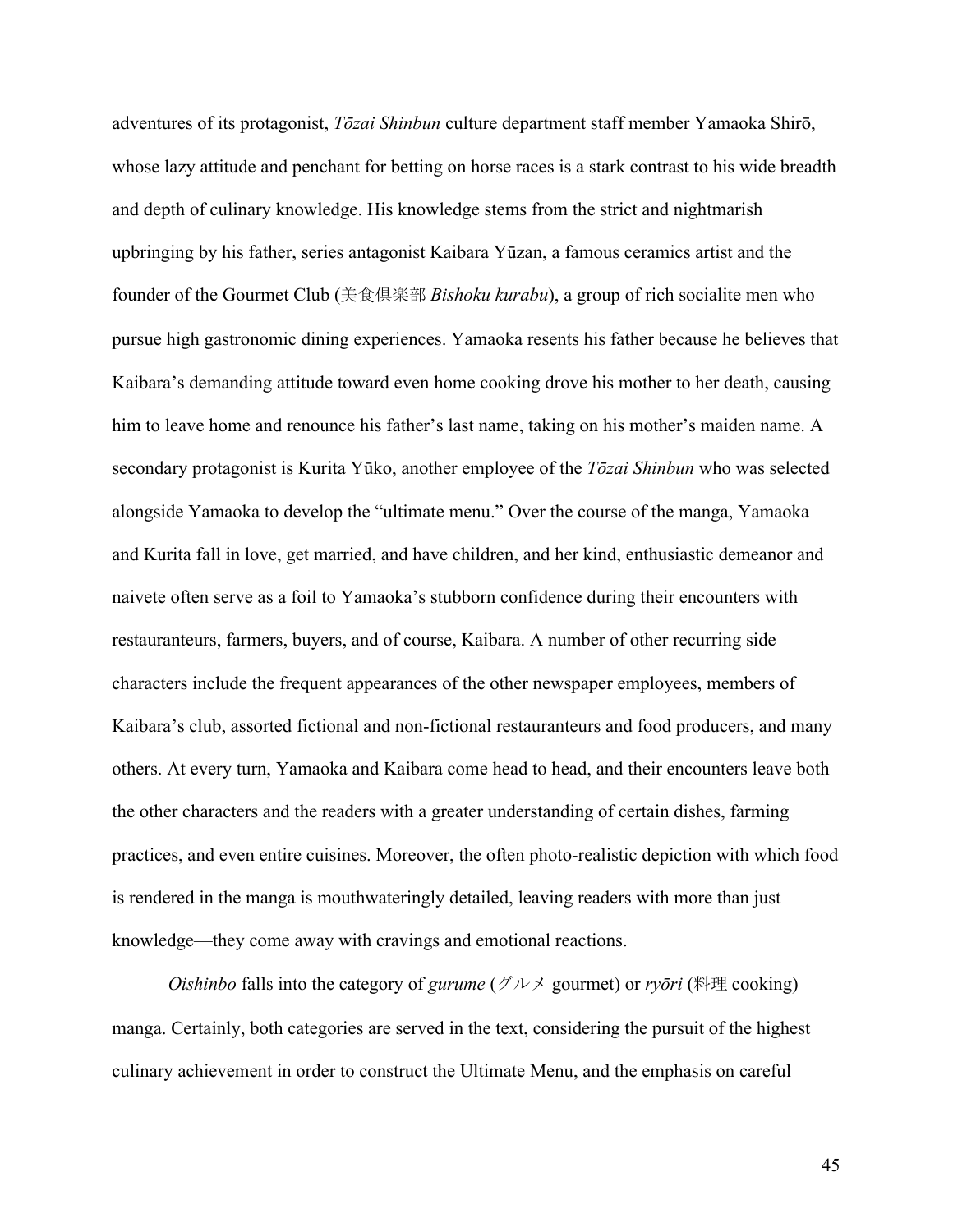adventures of its protagonist, *Tōzai Shinbun* culture department staff member Yamaoka Shirō, whose lazy attitude and penchant for betting on horse races is a stark contrast to his wide breadth and depth of culinary knowledge. His knowledge stems from the strict and nightmarish upbringing by his father, series antagonist Kaibara Yūzan, a famous ceramics artist and the founder of the Gourmet Club (美食倶楽部 *Bishoku kurabu*), a group of rich socialite men who pursue high gastronomic dining experiences. Yamaoka resents his father because he believes that Kaibara's demanding attitude toward even home cooking drove his mother to her death, causing him to leave home and renounce his father's last name, taking on his mother's maiden name. A secondary protagonist is Kurita Yūko, another employee of the *Tōzai Shinbun* who was selected alongside Yamaoka to develop the "ultimate menu." Over the course of the manga, Yamaoka and Kurita fall in love, get married, and have children, and her kind, enthusiastic demeanor and naivete often serve as a foil to Yamaoka's stubborn confidence during their encounters with restauranteurs, farmers, buyers, and of course, Kaibara. A number of other recurring side characters include the frequent appearances of the other newspaper employees, members of Kaibara's club, assorted fictional and non-fictional restauranteurs and food producers, and many others. At every turn, Yamaoka and Kaibara come head to head, and their encounters leave both the other characters and the readers with a greater understanding of certain dishes, farming practices, and even entire cuisines. Moreover, the often photo-realistic depiction with which food is rendered in the manga is mouthwateringly detailed, leaving readers with more than just knowledge—they come away with cravings and emotional reactions.

*Oishinbo* falls into the category of *gurume* (グルメ gourmet) or *ryōri* (料理 cooking) manga. Certainly, both categories are served in the text, considering the pursuit of the highest culinary achievement in order to construct the Ultimate Menu, and the emphasis on careful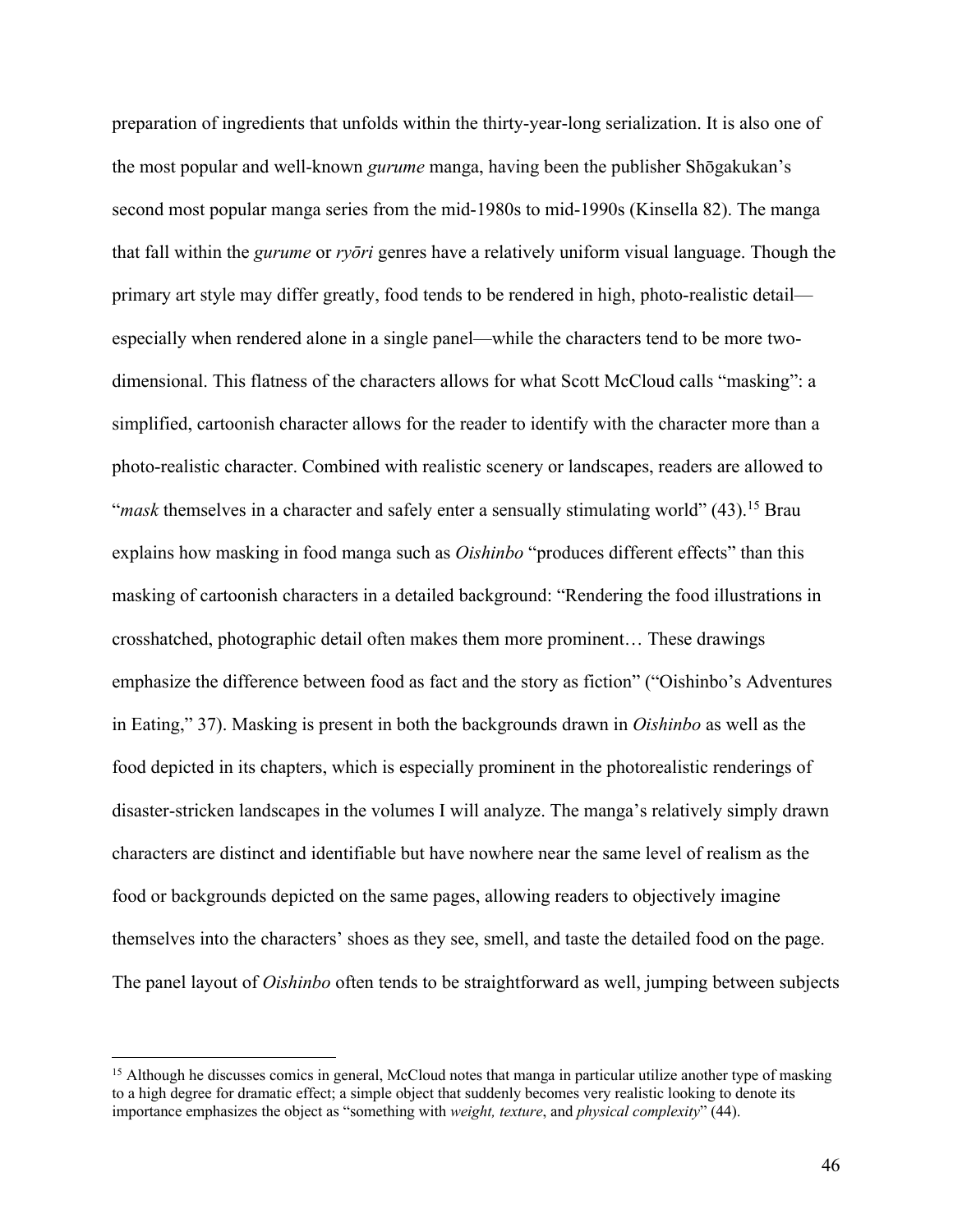preparation of ingredients that unfolds within the thirty-year-long serialization. It is also one of the most popular and well-known *gurume* manga, having been the publisher Shōgakukan's second most popular manga series from the mid-1980s to mid-1990s (Kinsella 82). The manga that fall within the *gurume* or *ryōri* genres have a relatively uniform visual language. Though the primary art style may differ greatly, food tends to be rendered in high, photo-realistic detail especially when rendered alone in a single panel—while the characters tend to be more twodimensional. This flatness of the characters allows for what Scott McCloud calls "masking": a simplified, cartoonish character allows for the reader to identify with the character more than a photo-realistic character. Combined with realistic scenery or landscapes, readers are allowed to "*mask* themselves in a character and safely enter a sensually stimulating world" (43).15 Brau explains how masking in food manga such as *Oishinbo* "produces different effects" than this masking of cartoonish characters in a detailed background: "Rendering the food illustrations in crosshatched, photographic detail often makes them more prominent… These drawings emphasize the difference between food as fact and the story as fiction" ("Oishinbo's Adventures in Eating," 37). Masking is present in both the backgrounds drawn in *Oishinbo* as well as the food depicted in its chapters, which is especially prominent in the photorealistic renderings of disaster-stricken landscapes in the volumes I will analyze. The manga's relatively simply drawn characters are distinct and identifiable but have nowhere near the same level of realism as the food or backgrounds depicted on the same pages, allowing readers to objectively imagine themselves into the characters' shoes as they see, smell, and taste the detailed food on the page. The panel layout of *Oishinbo* often tends to be straightforward as well, jumping between subjects

<sup>&</sup>lt;sup>15</sup> Although he discusses comics in general, McCloud notes that manga in particular utilize another type of masking to a high degree for dramatic effect; a simple object that suddenly becomes very realistic looking to denote its importance emphasizes the object as "something with *weight, texture*, and *physical complexity*" (44).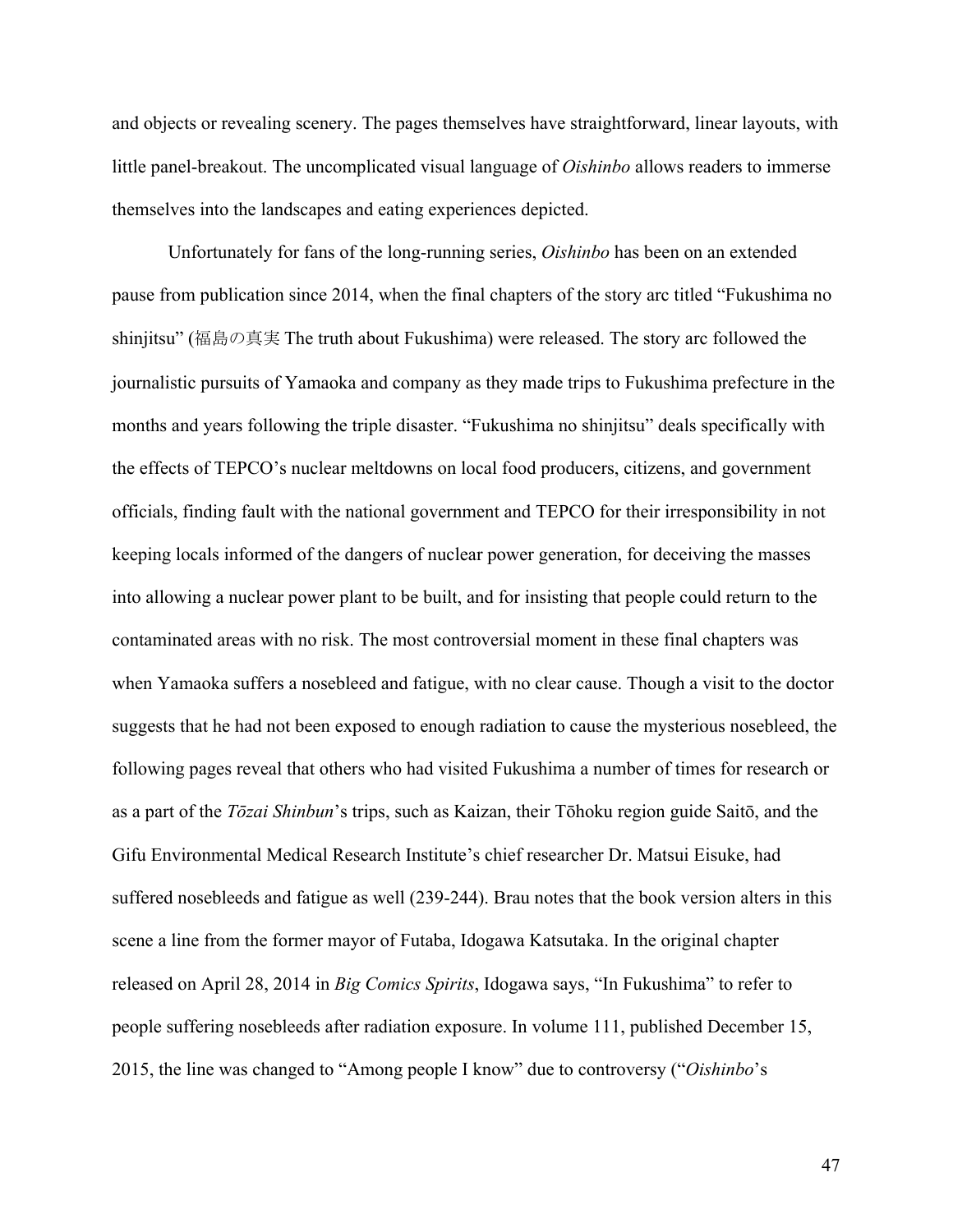and objects or revealing scenery. The pages themselves have straightforward, linear layouts, with little panel-breakout. The uncomplicated visual language of *Oishinbo* allows readers to immerse themselves into the landscapes and eating experiences depicted.

Unfortunately for fans of the long-running series, *Oishinbo* has been on an extended pause from publication since 2014, when the final chapters of the story arc titled "Fukushima no shinjitsu" (福島の真実 The truth about Fukushima) were released. The story arc followed the journalistic pursuits of Yamaoka and company as they made trips to Fukushima prefecture in the months and years following the triple disaster. "Fukushima no shinjitsu" deals specifically with the effects of TEPCO's nuclear meltdowns on local food producers, citizens, and government officials, finding fault with the national government and TEPCO for their irresponsibility in not keeping locals informed of the dangers of nuclear power generation, for deceiving the masses into allowing a nuclear power plant to be built, and for insisting that people could return to the contaminated areas with no risk. The most controversial moment in these final chapters was when Yamaoka suffers a nosebleed and fatigue, with no clear cause. Though a visit to the doctor suggests that he had not been exposed to enough radiation to cause the mysterious nosebleed, the following pages reveal that others who had visited Fukushima a number of times for research or as a part of the *Tōzai Shinbun*'s trips, such as Kaizan, their Tōhoku region guide Saitō, and the Gifu Environmental Medical Research Institute's chief researcher Dr. Matsui Eisuke, had suffered nosebleeds and fatigue as well (239-244). Brau notes that the book version alters in this scene a line from the former mayor of Futaba, Idogawa Katsutaka. In the original chapter released on April 28, 2014 in *Big Comics Spirits*, Idogawa says, "In Fukushima" to refer to people suffering nosebleeds after radiation exposure. In volume 111, published December 15, 2015, the line was changed to "Among people I know" due to controversy ("*Oishinbo*'s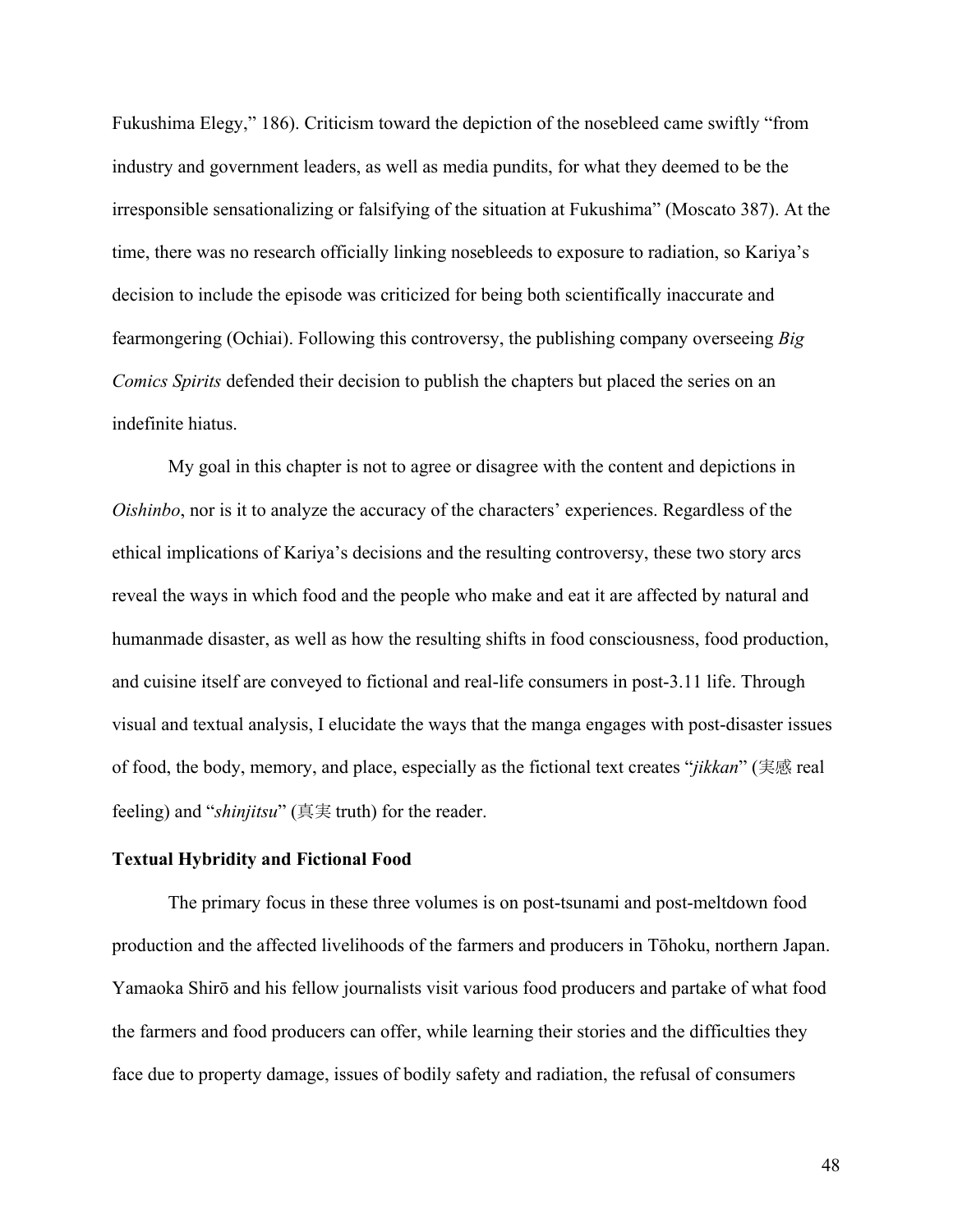Fukushima Elegy," 186). Criticism toward the depiction of the nosebleed came swiftly "from industry and government leaders, as well as media pundits, for what they deemed to be the irresponsible sensationalizing or falsifying of the situation at Fukushima" (Moscato 387). At the time, there was no research officially linking nosebleeds to exposure to radiation, so Kariya's decision to include the episode was criticized for being both scientifically inaccurate and fearmongering (Ochiai). Following this controversy, the publishing company overseeing *Big Comics Spirits* defended their decision to publish the chapters but placed the series on an indefinite hiatus.

My goal in this chapter is not to agree or disagree with the content and depictions in *Oishinbo*, nor is it to analyze the accuracy of the characters' experiences. Regardless of the ethical implications of Kariya's decisions and the resulting controversy, these two story arcs reveal the ways in which food and the people who make and eat it are affected by natural and humanmade disaster, as well as how the resulting shifts in food consciousness, food production, and cuisine itself are conveyed to fictional and real-life consumers in post-3.11 life. Through visual and textual analysis, I elucidate the ways that the manga engages with post-disaster issues of food, the body, memory, and place, especially as the fictional text creates "*jikkan*" (実感 real feeling) and "*shinjitsu*" (真実 truth) for the reader.

### **Textual Hybridity and Fictional Food**

The primary focus in these three volumes is on post-tsunami and post-meltdown food production and the affected livelihoods of the farmers and producers in Tōhoku, northern Japan. Yamaoka Shirō and his fellow journalists visit various food producers and partake of what food the farmers and food producers can offer, while learning their stories and the difficulties they face due to property damage, issues of bodily safety and radiation, the refusal of consumers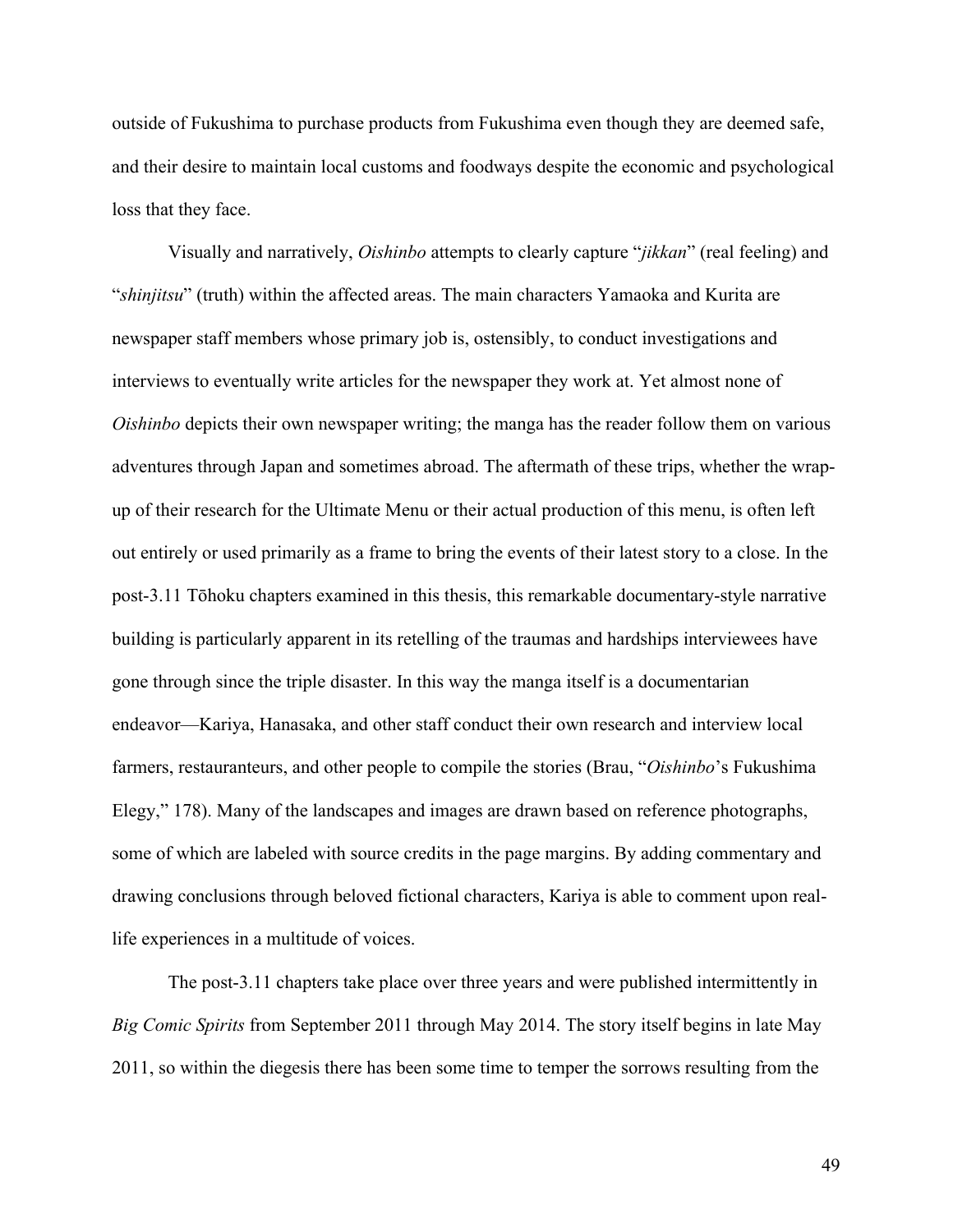outside of Fukushima to purchase products from Fukushima even though they are deemed safe, and their desire to maintain local customs and foodways despite the economic and psychological loss that they face.

Visually and narratively, *Oishinbo* attempts to clearly capture "*jikkan*" (real feeling) and "*shinjitsu*" (truth) within the affected areas. The main characters Yamaoka and Kurita are newspaper staff members whose primary job is, ostensibly, to conduct investigations and interviews to eventually write articles for the newspaper they work at. Yet almost none of *Oishinbo* depicts their own newspaper writing; the manga has the reader follow them on various adventures through Japan and sometimes abroad. The aftermath of these trips, whether the wrapup of their research for the Ultimate Menu or their actual production of this menu, is often left out entirely or used primarily as a frame to bring the events of their latest story to a close. In the post-3.11 Tōhoku chapters examined in this thesis, this remarkable documentary-style narrative building is particularly apparent in its retelling of the traumas and hardships interviewees have gone through since the triple disaster. In this way the manga itself is a documentarian endeavor—Kariya, Hanasaka, and other staff conduct their own research and interview local farmers, restauranteurs, and other people to compile the stories (Brau, "*Oishinbo*'s Fukushima Elegy," 178). Many of the landscapes and images are drawn based on reference photographs, some of which are labeled with source credits in the page margins. By adding commentary and drawing conclusions through beloved fictional characters, Kariya is able to comment upon reallife experiences in a multitude of voices.

The post-3.11 chapters take place over three years and were published intermittently in *Big Comic Spirits* from September 2011 through May 2014. The story itself begins in late May 2011, so within the diegesis there has been some time to temper the sorrows resulting from the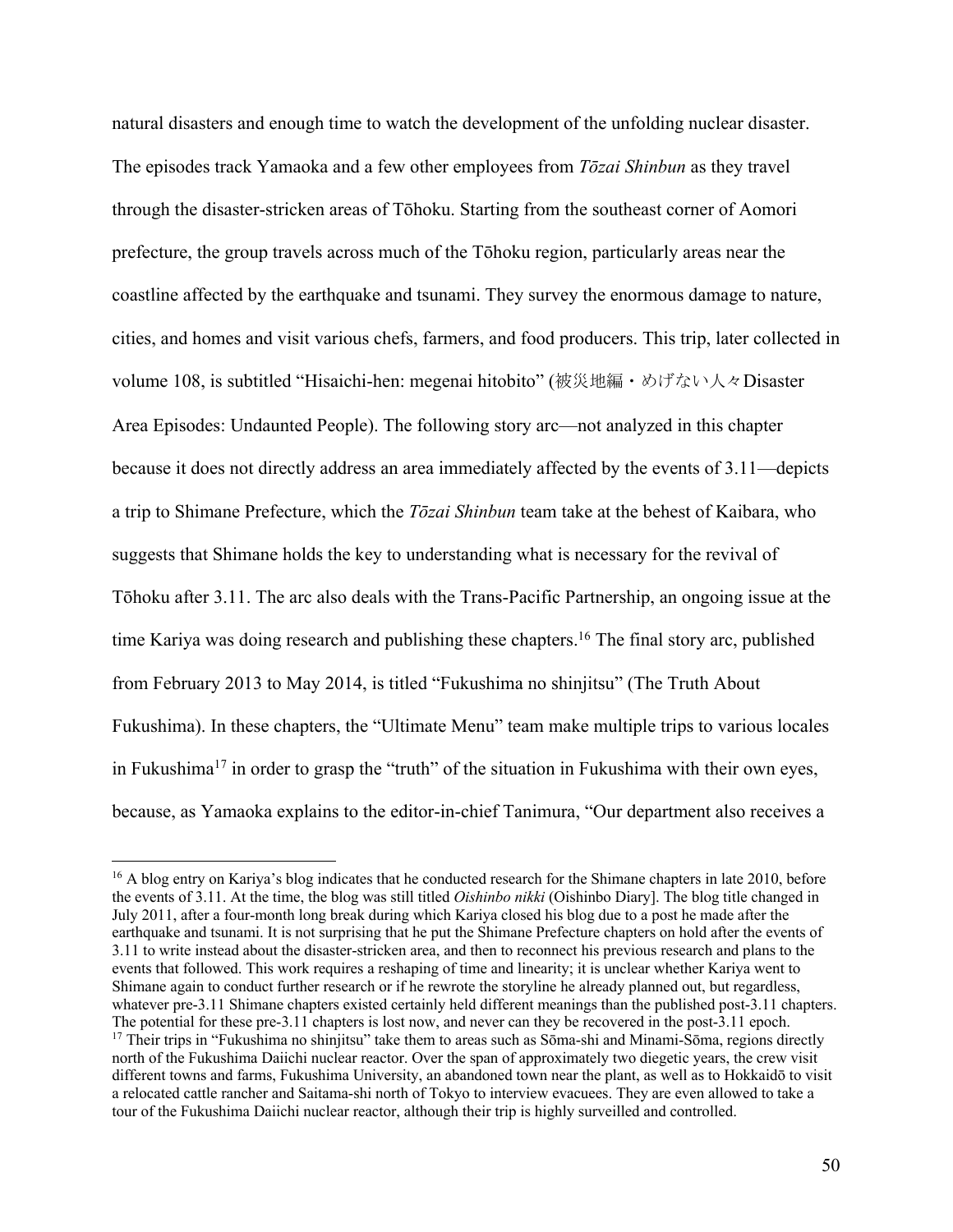natural disasters and enough time to watch the development of the unfolding nuclear disaster. The episodes track Yamaoka and a few other employees from *Tōzai Shinbun* as they travel through the disaster-stricken areas of Tōhoku. Starting from the southeast corner of Aomori prefecture, the group travels across much of the Tōhoku region, particularly areas near the coastline affected by the earthquake and tsunami. They survey the enormous damage to nature, cities, and homes and visit various chefs, farmers, and food producers. This trip, later collected in volume 108, is subtitled "Hisaichi-hen: megenai hitobito" (被災地編・めげない人々Disaster Area Episodes: Undaunted People). The following story arc—not analyzed in this chapter because it does not directly address an area immediately affected by the events of 3.11—depicts a trip to Shimane Prefecture, which the *Tōzai Shinbun* team take at the behest of Kaibara, who suggests that Shimane holds the key to understanding what is necessary for the revival of Tōhoku after 3.11. The arc also deals with the Trans-Pacific Partnership, an ongoing issue at the time Kariya was doing research and publishing these chapters.<sup>16</sup> The final story arc, published from February 2013 to May 2014, is titled "Fukushima no shinjitsu" (The Truth About Fukushima). In these chapters, the "Ultimate Menu" team make multiple trips to various locales in Fukushima<sup>17</sup> in order to grasp the "truth" of the situation in Fukushima with their own eyes, because, as Yamaoka explains to the editor-in-chief Tanimura, "Our department also receives a

<sup>&</sup>lt;sup>16</sup> A blog entry on Kariya's blog indicates that he conducted research for the Shimane chapters in late 2010, before the events of 3.11. At the time, the blog was still titled *Oishinbo nikki* (Oishinbo Diary]. The blog title changed in July 2011, after a four-month long break during which Kariya closed his blog due to a post he made after the earthquake and tsunami. It is not surprising that he put the Shimane Prefecture chapters on hold after the events of 3.11 to write instead about the disaster-stricken area, and then to reconnect his previous research and plans to the events that followed. This work requires a reshaping of time and linearity; it is unclear whether Kariya went to Shimane again to conduct further research or if he rewrote the storyline he already planned out, but regardless, whatever pre-3.11 Shimane chapters existed certainly held different meanings than the published post-3.11 chapters. The potential for these pre-3.11 chapters is lost now, and never can they be recovered in the post-3.11 epoch. <sup>17</sup> Their trips in "Fukushima no shinjitsu" take them to areas such as Sōma-shi and Minami-Sōma, regions directly north of the Fukushima Daiichi nuclear reactor. Over the span of approximately two diegetic years, the crew visit different towns and farms, Fukushima University, an abandoned town near the plant, as well as to Hokkaidō to visit a relocated cattle rancher and Saitama-shi north of Tokyo to interview evacuees. They are even allowed to take a tour of the Fukushima Daiichi nuclear reactor, although their trip is highly surveilled and controlled.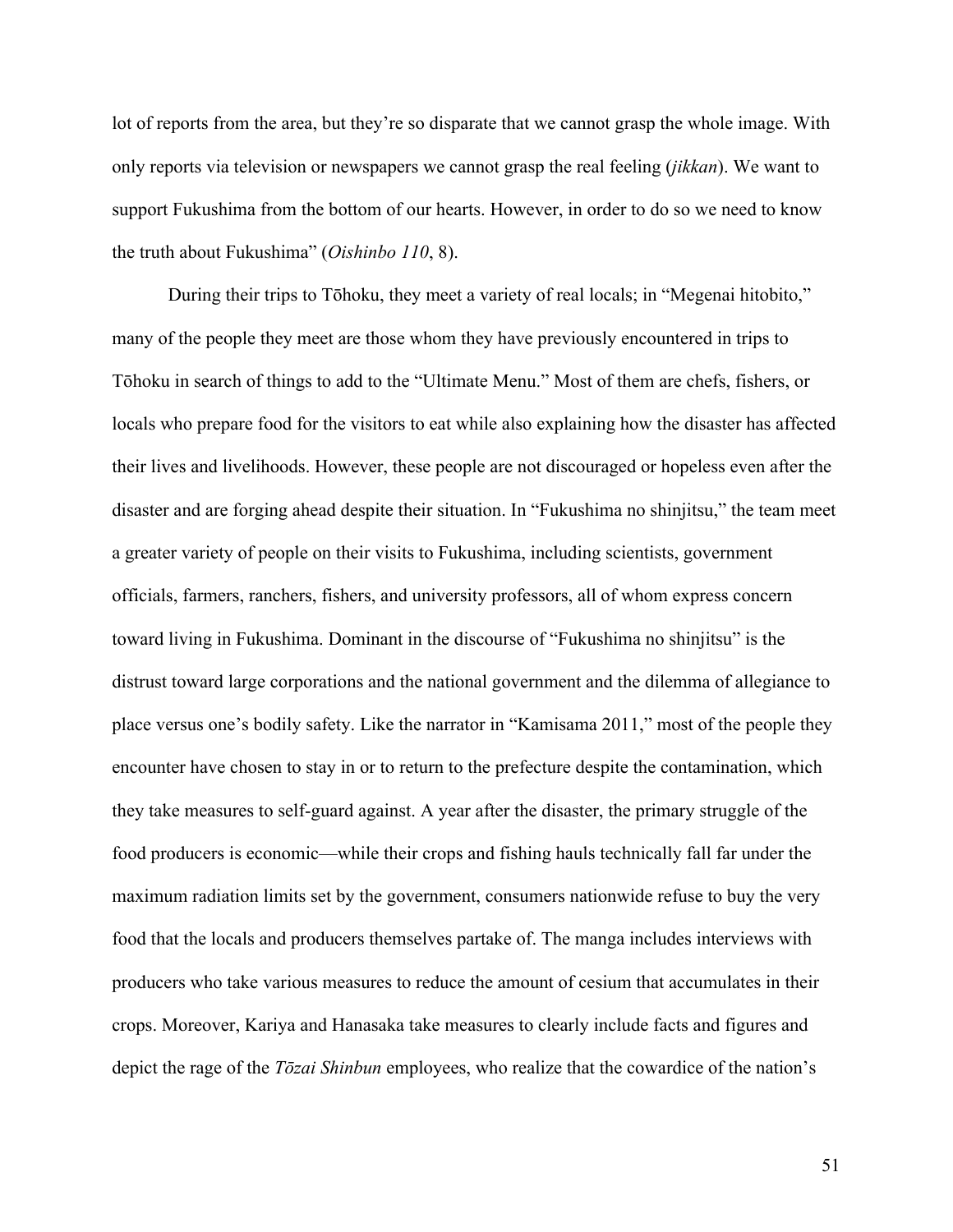lot of reports from the area, but they're so disparate that we cannot grasp the whole image. With only reports via television or newspapers we cannot grasp the real feeling (*jikkan*). We want to support Fukushima from the bottom of our hearts. However, in order to do so we need to know the truth about Fukushima" (*Oishinbo 110*, 8).

During their trips to Tōhoku, they meet a variety of real locals; in "Megenai hitobito," many of the people they meet are those whom they have previously encountered in trips to Tōhoku in search of things to add to the "Ultimate Menu." Most of them are chefs, fishers, or locals who prepare food for the visitors to eat while also explaining how the disaster has affected their lives and livelihoods. However, these people are not discouraged or hopeless even after the disaster and are forging ahead despite their situation. In "Fukushima no shinjitsu," the team meet a greater variety of people on their visits to Fukushima, including scientists, government officials, farmers, ranchers, fishers, and university professors, all of whom express concern toward living in Fukushima. Dominant in the discourse of "Fukushima no shinjitsu" is the distrust toward large corporations and the national government and the dilemma of allegiance to place versus one's bodily safety. Like the narrator in "Kamisama 2011," most of the people they encounter have chosen to stay in or to return to the prefecture despite the contamination, which they take measures to self-guard against. A year after the disaster, the primary struggle of the food producers is economic—while their crops and fishing hauls technically fall far under the maximum radiation limits set by the government, consumers nationwide refuse to buy the very food that the locals and producers themselves partake of. The manga includes interviews with producers who take various measures to reduce the amount of cesium that accumulates in their crops. Moreover, Kariya and Hanasaka take measures to clearly include facts and figures and depict the rage of the *Tōzai Shinbun* employees, who realize that the cowardice of the nation's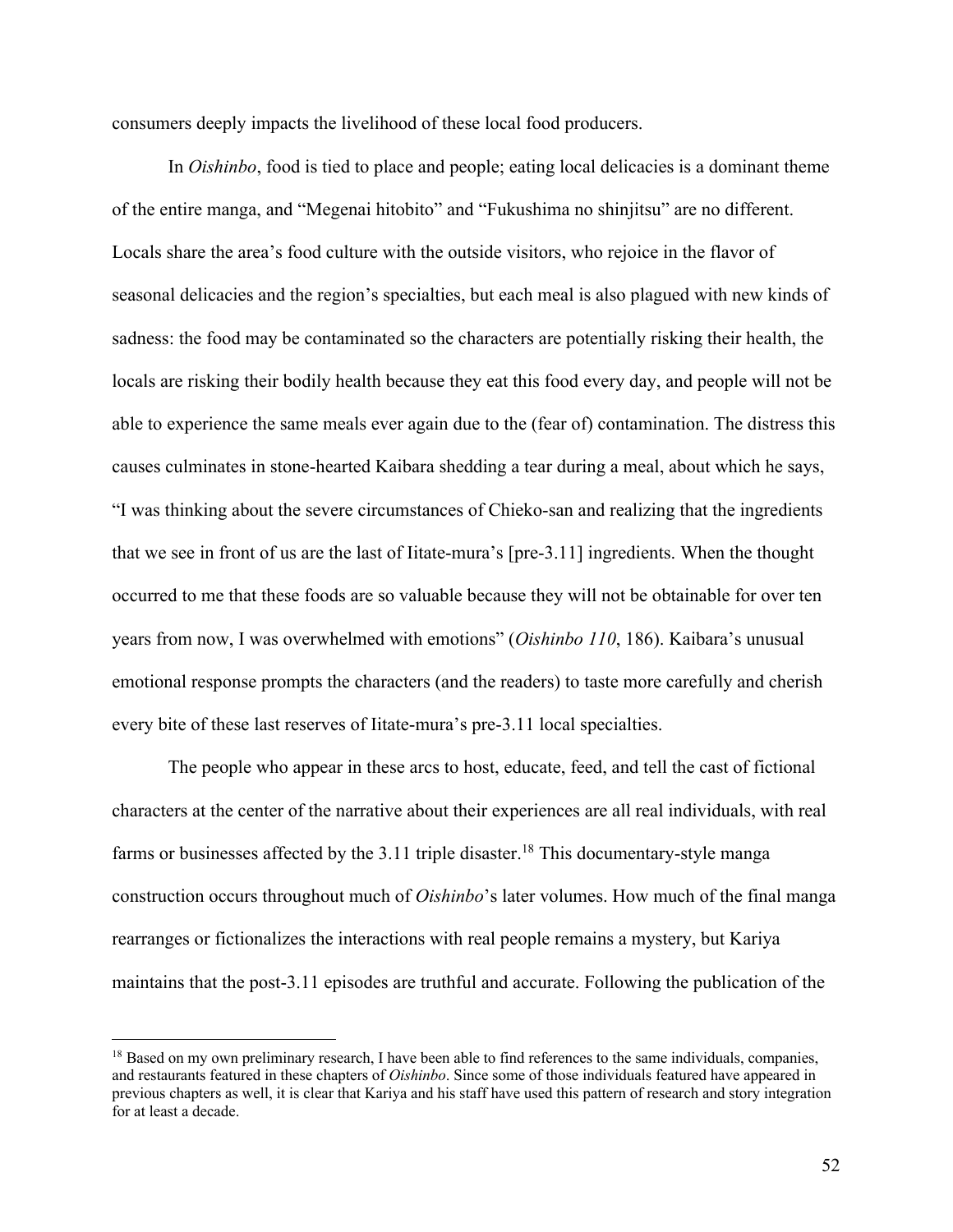consumers deeply impacts the livelihood of these local food producers.

In *Oishinbo*, food is tied to place and people; eating local delicacies is a dominant theme of the entire manga, and "Megenai hitobito" and "Fukushima no shinjitsu" are no different. Locals share the area's food culture with the outside visitors, who rejoice in the flavor of seasonal delicacies and the region's specialties, but each meal is also plagued with new kinds of sadness: the food may be contaminated so the characters are potentially risking their health, the locals are risking their bodily health because they eat this food every day, and people will not be able to experience the same meals ever again due to the (fear of) contamination. The distress this causes culminates in stone-hearted Kaibara shedding a tear during a meal, about which he says, "I was thinking about the severe circumstances of Chieko-san and realizing that the ingredients that we see in front of us are the last of Iitate-mura's [pre-3.11] ingredients. When the thought occurred to me that these foods are so valuable because they will not be obtainable for over ten years from now, I was overwhelmed with emotions" (*Oishinbo 110*, 186). Kaibara's unusual emotional response prompts the characters (and the readers) to taste more carefully and cherish every bite of these last reserves of Iitate-mura's pre-3.11 local specialties.

The people who appear in these arcs to host, educate, feed, and tell the cast of fictional characters at the center of the narrative about their experiences are all real individuals, with real farms or businesses affected by the 3.11 triple disaster.<sup>18</sup> This documentary-style manga construction occurs throughout much of *Oishinbo*'s later volumes. How much of the final manga rearranges or fictionalizes the interactions with real people remains a mystery, but Kariya maintains that the post-3.11 episodes are truthful and accurate. Following the publication of the

<sup>&</sup>lt;sup>18</sup> Based on my own preliminary research, I have been able to find references to the same individuals, companies, and restaurants featured in these chapters of *Oishinbo*. Since some of those individuals featured have appeared in previous chapters as well, it is clear that Kariya and his staff have used this pattern of research and story integration for at least a decade.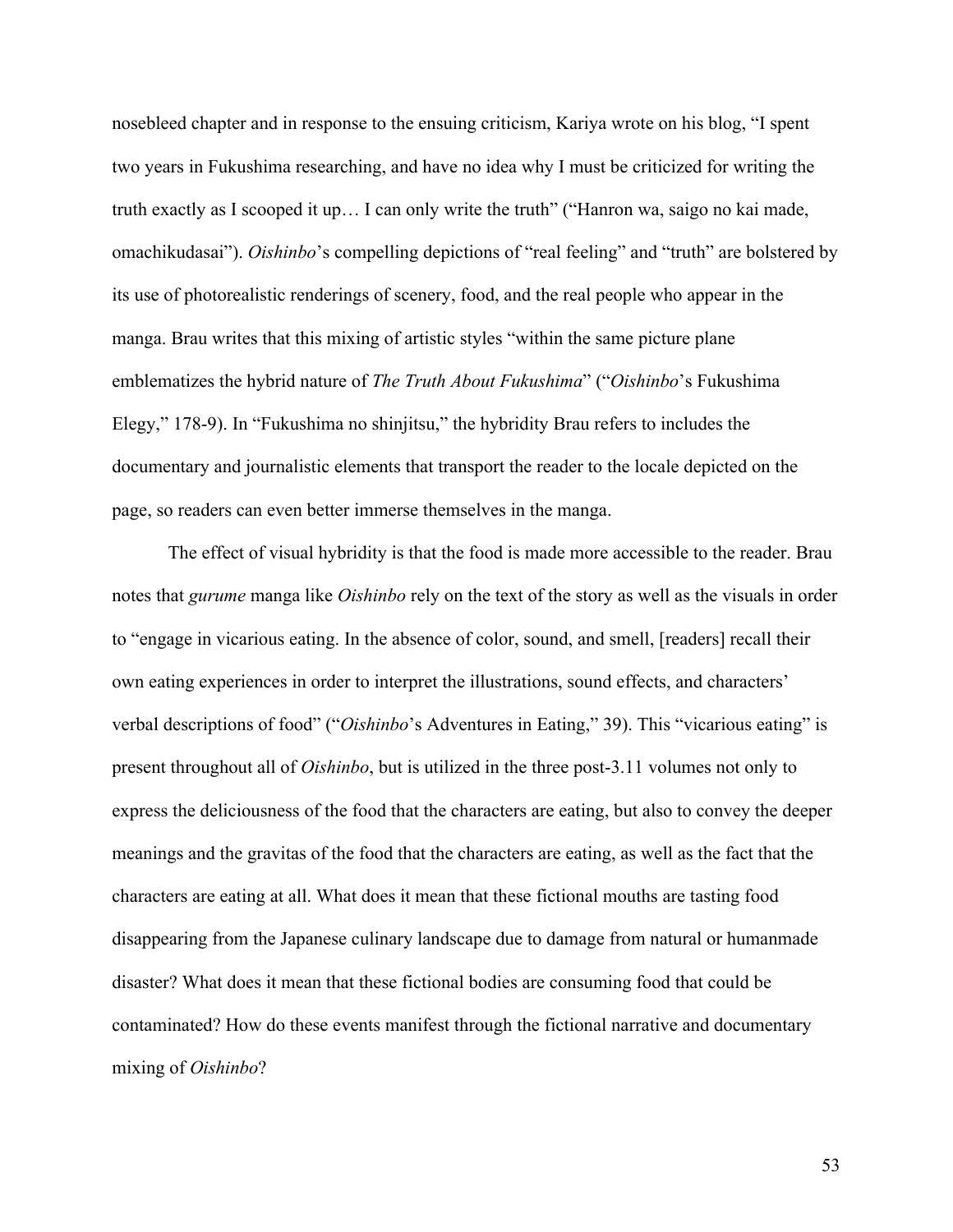nosebleed chapter and in response to the ensuing criticism, Kariya wrote on his blog, "I spent two years in Fukushima researching, and have no idea why I must be criticized for writing the truth exactly as I scooped it up… I can only write the truth" ("Hanron wa, saigo no kai made, omachikudasai"). *Oishinbo*'s compelling depictions of "real feeling" and "truth" are bolstered by its use of photorealistic renderings of scenery, food, and the real people who appear in the manga. Brau writes that this mixing of artistic styles "within the same picture plane emblematizes the hybrid nature of *The Truth About Fukushima*" ("*Oishinbo*'s Fukushima Elegy," 178-9). In "Fukushima no shinjitsu," the hybridity Brau refers to includes the documentary and journalistic elements that transport the reader to the locale depicted on the page, so readers can even better immerse themselves in the manga.

The effect of visual hybridity is that the food is made more accessible to the reader. Brau notes that *gurume* manga like *Oishinbo* rely on the text of the story as well as the visuals in order to "engage in vicarious eating. In the absence of color, sound, and smell, [readers] recall their own eating experiences in order to interpret the illustrations, sound effects, and characters' verbal descriptions of food" ("*Oishinbo*'s Adventures in Eating," 39). This "vicarious eating" is present throughout all of *Oishinbo*, but is utilized in the three post-3.11 volumes not only to express the deliciousness of the food that the characters are eating, but also to convey the deeper meanings and the gravitas of the food that the characters are eating, as well as the fact that the characters are eating at all. What does it mean that these fictional mouths are tasting food disappearing from the Japanese culinary landscape due to damage from natural or humanmade disaster? What does it mean that these fictional bodies are consuming food that could be contaminated? How do these events manifest through the fictional narrative and documentary mixing of *Oishinbo*?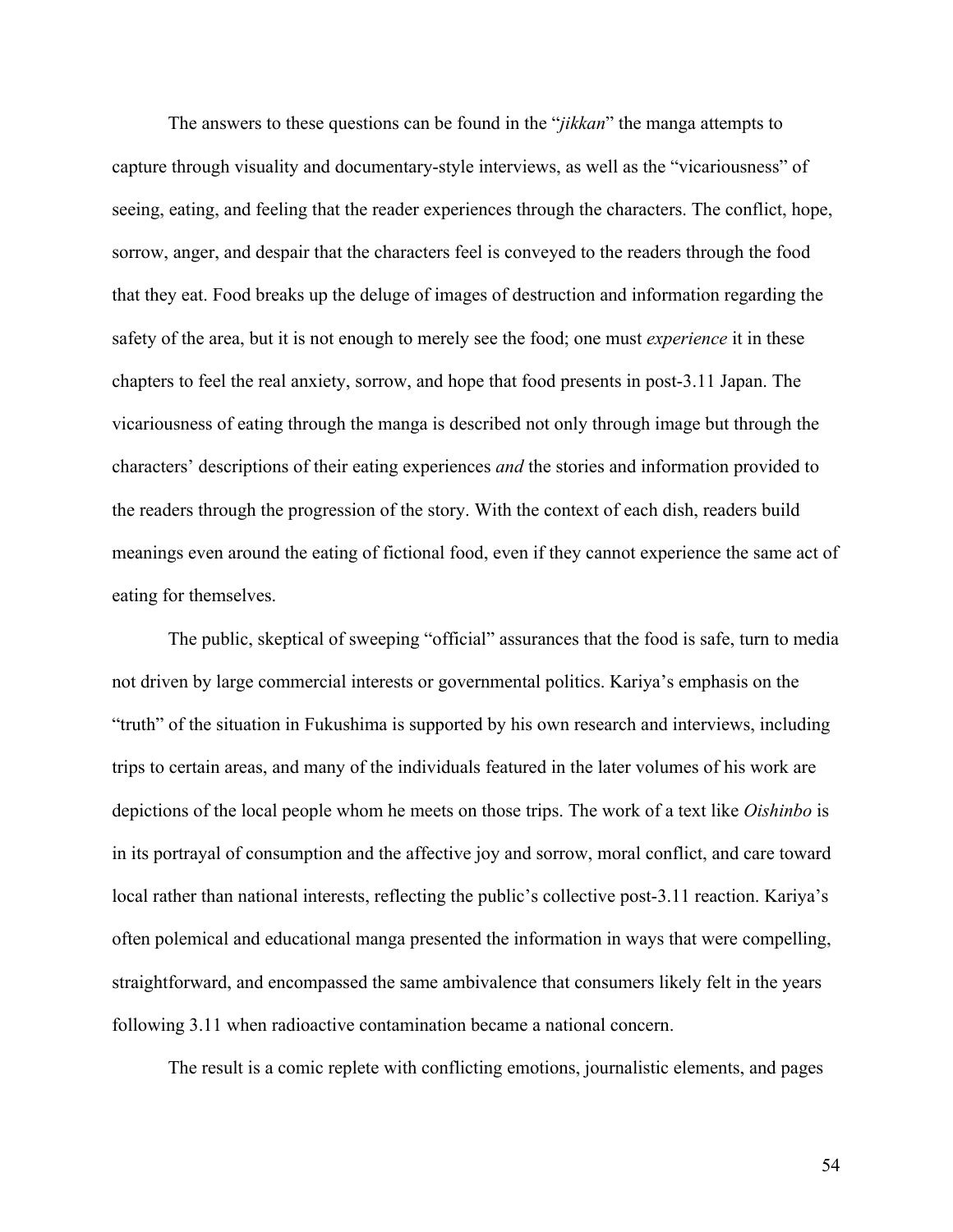The answers to these questions can be found in the "*jikkan*" the manga attempts to capture through visuality and documentary-style interviews, as well as the "vicariousness" of seeing, eating, and feeling that the reader experiences through the characters. The conflict, hope, sorrow, anger, and despair that the characters feel is conveyed to the readers through the food that they eat. Food breaks up the deluge of images of destruction and information regarding the safety of the area, but it is not enough to merely see the food; one must *experience* it in these chapters to feel the real anxiety, sorrow, and hope that food presents in post-3.11 Japan. The vicariousness of eating through the manga is described not only through image but through the characters' descriptions of their eating experiences *and* the stories and information provided to the readers through the progression of the story. With the context of each dish, readers build meanings even around the eating of fictional food, even if they cannot experience the same act of eating for themselves.

The public, skeptical of sweeping "official" assurances that the food is safe, turn to media not driven by large commercial interests or governmental politics. Kariya's emphasis on the "truth" of the situation in Fukushima is supported by his own research and interviews, including trips to certain areas, and many of the individuals featured in the later volumes of his work are depictions of the local people whom he meets on those trips. The work of a text like *Oishinbo* is in its portrayal of consumption and the affective joy and sorrow, moral conflict, and care toward local rather than national interests, reflecting the public's collective post-3.11 reaction. Kariya's often polemical and educational manga presented the information in ways that were compelling, straightforward, and encompassed the same ambivalence that consumers likely felt in the years following 3.11 when radioactive contamination became a national concern.

The result is a comic replete with conflicting emotions, journalistic elements, and pages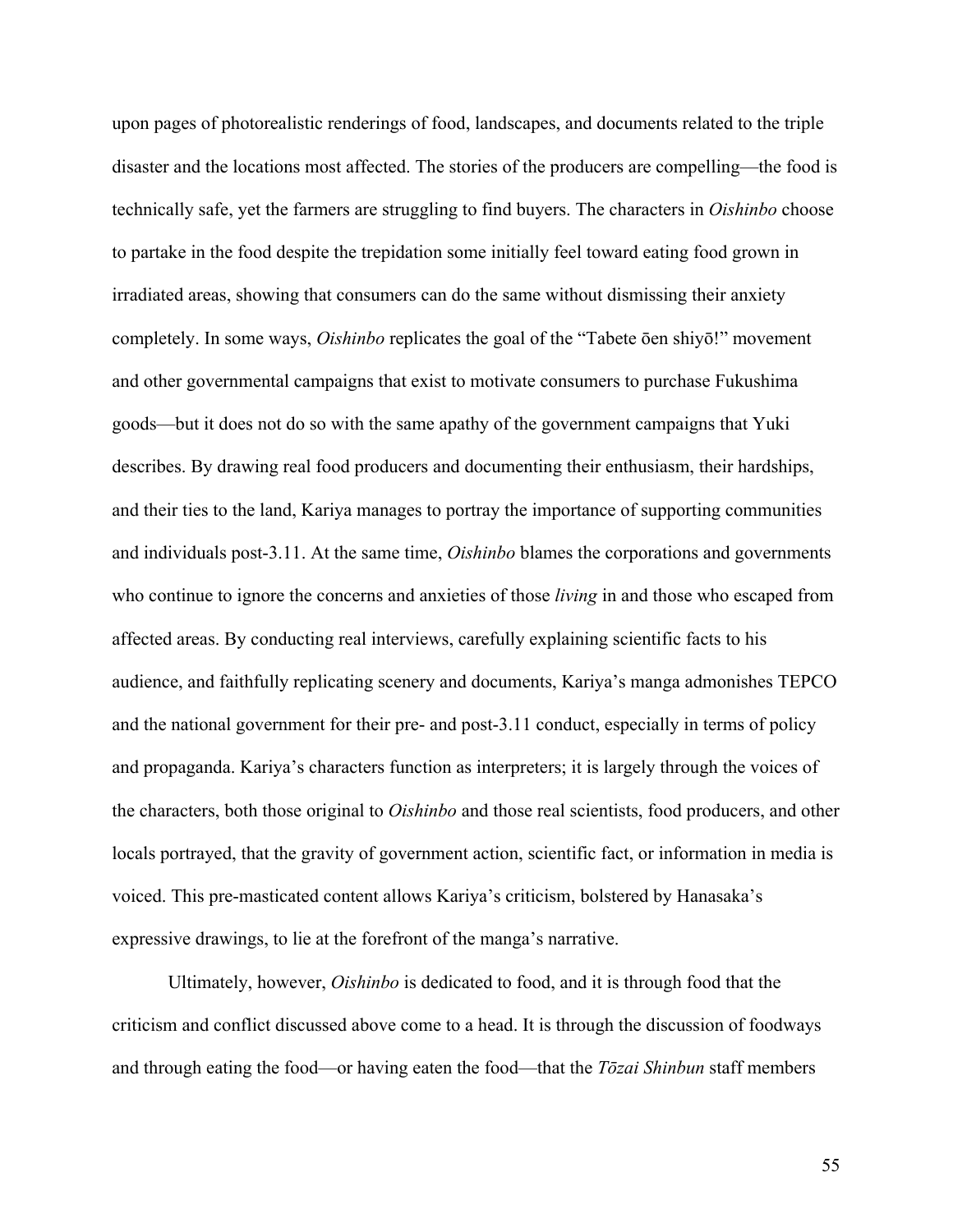upon pages of photorealistic renderings of food, landscapes, and documents related to the triple disaster and the locations most affected. The stories of the producers are compelling—the food is technically safe, yet the farmers are struggling to find buyers. The characters in *Oishinbo* choose to partake in the food despite the trepidation some initially feel toward eating food grown in irradiated areas, showing that consumers can do the same without dismissing their anxiety completely. In some ways, *Oishinbo* replicates the goal of the "Tabete ōen shiyō!" movement and other governmental campaigns that exist to motivate consumers to purchase Fukushima goods—but it does not do so with the same apathy of the government campaigns that Yuki describes. By drawing real food producers and documenting their enthusiasm, their hardships, and their ties to the land, Kariya manages to portray the importance of supporting communities and individuals post-3.11. At the same time, *Oishinbo* blames the corporations and governments who continue to ignore the concerns and anxieties of those *living* in and those who escaped from affected areas. By conducting real interviews, carefully explaining scientific facts to his audience, and faithfully replicating scenery and documents, Kariya's manga admonishes TEPCO and the national government for their pre- and post-3.11 conduct, especially in terms of policy and propaganda. Kariya's characters function as interpreters; it is largely through the voices of the characters, both those original to *Oishinbo* and those real scientists, food producers, and other locals portrayed, that the gravity of government action, scientific fact, or information in media is voiced. This pre-masticated content allows Kariya's criticism, bolstered by Hanasaka's expressive drawings, to lie at the forefront of the manga's narrative.

Ultimately, however, *Oishinbo* is dedicated to food, and it is through food that the criticism and conflict discussed above come to a head. It is through the discussion of foodways and through eating the food—or having eaten the food—that the *Tōzai Shinbun* staff members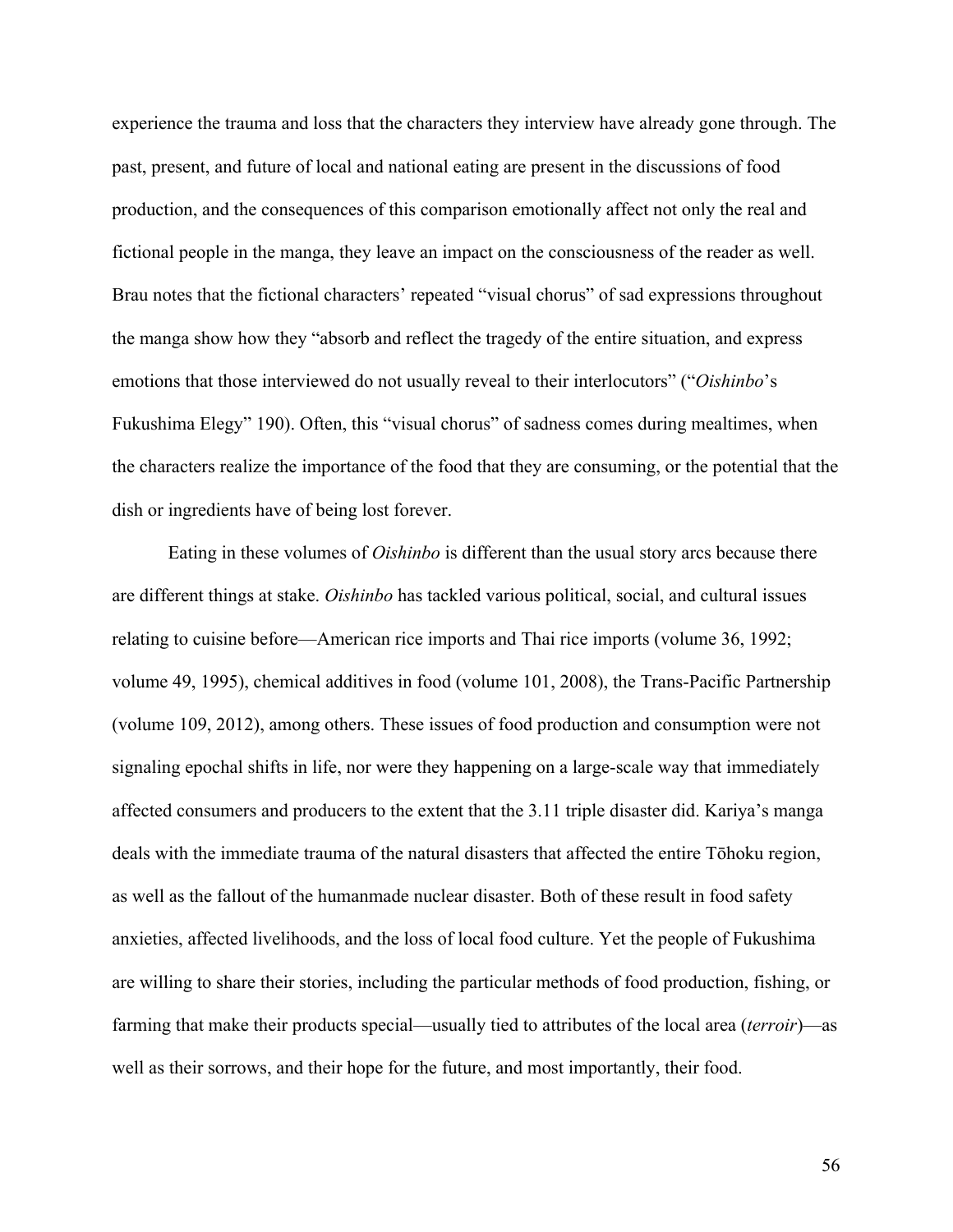experience the trauma and loss that the characters they interview have already gone through. The past, present, and future of local and national eating are present in the discussions of food production, and the consequences of this comparison emotionally affect not only the real and fictional people in the manga, they leave an impact on the consciousness of the reader as well. Brau notes that the fictional characters' repeated "visual chorus" of sad expressions throughout the manga show how they "absorb and reflect the tragedy of the entire situation, and express emotions that those interviewed do not usually reveal to their interlocutors" ("*Oishinbo*'s Fukushima Elegy" 190). Often, this "visual chorus" of sadness comes during mealtimes, when the characters realize the importance of the food that they are consuming, or the potential that the dish or ingredients have of being lost forever.

Eating in these volumes of *Oishinbo* is different than the usual story arcs because there are different things at stake. *Oishinbo* has tackled various political, social, and cultural issues relating to cuisine before—American rice imports and Thai rice imports (volume 36, 1992; volume 49, 1995), chemical additives in food (volume 101, 2008), the Trans-Pacific Partnership (volume 109, 2012), among others. These issues of food production and consumption were not signaling epochal shifts in life, nor were they happening on a large-scale way that immediately affected consumers and producers to the extent that the 3.11 triple disaster did. Kariya's manga deals with the immediate trauma of the natural disasters that affected the entire Tōhoku region, as well as the fallout of the humanmade nuclear disaster. Both of these result in food safety anxieties, affected livelihoods, and the loss of local food culture. Yet the people of Fukushima are willing to share their stories, including the particular methods of food production, fishing, or farming that make their products special—usually tied to attributes of the local area (*terroir*)—as well as their sorrows, and their hope for the future, and most importantly, their food.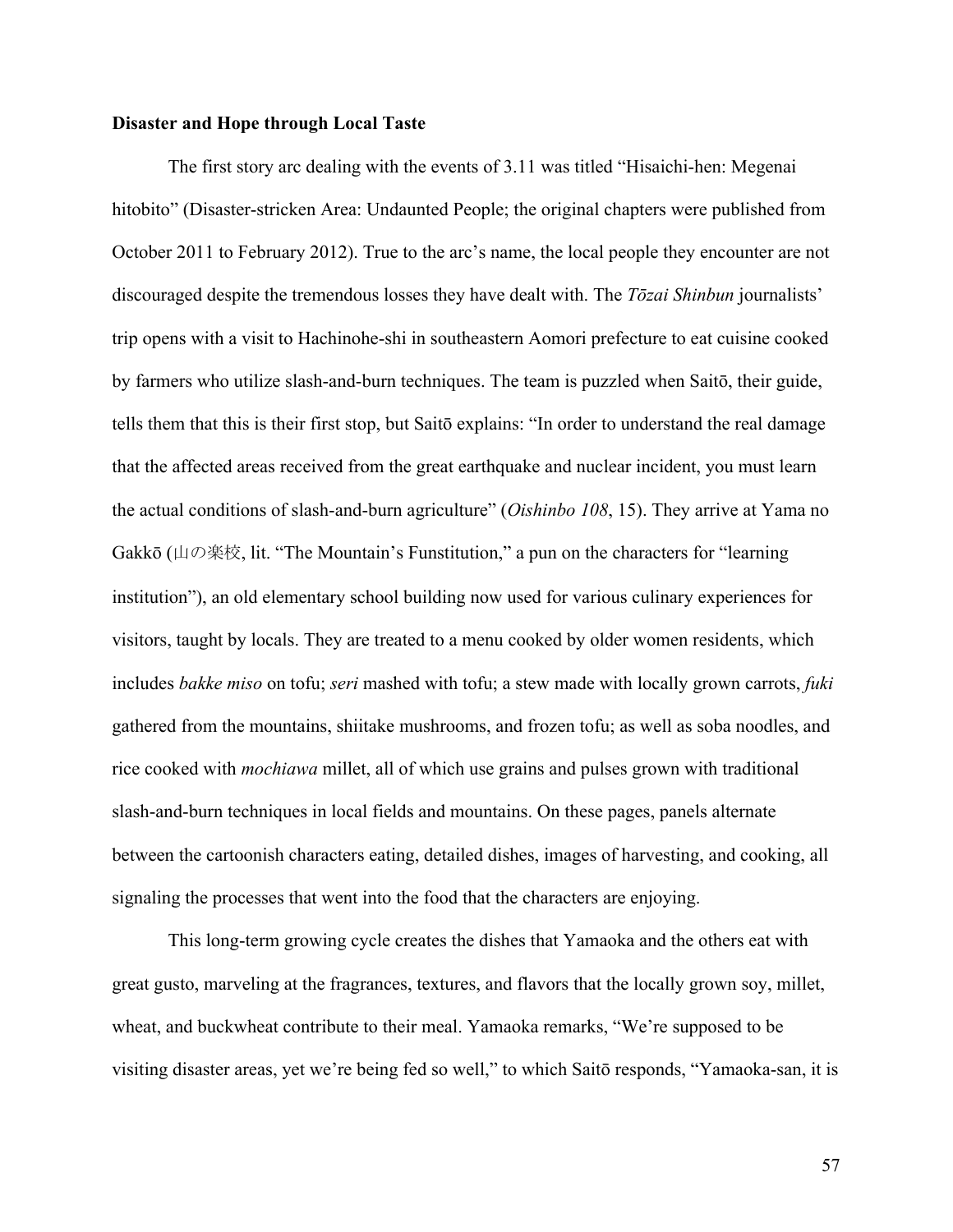#### **Disaster and Hope through Local Taste**

The first story arc dealing with the events of 3.11 was titled "Hisaichi-hen: Megenai hitobito" (Disaster-stricken Area: Undaunted People; the original chapters were published from October 2011 to February 2012). True to the arc's name, the local people they encounter are not discouraged despite the tremendous losses they have dealt with. The *Tōzai Shinbun* journalists' trip opens with a visit to Hachinohe-shi in southeastern Aomori prefecture to eat cuisine cooked by farmers who utilize slash-and-burn techniques. The team is puzzled when Saitō, their guide, tells them that this is their first stop, but Saitō explains: "In order to understand the real damage that the affected areas received from the great earthquake and nuclear incident, you must learn the actual conditions of slash-and-burn agriculture" (*Oishinbo 108*, 15). They arrive at Yama no Gakkō (山の楽校, lit. "The Mountain's Funstitution," a pun on the characters for "learning institution"), an old elementary school building now used for various culinary experiences for visitors, taught by locals. They are treated to a menu cooked by older women residents, which includes *bakke miso* on tofu; *seri* mashed with tofu; a stew made with locally grown carrots, *fuki* gathered from the mountains, shiitake mushrooms, and frozen tofu; as well as soba noodles, and rice cooked with *mochiawa* millet, all of which use grains and pulses grown with traditional slash-and-burn techniques in local fields and mountains. On these pages, panels alternate between the cartoonish characters eating, detailed dishes, images of harvesting, and cooking, all signaling the processes that went into the food that the characters are enjoying.

This long-term growing cycle creates the dishes that Yamaoka and the others eat with great gusto, marveling at the fragrances, textures, and flavors that the locally grown soy, millet, wheat, and buckwheat contribute to their meal. Yamaoka remarks, "We're supposed to be visiting disaster areas, yet we're being fed so well," to which Saitō responds, "Yamaoka-san, it is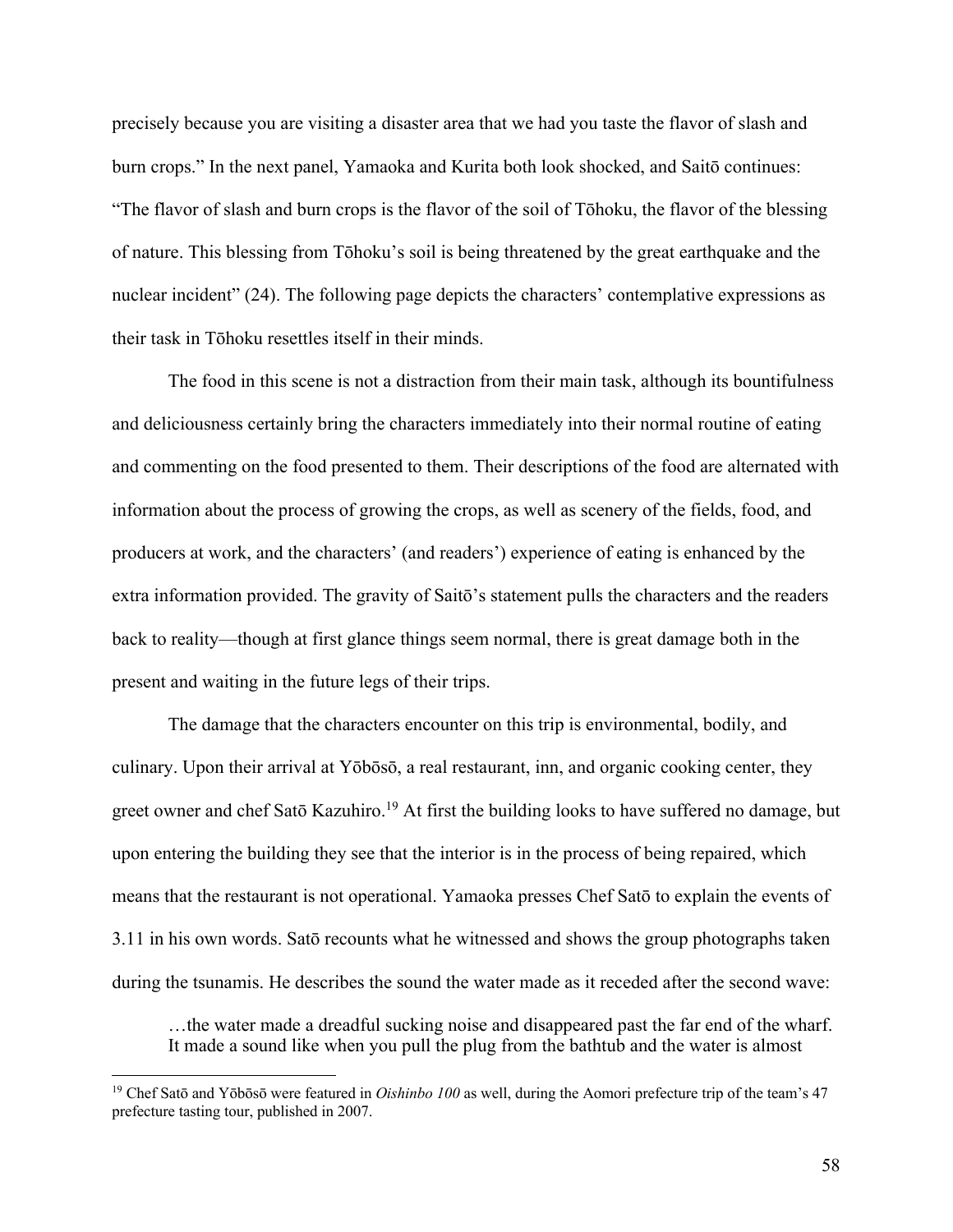precisely because you are visiting a disaster area that we had you taste the flavor of slash and burn crops." In the next panel, Yamaoka and Kurita both look shocked, and Saitō continues: "The flavor of slash and burn crops is the flavor of the soil of Tōhoku, the flavor of the blessing of nature. This blessing from Tōhoku's soil is being threatened by the great earthquake and the nuclear incident" (24). The following page depicts the characters' contemplative expressions as their task in Tōhoku resettles itself in their minds.

The food in this scene is not a distraction from their main task, although its bountifulness and deliciousness certainly bring the characters immediately into their normal routine of eating and commenting on the food presented to them. Their descriptions of the food are alternated with information about the process of growing the crops, as well as scenery of the fields, food, and producers at work, and the characters' (and readers') experience of eating is enhanced by the extra information provided. The gravity of Saitō's statement pulls the characters and the readers back to reality—though at first glance things seem normal, there is great damage both in the present and waiting in the future legs of their trips.

The damage that the characters encounter on this trip is environmental, bodily, and culinary. Upon their arrival at Yōbōsō, a real restaurant, inn, and organic cooking center, they greet owner and chef Satō Kazuhiro.<sup>19</sup> At first the building looks to have suffered no damage, but upon entering the building they see that the interior is in the process of being repaired, which means that the restaurant is not operational. Yamaoka presses Chef Satō to explain the events of 3.11 in his own words. Satō recounts what he witnessed and shows the group photographs taken during the tsunamis. He describes the sound the water made as it receded after the second wave:

…the water made a dreadful sucking noise and disappeared past the far end of the wharf. It made a sound like when you pull the plug from the bathtub and the water is almost

<sup>19</sup> Chef Satō and Yōbōsō were featured in *Oishinbo 100* as well, during the Aomori prefecture trip of the team's 47 prefecture tasting tour, published in 2007.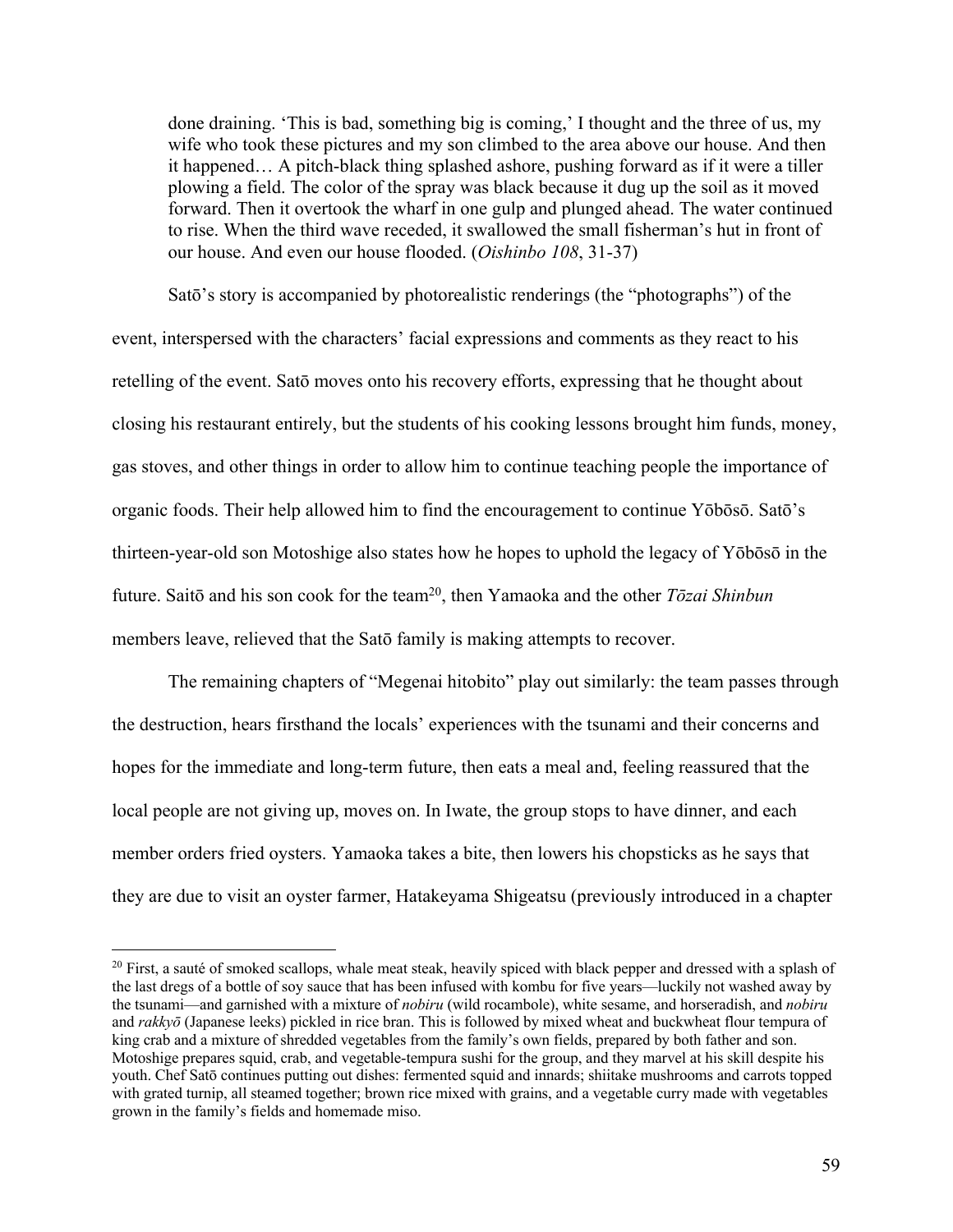done draining. 'This is bad, something big is coming,' I thought and the three of us, my wife who took these pictures and my son climbed to the area above our house. And then it happened… A pitch-black thing splashed ashore, pushing forward as if it were a tiller plowing a field. The color of the spray was black because it dug up the soil as it moved forward. Then it overtook the wharf in one gulp and plunged ahead. The water continued to rise. When the third wave receded, it swallowed the small fisherman's hut in front of our house. And even our house flooded. (*Oishinbo 108*, 31-37)

Satō's story is accompanied by photorealistic renderings (the "photographs") of the event, interspersed with the characters' facial expressions and comments as they react to his retelling of the event. Satō moves onto his recovery efforts, expressing that he thought about closing his restaurant entirely, but the students of his cooking lessons brought him funds, money, gas stoves, and other things in order to allow him to continue teaching people the importance of organic foods. Their help allowed him to find the encouragement to continue Yōbōsō. Satō's thirteen-year-old son Motoshige also states how he hopes to uphold the legacy of Yōbōsō in the future. Saitō and his son cook for the team20, then Yamaoka and the other *Tōzai Shinbun* members leave, relieved that the Satō family is making attempts to recover.

The remaining chapters of "Megenai hitobito" play out similarly: the team passes through the destruction, hears firsthand the locals' experiences with the tsunami and their concerns and hopes for the immediate and long-term future, then eats a meal and, feeling reassured that the local people are not giving up, moves on. In Iwate, the group stops to have dinner, and each member orders fried oysters. Yamaoka takes a bite, then lowers his chopsticks as he says that they are due to visit an oyster farmer, Hatakeyama Shigeatsu (previously introduced in a chapter

 $20$  First, a sauté of smoked scallops, whale meat steak, heavily spiced with black pepper and dressed with a splash of the last dregs of a bottle of soy sauce that has been infused with kombu for five years—luckily not washed away by the tsunami—and garnished with a mixture of *nobiru* (wild rocambole), white sesame, and horseradish, and *nobiru* and *rakkyō* (Japanese leeks) pickled in rice bran. This is followed by mixed wheat and buckwheat flour tempura of king crab and a mixture of shredded vegetables from the family's own fields, prepared by both father and son. Motoshige prepares squid, crab, and vegetable-tempura sushi for the group, and they marvel at his skill despite his youth. Chef Satō continues putting out dishes: fermented squid and innards; shiitake mushrooms and carrots topped with grated turnip, all steamed together; brown rice mixed with grains, and a vegetable curry made with vegetables grown in the family's fields and homemade miso.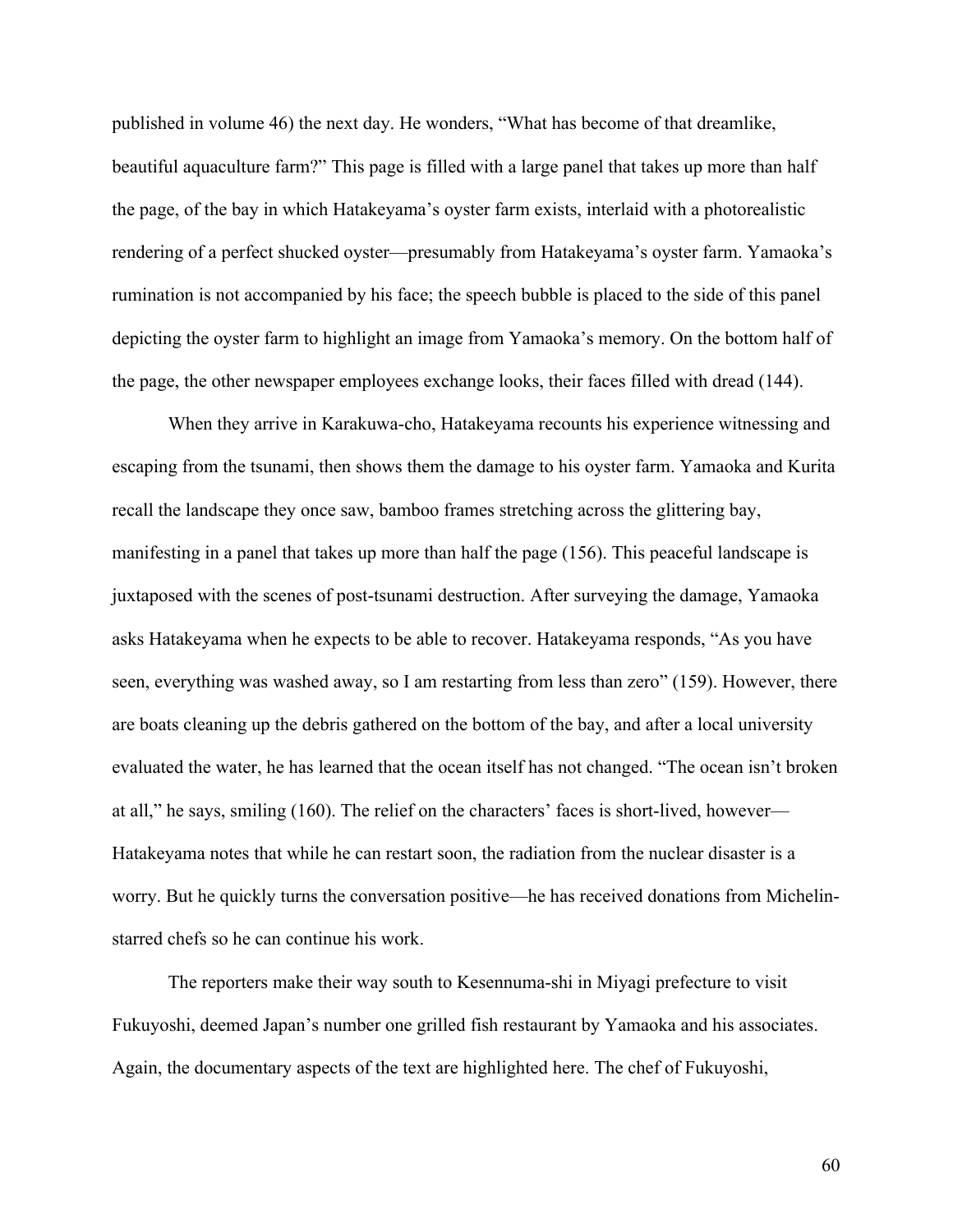published in volume 46) the next day. He wonders, "What has become of that dreamlike, beautiful aquaculture farm?" This page is filled with a large panel that takes up more than half the page, of the bay in which Hatakeyama's oyster farm exists, interlaid with a photorealistic rendering of a perfect shucked oyster—presumably from Hatakeyama's oyster farm. Yamaoka's rumination is not accompanied by his face; the speech bubble is placed to the side of this panel depicting the oyster farm to highlight an image from Yamaoka's memory. On the bottom half of the page, the other newspaper employees exchange looks, their faces filled with dread (144).

When they arrive in Karakuwa-cho, Hatakeyama recounts his experience witnessing and escaping from the tsunami, then shows them the damage to his oyster farm. Yamaoka and Kurita recall the landscape they once saw, bamboo frames stretching across the glittering bay, manifesting in a panel that takes up more than half the page (156). This peaceful landscape is juxtaposed with the scenes of post-tsunami destruction. After surveying the damage, Yamaoka asks Hatakeyama when he expects to be able to recover. Hatakeyama responds, "As you have seen, everything was washed away, so I am restarting from less than zero" (159). However, there are boats cleaning up the debris gathered on the bottom of the bay, and after a local university evaluated the water, he has learned that the ocean itself has not changed. "The ocean isn't broken at all," he says, smiling (160). The relief on the characters' faces is short-lived, however— Hatakeyama notes that while he can restart soon, the radiation from the nuclear disaster is a worry. But he quickly turns the conversation positive—he has received donations from Michelinstarred chefs so he can continue his work.

The reporters make their way south to Kesennuma-shi in Miyagi prefecture to visit Fukuyoshi, deemed Japan's number one grilled fish restaurant by Yamaoka and his associates. Again, the documentary aspects of the text are highlighted here. The chef of Fukuyoshi,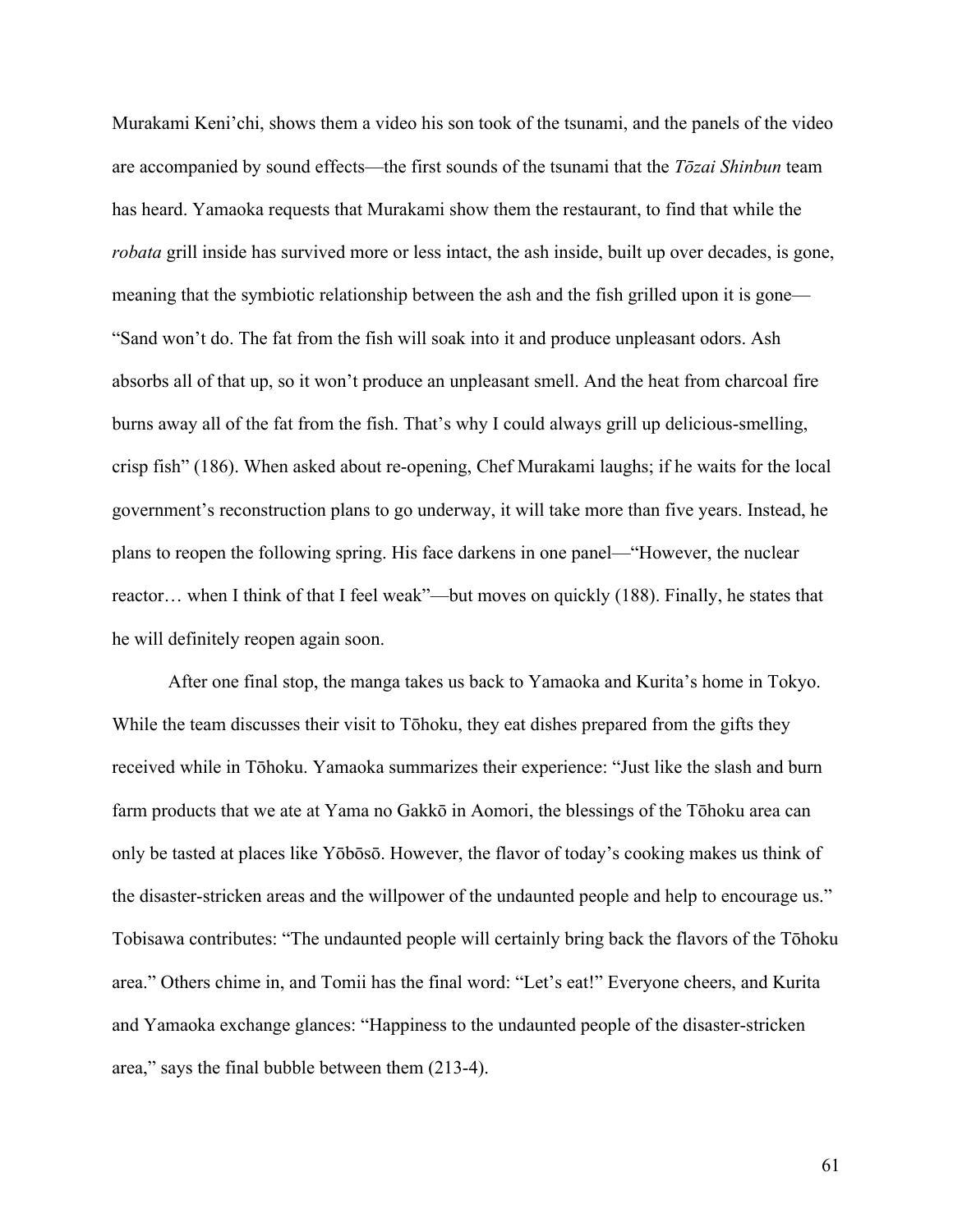Murakami Keni'chi, shows them a video his son took of the tsunami, and the panels of the video are accompanied by sound effects—the first sounds of the tsunami that the *Tōzai Shinbun* team has heard. Yamaoka requests that Murakami show them the restaurant, to find that while the *robata* grill inside has survived more or less intact, the ash inside, built up over decades, is gone, meaning that the symbiotic relationship between the ash and the fish grilled upon it is gone— "Sand won't do. The fat from the fish will soak into it and produce unpleasant odors. Ash absorbs all of that up, so it won't produce an unpleasant smell. And the heat from charcoal fire burns away all of the fat from the fish. That's why I could always grill up delicious-smelling, crisp fish" (186). When asked about re-opening, Chef Murakami laughs; if he waits for the local government's reconstruction plans to go underway, it will take more than five years. Instead, he plans to reopen the following spring. His face darkens in one panel—"However, the nuclear reactor… when I think of that I feel weak"—but moves on quickly (188). Finally, he states that he will definitely reopen again soon.

After one final stop, the manga takes us back to Yamaoka and Kurita's home in Tokyo. While the team discusses their visit to Tōhoku, they eat dishes prepared from the gifts they received while in Tōhoku. Yamaoka summarizes their experience: "Just like the slash and burn farm products that we ate at Yama no Gakkō in Aomori, the blessings of the Tōhoku area can only be tasted at places like Yōbōsō. However, the flavor of today's cooking makes us think of the disaster-stricken areas and the willpower of the undaunted people and help to encourage us." Tobisawa contributes: "The undaunted people will certainly bring back the flavors of the Tōhoku area." Others chime in, and Tomii has the final word: "Let's eat!" Everyone cheers, and Kurita and Yamaoka exchange glances: "Happiness to the undaunted people of the disaster-stricken area," says the final bubble between them (213-4).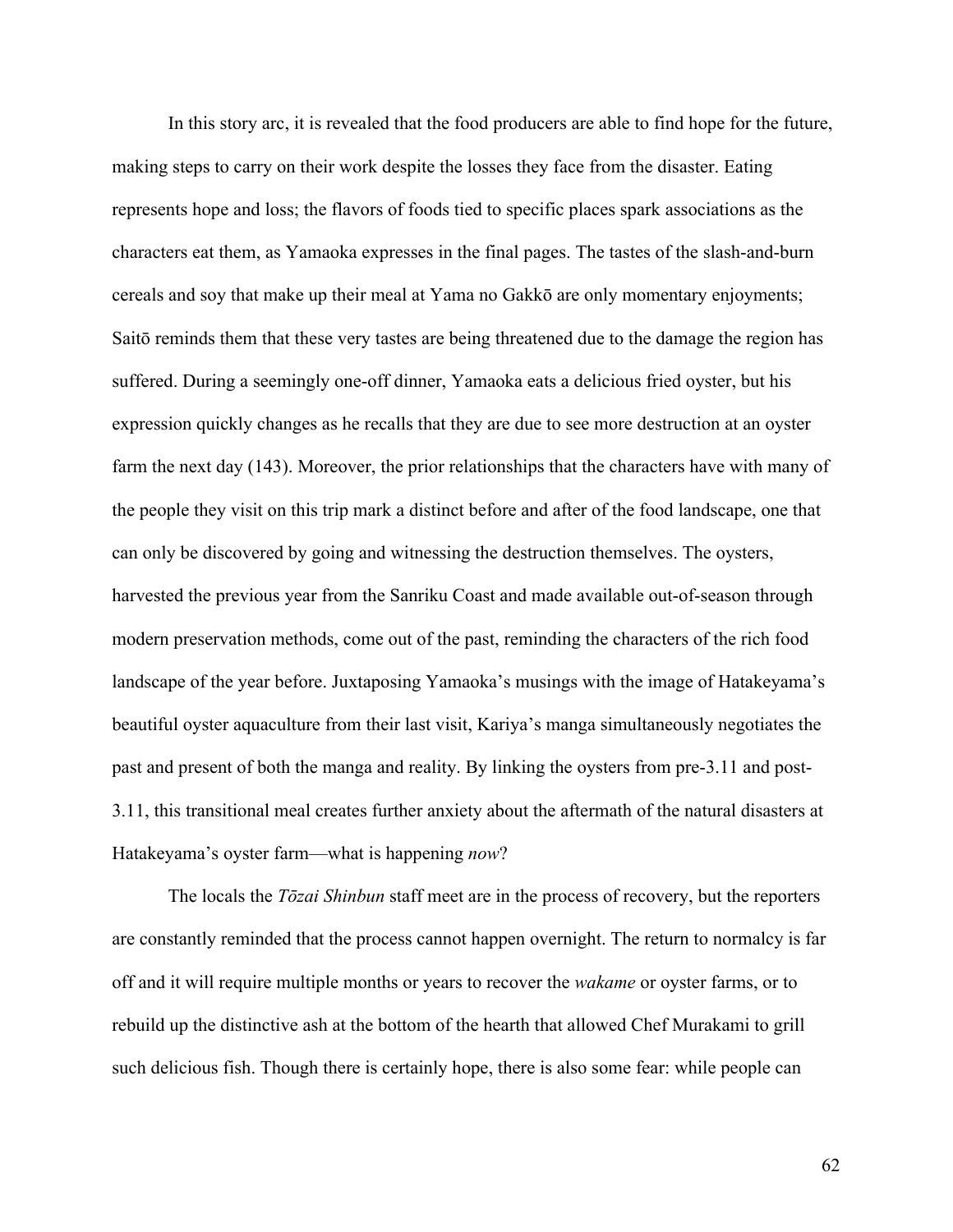In this story arc, it is revealed that the food producers are able to find hope for the future, making steps to carry on their work despite the losses they face from the disaster. Eating represents hope and loss; the flavors of foods tied to specific places spark associations as the characters eat them, as Yamaoka expresses in the final pages. The tastes of the slash-and-burn cereals and soy that make up their meal at Yama no Gakkō are only momentary enjoyments; Saitō reminds them that these very tastes are being threatened due to the damage the region has suffered. During a seemingly one-off dinner, Yamaoka eats a delicious fried oyster, but his expression quickly changes as he recalls that they are due to see more destruction at an oyster farm the next day (143). Moreover, the prior relationships that the characters have with many of the people they visit on this trip mark a distinct before and after of the food landscape, one that can only be discovered by going and witnessing the destruction themselves. The oysters, harvested the previous year from the Sanriku Coast and made available out-of-season through modern preservation methods, come out of the past, reminding the characters of the rich food landscape of the year before. Juxtaposing Yamaoka's musings with the image of Hatakeyama's beautiful oyster aquaculture from their last visit, Kariya's manga simultaneously negotiates the past and present of both the manga and reality. By linking the oysters from pre-3.11 and post-3.11, this transitional meal creates further anxiety about the aftermath of the natural disasters at Hatakeyama's oyster farm—what is happening *now*?

The locals the *Tōzai Shinbun* staff meet are in the process of recovery, but the reporters are constantly reminded that the process cannot happen overnight. The return to normalcy is far off and it will require multiple months or years to recover the *wakame* or oyster farms, or to rebuild up the distinctive ash at the bottom of the hearth that allowed Chef Murakami to grill such delicious fish. Though there is certainly hope, there is also some fear: while people can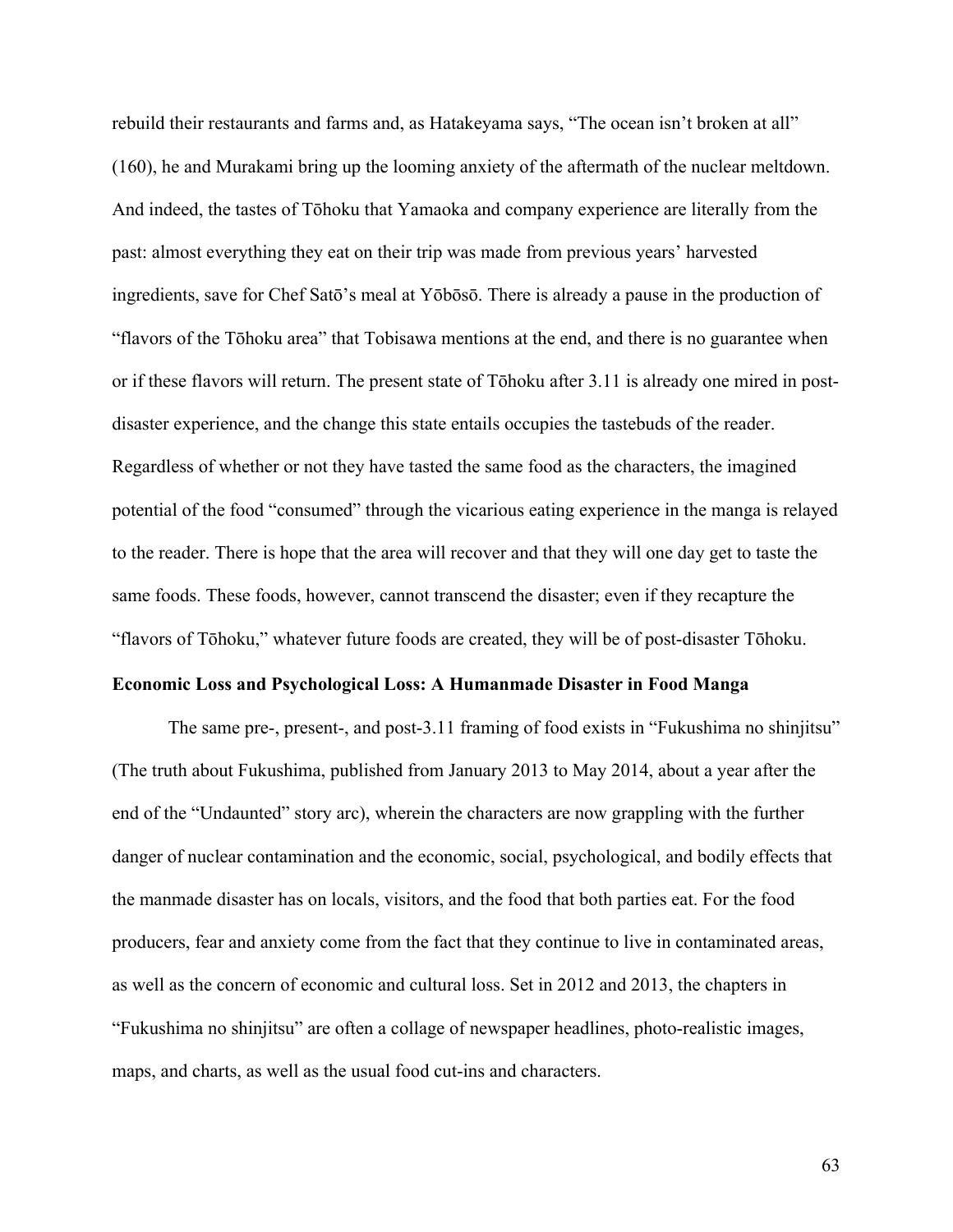rebuild their restaurants and farms and, as Hatakeyama says, "The ocean isn't broken at all" (160), he and Murakami bring up the looming anxiety of the aftermath of the nuclear meltdown. And indeed, the tastes of Tōhoku that Yamaoka and company experience are literally from the past: almost everything they eat on their trip was made from previous years' harvested ingredients, save for Chef Satō's meal at Yōbōsō. There is already a pause in the production of "flavors of the Tōhoku area" that Tobisawa mentions at the end, and there is no guarantee when or if these flavors will return. The present state of Tōhoku after 3.11 is already one mired in postdisaster experience, and the change this state entails occupies the tastebuds of the reader. Regardless of whether or not they have tasted the same food as the characters, the imagined potential of the food "consumed" through the vicarious eating experience in the manga is relayed to the reader. There is hope that the area will recover and that they will one day get to taste the same foods. These foods, however, cannot transcend the disaster; even if they recapture the "flavors of Tōhoku," whatever future foods are created, they will be of post-disaster Tōhoku.

# **Economic Loss and Psychological Loss: A Humanmade Disaster in Food Manga**

The same pre-, present-, and post-3.11 framing of food exists in "Fukushima no shinjitsu" (The truth about Fukushima, published from January 2013 to May 2014, about a year after the end of the "Undaunted" story arc), wherein the characters are now grappling with the further danger of nuclear contamination and the economic, social, psychological, and bodily effects that the manmade disaster has on locals, visitors, and the food that both parties eat. For the food producers, fear and anxiety come from the fact that they continue to live in contaminated areas, as well as the concern of economic and cultural loss. Set in 2012 and 2013, the chapters in "Fukushima no shinjitsu" are often a collage of newspaper headlines, photo-realistic images, maps, and charts, as well as the usual food cut-ins and characters.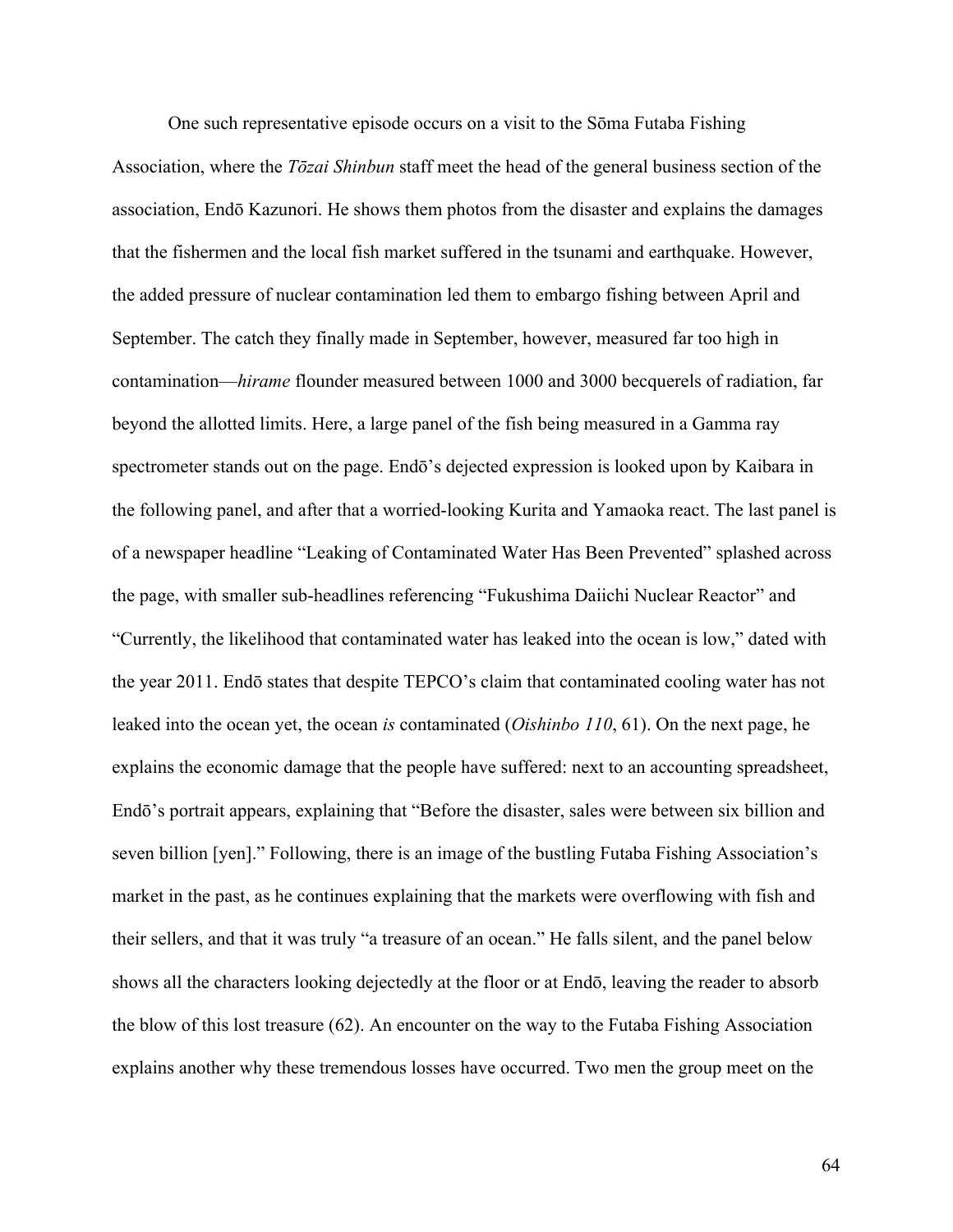One such representative episode occurs on a visit to the Sōma Futaba Fishing Association, where the *Tōzai Shinbun* staff meet the head of the general business section of the association, Endō Kazunori. He shows them photos from the disaster and explains the damages that the fishermen and the local fish market suffered in the tsunami and earthquake. However, the added pressure of nuclear contamination led them to embargo fishing between April and September. The catch they finally made in September, however, measured far too high in contamination—*hirame* flounder measured between 1000 and 3000 becquerels of radiation, far beyond the allotted limits. Here, a large panel of the fish being measured in a Gamma ray spectrometer stands out on the page. Endō's dejected expression is looked upon by Kaibara in the following panel, and after that a worried-looking Kurita and Yamaoka react. The last panel is of a newspaper headline "Leaking of Contaminated Water Has Been Prevented" splashed across the page, with smaller sub-headlines referencing "Fukushima Daiichi Nuclear Reactor" and "Currently, the likelihood that contaminated water has leaked into the ocean is low," dated with the year 2011. Endō states that despite TEPCO's claim that contaminated cooling water has not leaked into the ocean yet, the ocean *is* contaminated (*Oishinbo 110*, 61). On the next page, he explains the economic damage that the people have suffered: next to an accounting spreadsheet, Endō's portrait appears, explaining that "Before the disaster, sales were between six billion and seven billion [yen]." Following, there is an image of the bustling Futaba Fishing Association's market in the past, as he continues explaining that the markets were overflowing with fish and their sellers, and that it was truly "a treasure of an ocean." He falls silent, and the panel below shows all the characters looking dejectedly at the floor or at Endō, leaving the reader to absorb the blow of this lost treasure (62). An encounter on the way to the Futaba Fishing Association explains another why these tremendous losses have occurred. Two men the group meet on the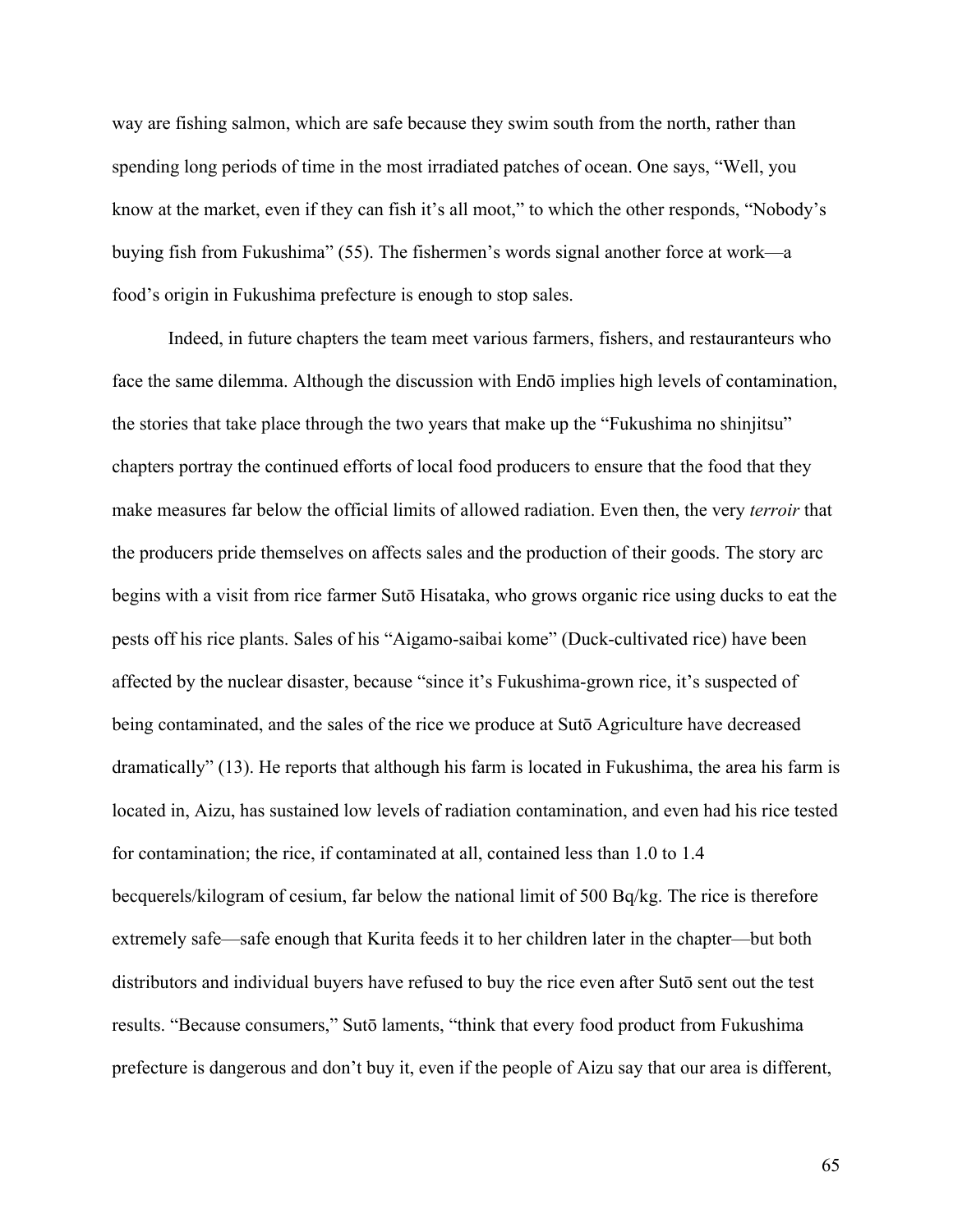way are fishing salmon, which are safe because they swim south from the north, rather than spending long periods of time in the most irradiated patches of ocean. One says, "Well, you know at the market, even if they can fish it's all moot," to which the other responds, "Nobody's buying fish from Fukushima" (55). The fishermen's words signal another force at work—a food's origin in Fukushima prefecture is enough to stop sales.

Indeed, in future chapters the team meet various farmers, fishers, and restauranteurs who face the same dilemma. Although the discussion with Endō implies high levels of contamination, the stories that take place through the two years that make up the "Fukushima no shinjitsu" chapters portray the continued efforts of local food producers to ensure that the food that they make measures far below the official limits of allowed radiation. Even then, the very *terroir* that the producers pride themselves on affects sales and the production of their goods. The story arc begins with a visit from rice farmer Sutō Hisataka, who grows organic rice using ducks to eat the pests off his rice plants. Sales of his "Aigamo-saibai kome" (Duck-cultivated rice) have been affected by the nuclear disaster, because "since it's Fukushima-grown rice, it's suspected of being contaminated, and the sales of the rice we produce at Sutō Agriculture have decreased dramatically" (13). He reports that although his farm is located in Fukushima, the area his farm is located in, Aizu, has sustained low levels of radiation contamination, and even had his rice tested for contamination; the rice, if contaminated at all, contained less than 1.0 to 1.4 becquerels/kilogram of cesium, far below the national limit of 500 Bq/kg. The rice is therefore extremely safe—safe enough that Kurita feeds it to her children later in the chapter—but both distributors and individual buyers have refused to buy the rice even after Sutō sent out the test results. "Because consumers," Sutō laments, "think that every food product from Fukushima prefecture is dangerous and don't buy it, even if the people of Aizu say that our area is different,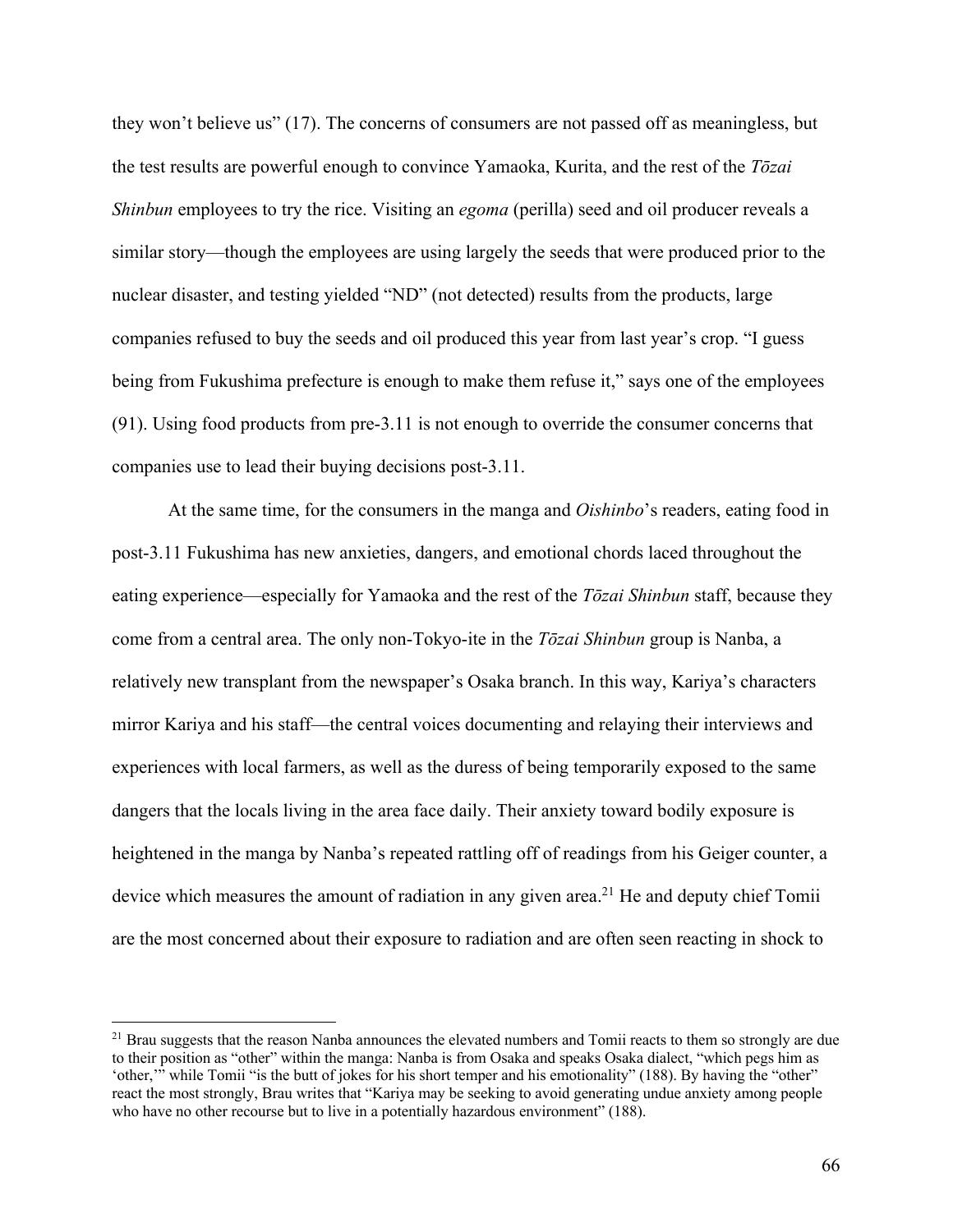they won't believe us" (17). The concerns of consumers are not passed off as meaningless, but the test results are powerful enough to convince Yamaoka, Kurita, and the rest of the *Tōzai Shinbun* employees to try the rice. Visiting an *egoma* (perilla) seed and oil producer reveals a similar story—though the employees are using largely the seeds that were produced prior to the nuclear disaster, and testing yielded "ND" (not detected) results from the products, large companies refused to buy the seeds and oil produced this year from last year's crop. "I guess being from Fukushima prefecture is enough to make them refuse it," says one of the employees (91). Using food products from pre-3.11 is not enough to override the consumer concerns that companies use to lead their buying decisions post-3.11.

At the same time, for the consumers in the manga and *Oishinbo*'s readers, eating food in post-3.11 Fukushima has new anxieties, dangers, and emotional chords laced throughout the eating experience—especially for Yamaoka and the rest of the *Tōzai Shinbun* staff, because they come from a central area. The only non-Tokyo-ite in the *Tōzai Shinbun* group is Nanba, a relatively new transplant from the newspaper's Osaka branch. In this way, Kariya's characters mirror Kariya and his staff—the central voices documenting and relaying their interviews and experiences with local farmers, as well as the duress of being temporarily exposed to the same dangers that the locals living in the area face daily. Their anxiety toward bodily exposure is heightened in the manga by Nanba's repeated rattling off of readings from his Geiger counter, a device which measures the amount of radiation in any given area.<sup>21</sup> He and deputy chief Tomii are the most concerned about their exposure to radiation and are often seen reacting in shock to

<sup>&</sup>lt;sup>21</sup> Brau suggests that the reason Nanba announces the elevated numbers and Tomii reacts to them so strongly are due to their position as "other" within the manga: Nanba is from Osaka and speaks Osaka dialect, "which pegs him as 'other,'" while Tomii "is the butt of jokes for his short temper and his emotionality" (188). By having the "other" react the most strongly, Brau writes that "Kariya may be seeking to avoid generating undue anxiety among people who have no other recourse but to live in a potentially hazardous environment" (188).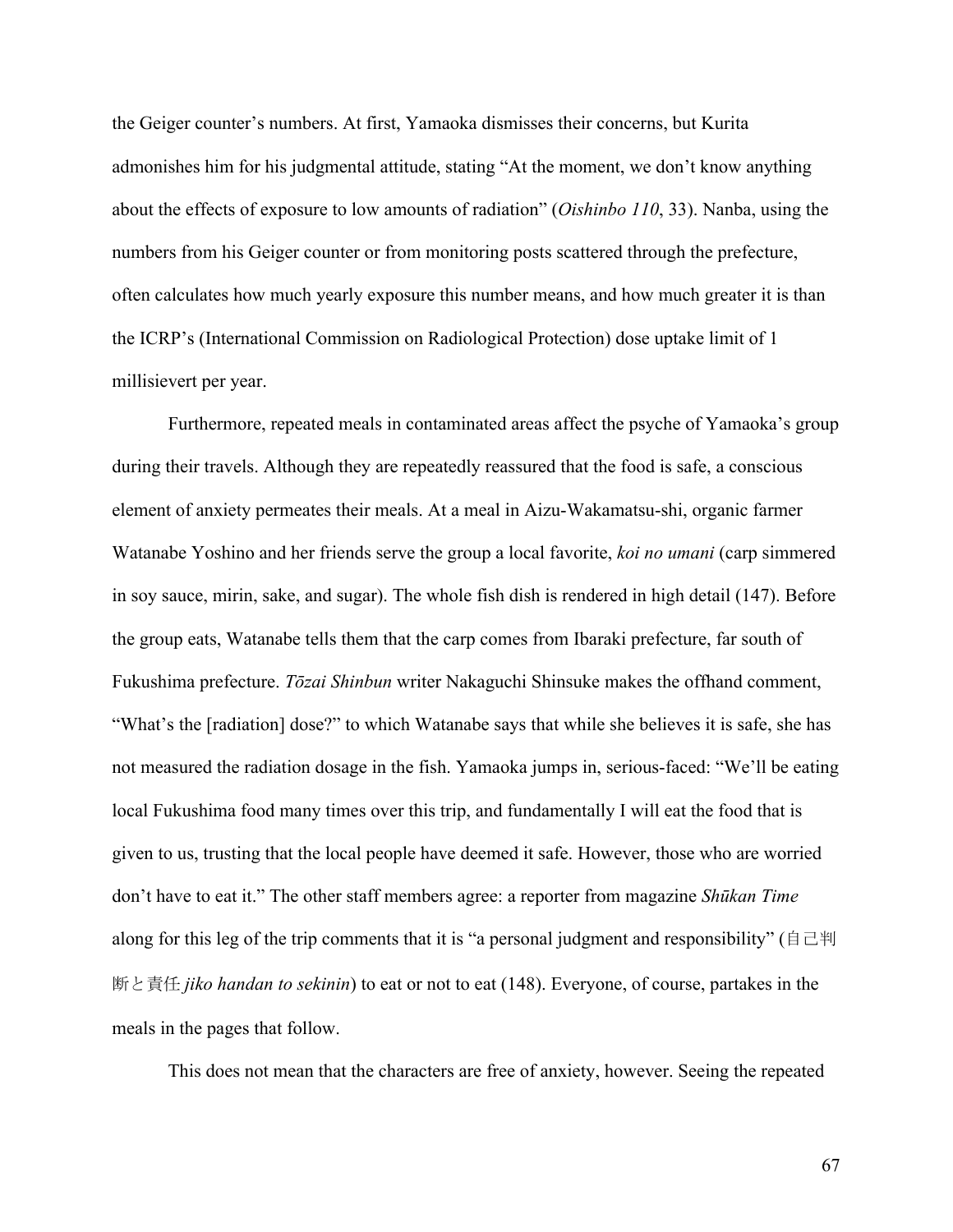the Geiger counter's numbers. At first, Yamaoka dismisses their concerns, but Kurita admonishes him for his judgmental attitude, stating "At the moment, we don't know anything about the effects of exposure to low amounts of radiation" (*Oishinbo 110*, 33). Nanba, using the numbers from his Geiger counter or from monitoring posts scattered through the prefecture, often calculates how much yearly exposure this number means, and how much greater it is than the ICRP's (International Commission on Radiological Protection) dose uptake limit of 1 millisievert per year.

Furthermore, repeated meals in contaminated areas affect the psyche of Yamaoka's group during their travels. Although they are repeatedly reassured that the food is safe, a conscious element of anxiety permeates their meals. At a meal in Aizu-Wakamatsu-shi, organic farmer Watanabe Yoshino and her friends serve the group a local favorite, *koi no umani* (carp simmered in soy sauce, mirin, sake, and sugar). The whole fish dish is rendered in high detail (147). Before the group eats, Watanabe tells them that the carp comes from Ibaraki prefecture, far south of Fukushima prefecture. *Tōzai Shinbun* writer Nakaguchi Shinsuke makes the offhand comment, "What's the [radiation] dose?" to which Watanabe says that while she believes it is safe, she has not measured the radiation dosage in the fish. Yamaoka jumps in, serious-faced: "We'll be eating local Fukushima food many times over this trip, and fundamentally I will eat the food that is given to us, trusting that the local people have deemed it safe. However, those who are worried don't have to eat it." The other staff members agree: a reporter from magazine *Shūkan Time* along for this leg of the trip comments that it is "a personal judgment and responsibility" ( $\exists \exists \mathcal{H}$ ) 断と責任 *jiko handan to sekinin*) to eat or not to eat (148). Everyone, of course, partakes in the meals in the pages that follow.

This does not mean that the characters are free of anxiety, however. Seeing the repeated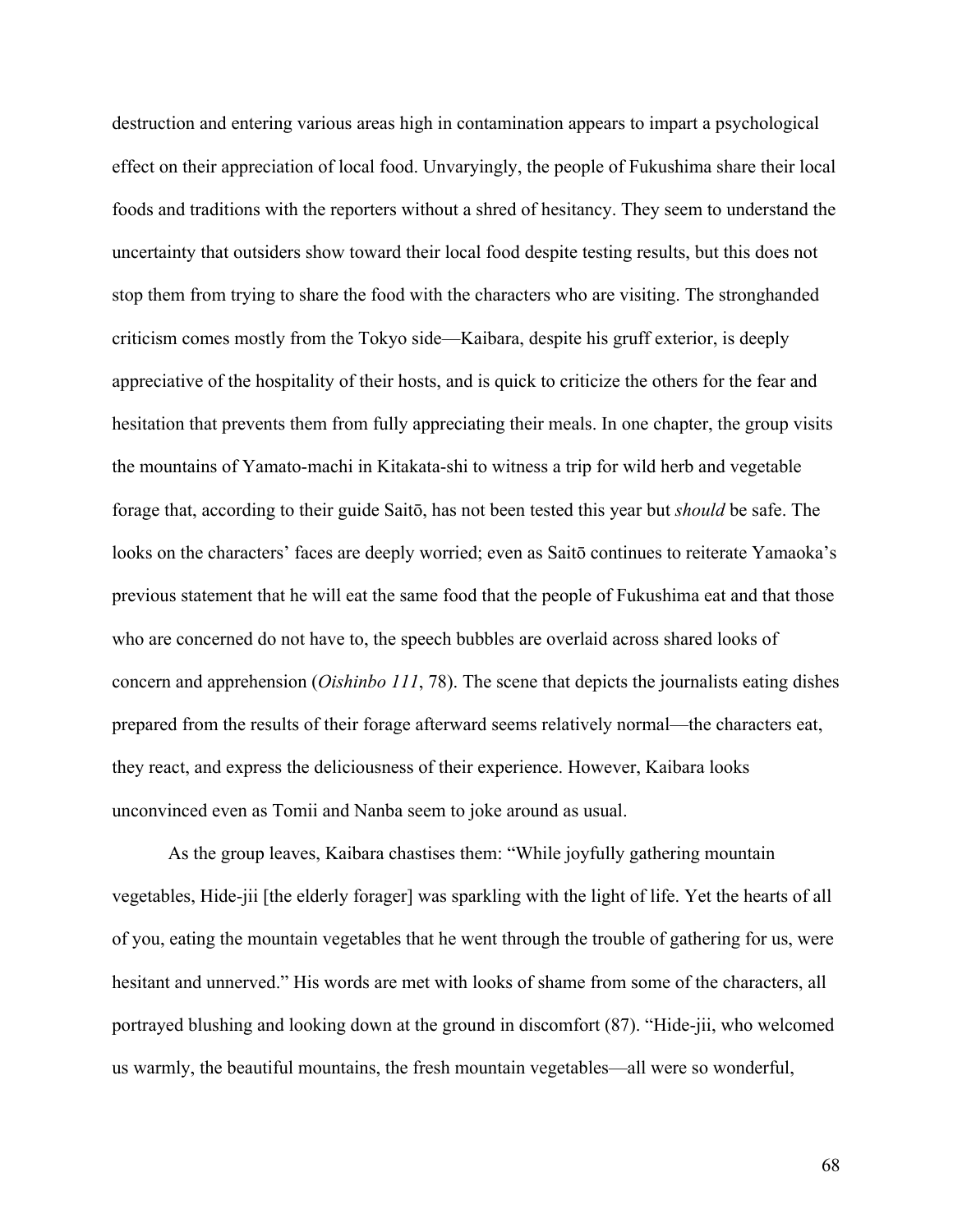destruction and entering various areas high in contamination appears to impart a psychological effect on their appreciation of local food. Unvaryingly, the people of Fukushima share their local foods and traditions with the reporters without a shred of hesitancy. They seem to understand the uncertainty that outsiders show toward their local food despite testing results, but this does not stop them from trying to share the food with the characters who are visiting. The stronghanded criticism comes mostly from the Tokyo side—Kaibara, despite his gruff exterior, is deeply appreciative of the hospitality of their hosts, and is quick to criticize the others for the fear and hesitation that prevents them from fully appreciating their meals. In one chapter, the group visits the mountains of Yamato-machi in Kitakata-shi to witness a trip for wild herb and vegetable forage that, according to their guide Saitō, has not been tested this year but *should* be safe. The looks on the characters' faces are deeply worried; even as Saitō continues to reiterate Yamaoka's previous statement that he will eat the same food that the people of Fukushima eat and that those who are concerned do not have to, the speech bubbles are overlaid across shared looks of concern and apprehension (*Oishinbo 111*, 78). The scene that depicts the journalists eating dishes prepared from the results of their forage afterward seems relatively normal—the characters eat, they react, and express the deliciousness of their experience. However, Kaibara looks unconvinced even as Tomii and Nanba seem to joke around as usual.

As the group leaves, Kaibara chastises them: "While joyfully gathering mountain vegetables, Hide-jii [the elderly forager] was sparkling with the light of life. Yet the hearts of all of you, eating the mountain vegetables that he went through the trouble of gathering for us, were hesitant and unnerved." His words are met with looks of shame from some of the characters, all portrayed blushing and looking down at the ground in discomfort (87). "Hide-jii, who welcomed us warmly, the beautiful mountains, the fresh mountain vegetables—all were so wonderful,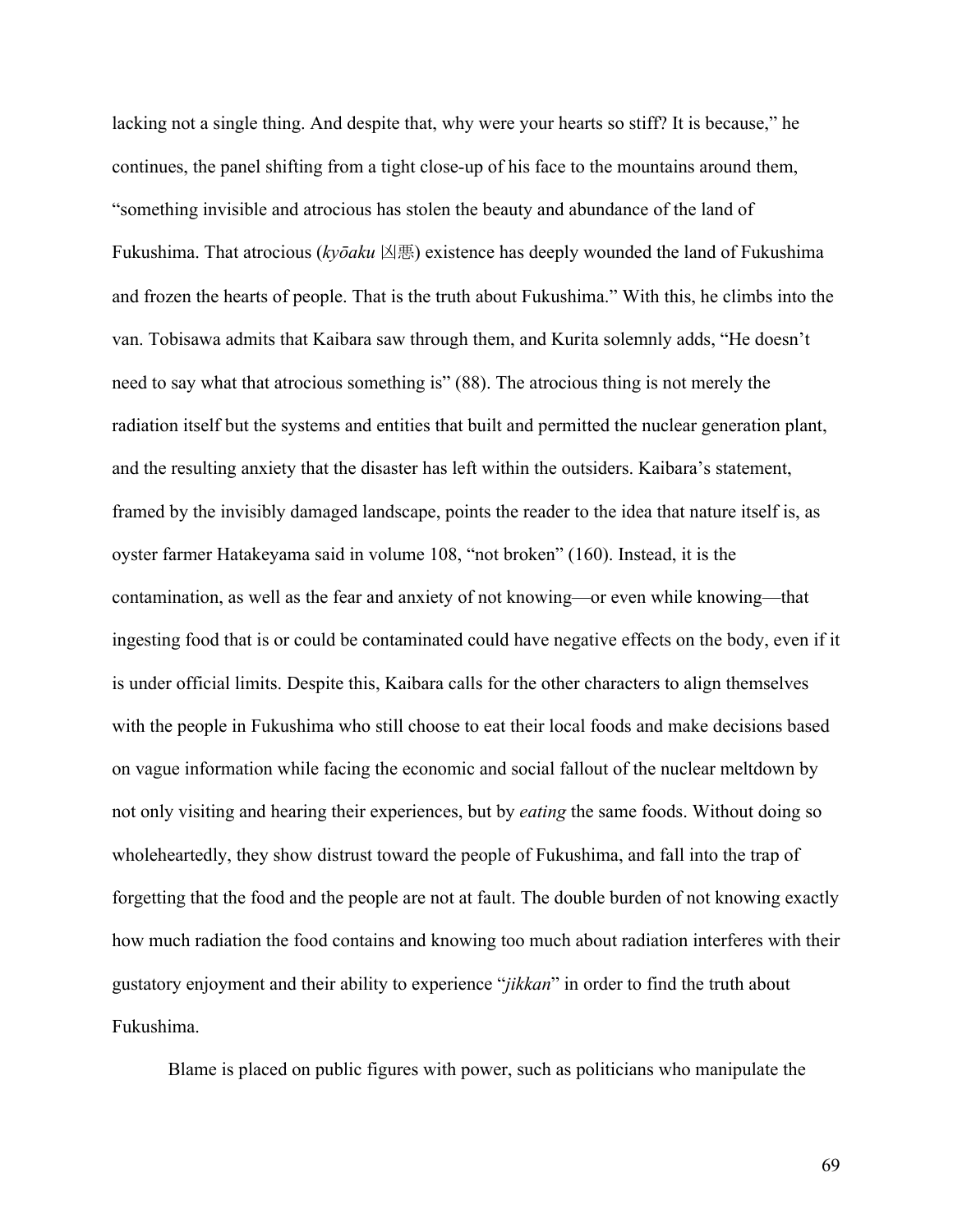lacking not a single thing. And despite that, why were your hearts so stiff? It is because," he continues, the panel shifting from a tight close-up of his face to the mountains around them, "something invisible and atrocious has stolen the beauty and abundance of the land of Fukushima. That atrocious (*kyōaku* 凶悪) existence has deeply wounded the land of Fukushima and frozen the hearts of people. That is the truth about Fukushima." With this, he climbs into the van. Tobisawa admits that Kaibara saw through them, and Kurita solemnly adds, "He doesn't need to say what that atrocious something is" (88). The atrocious thing is not merely the radiation itself but the systems and entities that built and permitted the nuclear generation plant, and the resulting anxiety that the disaster has left within the outsiders. Kaibara's statement, framed by the invisibly damaged landscape, points the reader to the idea that nature itself is, as oyster farmer Hatakeyama said in volume 108, "not broken" (160). Instead, it is the contamination, as well as the fear and anxiety of not knowing—or even while knowing—that ingesting food that is or could be contaminated could have negative effects on the body, even if it is under official limits. Despite this, Kaibara calls for the other characters to align themselves with the people in Fukushima who still choose to eat their local foods and make decisions based on vague information while facing the economic and social fallout of the nuclear meltdown by not only visiting and hearing their experiences, but by *eating* the same foods. Without doing so wholeheartedly, they show distrust toward the people of Fukushima, and fall into the trap of forgetting that the food and the people are not at fault. The double burden of not knowing exactly how much radiation the food contains and knowing too much about radiation interferes with their gustatory enjoyment and their ability to experience "*jikkan*" in order to find the truth about Fukushima.

Blame is placed on public figures with power, such as politicians who manipulate the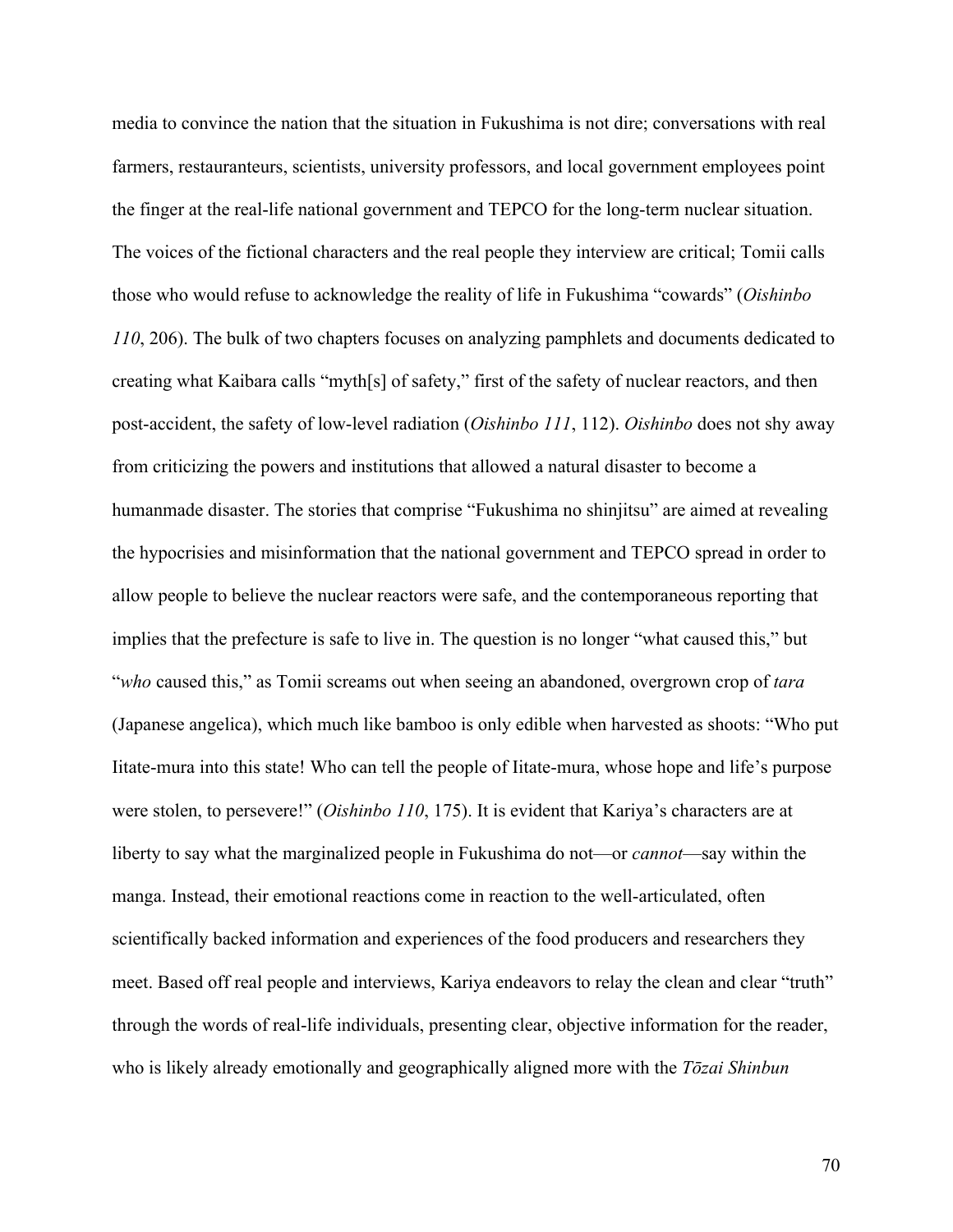media to convince the nation that the situation in Fukushima is not dire; conversations with real farmers, restauranteurs, scientists, university professors, and local government employees point the finger at the real-life national government and TEPCO for the long-term nuclear situation. The voices of the fictional characters and the real people they interview are critical; Tomii calls those who would refuse to acknowledge the reality of life in Fukushima "cowards" (*Oishinbo 110*, 206). The bulk of two chapters focuses on analyzing pamphlets and documents dedicated to creating what Kaibara calls "myth[s] of safety," first of the safety of nuclear reactors, and then post-accident, the safety of low-level radiation (*Oishinbo 111*, 112). *Oishinbo* does not shy away from criticizing the powers and institutions that allowed a natural disaster to become a humanmade disaster. The stories that comprise "Fukushima no shinjitsu" are aimed at revealing the hypocrisies and misinformation that the national government and TEPCO spread in order to allow people to believe the nuclear reactors were safe, and the contemporaneous reporting that implies that the prefecture is safe to live in. The question is no longer "what caused this," but "*who* caused this," as Tomii screams out when seeing an abandoned, overgrown crop of *tara*  (Japanese angelica), which much like bamboo is only edible when harvested as shoots: "Who put Iitate-mura into this state! Who can tell the people of Iitate-mura, whose hope and life's purpose were stolen, to persevere!" (*Oishinbo 110*, 175). It is evident that Kariya's characters are at liberty to say what the marginalized people in Fukushima do not—or *cannot*—say within the manga. Instead, their emotional reactions come in reaction to the well-articulated, often scientifically backed information and experiences of the food producers and researchers they meet. Based off real people and interviews, Kariya endeavors to relay the clean and clear "truth" through the words of real-life individuals, presenting clear, objective information for the reader, who is likely already emotionally and geographically aligned more with the *Tōzai Shinbun*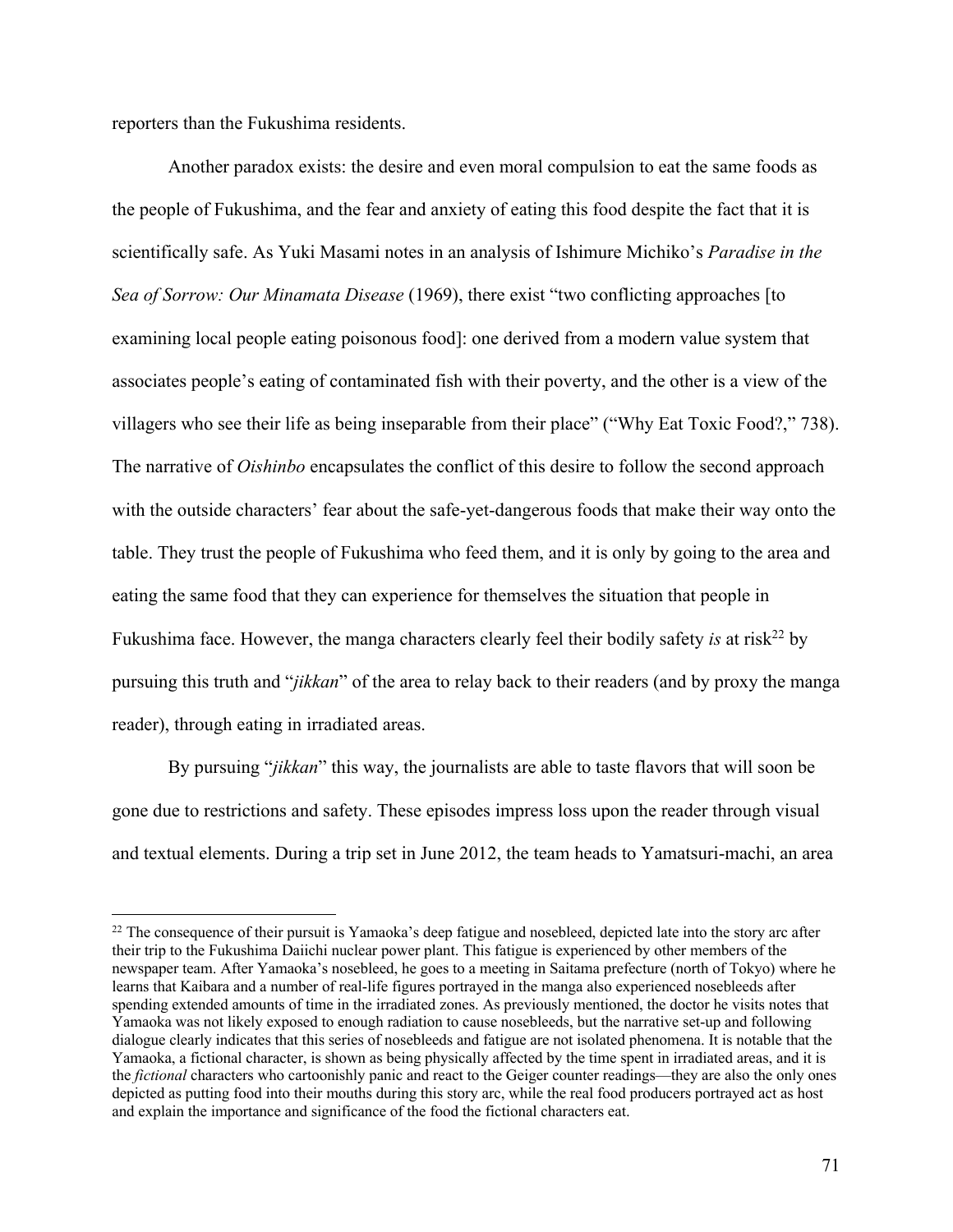reporters than the Fukushima residents.

Another paradox exists: the desire and even moral compulsion to eat the same foods as the people of Fukushima, and the fear and anxiety of eating this food despite the fact that it is scientifically safe. As Yuki Masami notes in an analysis of Ishimure Michiko's *Paradise in the Sea of Sorrow: Our Minamata Disease* (1969), there exist "two conflicting approaches [to examining local people eating poisonous food]: one derived from a modern value system that associates people's eating of contaminated fish with their poverty, and the other is a view of the villagers who see their life as being inseparable from their place" ("Why Eat Toxic Food?," 738). The narrative of *Oishinbo* encapsulates the conflict of this desire to follow the second approach with the outside characters' fear about the safe-yet-dangerous foods that make their way onto the table. They trust the people of Fukushima who feed them, and it is only by going to the area and eating the same food that they can experience for themselves the situation that people in Fukushima face. However, the manga characters clearly feel their bodily safety *is* at risk<sup>22</sup> by pursuing this truth and "*jikkan*" of the area to relay back to their readers (and by proxy the manga reader), through eating in irradiated areas.

By pursuing "*jikkan*" this way, the journalists are able to taste flavors that will soon be gone due to restrictions and safety. These episodes impress loss upon the reader through visual and textual elements. During a trip set in June 2012, the team heads to Yamatsuri-machi, an area

 $22$  The consequence of their pursuit is Yamaoka's deep fatigue and nosebleed, depicted late into the story arc after their trip to the Fukushima Daiichi nuclear power plant. This fatigue is experienced by other members of the newspaper team. After Yamaoka's nosebleed, he goes to a meeting in Saitama prefecture (north of Tokyo) where he learns that Kaibara and a number of real-life figures portrayed in the manga also experienced nosebleeds after spending extended amounts of time in the irradiated zones. As previously mentioned, the doctor he visits notes that Yamaoka was not likely exposed to enough radiation to cause nosebleeds, but the narrative set-up and following dialogue clearly indicates that this series of nosebleeds and fatigue are not isolated phenomena. It is notable that the Yamaoka, a fictional character, is shown as being physically affected by the time spent in irradiated areas, and it is the *fictional* characters who cartoonishly panic and react to the Geiger counter readings—they are also the only ones depicted as putting food into their mouths during this story arc, while the real food producers portrayed act as host and explain the importance and significance of the food the fictional characters eat.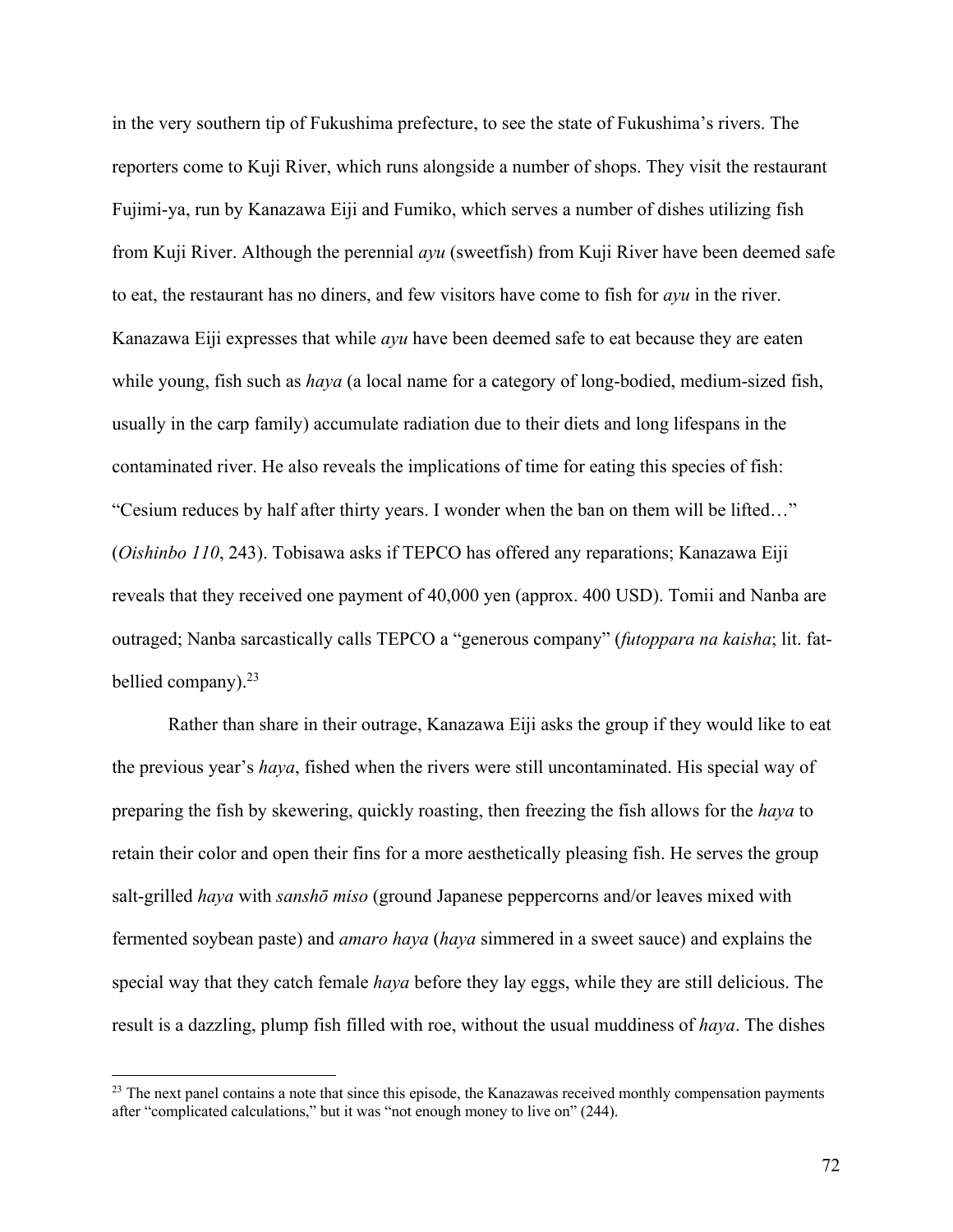in the very southern tip of Fukushima prefecture, to see the state of Fukushima's rivers. The reporters come to Kuji River, which runs alongside a number of shops. They visit the restaurant Fujimi-ya, run by Kanazawa Eiji and Fumiko, which serves a number of dishes utilizing fish from Kuji River. Although the perennial *ayu* (sweetfish) from Kuji River have been deemed safe to eat, the restaurant has no diners, and few visitors have come to fish for *ayu* in the river. Kanazawa Eiji expresses that while *ayu* have been deemed safe to eat because they are eaten while young, fish such as *haya* (a local name for a category of long-bodied, medium-sized fish, usually in the carp family) accumulate radiation due to their diets and long lifespans in the contaminated river. He also reveals the implications of time for eating this species of fish: "Cesium reduces by half after thirty years. I wonder when the ban on them will be lifted…" (*Oishinbo 110*, 243). Tobisawa asks if TEPCO has offered any reparations; Kanazawa Eiji reveals that they received one payment of 40,000 yen (approx. 400 USD). Tomii and Nanba are outraged; Nanba sarcastically calls TEPCO a "generous company" (*futoppara na kaisha*; lit. fatbellied company). $23$ 

Rather than share in their outrage, Kanazawa Eiji asks the group if they would like to eat the previous year's *haya*, fished when the rivers were still uncontaminated. His special way of preparing the fish by skewering, quickly roasting, then freezing the fish allows for the *haya* to retain their color and open their fins for a more aesthetically pleasing fish. He serves the group salt-grilled *haya* with *sanshō miso* (ground Japanese peppercorns and/or leaves mixed with fermented soybean paste) and *amaro haya* (*haya* simmered in a sweet sauce) and explains the special way that they catch female *haya* before they lay eggs, while they are still delicious. The result is a dazzling, plump fish filled with roe, without the usual muddiness of *haya*. The dishes

<sup>&</sup>lt;sup>23</sup> The next panel contains a note that since this episode, the Kanazawas received monthly compensation payments after "complicated calculations," but it was "not enough money to live on" (244).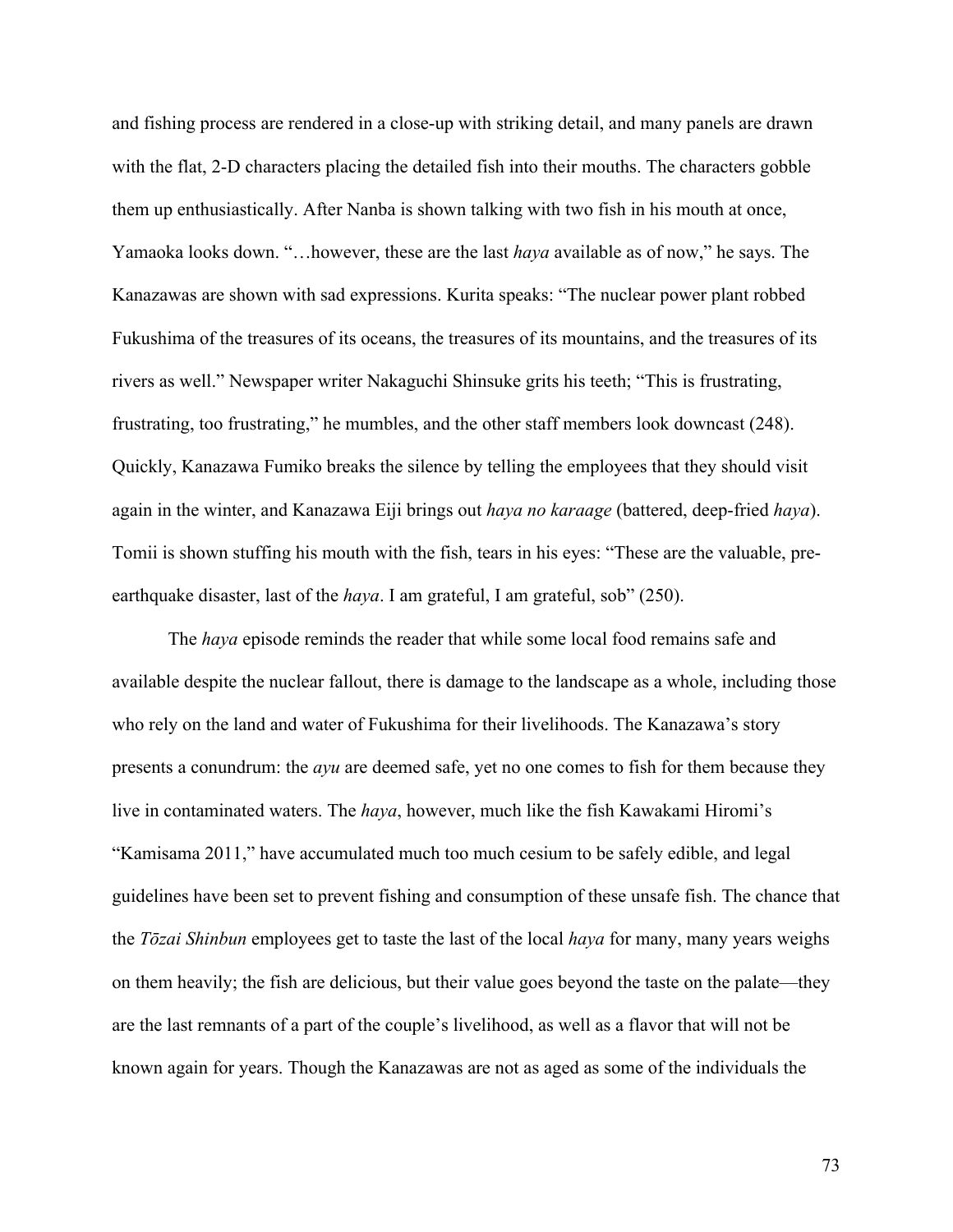and fishing process are rendered in a close-up with striking detail, and many panels are drawn with the flat, 2-D characters placing the detailed fish into their mouths. The characters gobble them up enthusiastically. After Nanba is shown talking with two fish in his mouth at once, Yamaoka looks down. "…however, these are the last *haya* available as of now," he says. The Kanazawas are shown with sad expressions. Kurita speaks: "The nuclear power plant robbed Fukushima of the treasures of its oceans, the treasures of its mountains, and the treasures of its rivers as well." Newspaper writer Nakaguchi Shinsuke grits his teeth; "This is frustrating, frustrating, too frustrating," he mumbles, and the other staff members look downcast (248). Quickly, Kanazawa Fumiko breaks the silence by telling the employees that they should visit again in the winter, and Kanazawa Eiji brings out *haya no karaage* (battered, deep-fried *haya*). Tomii is shown stuffing his mouth with the fish, tears in his eyes: "These are the valuable, preearthquake disaster, last of the *haya*. I am grateful, I am grateful, sob" (250).

The *haya* episode reminds the reader that while some local food remains safe and available despite the nuclear fallout, there is damage to the landscape as a whole, including those who rely on the land and water of Fukushima for their livelihoods. The Kanazawa's story presents a conundrum: the *ayu* are deemed safe, yet no one comes to fish for them because they live in contaminated waters. The *haya*, however, much like the fish Kawakami Hiromi's "Kamisama 2011," have accumulated much too much cesium to be safely edible, and legal guidelines have been set to prevent fishing and consumption of these unsafe fish. The chance that the *Tōzai Shinbun* employees get to taste the last of the local *haya* for many, many years weighs on them heavily; the fish are delicious, but their value goes beyond the taste on the palate—they are the last remnants of a part of the couple's livelihood, as well as a flavor that will not be known again for years. Though the Kanazawas are not as aged as some of the individuals the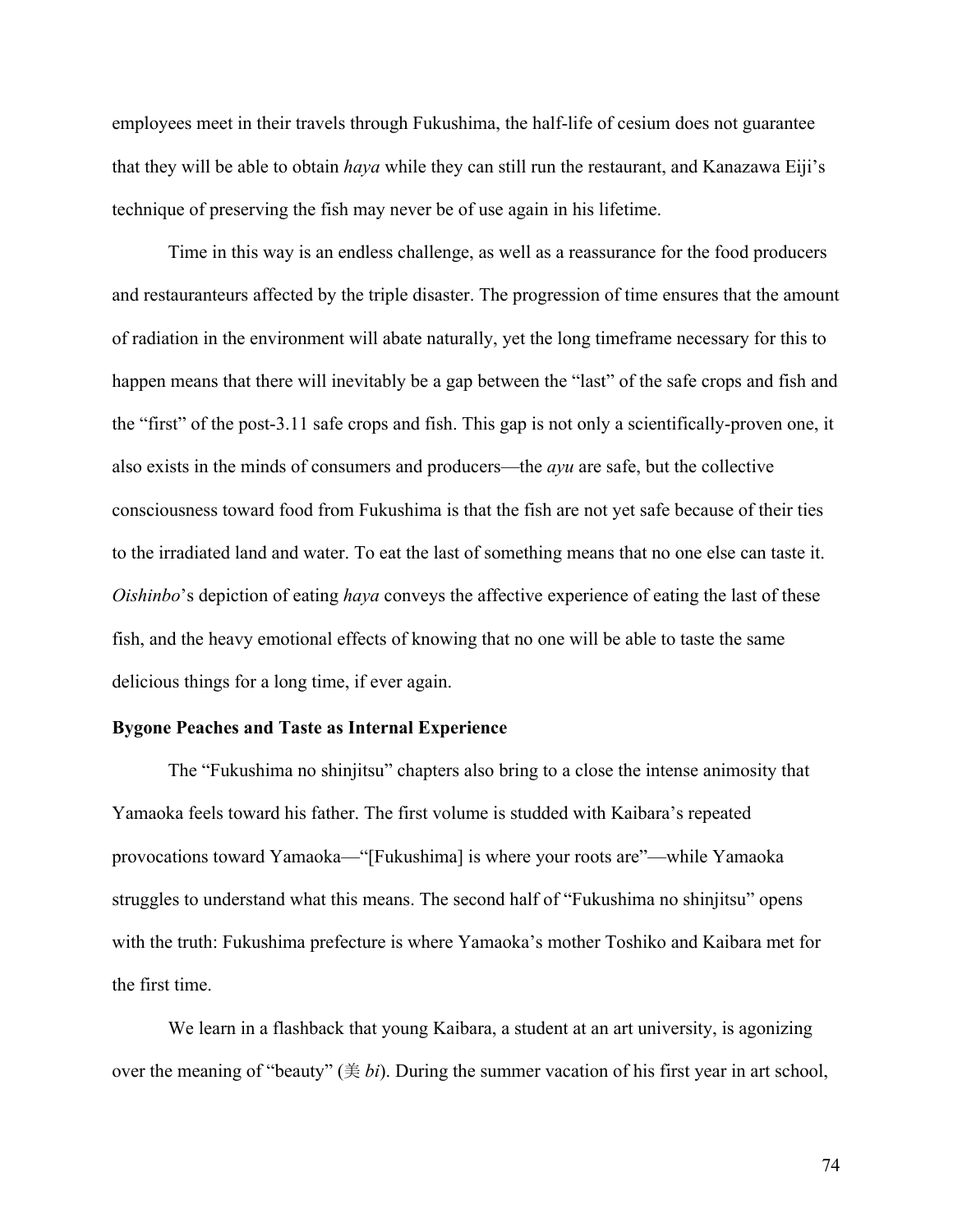employees meet in their travels through Fukushima, the half-life of cesium does not guarantee that they will be able to obtain *haya* while they can still run the restaurant, and Kanazawa Eiji's technique of preserving the fish may never be of use again in his lifetime.

Time in this way is an endless challenge, as well as a reassurance for the food producers and restauranteurs affected by the triple disaster. The progression of time ensures that the amount of radiation in the environment will abate naturally, yet the long timeframe necessary for this to happen means that there will inevitably be a gap between the "last" of the safe crops and fish and the "first" of the post-3.11 safe crops and fish. This gap is not only a scientifically-proven one, it also exists in the minds of consumers and producers—the *ayu* are safe, but the collective consciousness toward food from Fukushima is that the fish are not yet safe because of their ties to the irradiated land and water. To eat the last of something means that no one else can taste it. *Oishinbo*'s depiction of eating *haya* conveys the affective experience of eating the last of these fish, and the heavy emotional effects of knowing that no one will be able to taste the same delicious things for a long time, if ever again.

### **Bygone Peaches and Taste as Internal Experience**

The "Fukushima no shinjitsu" chapters also bring to a close the intense animosity that Yamaoka feels toward his father. The first volume is studded with Kaibara's repeated provocations toward Yamaoka—"[Fukushima] is where your roots are"—while Yamaoka struggles to understand what this means. The second half of "Fukushima no shinjitsu" opens with the truth: Fukushima prefecture is where Yamaoka's mother Toshiko and Kaibara met for the first time.

We learn in a flashback that young Kaibara, a student at an art university, is agonizing over the meaning of "beauty" (美 *bi*). During the summer vacation of his first year in art school,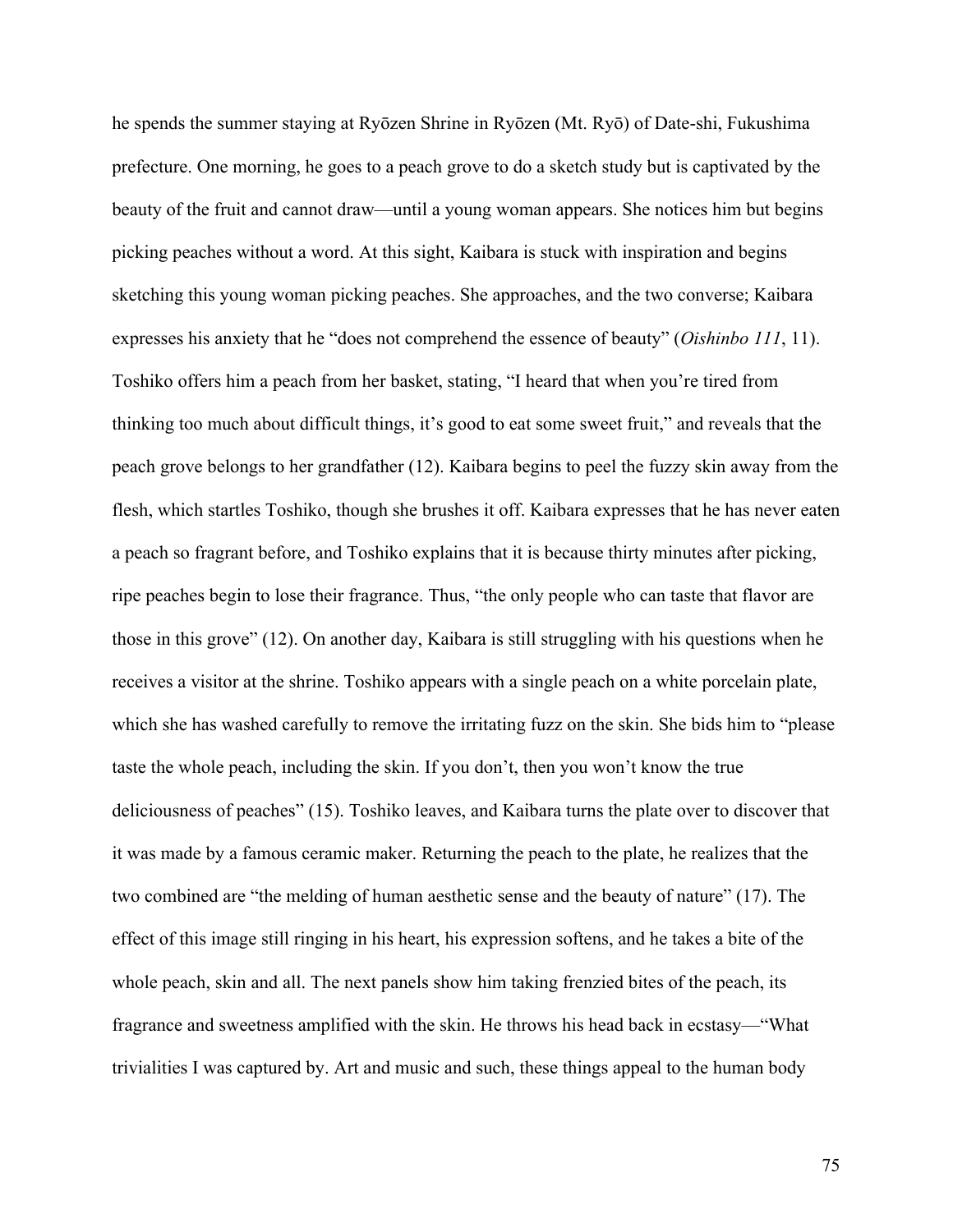he spends the summer staying at Ryōzen Shrine in Ryōzen (Mt. Ryō) of Date-shi, Fukushima prefecture. One morning, he goes to a peach grove to do a sketch study but is captivated by the beauty of the fruit and cannot draw—until a young woman appears. She notices him but begins picking peaches without a word. At this sight, Kaibara is stuck with inspiration and begins sketching this young woman picking peaches. She approaches, and the two converse; Kaibara expresses his anxiety that he "does not comprehend the essence of beauty" (*Oishinbo 111*, 11). Toshiko offers him a peach from her basket, stating, "I heard that when you're tired from thinking too much about difficult things, it's good to eat some sweet fruit," and reveals that the peach grove belongs to her grandfather (12). Kaibara begins to peel the fuzzy skin away from the flesh, which startles Toshiko, though she brushes it off. Kaibara expresses that he has never eaten a peach so fragrant before, and Toshiko explains that it is because thirty minutes after picking, ripe peaches begin to lose their fragrance. Thus, "the only people who can taste that flavor are those in this grove" (12). On another day, Kaibara is still struggling with his questions when he receives a visitor at the shrine. Toshiko appears with a single peach on a white porcelain plate, which she has washed carefully to remove the irritating fuzz on the skin. She bids him to "please taste the whole peach, including the skin. If you don't, then you won't know the true deliciousness of peaches" (15). Toshiko leaves, and Kaibara turns the plate over to discover that it was made by a famous ceramic maker. Returning the peach to the plate, he realizes that the two combined are "the melding of human aesthetic sense and the beauty of nature" (17). The effect of this image still ringing in his heart, his expression softens, and he takes a bite of the whole peach, skin and all. The next panels show him taking frenzied bites of the peach, its fragrance and sweetness amplified with the skin. He throws his head back in ecstasy—"What trivialities I was captured by. Art and music and such, these things appeal to the human body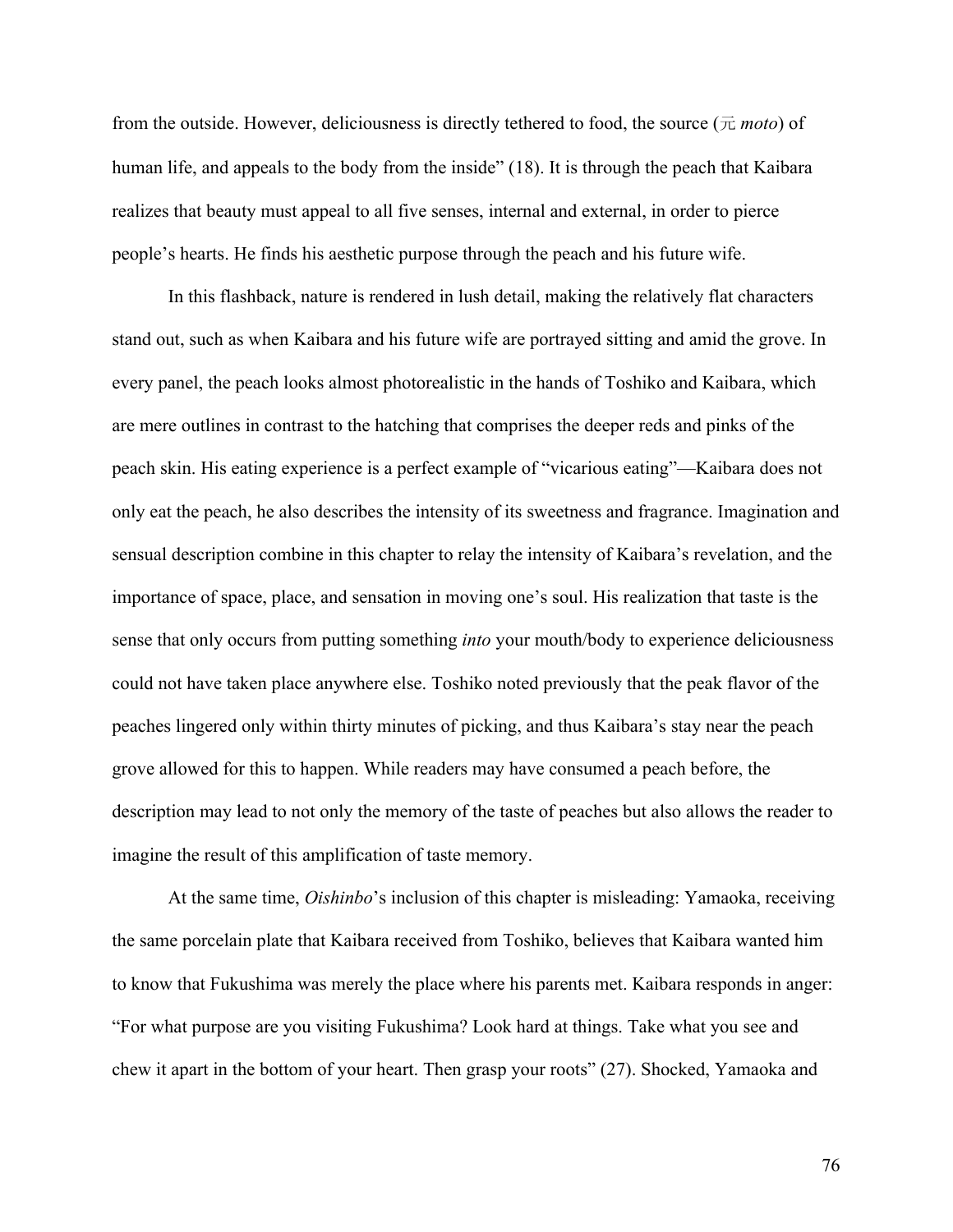from the outside. However, deliciousness is directly tethered to food, the source  $(\bar{\pi} \text{ moto})$  of human life, and appeals to the body from the inside" (18). It is through the peach that Kaibara realizes that beauty must appeal to all five senses, internal and external, in order to pierce people's hearts. He finds his aesthetic purpose through the peach and his future wife.

In this flashback, nature is rendered in lush detail, making the relatively flat characters stand out, such as when Kaibara and his future wife are portrayed sitting and amid the grove. In every panel, the peach looks almost photorealistic in the hands of Toshiko and Kaibara, which are mere outlines in contrast to the hatching that comprises the deeper reds and pinks of the peach skin. His eating experience is a perfect example of "vicarious eating"—Kaibara does not only eat the peach, he also describes the intensity of its sweetness and fragrance. Imagination and sensual description combine in this chapter to relay the intensity of Kaibara's revelation, and the importance of space, place, and sensation in moving one's soul. His realization that taste is the sense that only occurs from putting something *into* your mouth/body to experience deliciousness could not have taken place anywhere else. Toshiko noted previously that the peak flavor of the peaches lingered only within thirty minutes of picking, and thus Kaibara's stay near the peach grove allowed for this to happen. While readers may have consumed a peach before, the description may lead to not only the memory of the taste of peaches but also allows the reader to imagine the result of this amplification of taste memory.

At the same time, *Oishinbo*'s inclusion of this chapter is misleading: Yamaoka, receiving the same porcelain plate that Kaibara received from Toshiko, believes that Kaibara wanted him to know that Fukushima was merely the place where his parents met. Kaibara responds in anger: "For what purpose are you visiting Fukushima? Look hard at things. Take what you see and chew it apart in the bottom of your heart. Then grasp your roots" (27). Shocked, Yamaoka and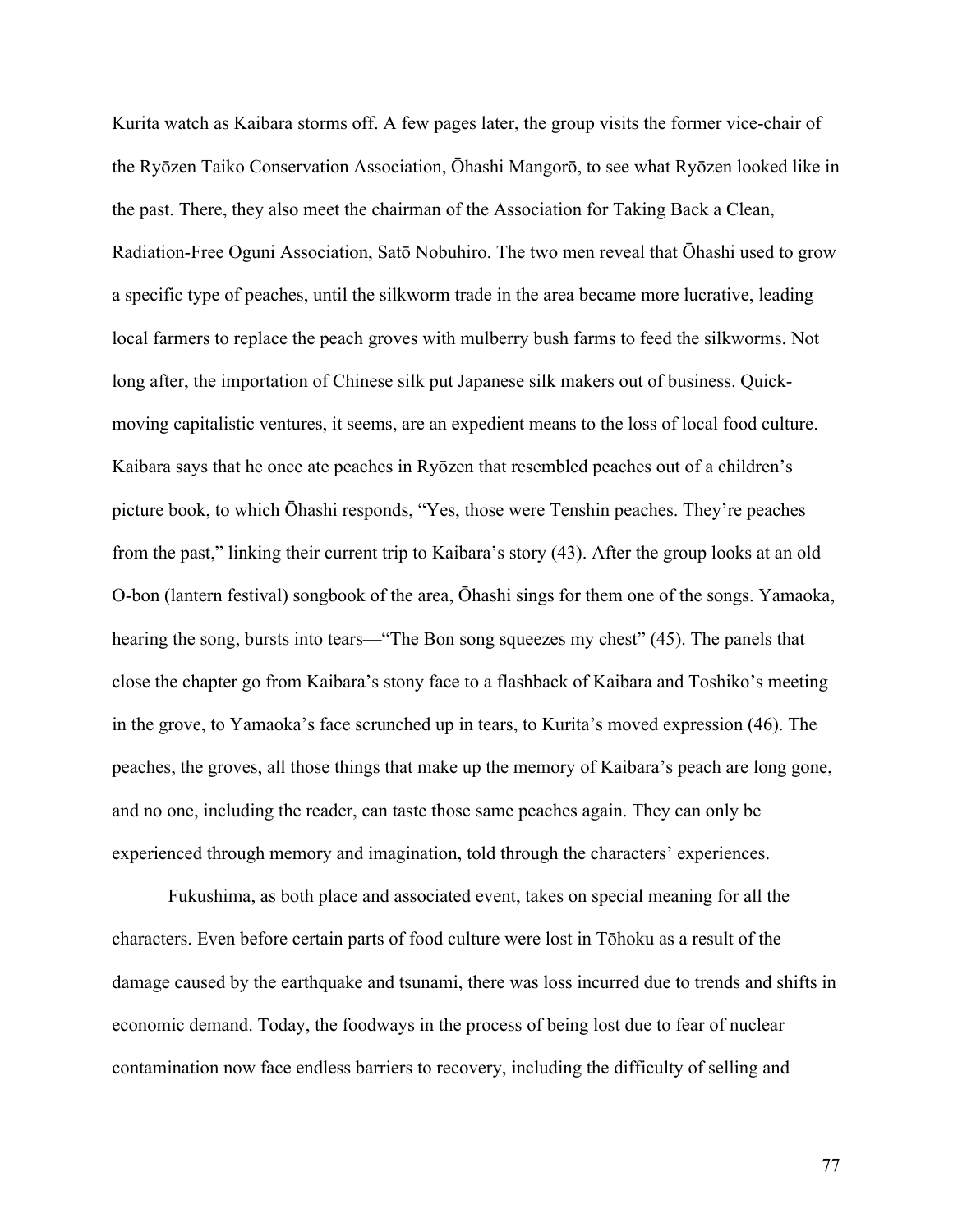Kurita watch as Kaibara storms off. A few pages later, the group visits the former vice-chair of the Ryōzen Taiko Conservation Association, Ōhashi Mangorō, to see what Ryōzen looked like in the past. There, they also meet the chairman of the Association for Taking Back a Clean, Radiation-Free Oguni Association, Satō Nobuhiro. The two men reveal that Ōhashi used to grow a specific type of peaches, until the silkworm trade in the area became more lucrative, leading local farmers to replace the peach groves with mulberry bush farms to feed the silkworms. Not long after, the importation of Chinese silk put Japanese silk makers out of business. Quickmoving capitalistic ventures, it seems, are an expedient means to the loss of local food culture. Kaibara says that he once ate peaches in Ryōzen that resembled peaches out of a children's picture book, to which Ōhashi responds, "Yes, those were Tenshin peaches. They're peaches from the past," linking their current trip to Kaibara's story (43). After the group looks at an old O-bon (lantern festival) songbook of the area, Ōhashi sings for them one of the songs. Yamaoka, hearing the song, bursts into tears—"The Bon song squeezes my chest" (45). The panels that close the chapter go from Kaibara's stony face to a flashback of Kaibara and Toshiko's meeting in the grove, to Yamaoka's face scrunched up in tears, to Kurita's moved expression (46). The peaches, the groves, all those things that make up the memory of Kaibara's peach are long gone, and no one, including the reader, can taste those same peaches again. They can only be experienced through memory and imagination, told through the characters' experiences.

Fukushima, as both place and associated event, takes on special meaning for all the characters. Even before certain parts of food culture were lost in Tōhoku as a result of the damage caused by the earthquake and tsunami, there was loss incurred due to trends and shifts in economic demand. Today, the foodways in the process of being lost due to fear of nuclear contamination now face endless barriers to recovery, including the difficulty of selling and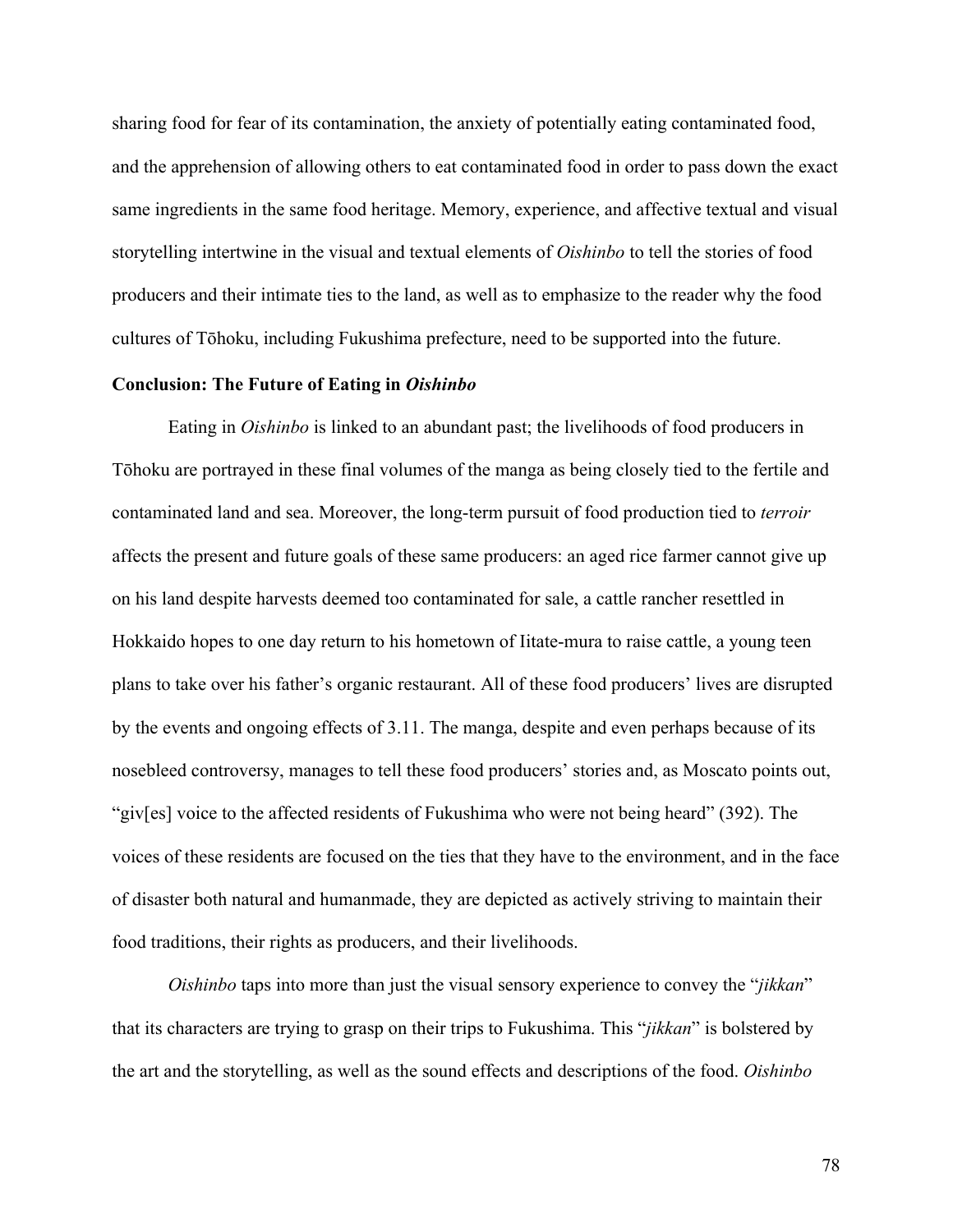sharing food for fear of its contamination, the anxiety of potentially eating contaminated food, and the apprehension of allowing others to eat contaminated food in order to pass down the exact same ingredients in the same food heritage. Memory, experience, and affective textual and visual storytelling intertwine in the visual and textual elements of *Oishinbo* to tell the stories of food producers and their intimate ties to the land, as well as to emphasize to the reader why the food cultures of Tōhoku, including Fukushima prefecture, need to be supported into the future.

### **Conclusion: The Future of Eating in** *Oishinbo*

Eating in *Oishinbo* is linked to an abundant past; the livelihoods of food producers in Tōhoku are portrayed in these final volumes of the manga as being closely tied to the fertile and contaminated land and sea. Moreover, the long-term pursuit of food production tied to *terroir* affects the present and future goals of these same producers: an aged rice farmer cannot give up on his land despite harvests deemed too contaminated for sale, a cattle rancher resettled in Hokkaido hopes to one day return to his hometown of Iitate-mura to raise cattle, a young teen plans to take over his father's organic restaurant. All of these food producers' lives are disrupted by the events and ongoing effects of 3.11. The manga, despite and even perhaps because of its nosebleed controversy, manages to tell these food producers' stories and, as Moscato points out, "giv[es] voice to the affected residents of Fukushima who were not being heard" (392). The voices of these residents are focused on the ties that they have to the environment, and in the face of disaster both natural and humanmade, they are depicted as actively striving to maintain their food traditions, their rights as producers, and their livelihoods.

*Oishinbo* taps into more than just the visual sensory experience to convey the "*jikkan*" that its characters are trying to grasp on their trips to Fukushima. This "*jikkan*" is bolstered by the art and the storytelling, as well as the sound effects and descriptions of the food. *Oishinbo*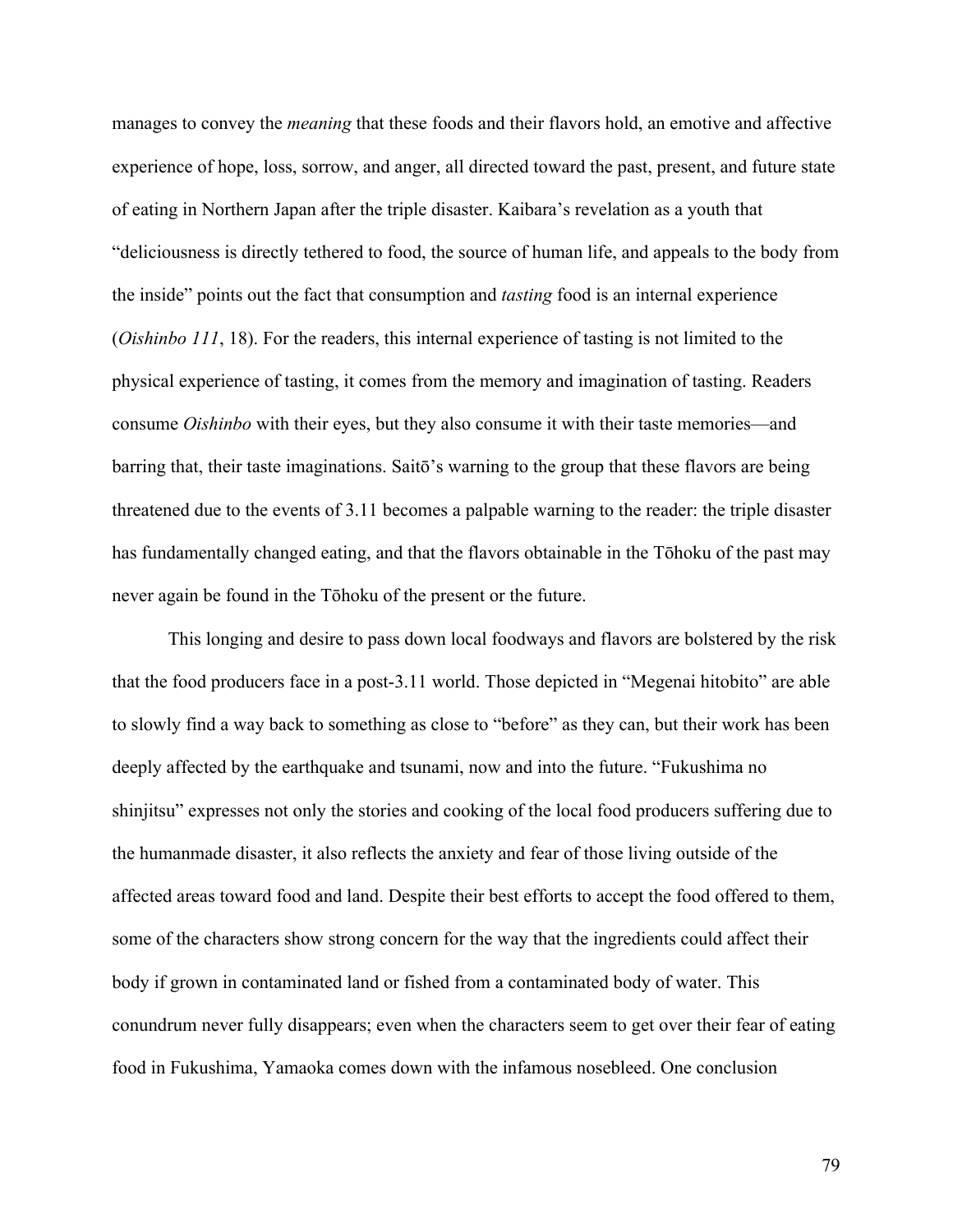manages to convey the *meaning* that these foods and their flavors hold, an emotive and affective experience of hope, loss, sorrow, and anger, all directed toward the past, present, and future state of eating in Northern Japan after the triple disaster. Kaibara's revelation as a youth that "deliciousness is directly tethered to food, the source of human life, and appeals to the body from the inside" points out the fact that consumption and *tasting* food is an internal experience (*Oishinbo 111*, 18). For the readers, this internal experience of tasting is not limited to the physical experience of tasting, it comes from the memory and imagination of tasting. Readers consume *Oishinbo* with their eyes, but they also consume it with their taste memories—and barring that, their taste imaginations. Saitō's warning to the group that these flavors are being threatened due to the events of 3.11 becomes a palpable warning to the reader: the triple disaster has fundamentally changed eating, and that the flavors obtainable in the Tōhoku of the past may never again be found in the Tōhoku of the present or the future.

This longing and desire to pass down local foodways and flavors are bolstered by the risk that the food producers face in a post-3.11 world. Those depicted in "Megenai hitobito" are able to slowly find a way back to something as close to "before" as they can, but their work has been deeply affected by the earthquake and tsunami, now and into the future. "Fukushima no shinjitsu" expresses not only the stories and cooking of the local food producers suffering due to the humanmade disaster, it also reflects the anxiety and fear of those living outside of the affected areas toward food and land. Despite their best efforts to accept the food offered to them, some of the characters show strong concern for the way that the ingredients could affect their body if grown in contaminated land or fished from a contaminated body of water. This conundrum never fully disappears; even when the characters seem to get over their fear of eating food in Fukushima, Yamaoka comes down with the infamous nosebleed. One conclusion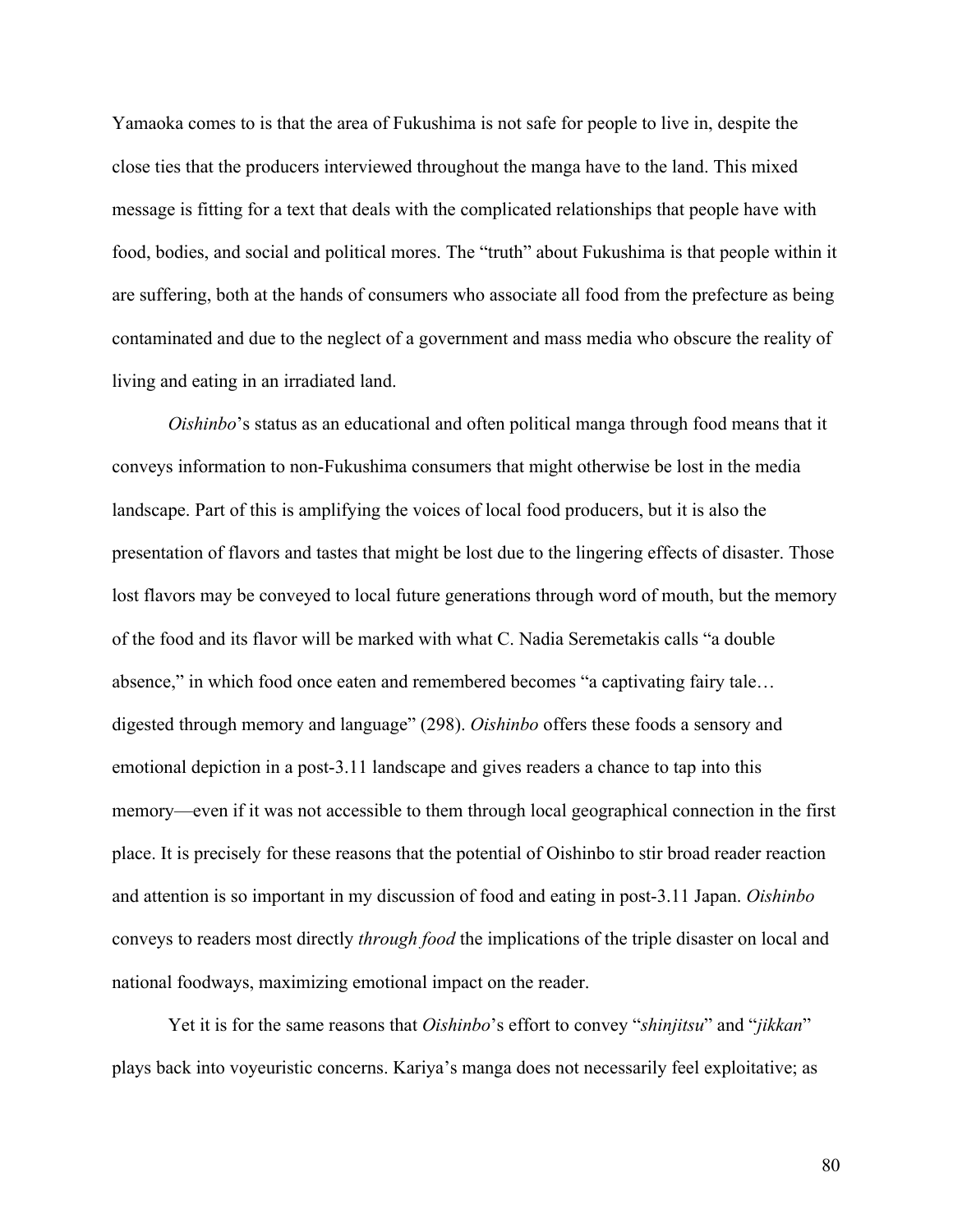Yamaoka comes to is that the area of Fukushima is not safe for people to live in, despite the close ties that the producers interviewed throughout the manga have to the land. This mixed message is fitting for a text that deals with the complicated relationships that people have with food, bodies, and social and political mores. The "truth" about Fukushima is that people within it are suffering, both at the hands of consumers who associate all food from the prefecture as being contaminated and due to the neglect of a government and mass media who obscure the reality of living and eating in an irradiated land.

*Oishinbo*'s status as an educational and often political manga through food means that it conveys information to non-Fukushima consumers that might otherwise be lost in the media landscape. Part of this is amplifying the voices of local food producers, but it is also the presentation of flavors and tastes that might be lost due to the lingering effects of disaster. Those lost flavors may be conveyed to local future generations through word of mouth, but the memory of the food and its flavor will be marked with what C. Nadia Seremetakis calls "a double absence," in which food once eaten and remembered becomes "a captivating fairy tale… digested through memory and language" (298). *Oishinbo* offers these foods a sensory and emotional depiction in a post-3.11 landscape and gives readers a chance to tap into this memory—even if it was not accessible to them through local geographical connection in the first place. It is precisely for these reasons that the potential of Oishinbo to stir broad reader reaction and attention is so important in my discussion of food and eating in post-3.11 Japan. *Oishinbo* conveys to readers most directly *through food* the implications of the triple disaster on local and national foodways, maximizing emotional impact on the reader.

Yet it is for the same reasons that *Oishinbo*'s effort to convey "*shinjitsu*" and "*jikkan*" plays back into voyeuristic concerns. Kariya's manga does not necessarily feel exploitative; as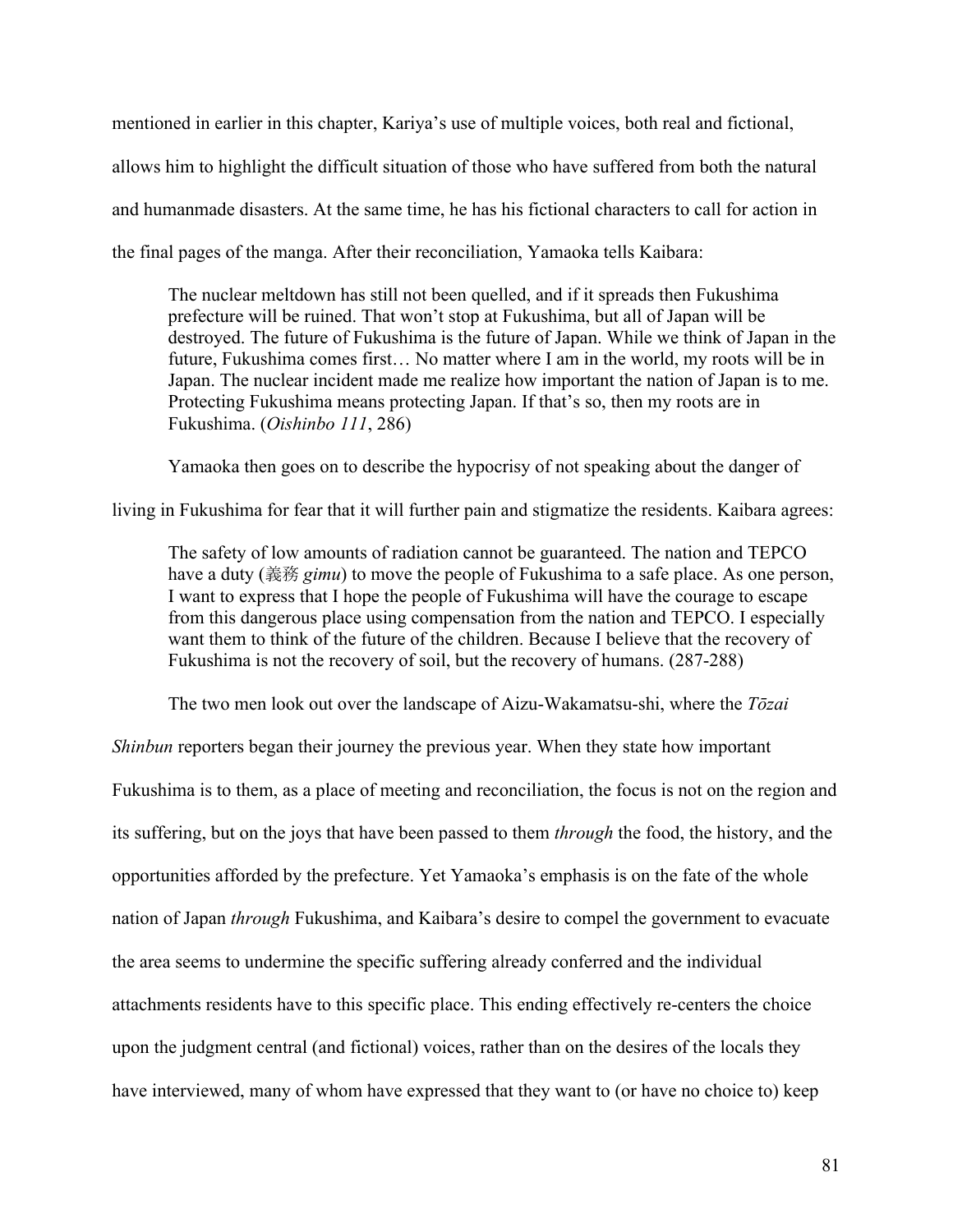mentioned in earlier in this chapter, Kariya's use of multiple voices, both real and fictional, allows him to highlight the difficult situation of those who have suffered from both the natural and humanmade disasters. At the same time, he has his fictional characters to call for action in the final pages of the manga. After their reconciliation, Yamaoka tells Kaibara:

The nuclear meltdown has still not been quelled, and if it spreads then Fukushima prefecture will be ruined. That won't stop at Fukushima, but all of Japan will be destroyed. The future of Fukushima is the future of Japan. While we think of Japan in the future, Fukushima comes first… No matter where I am in the world, my roots will be in Japan. The nuclear incident made me realize how important the nation of Japan is to me. Protecting Fukushima means protecting Japan. If that's so, then my roots are in Fukushima. (*Oishinbo 111*, 286)

Yamaoka then goes on to describe the hypocrisy of not speaking about the danger of

living in Fukushima for fear that it will further pain and stigmatize the residents. Kaibara agrees:

The safety of low amounts of radiation cannot be guaranteed. The nation and TEPCO have a duty (義務 *gimu*) to move the people of Fukushima to a safe place. As one person, I want to express that I hope the people of Fukushima will have the courage to escape from this dangerous place using compensation from the nation and TEPCO. I especially want them to think of the future of the children. Because I believe that the recovery of Fukushima is not the recovery of soil, but the recovery of humans. (287-288)

The two men look out over the landscape of Aizu-Wakamatsu-shi, where the *Tōzai* 

*Shinbun* reporters began their journey the previous year. When they state how important Fukushima is to them, as a place of meeting and reconciliation, the focus is not on the region and its suffering, but on the joys that have been passed to them *through* the food, the history, and the opportunities afforded by the prefecture. Yet Yamaoka's emphasis is on the fate of the whole nation of Japan *through* Fukushima, and Kaibara's desire to compel the government to evacuate the area seems to undermine the specific suffering already conferred and the individual attachments residents have to this specific place. This ending effectively re-centers the choice upon the judgment central (and fictional) voices, rather than on the desires of the locals they have interviewed, many of whom have expressed that they want to (or have no choice to) keep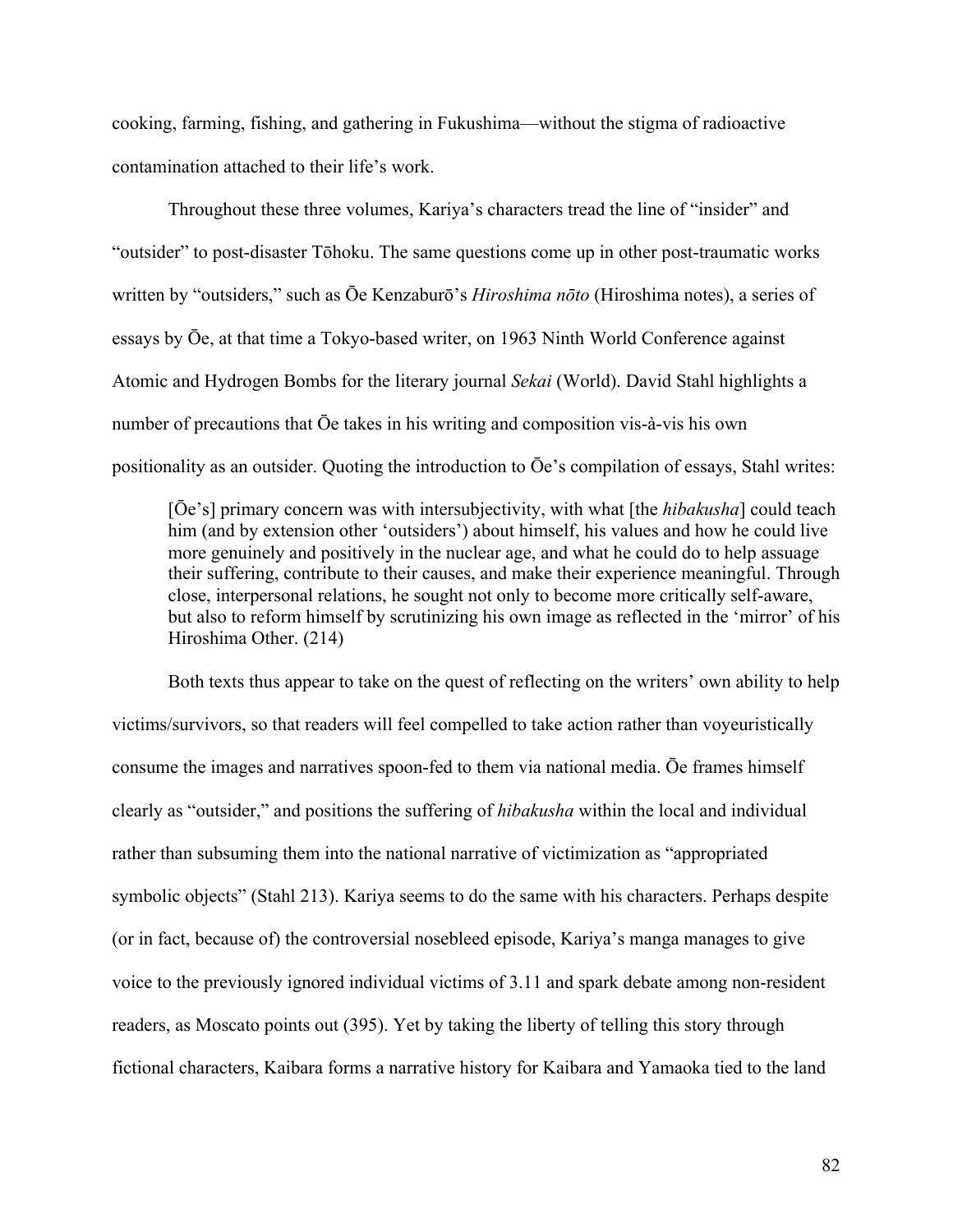cooking, farming, fishing, and gathering in Fukushima—without the stigma of radioactive contamination attached to their life's work.

Throughout these three volumes, Kariya's characters tread the line of "insider" and "outsider" to post-disaster Tōhoku. The same questions come up in other post-traumatic works written by "outsiders," such as Ōe Kenzaburō's *Hiroshima nōto* (Hiroshima notes), a series of essays by Ōe, at that time a Tokyo-based writer, on 1963 Ninth World Conference against Atomic and Hydrogen Bombs for the literary journal *Sekai* (World). David Stahl highlights a number of precautions that Ōe takes in his writing and composition vis-à-vis his own positionality as an outsider. Quoting the introduction to Ōe's compilation of essays, Stahl writes:

[Ōe's] primary concern was with intersubjectivity, with what [the *hibakusha*] could teach him (and by extension other 'outsiders') about himself, his values and how he could live more genuinely and positively in the nuclear age, and what he could do to help assuage their suffering, contribute to their causes, and make their experience meaningful. Through close, interpersonal relations, he sought not only to become more critically self-aware, but also to reform himself by scrutinizing his own image as reflected in the 'mirror' of his Hiroshima Other. (214)

Both texts thus appear to take on the quest of reflecting on the writers' own ability to help victims/survivors, so that readers will feel compelled to take action rather than voyeuristically consume the images and narratives spoon-fed to them via national media. Ōe frames himself clearly as "outsider," and positions the suffering of *hibakusha* within the local and individual rather than subsuming them into the national narrative of victimization as "appropriated symbolic objects" (Stahl 213). Kariya seems to do the same with his characters. Perhaps despite (or in fact, because of) the controversial nosebleed episode, Kariya's manga manages to give voice to the previously ignored individual victims of 3.11 and spark debate among non-resident readers, as Moscato points out (395). Yet by taking the liberty of telling this story through fictional characters, Kaibara forms a narrative history for Kaibara and Yamaoka tied to the land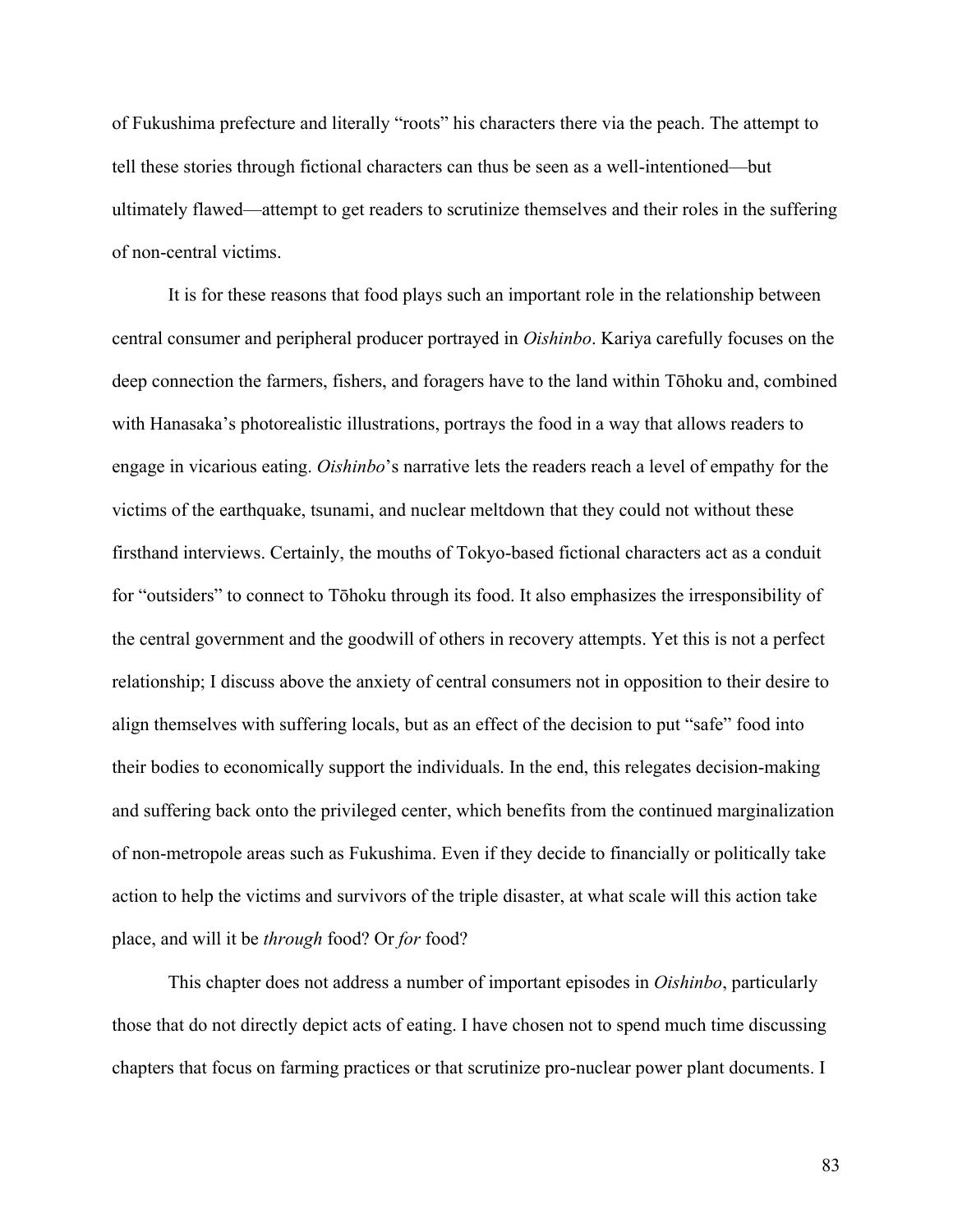of Fukushima prefecture and literally "roots" his characters there via the peach. The attempt to tell these stories through fictional characters can thus be seen as a well-intentioned—but ultimately flawed—attempt to get readers to scrutinize themselves and their roles in the suffering of non-central victims.

It is for these reasons that food plays such an important role in the relationship between central consumer and peripheral producer portrayed in *Oishinbo*. Kariya carefully focuses on the deep connection the farmers, fishers, and foragers have to the land within Tōhoku and, combined with Hanasaka's photorealistic illustrations, portrays the food in a way that allows readers to engage in vicarious eating. *Oishinbo*'s narrative lets the readers reach a level of empathy for the victims of the earthquake, tsunami, and nuclear meltdown that they could not without these firsthand interviews. Certainly, the mouths of Tokyo-based fictional characters act as a conduit for "outsiders" to connect to Tōhoku through its food. It also emphasizes the irresponsibility of the central government and the goodwill of others in recovery attempts. Yet this is not a perfect relationship; I discuss above the anxiety of central consumers not in opposition to their desire to align themselves with suffering locals, but as an effect of the decision to put "safe" food into their bodies to economically support the individuals. In the end, this relegates decision-making and suffering back onto the privileged center, which benefits from the continued marginalization of non-metropole areas such as Fukushima. Even if they decide to financially or politically take action to help the victims and survivors of the triple disaster, at what scale will this action take place, and will it be *through* food? Or *for* food?

This chapter does not address a number of important episodes in *Oishinbo*, particularly those that do not directly depict acts of eating. I have chosen not to spend much time discussing chapters that focus on farming practices or that scrutinize pro-nuclear power plant documents. I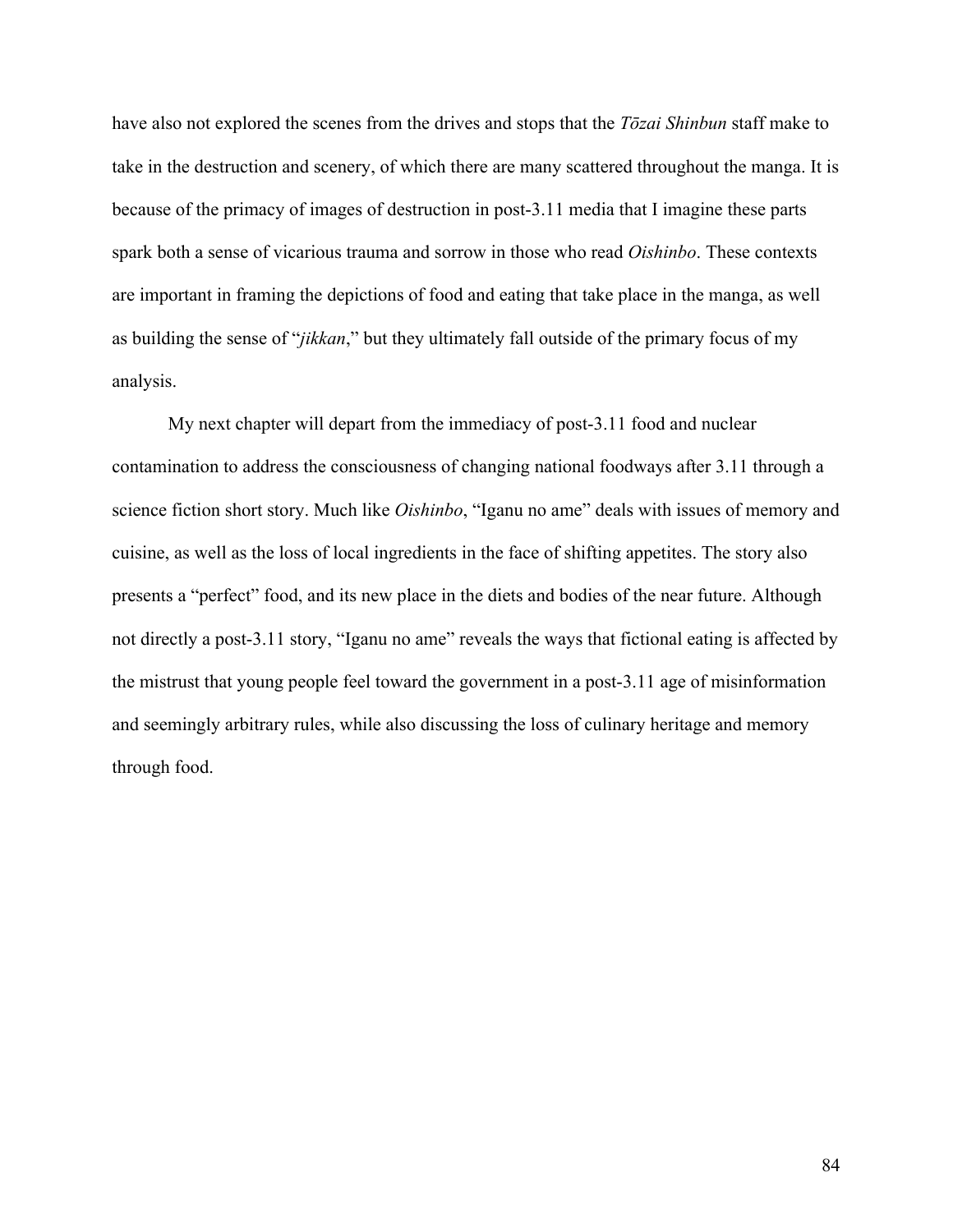have also not explored the scenes from the drives and stops that the *Tōzai Shinbun* staff make to take in the destruction and scenery, of which there are many scattered throughout the manga. It is because of the primacy of images of destruction in post-3.11 media that I imagine these parts spark both a sense of vicarious trauma and sorrow in those who read *Oishinbo*. These contexts are important in framing the depictions of food and eating that take place in the manga, as well as building the sense of "*jikkan*," but they ultimately fall outside of the primary focus of my analysis.

My next chapter will depart from the immediacy of post-3.11 food and nuclear contamination to address the consciousness of changing national foodways after 3.11 through a science fiction short story. Much like *Oishinbo*, "Iganu no ame" deals with issues of memory and cuisine, as well as the loss of local ingredients in the face of shifting appetites. The story also presents a "perfect" food, and its new place in the diets and bodies of the near future. Although not directly a post-3.11 story, "Iganu no ame" reveals the ways that fictional eating is affected by the mistrust that young people feel toward the government in a post-3.11 age of misinformation and seemingly arbitrary rules, while also discussing the loss of culinary heritage and memory through food.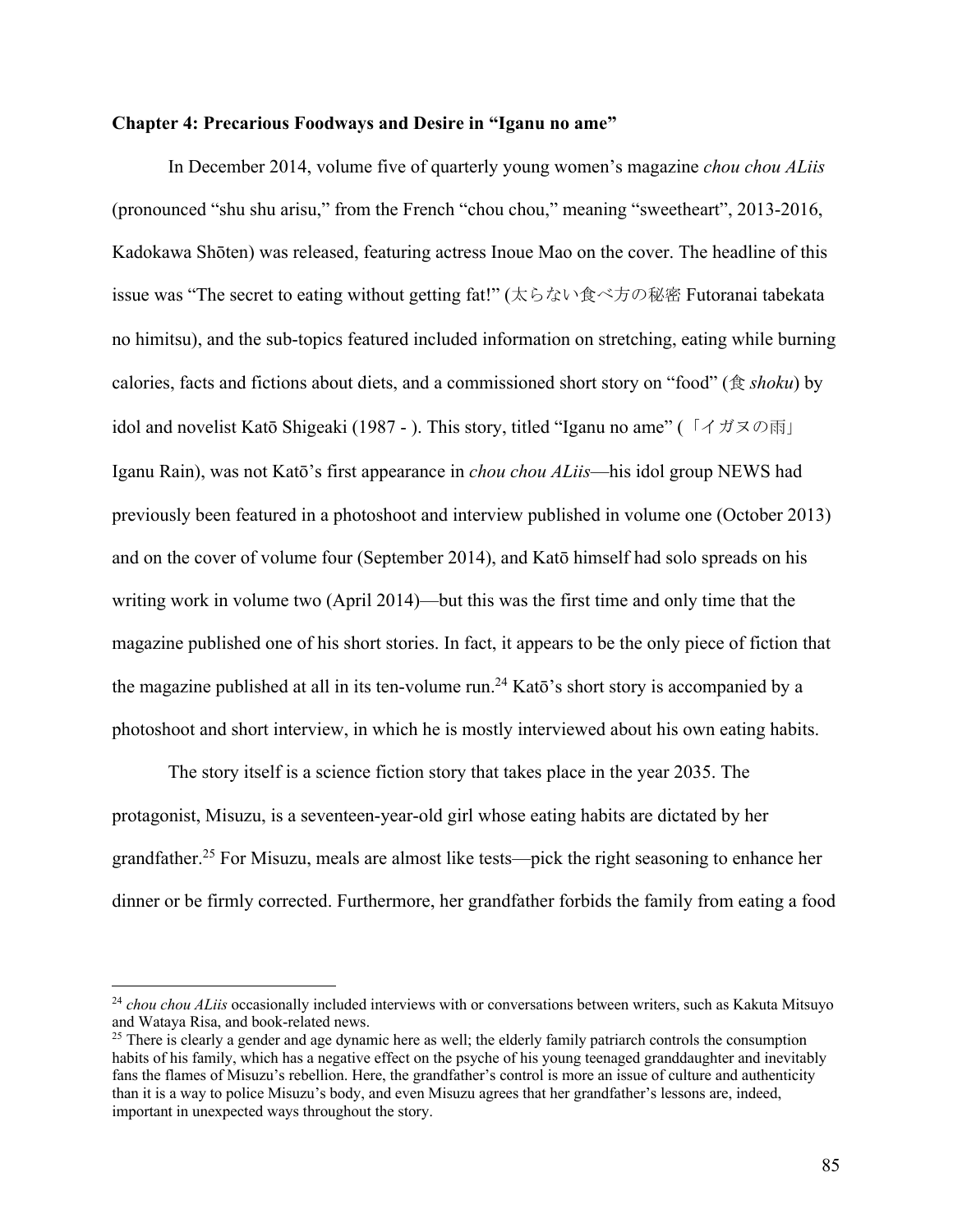# **Chapter 4: Precarious Foodways and Desire in "Iganu no ame"**

In December 2014, volume five of quarterly young women's magazine *chou chou ALiis* (pronounced "shu shu arisu," from the French "chou chou," meaning "sweetheart", 2013-2016, Kadokawa Shōten) was released, featuring actress Inoue Mao on the cover. The headline of this issue was "The secret to eating without getting fat!" (太らない食べ方の秘密 Futoranai tabekata no himitsu), and the sub-topics featured included information on stretching, eating while burning calories, facts and fictions about diets, and a commissioned short story on "food" (食 *shoku*) by idol and novelist Katō Shigeaki (1987 - ). This story, titled "Iganu no ame" (「イガヌの雨」 Iganu Rain), was not Katō's first appearance in *chou chou ALiis*—his idol group NEWS had previously been featured in a photoshoot and interview published in volume one (October 2013) and on the cover of volume four (September 2014), and Katō himself had solo spreads on his writing work in volume two (April 2014)—but this was the first time and only time that the magazine published one of his short stories. In fact, it appears to be the only piece of fiction that the magazine published at all in its ten-volume run.<sup>24</sup> Katō's short story is accompanied by a photoshoot and short interview, in which he is mostly interviewed about his own eating habits.

The story itself is a science fiction story that takes place in the year 2035. The protagonist, Misuzu, is a seventeen-year-old girl whose eating habits are dictated by her grandfather.25 For Misuzu, meals are almost like tests—pick the right seasoning to enhance her dinner or be firmly corrected. Furthermore, her grandfather forbids the family from eating a food

<sup>&</sup>lt;sup>24</sup> *chou chou ALiis* occasionally included interviews with or conversations between writers, such as Kakuta Mitsuyo and Wataya Risa, and book-related news.

<sup>&</sup>lt;sup>25</sup> There is clearly a gender and age dynamic here as well; the elderly family patriarch controls the consumption habits of his family, which has a negative effect on the psyche of his young teenaged granddaughter and inevitably fans the flames of Misuzu's rebellion. Here, the grandfather's control is more an issue of culture and authenticity than it is a way to police Misuzu's body, and even Misuzu agrees that her grandfather's lessons are, indeed, important in unexpected ways throughout the story.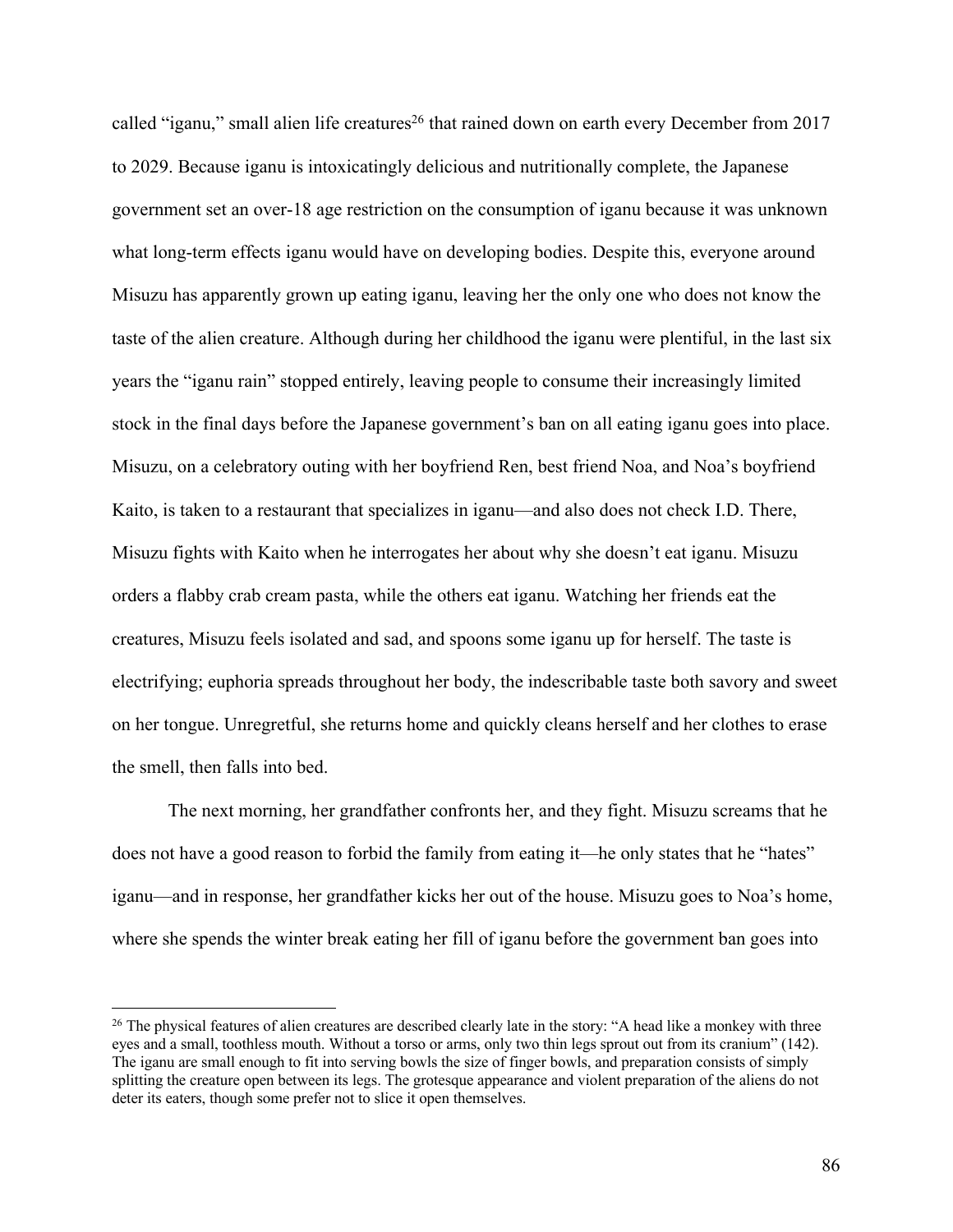called "iganu," small alien life creatures<sup>26</sup> that rained down on earth every December from 2017 to 2029. Because iganu is intoxicatingly delicious and nutritionally complete, the Japanese government set an over-18 age restriction on the consumption of iganu because it was unknown what long-term effects iganu would have on developing bodies. Despite this, everyone around Misuzu has apparently grown up eating iganu, leaving her the only one who does not know the taste of the alien creature. Although during her childhood the iganu were plentiful, in the last six years the "iganu rain" stopped entirely, leaving people to consume their increasingly limited stock in the final days before the Japanese government's ban on all eating iganu goes into place. Misuzu, on a celebratory outing with her boyfriend Ren, best friend Noa, and Noa's boyfriend Kaito, is taken to a restaurant that specializes in iganu—and also does not check I.D. There, Misuzu fights with Kaito when he interrogates her about why she doesn't eat iganu. Misuzu orders a flabby crab cream pasta, while the others eat iganu. Watching her friends eat the creatures, Misuzu feels isolated and sad, and spoons some iganu up for herself. The taste is electrifying; euphoria spreads throughout her body, the indescribable taste both savory and sweet on her tongue. Unregretful, she returns home and quickly cleans herself and her clothes to erase the smell, then falls into bed.

The next morning, her grandfather confronts her, and they fight. Misuzu screams that he does not have a good reason to forbid the family from eating it—he only states that he "hates" iganu—and in response, her grandfather kicks her out of the house. Misuzu goes to Noa's home, where she spends the winter break eating her fill of iganu before the government ban goes into

 $26$  The physical features of alien creatures are described clearly late in the story: "A head like a monkey with three eyes and a small, toothless mouth. Without a torso or arms, only two thin legs sprout out from its cranium" (142). The iganu are small enough to fit into serving bowls the size of finger bowls, and preparation consists of simply splitting the creature open between its legs. The grotesque appearance and violent preparation of the aliens do not deter its eaters, though some prefer not to slice it open themselves.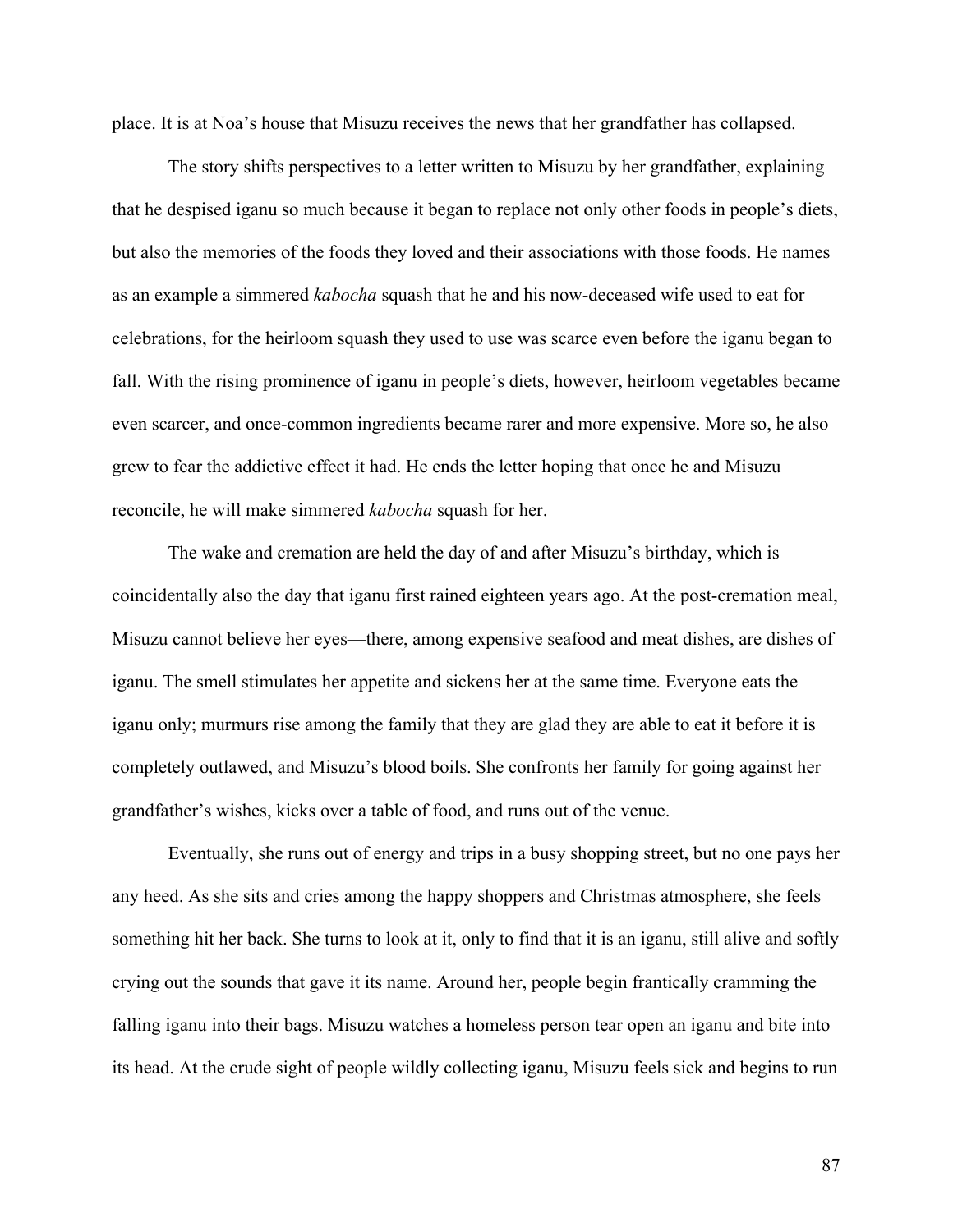place. It is at Noa's house that Misuzu receives the news that her grandfather has collapsed.

The story shifts perspectives to a letter written to Misuzu by her grandfather, explaining that he despised iganu so much because it began to replace not only other foods in people's diets, but also the memories of the foods they loved and their associations with those foods. He names as an example a simmered *kabocha* squash that he and his now-deceased wife used to eat for celebrations, for the heirloom squash they used to use was scarce even before the iganu began to fall. With the rising prominence of iganu in people's diets, however, heirloom vegetables became even scarcer, and once-common ingredients became rarer and more expensive. More so, he also grew to fear the addictive effect it had. He ends the letter hoping that once he and Misuzu reconcile, he will make simmered *kabocha* squash for her.

The wake and cremation are held the day of and after Misuzu's birthday, which is coincidentally also the day that iganu first rained eighteen years ago. At the post-cremation meal, Misuzu cannot believe her eyes—there, among expensive seafood and meat dishes, are dishes of iganu. The smell stimulates her appetite and sickens her at the same time. Everyone eats the iganu only; murmurs rise among the family that they are glad they are able to eat it before it is completely outlawed, and Misuzu's blood boils. She confronts her family for going against her grandfather's wishes, kicks over a table of food, and runs out of the venue.

Eventually, she runs out of energy and trips in a busy shopping street, but no one pays her any heed. As she sits and cries among the happy shoppers and Christmas atmosphere, she feels something hit her back. She turns to look at it, only to find that it is an iganu, still alive and softly crying out the sounds that gave it its name. Around her, people begin frantically cramming the falling iganu into their bags. Misuzu watches a homeless person tear open an iganu and bite into its head. At the crude sight of people wildly collecting iganu, Misuzu feels sick and begins to run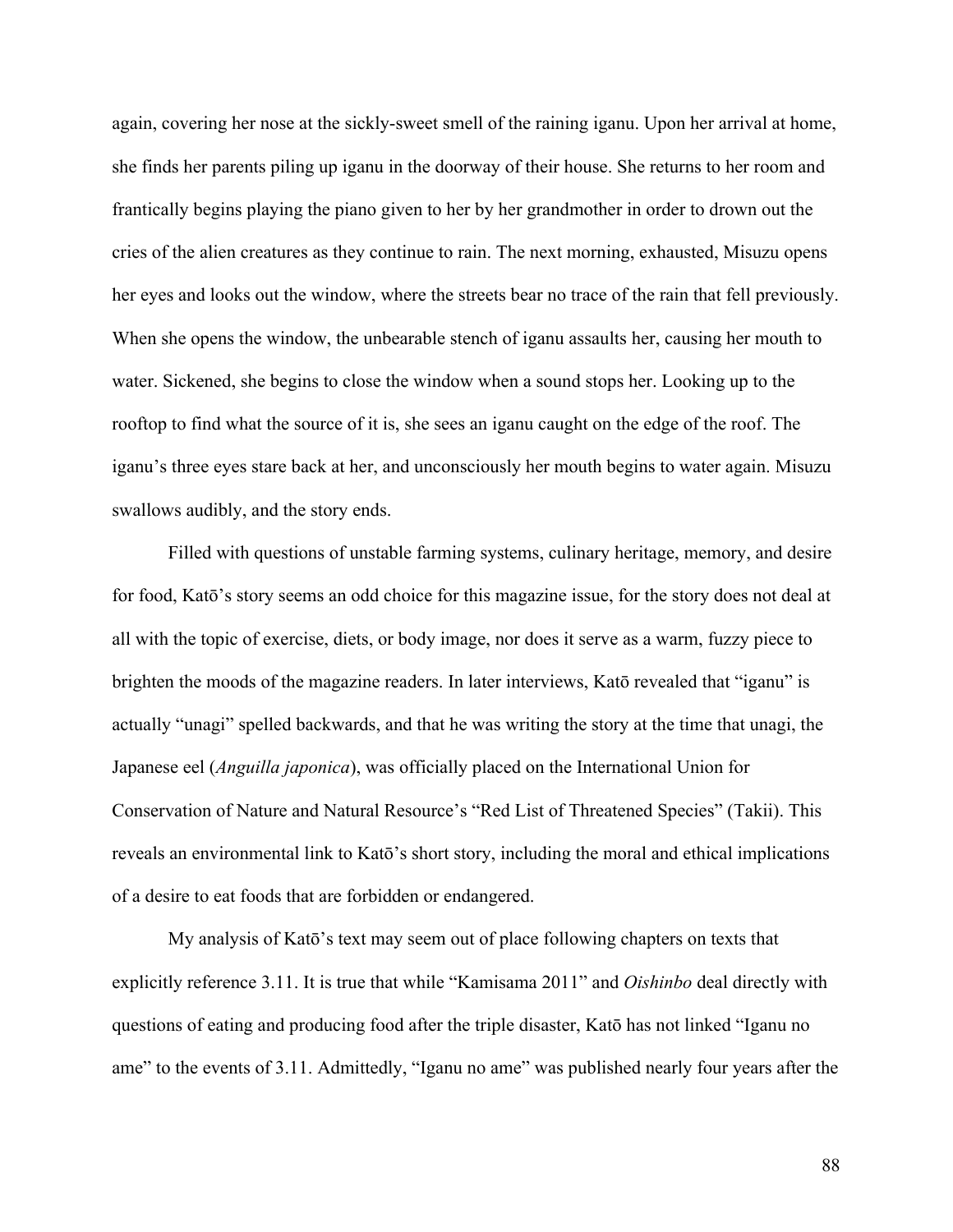again, covering her nose at the sickly-sweet smell of the raining iganu. Upon her arrival at home, she finds her parents piling up iganu in the doorway of their house. She returns to her room and frantically begins playing the piano given to her by her grandmother in order to drown out the cries of the alien creatures as they continue to rain. The next morning, exhausted, Misuzu opens her eyes and looks out the window, where the streets bear no trace of the rain that fell previously. When she opens the window, the unbearable stench of iganu assaults her, causing her mouth to water. Sickened, she begins to close the window when a sound stops her. Looking up to the rooftop to find what the source of it is, she sees an iganu caught on the edge of the roof. The iganu's three eyes stare back at her, and unconsciously her mouth begins to water again. Misuzu swallows audibly, and the story ends.

Filled with questions of unstable farming systems, culinary heritage, memory, and desire for food, Katō's story seems an odd choice for this magazine issue, for the story does not deal at all with the topic of exercise, diets, or body image, nor does it serve as a warm, fuzzy piece to brighten the moods of the magazine readers. In later interviews, Katō revealed that "iganu" is actually "unagi" spelled backwards, and that he was writing the story at the time that unagi, the Japanese eel (*Anguilla japonica*), was officially placed on the International Union for Conservation of Nature and Natural Resource's "Red List of Threatened Species" (Takii). This reveals an environmental link to Katō's short story, including the moral and ethical implications of a desire to eat foods that are forbidden or endangered.

My analysis of Katō's text may seem out of place following chapters on texts that explicitly reference 3.11. It is true that while "Kamisama 2011" and *Oishinbo* deal directly with questions of eating and producing food after the triple disaster, Katō has not linked "Iganu no ame" to the events of 3.11. Admittedly, "Iganu no ame" was published nearly four years after the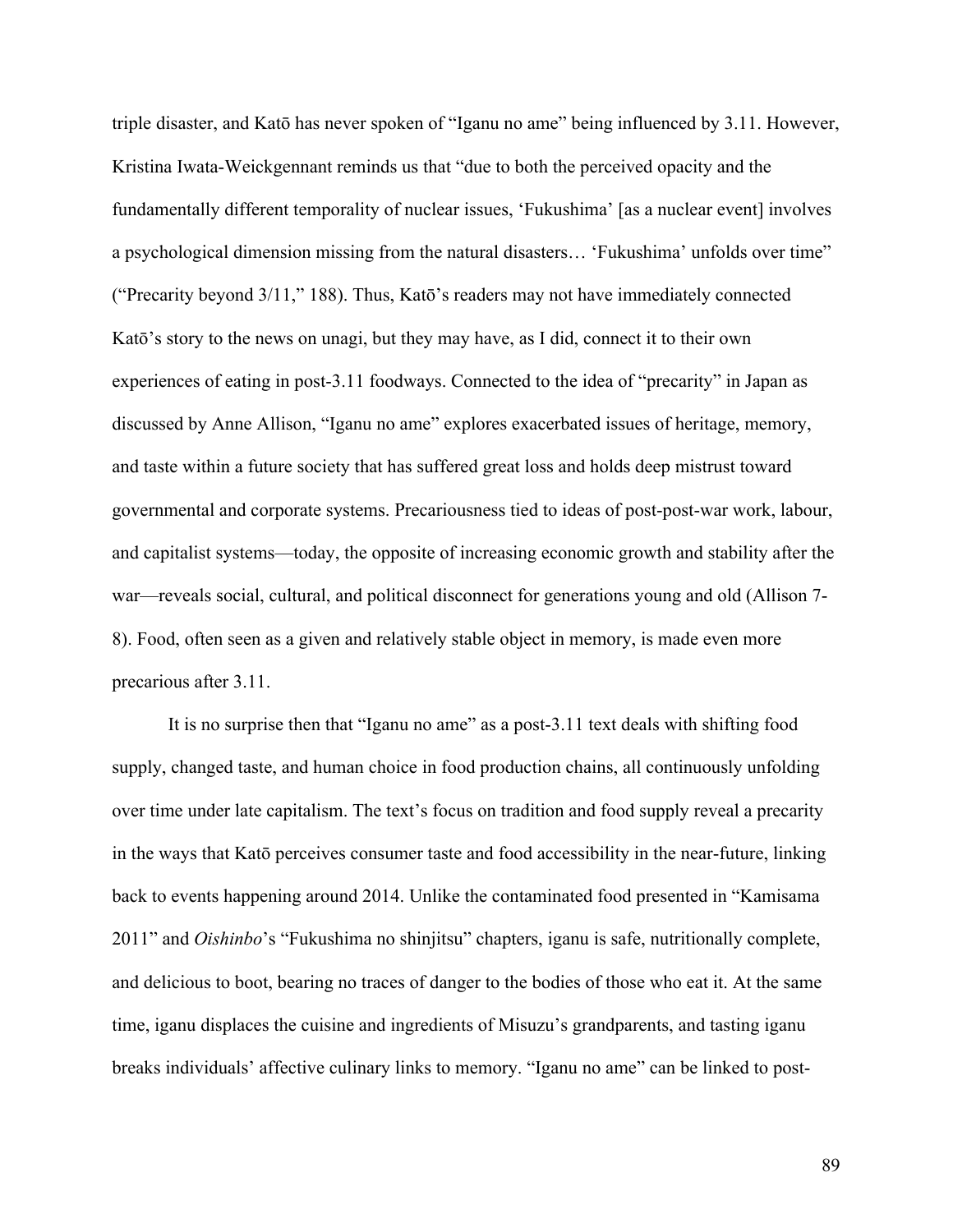triple disaster, and Katō has never spoken of "Iganu no ame" being influenced by 3.11. However, Kristina Iwata-Weickgennant reminds us that "due to both the perceived opacity and the fundamentally different temporality of nuclear issues, 'Fukushima' [as a nuclear event] involves a psychological dimension missing from the natural disasters… 'Fukushima' unfolds over time" ("Precarity beyond 3/11," 188). Thus, Katō's readers may not have immediately connected Katō's story to the news on unagi, but they may have, as I did, connect it to their own experiences of eating in post-3.11 foodways. Connected to the idea of "precarity" in Japan as discussed by Anne Allison, "Iganu no ame" explores exacerbated issues of heritage, memory, and taste within a future society that has suffered great loss and holds deep mistrust toward governmental and corporate systems. Precariousness tied to ideas of post-post-war work, labour, and capitalist systems—today, the opposite of increasing economic growth and stability after the war—reveals social, cultural, and political disconnect for generations young and old (Allison 7- 8). Food, often seen as a given and relatively stable object in memory, is made even more precarious after 3.11.

It is no surprise then that "Iganu no ame" as a post-3.11 text deals with shifting food supply, changed taste, and human choice in food production chains, all continuously unfolding over time under late capitalism. The text's focus on tradition and food supply reveal a precarity in the ways that Katō perceives consumer taste and food accessibility in the near-future, linking back to events happening around 2014. Unlike the contaminated food presented in "Kamisama 2011" and *Oishinbo*'s "Fukushima no shinjitsu" chapters, iganu is safe, nutritionally complete, and delicious to boot, bearing no traces of danger to the bodies of those who eat it. At the same time, iganu displaces the cuisine and ingredients of Misuzu's grandparents, and tasting iganu breaks individuals' affective culinary links to memory. "Iganu no ame" can be linked to post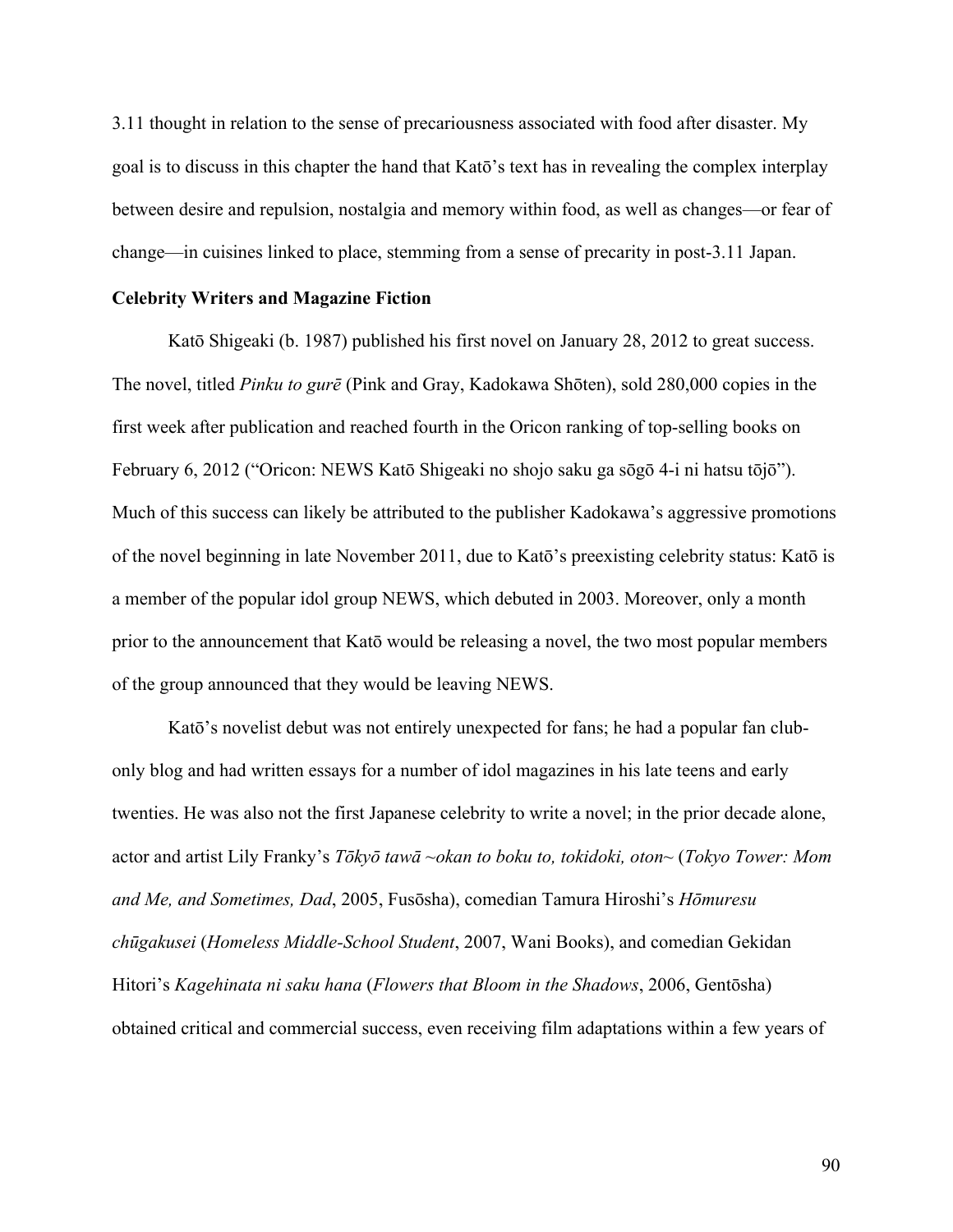3.11 thought in relation to the sense of precariousness associated with food after disaster. My goal is to discuss in this chapter the hand that Katō's text has in revealing the complex interplay between desire and repulsion, nostalgia and memory within food, as well as changes—or fear of change—in cuisines linked to place, stemming from a sense of precarity in post-3.11 Japan.

### **Celebrity Writers and Magazine Fiction**

Katō Shigeaki (b. 1987) published his first novel on January 28, 2012 to great success. The novel, titled *Pinku to gurē* (Pink and Gray, Kadokawa Shōten), sold 280,000 copies in the first week after publication and reached fourth in the Oricon ranking of top-selling books on February 6, 2012 ("Oricon: NEWS Katō Shigeaki no shojo saku ga sōgō 4-i ni hatsu tōjō"). Much of this success can likely be attributed to the publisher Kadokawa's aggressive promotions of the novel beginning in late November 2011, due to Katō's preexisting celebrity status: Katō is a member of the popular idol group NEWS, which debuted in 2003. Moreover, only a month prior to the announcement that Katō would be releasing a novel, the two most popular members of the group announced that they would be leaving NEWS.

Katō's novelist debut was not entirely unexpected for fans; he had a popular fan clubonly blog and had written essays for a number of idol magazines in his late teens and early twenties. He was also not the first Japanese celebrity to write a novel; in the prior decade alone, actor and artist Lily Franky's *Tōkyō tawā ~okan to boku to, tokidoki, oton~* (*Tokyo Tower: Mom and Me, and Sometimes, Dad*, 2005, Fusōsha), comedian Tamura Hiroshi's *Hōmuresu chūgakusei* (*Homeless Middle-School Student*, 2007, Wani Books), and comedian Gekidan Hitori's *Kagehinata ni saku hana* (*Flowers that Bloom in the Shadows*, 2006, Gentōsha) obtained critical and commercial success, even receiving film adaptations within a few years of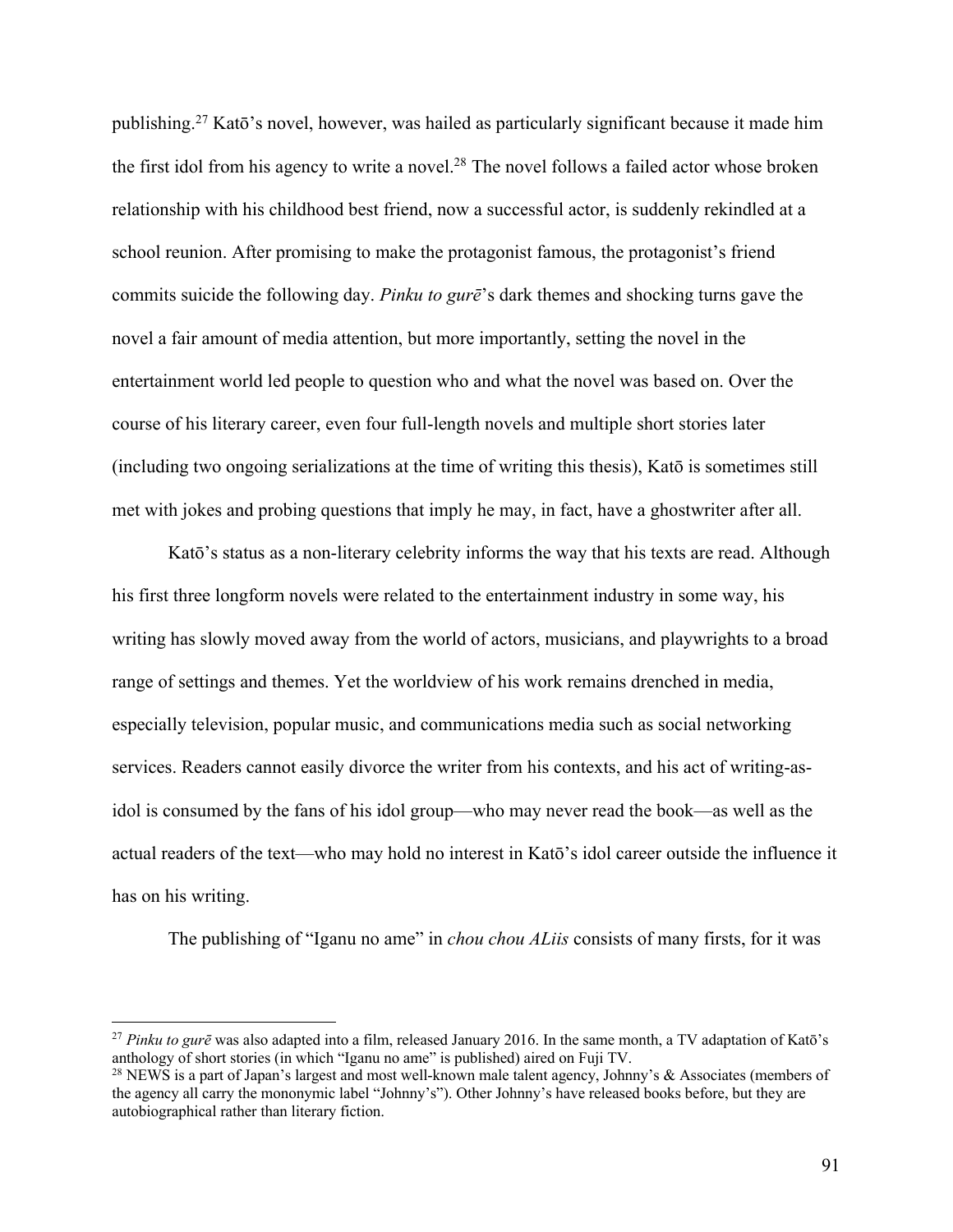publishing.27 Katō's novel, however, was hailed as particularly significant because it made him the first idol from his agency to write a novel.<sup>28</sup> The novel follows a failed actor whose broken relationship with his childhood best friend, now a successful actor, is suddenly rekindled at a school reunion. After promising to make the protagonist famous, the protagonist's friend commits suicide the following day. *Pinku to gurē*'s dark themes and shocking turns gave the novel a fair amount of media attention, but more importantly, setting the novel in the entertainment world led people to question who and what the novel was based on. Over the course of his literary career, even four full-length novels and multiple short stories later (including two ongoing serializations at the time of writing this thesis), Katō is sometimes still met with jokes and probing questions that imply he may, in fact, have a ghostwriter after all.

Katō's status as a non-literary celebrity informs the way that his texts are read. Although his first three longform novels were related to the entertainment industry in some way, his writing has slowly moved away from the world of actors, musicians, and playwrights to a broad range of settings and themes. Yet the worldview of his work remains drenched in media, especially television, popular music, and communications media such as social networking services. Readers cannot easily divorce the writer from his contexts, and his act of writing-asidol is consumed by the fans of his idol group—who may never read the book—as well as the actual readers of the text—who may hold no interest in Katō's idol career outside the influence it has on his writing.

The publishing of "Iganu no ame" in *chou chou ALiis* consists of many firsts, for it was

<sup>27</sup> *Pinku to gurē* was also adapted into a film, released January 2016. In the same month, a TV adaptation of Katō's anthology of short stories (in which "Iganu no ame" is published) aired on Fuji TV.

<sup>&</sup>lt;sup>28</sup> NEWS is a part of Japan's largest and most well-known male talent agency, Johnny's & Associates (members of the agency all carry the mononymic label "Johnny's"). Other Johnny's have released books before, but they are autobiographical rather than literary fiction.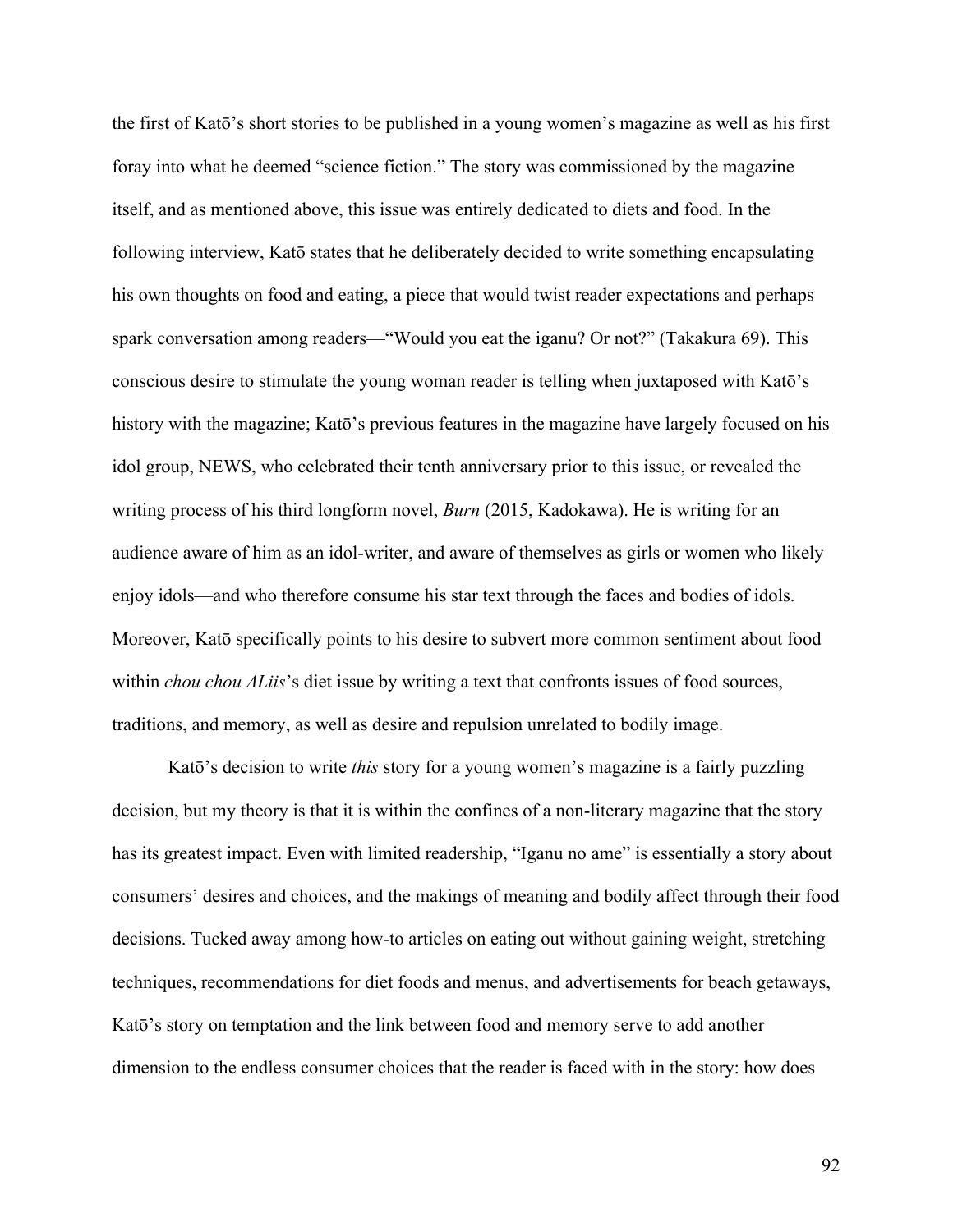the first of Katō's short stories to be published in a young women's magazine as well as his first foray into what he deemed "science fiction." The story was commissioned by the magazine itself, and as mentioned above, this issue was entirely dedicated to diets and food. In the following interview, Katō states that he deliberately decided to write something encapsulating his own thoughts on food and eating, a piece that would twist reader expectations and perhaps spark conversation among readers—"Would you eat the iganu? Or not?" (Takakura 69). This conscious desire to stimulate the young woman reader is telling when juxtaposed with Katō's history with the magazine; Katō's previous features in the magazine have largely focused on his idol group, NEWS, who celebrated their tenth anniversary prior to this issue, or revealed the writing process of his third longform novel, *Burn* (2015, Kadokawa). He is writing for an audience aware of him as an idol-writer, and aware of themselves as girls or women who likely enjoy idols—and who therefore consume his star text through the faces and bodies of idols. Moreover, Katō specifically points to his desire to subvert more common sentiment about food within *chou chou ALiis*'s diet issue by writing a text that confronts issues of food sources, traditions, and memory, as well as desire and repulsion unrelated to bodily image.

Katō's decision to write *this* story for a young women's magazine is a fairly puzzling decision, but my theory is that it is within the confines of a non-literary magazine that the story has its greatest impact. Even with limited readership, "Iganu no ame" is essentially a story about consumers' desires and choices, and the makings of meaning and bodily affect through their food decisions. Tucked away among how-to articles on eating out without gaining weight, stretching techniques, recommendations for diet foods and menus, and advertisements for beach getaways, Katō's story on temptation and the link between food and memory serve to add another dimension to the endless consumer choices that the reader is faced with in the story: how does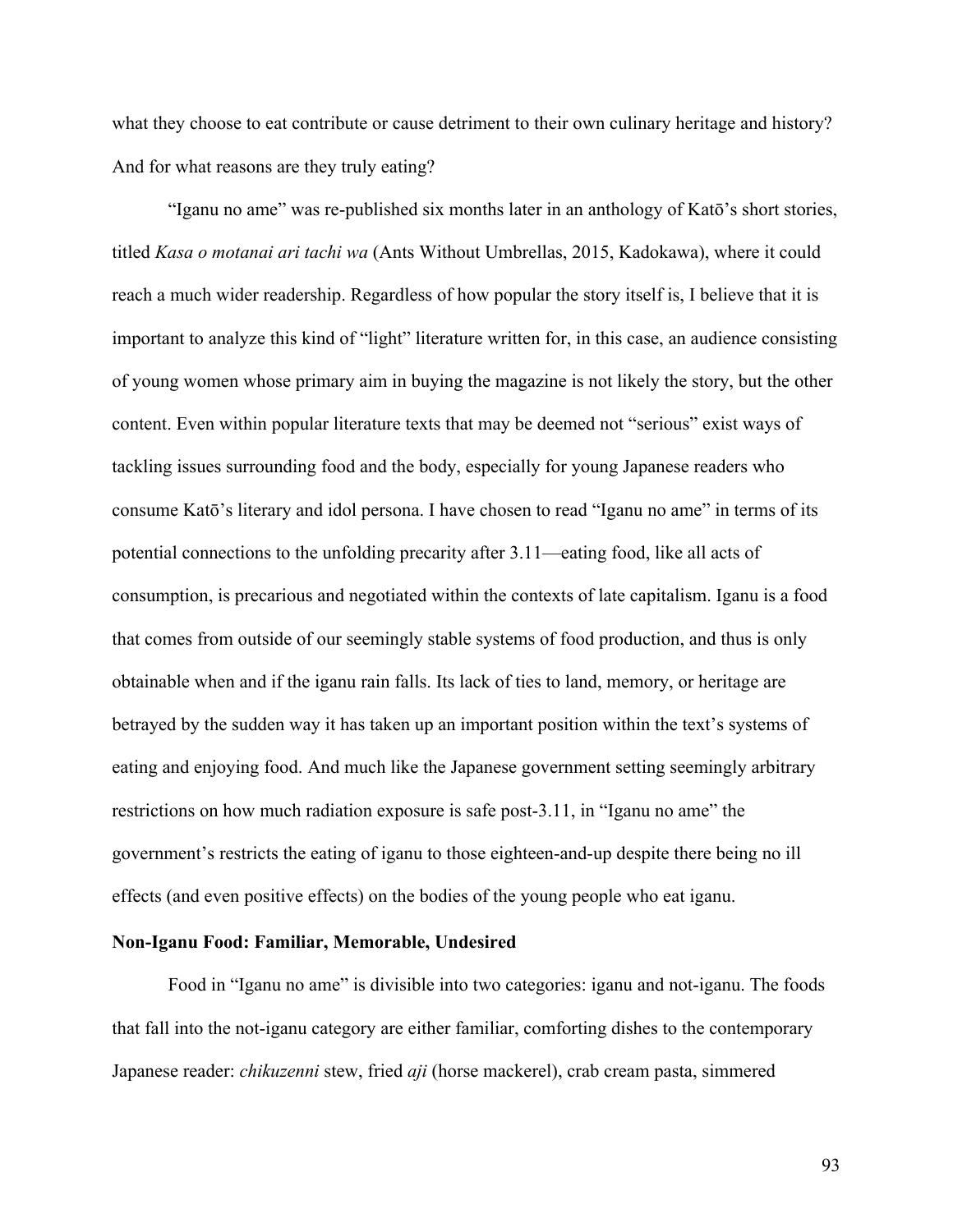what they choose to eat contribute or cause detriment to their own culinary heritage and history? And for what reasons are they truly eating?

"Iganu no ame" was re-published six months later in an anthology of Katō's short stories, titled *Kasa o motanai ari tachi wa* (Ants Without Umbrellas, 2015, Kadokawa), where it could reach a much wider readership. Regardless of how popular the story itself is, I believe that it is important to analyze this kind of "light" literature written for, in this case, an audience consisting of young women whose primary aim in buying the magazine is not likely the story, but the other content. Even within popular literature texts that may be deemed not "serious" exist ways of tackling issues surrounding food and the body, especially for young Japanese readers who consume Katō's literary and idol persona. I have chosen to read "Iganu no ame" in terms of its potential connections to the unfolding precarity after 3.11—eating food, like all acts of consumption, is precarious and negotiated within the contexts of late capitalism. Iganu is a food that comes from outside of our seemingly stable systems of food production, and thus is only obtainable when and if the iganu rain falls. Its lack of ties to land, memory, or heritage are betrayed by the sudden way it has taken up an important position within the text's systems of eating and enjoying food. And much like the Japanese government setting seemingly arbitrary restrictions on how much radiation exposure is safe post-3.11, in "Iganu no ame" the government's restricts the eating of iganu to those eighteen-and-up despite there being no ill effects (and even positive effects) on the bodies of the young people who eat iganu.

# **Non-Iganu Food: Familiar, Memorable, Undesired**

Food in "Iganu no ame" is divisible into two categories: iganu and not-iganu. The foods that fall into the not-iganu category are either familiar, comforting dishes to the contemporary Japanese reader: *chikuzenni* stew, fried *aji* (horse mackerel), crab cream pasta, simmered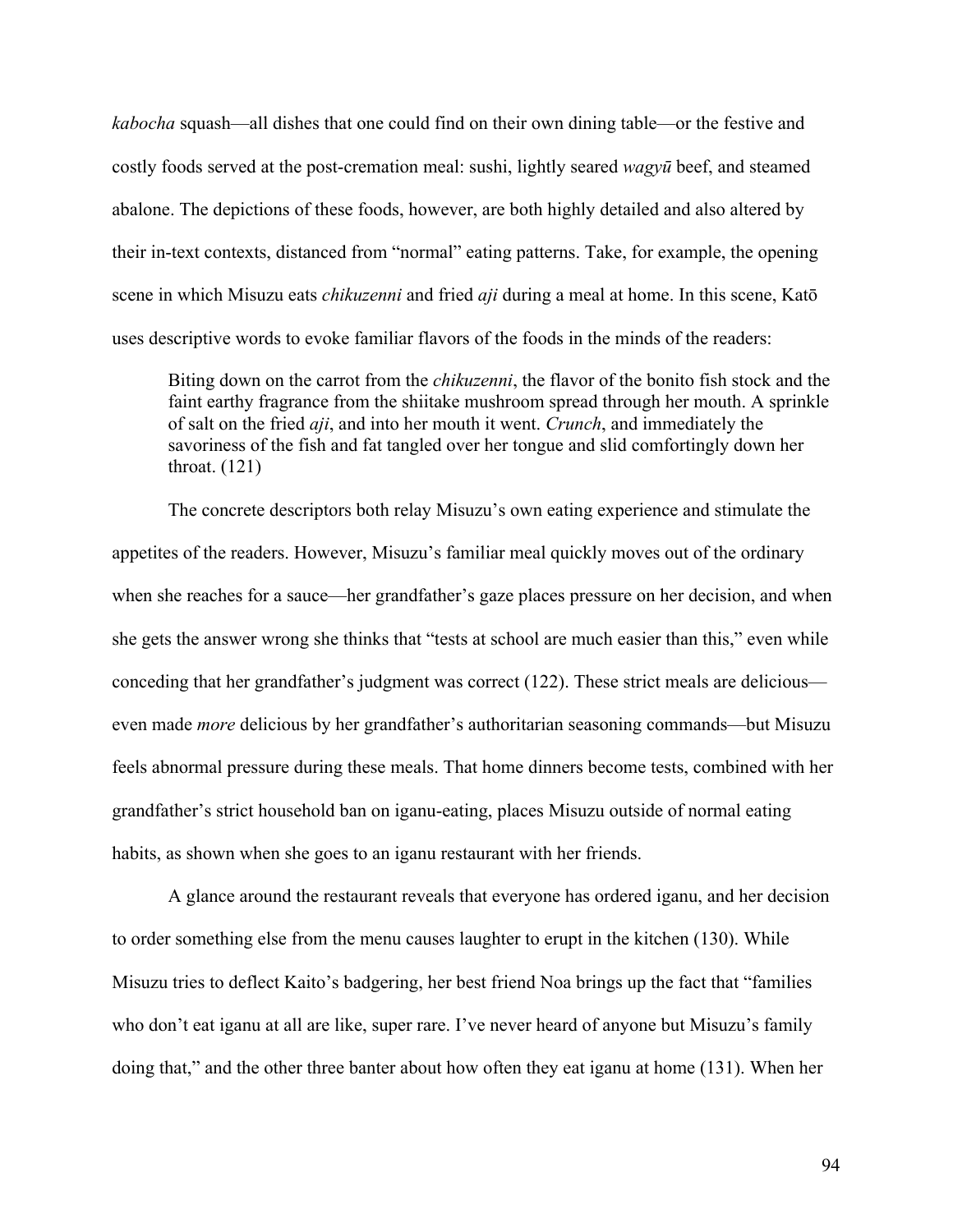*kabocha* squash—all dishes that one could find on their own dining table—or the festive and costly foods served at the post-cremation meal: sushi, lightly seared *wagyū* beef, and steamed abalone. The depictions of these foods, however, are both highly detailed and also altered by their in-text contexts, distanced from "normal" eating patterns. Take, for example, the opening scene in which Misuzu eats *chikuzenni* and fried *aji* during a meal at home. In this scene, Katō uses descriptive words to evoke familiar flavors of the foods in the minds of the readers:

Biting down on the carrot from the *chikuzenni*, the flavor of the bonito fish stock and the faint earthy fragrance from the shiitake mushroom spread through her mouth. A sprinkle of salt on the fried *aji*, and into her mouth it went. *Crunch*, and immediately the savoriness of the fish and fat tangled over her tongue and slid comfortingly down her throat. (121)

The concrete descriptors both relay Misuzu's own eating experience and stimulate the appetites of the readers. However, Misuzu's familiar meal quickly moves out of the ordinary when she reaches for a sauce—her grandfather's gaze places pressure on her decision, and when she gets the answer wrong she thinks that "tests at school are much easier than this," even while conceding that her grandfather's judgment was correct (122). These strict meals are delicious even made *more* delicious by her grandfather's authoritarian seasoning commands—but Misuzu feels abnormal pressure during these meals. That home dinners become tests, combined with her grandfather's strict household ban on iganu-eating, places Misuzu outside of normal eating habits, as shown when she goes to an iganu restaurant with her friends.

A glance around the restaurant reveals that everyone has ordered iganu, and her decision to order something else from the menu causes laughter to erupt in the kitchen (130). While Misuzu tries to deflect Kaito's badgering, her best friend Noa brings up the fact that "families who don't eat iganu at all are like, super rare. I've never heard of anyone but Misuzu's family doing that," and the other three banter about how often they eat iganu at home (131). When her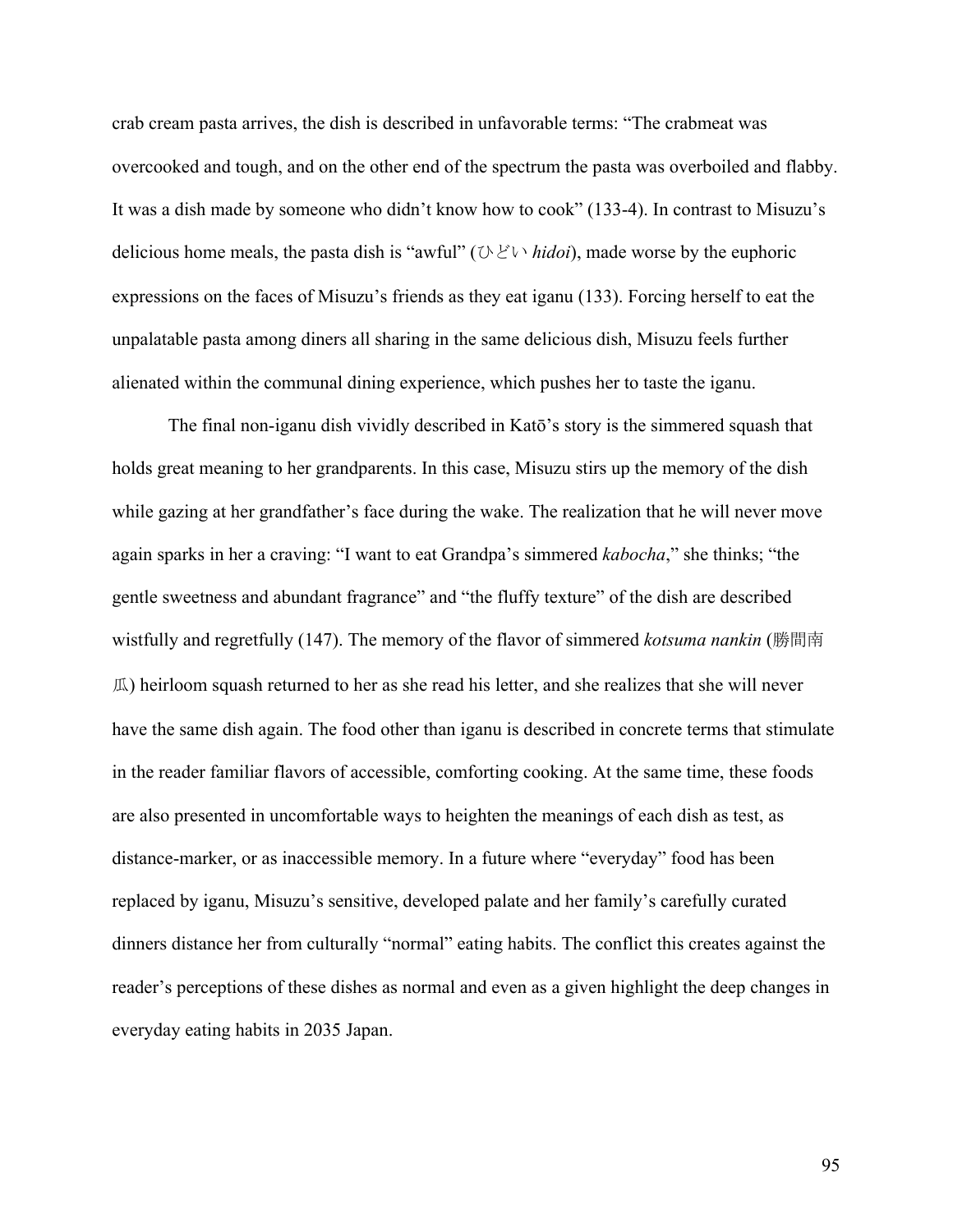crab cream pasta arrives, the dish is described in unfavorable terms: "The crabmeat was overcooked and tough, and on the other end of the spectrum the pasta was overboiled and flabby. It was a dish made by someone who didn't know how to cook" (133-4). In contrast to Misuzu's delicious home meals, the pasta dish is "awful" (ひどい *hidoi*), made worse by the euphoric expressions on the faces of Misuzu's friends as they eat iganu (133). Forcing herself to eat the unpalatable pasta among diners all sharing in the same delicious dish, Misuzu feels further alienated within the communal dining experience, which pushes her to taste the iganu.

The final non-iganu dish vividly described in Katō's story is the simmered squash that holds great meaning to her grandparents. In this case, Misuzu stirs up the memory of the dish while gazing at her grandfather's face during the wake. The realization that he will never move again sparks in her a craving: "I want to eat Grandpa's simmered *kabocha*," she thinks; "the gentle sweetness and abundant fragrance" and "the fluffy texture" of the dish are described wistfully and regretfully (147). The memory of the flavor of simmered *kotsuma nankin* (勝間南 瓜) heirloom squash returned to her as she read his letter, and she realizes that she will never have the same dish again. The food other than iganu is described in concrete terms that stimulate in the reader familiar flavors of accessible, comforting cooking. At the same time, these foods are also presented in uncomfortable ways to heighten the meanings of each dish as test, as distance-marker, or as inaccessible memory. In a future where "everyday" food has been replaced by iganu, Misuzu's sensitive, developed palate and her family's carefully curated dinners distance her from culturally "normal" eating habits. The conflict this creates against the reader's perceptions of these dishes as normal and even as a given highlight the deep changes in everyday eating habits in 2035 Japan.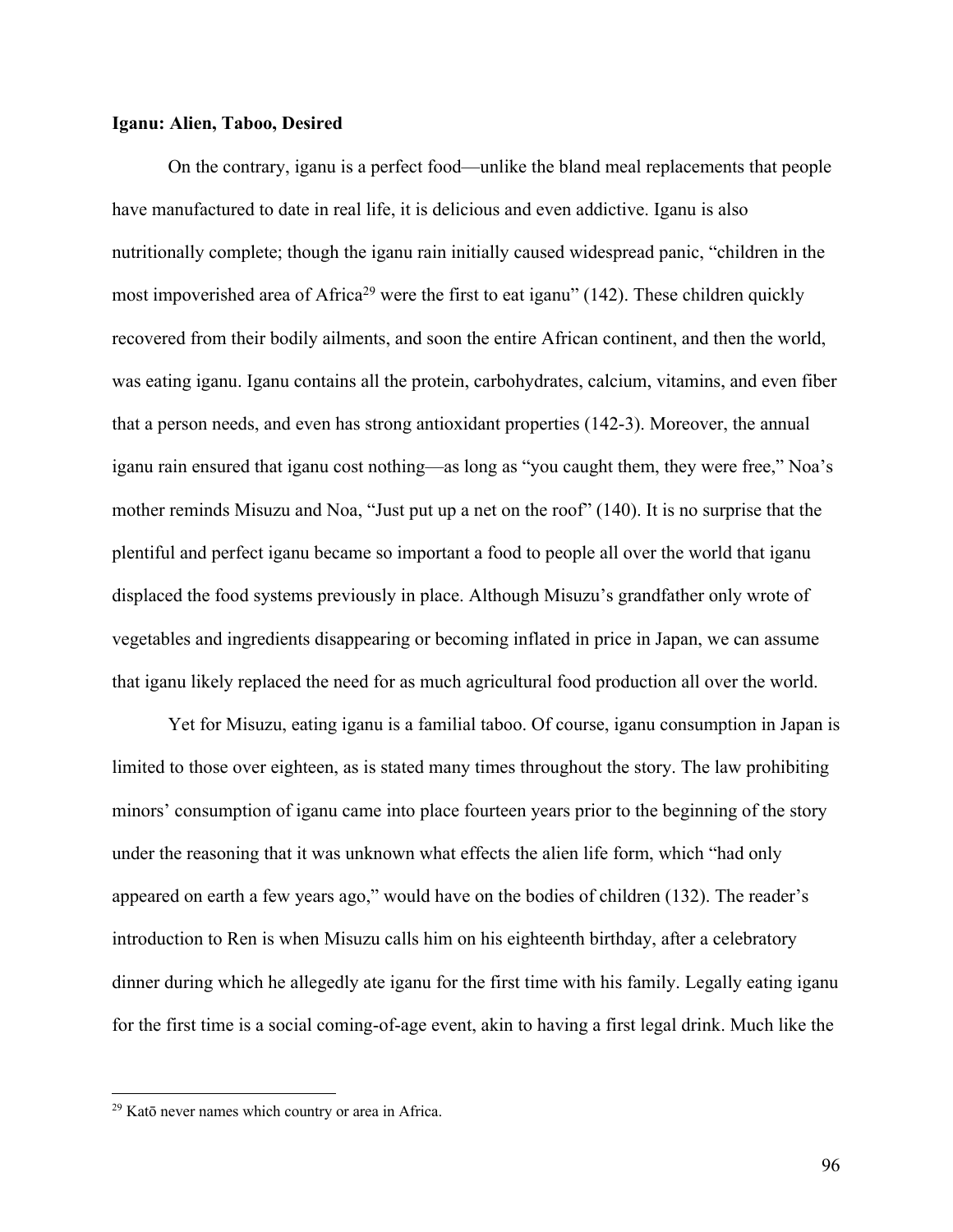## **Iganu: Alien, Taboo, Desired**

On the contrary, iganu is a perfect food—unlike the bland meal replacements that people have manufactured to date in real life, it is delicious and even addictive. Iganu is also nutritionally complete; though the iganu rain initially caused widespread panic, "children in the most impoverished area of Africa<sup>29</sup> were the first to eat iganu" (142). These children quickly recovered from their bodily ailments, and soon the entire African continent, and then the world, was eating iganu. Iganu contains all the protein, carbohydrates, calcium, vitamins, and even fiber that a person needs, and even has strong antioxidant properties (142-3). Moreover, the annual iganu rain ensured that iganu cost nothing—as long as "you caught them, they were free," Noa's mother reminds Misuzu and Noa, "Just put up a net on the roof" (140). It is no surprise that the plentiful and perfect iganu became so important a food to people all over the world that iganu displaced the food systems previously in place. Although Misuzu's grandfather only wrote of vegetables and ingredients disappearing or becoming inflated in price in Japan, we can assume that iganu likely replaced the need for as much agricultural food production all over the world.

Yet for Misuzu, eating iganu is a familial taboo. Of course, iganu consumption in Japan is limited to those over eighteen, as is stated many times throughout the story. The law prohibiting minors' consumption of iganu came into place fourteen years prior to the beginning of the story under the reasoning that it was unknown what effects the alien life form, which "had only appeared on earth a few years ago," would have on the bodies of children (132). The reader's introduction to Ren is when Misuzu calls him on his eighteenth birthday, after a celebratory dinner during which he allegedly ate iganu for the first time with his family. Legally eating iganu for the first time is a social coming-of-age event, akin to having a first legal drink. Much like the

<sup>29</sup> Katō never names which country or area in Africa.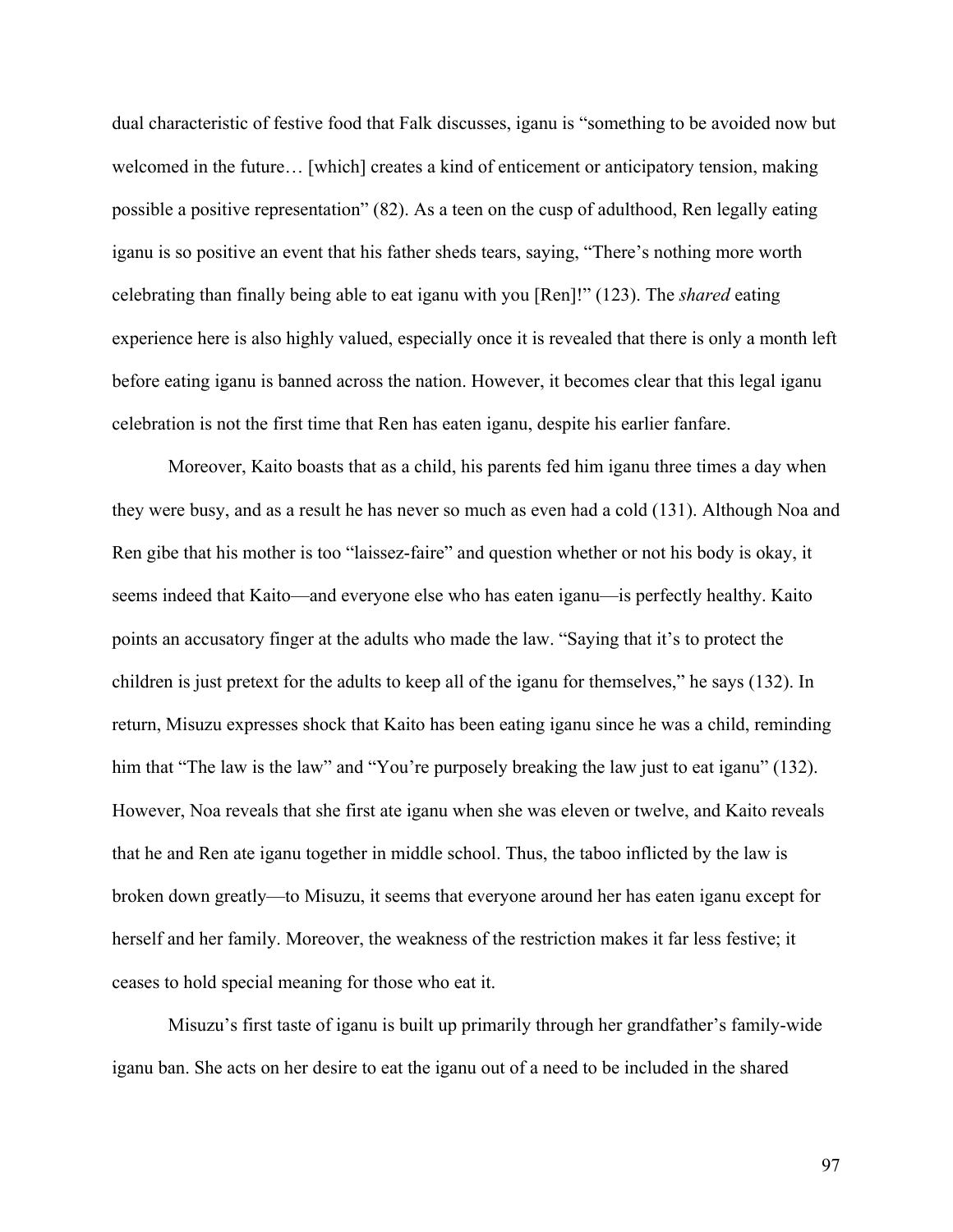dual characteristic of festive food that Falk discusses, iganu is "something to be avoided now but welcomed in the future... [which] creates a kind of enticement or anticipatory tension, making possible a positive representation" (82). As a teen on the cusp of adulthood, Ren legally eating iganu is so positive an event that his father sheds tears, saying, "There's nothing more worth celebrating than finally being able to eat iganu with you [Ren]!" (123). The *shared* eating experience here is also highly valued, especially once it is revealed that there is only a month left before eating iganu is banned across the nation. However, it becomes clear that this legal iganu celebration is not the first time that Ren has eaten iganu, despite his earlier fanfare.

Moreover, Kaito boasts that as a child, his parents fed him iganu three times a day when they were busy, and as a result he has never so much as even had a cold (131). Although Noa and Ren gibe that his mother is too "laissez-faire" and question whether or not his body is okay, it seems indeed that Kaito—and everyone else who has eaten iganu—is perfectly healthy. Kaito points an accusatory finger at the adults who made the law. "Saying that it's to protect the children is just pretext for the adults to keep all of the iganu for themselves," he says (132). In return, Misuzu expresses shock that Kaito has been eating iganu since he was a child, reminding him that "The law is the law" and "You're purposely breaking the law just to eat iganu" (132). However, Noa reveals that she first ate iganu when she was eleven or twelve, and Kaito reveals that he and Ren ate iganu together in middle school. Thus, the taboo inflicted by the law is broken down greatly—to Misuzu, it seems that everyone around her has eaten iganu except for herself and her family. Moreover, the weakness of the restriction makes it far less festive; it ceases to hold special meaning for those who eat it.

Misuzu's first taste of iganu is built up primarily through her grandfather's family-wide iganu ban. She acts on her desire to eat the iganu out of a need to be included in the shared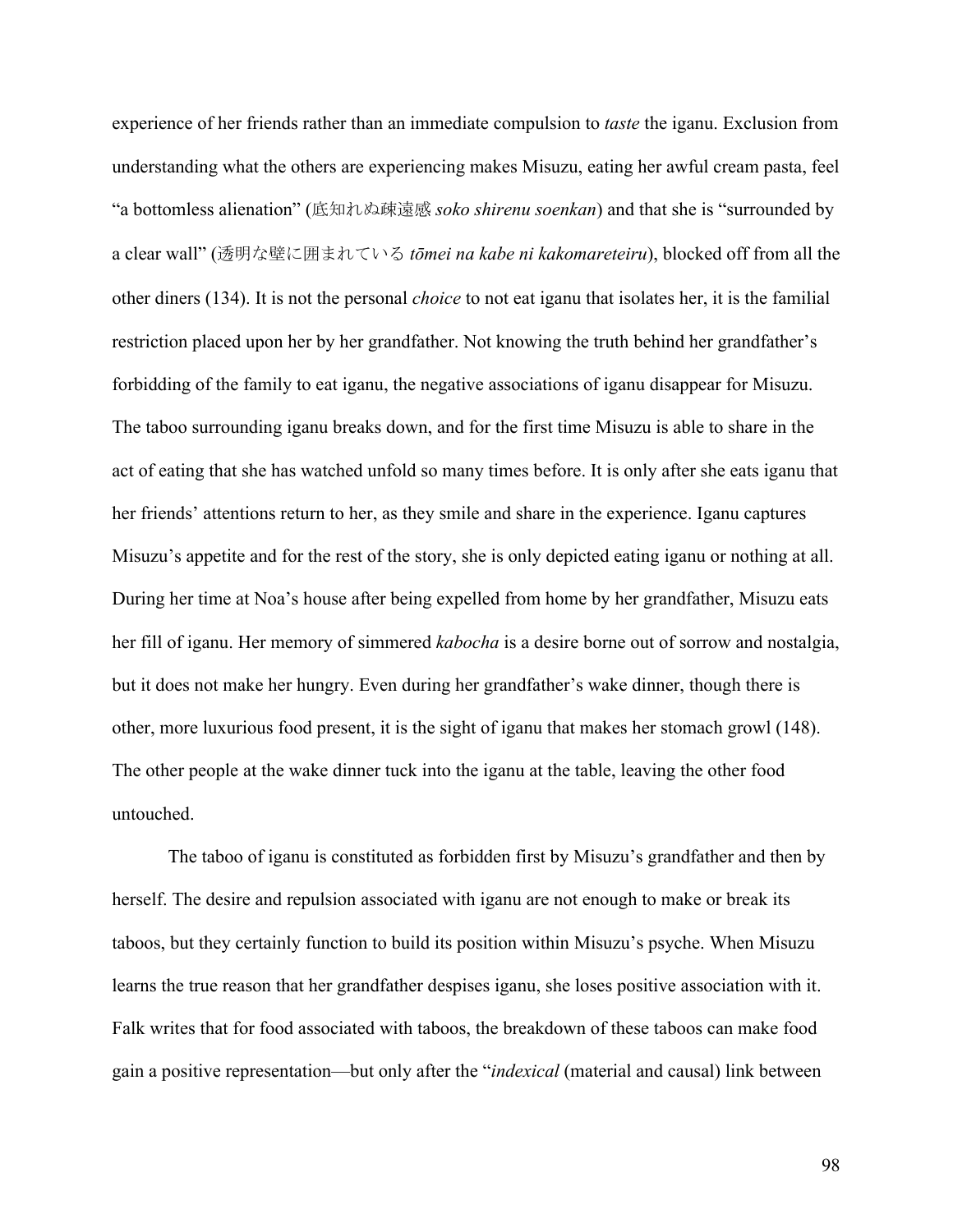experience of her friends rather than an immediate compulsion to *taste* the iganu. Exclusion from understanding what the others are experiencing makes Misuzu, eating her awful cream pasta, feel "a bottomless alienation" (底知れぬ疎遠感 *soko shirenu soenkan*) and that she is "surrounded by a clear wall" (透明な壁に囲まれている *tōmei na kabe ni kakomareteiru*), blocked off from all the other diners (134). It is not the personal *choice* to not eat iganu that isolates her, it is the familial restriction placed upon her by her grandfather. Not knowing the truth behind her grandfather's forbidding of the family to eat iganu, the negative associations of iganu disappear for Misuzu. The taboo surrounding iganu breaks down, and for the first time Misuzu is able to share in the act of eating that she has watched unfold so many times before. It is only after she eats iganu that her friends' attentions return to her, as they smile and share in the experience. Iganu captures Misuzu's appetite and for the rest of the story, she is only depicted eating iganu or nothing at all. During her time at Noa's house after being expelled from home by her grandfather, Misuzu eats her fill of iganu. Her memory of simmered *kabocha* is a desire borne out of sorrow and nostalgia, but it does not make her hungry. Even during her grandfather's wake dinner, though there is other, more luxurious food present, it is the sight of iganu that makes her stomach growl (148). The other people at the wake dinner tuck into the iganu at the table, leaving the other food untouched.

The taboo of iganu is constituted as forbidden first by Misuzu's grandfather and then by herself. The desire and repulsion associated with iganu are not enough to make or break its taboos, but they certainly function to build its position within Misuzu's psyche. When Misuzu learns the true reason that her grandfather despises iganu, she loses positive association with it. Falk writes that for food associated with taboos, the breakdown of these taboos can make food gain a positive representation—but only after the "*indexical* (material and causal) link between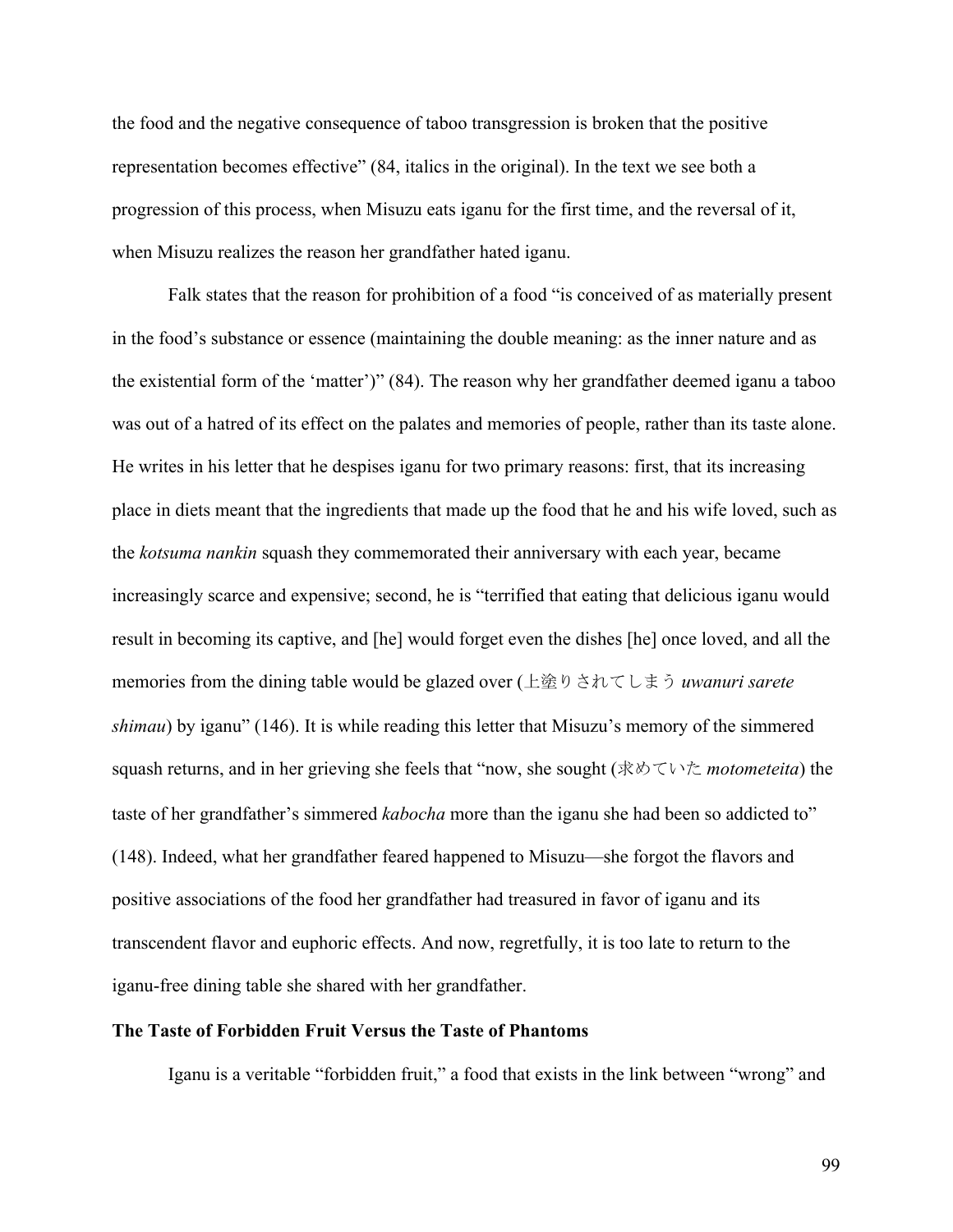the food and the negative consequence of taboo transgression is broken that the positive representation becomes effective" (84, italics in the original). In the text we see both a progression of this process, when Misuzu eats iganu for the first time, and the reversal of it, when Misuzu realizes the reason her grandfather hated iganu.

Falk states that the reason for prohibition of a food "is conceived of as materially present in the food's substance or essence (maintaining the double meaning: as the inner nature and as the existential form of the 'matter')" (84). The reason why her grandfather deemed iganu a taboo was out of a hatred of its effect on the palates and memories of people, rather than its taste alone. He writes in his letter that he despises iganu for two primary reasons: first, that its increasing place in diets meant that the ingredients that made up the food that he and his wife loved, such as the *kotsuma nankin* squash they commemorated their anniversary with each year, became increasingly scarce and expensive; second, he is "terrified that eating that delicious iganu would result in becoming its captive, and [he] would forget even the dishes [he] once loved, and all the memories from the dining table would be glazed over (上塗りされてしまう *uwanuri sarete shimau*) by iganu" (146). It is while reading this letter that Misuzu's memory of the simmered squash returns, and in her grieving she feels that "now, she sought (求めていた *motometeita*) the taste of her grandfather's simmered *kabocha* more than the iganu she had been so addicted to" (148). Indeed, what her grandfather feared happened to Misuzu—she forgot the flavors and positive associations of the food her grandfather had treasured in favor of iganu and its transcendent flavor and euphoric effects. And now, regretfully, it is too late to return to the iganu-free dining table she shared with her grandfather.

### **The Taste of Forbidden Fruit Versus the Taste of Phantoms**

Iganu is a veritable "forbidden fruit," a food that exists in the link between "wrong" and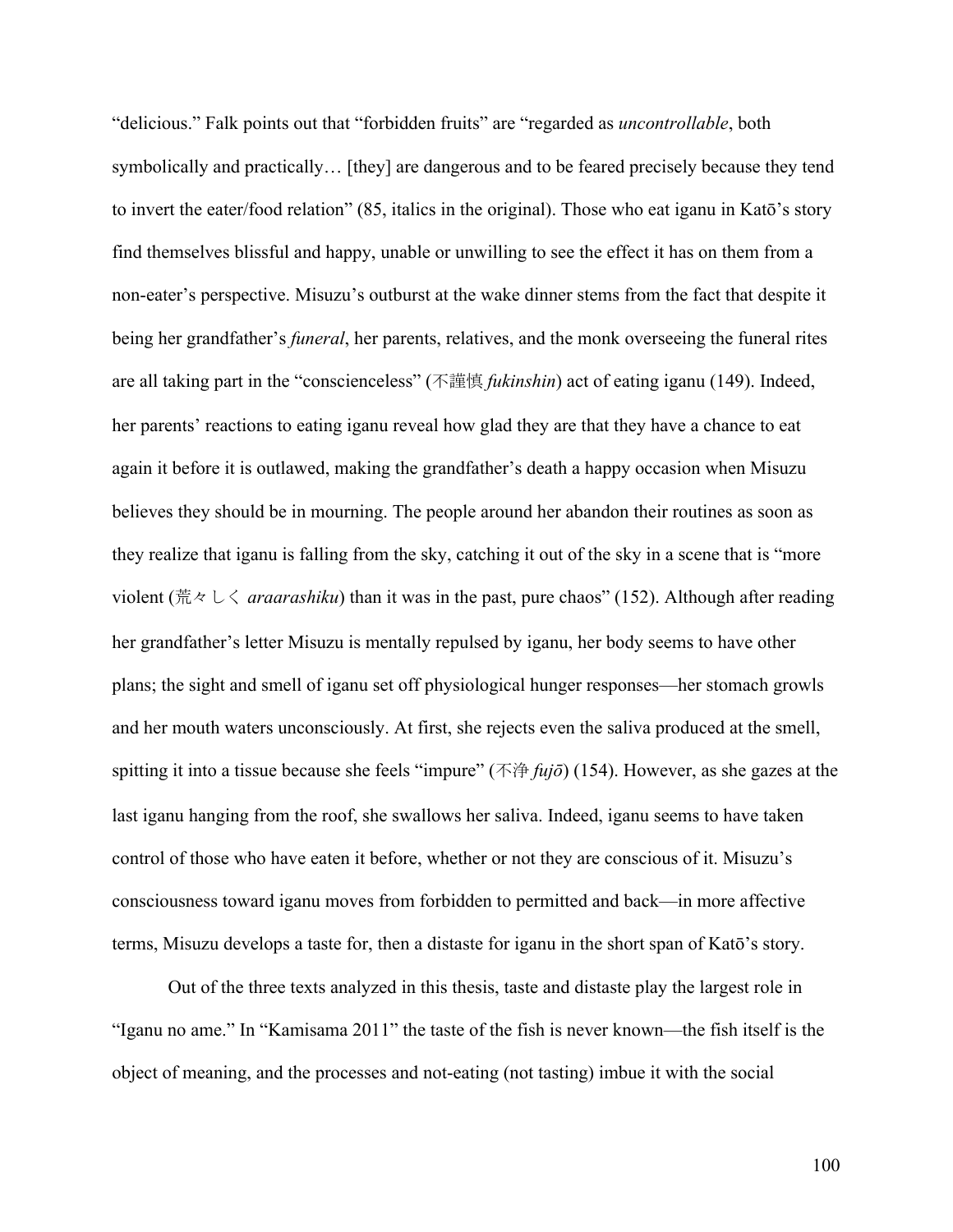"delicious." Falk points out that "forbidden fruits" are "regarded as *uncontrollable*, both symbolically and practically… [they] are dangerous and to be feared precisely because they tend to invert the eater/food relation" (85, italics in the original). Those who eat iganu in Katō's story find themselves blissful and happy, unable or unwilling to see the effect it has on them from a non-eater's perspective. Misuzu's outburst at the wake dinner stems from the fact that despite it being her grandfather's *funeral*, her parents, relatives, and the monk overseeing the funeral rites are all taking part in the "conscienceless" (不謹慎 *fukinshin*) act of eating iganu (149). Indeed, her parents' reactions to eating iganu reveal how glad they are that they have a chance to eat again it before it is outlawed, making the grandfather's death a happy occasion when Misuzu believes they should be in mourning. The people around her abandon their routines as soon as they realize that iganu is falling from the sky, catching it out of the sky in a scene that is "more violent (荒々しく *araarashiku*) than it was in the past, pure chaos" (152). Although after reading her grandfather's letter Misuzu is mentally repulsed by iganu, her body seems to have other plans; the sight and smell of iganu set off physiological hunger responses—her stomach growls and her mouth waters unconsciously. At first, she rejects even the saliva produced at the smell, spitting it into a tissue because she feels "impure" (不浄 *fujō*) (154). However, as she gazes at the last iganu hanging from the roof, she swallows her saliva. Indeed, iganu seems to have taken control of those who have eaten it before, whether or not they are conscious of it. Misuzu's consciousness toward iganu moves from forbidden to permitted and back—in more affective terms, Misuzu develops a taste for, then a distaste for iganu in the short span of Katō's story.

Out of the three texts analyzed in this thesis, taste and distaste play the largest role in "Iganu no ame." In "Kamisama 2011" the taste of the fish is never known—the fish itself is the object of meaning, and the processes and not-eating (not tasting) imbue it with the social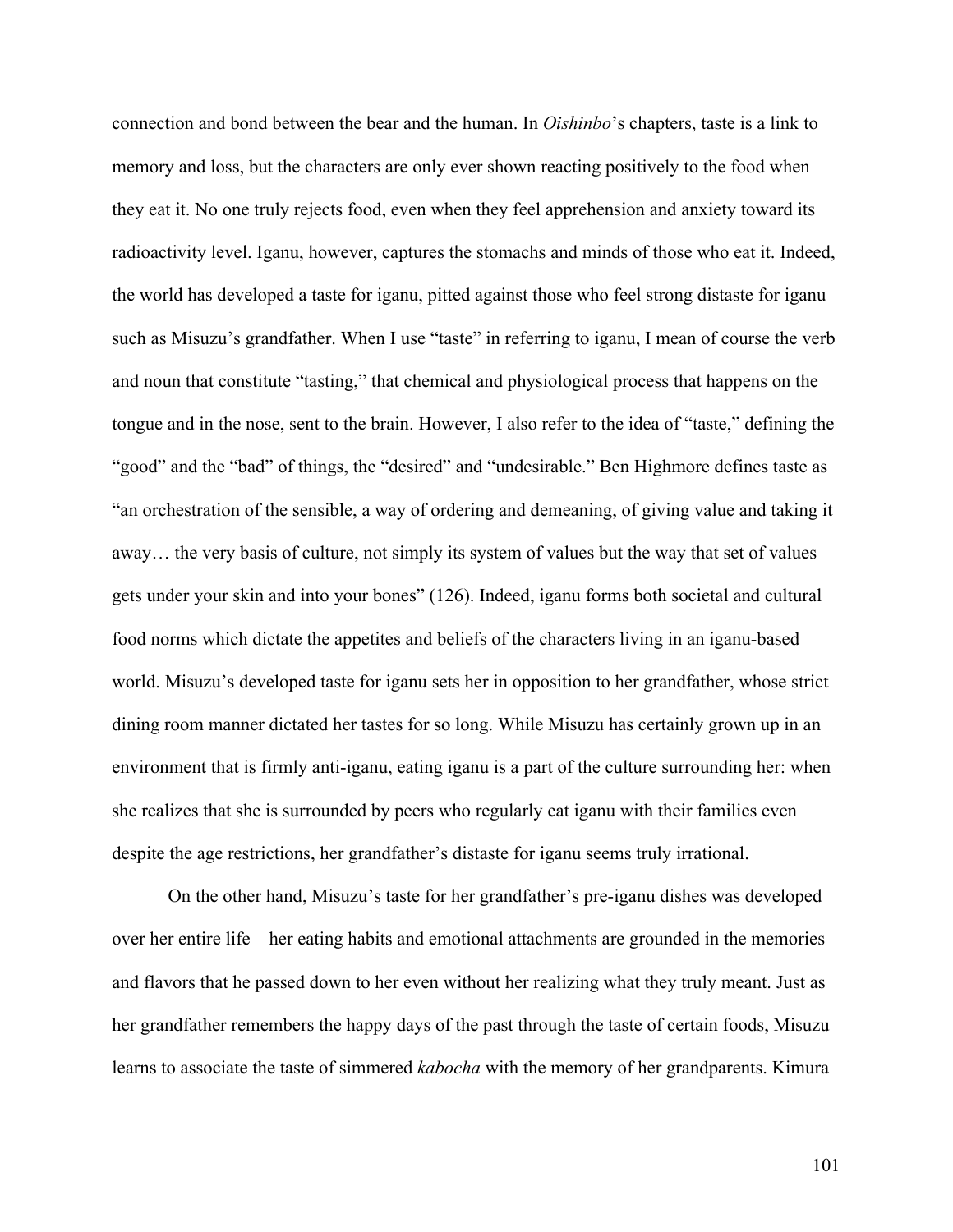connection and bond between the bear and the human. In *Oishinbo*'s chapters, taste is a link to memory and loss, but the characters are only ever shown reacting positively to the food when they eat it. No one truly rejects food, even when they feel apprehension and anxiety toward its radioactivity level. Iganu, however, captures the stomachs and minds of those who eat it. Indeed, the world has developed a taste for iganu, pitted against those who feel strong distaste for iganu such as Misuzu's grandfather. When I use "taste" in referring to iganu, I mean of course the verb and noun that constitute "tasting," that chemical and physiological process that happens on the tongue and in the nose, sent to the brain. However, I also refer to the idea of "taste," defining the "good" and the "bad" of things, the "desired" and "undesirable." Ben Highmore defines taste as "an orchestration of the sensible, a way of ordering and demeaning, of giving value and taking it away… the very basis of culture, not simply its system of values but the way that set of values gets under your skin and into your bones" (126). Indeed, iganu forms both societal and cultural food norms which dictate the appetites and beliefs of the characters living in an iganu-based world. Misuzu's developed taste for iganu sets her in opposition to her grandfather, whose strict dining room manner dictated her tastes for so long. While Misuzu has certainly grown up in an environment that is firmly anti-iganu, eating iganu is a part of the culture surrounding her: when she realizes that she is surrounded by peers who regularly eat iganu with their families even despite the age restrictions, her grandfather's distaste for iganu seems truly irrational.

On the other hand, Misuzu's taste for her grandfather's pre-iganu dishes was developed over her entire life—her eating habits and emotional attachments are grounded in the memories and flavors that he passed down to her even without her realizing what they truly meant. Just as her grandfather remembers the happy days of the past through the taste of certain foods, Misuzu learns to associate the taste of simmered *kabocha* with the memory of her grandparents. Kimura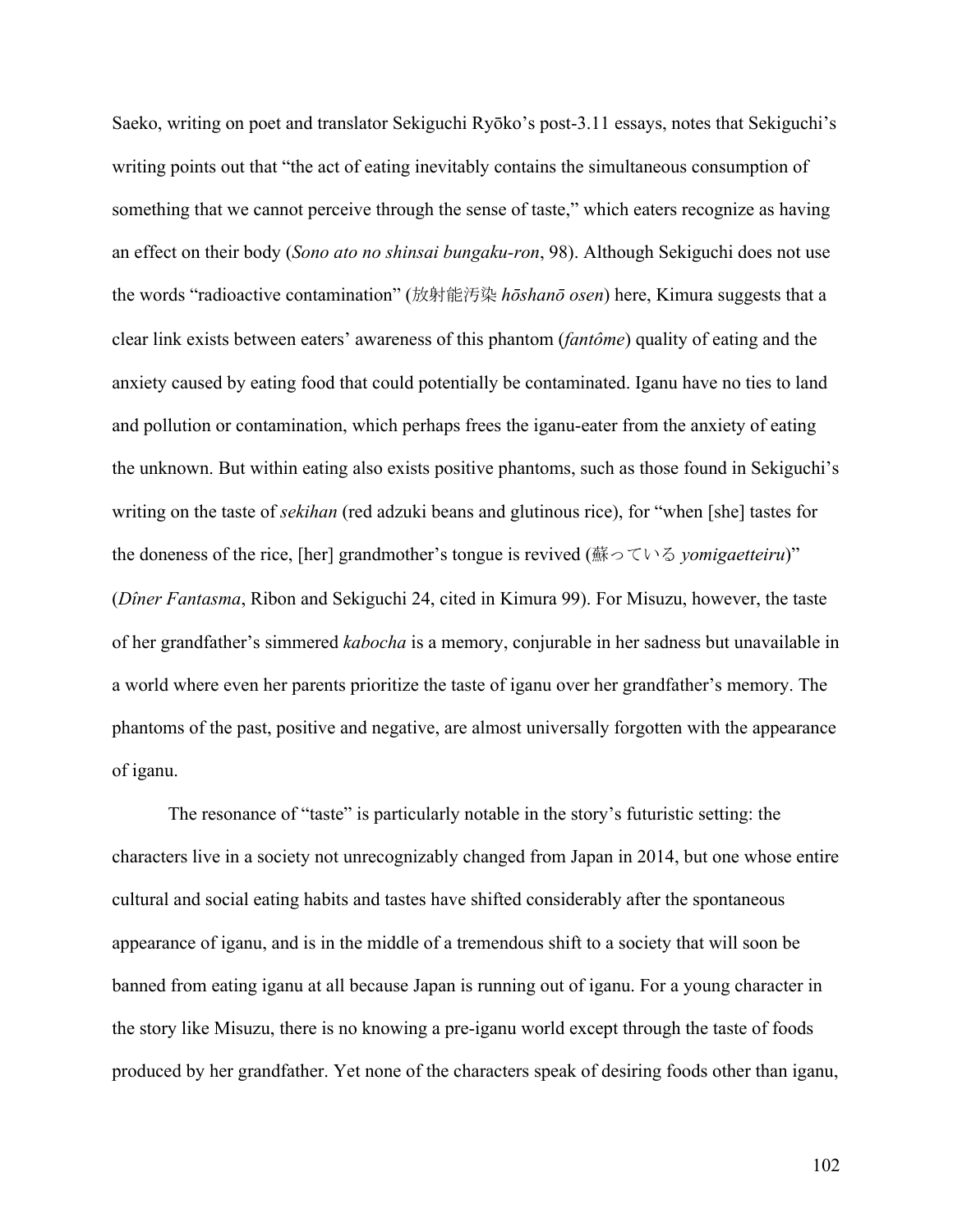Saeko, writing on poet and translator Sekiguchi Ryōko's post-3.11 essays, notes that Sekiguchi's writing points out that "the act of eating inevitably contains the simultaneous consumption of something that we cannot perceive through the sense of taste," which eaters recognize as having an effect on their body (*Sono ato no shinsai bungaku-ron*, 98). Although Sekiguchi does not use the words "radioactive contamination" (放射能汚染 *hōshanō osen*) here, Kimura suggests that a clear link exists between eaters' awareness of this phantom (*fantôme*) quality of eating and the anxiety caused by eating food that could potentially be contaminated. Iganu have no ties to land and pollution or contamination, which perhaps frees the iganu-eater from the anxiety of eating the unknown. But within eating also exists positive phantoms, such as those found in Sekiguchi's writing on the taste of *sekihan* (red adzuki beans and glutinous rice), for "when [she] tastes for the doneness of the rice, [her] grandmother's tongue is revived (蘇っている *yomigaetteiru*)" (*Dîner Fantasma*, Ribon and Sekiguchi 24, cited in Kimura 99). For Misuzu, however, the taste of her grandfather's simmered *kabocha* is a memory, conjurable in her sadness but unavailable in a world where even her parents prioritize the taste of iganu over her grandfather's memory. The phantoms of the past, positive and negative, are almost universally forgotten with the appearance of iganu.

The resonance of "taste" is particularly notable in the story's futuristic setting: the characters live in a society not unrecognizably changed from Japan in 2014, but one whose entire cultural and social eating habits and tastes have shifted considerably after the spontaneous appearance of iganu, and is in the middle of a tremendous shift to a society that will soon be banned from eating iganu at all because Japan is running out of iganu. For a young character in the story like Misuzu, there is no knowing a pre-iganu world except through the taste of foods produced by her grandfather. Yet none of the characters speak of desiring foods other than iganu,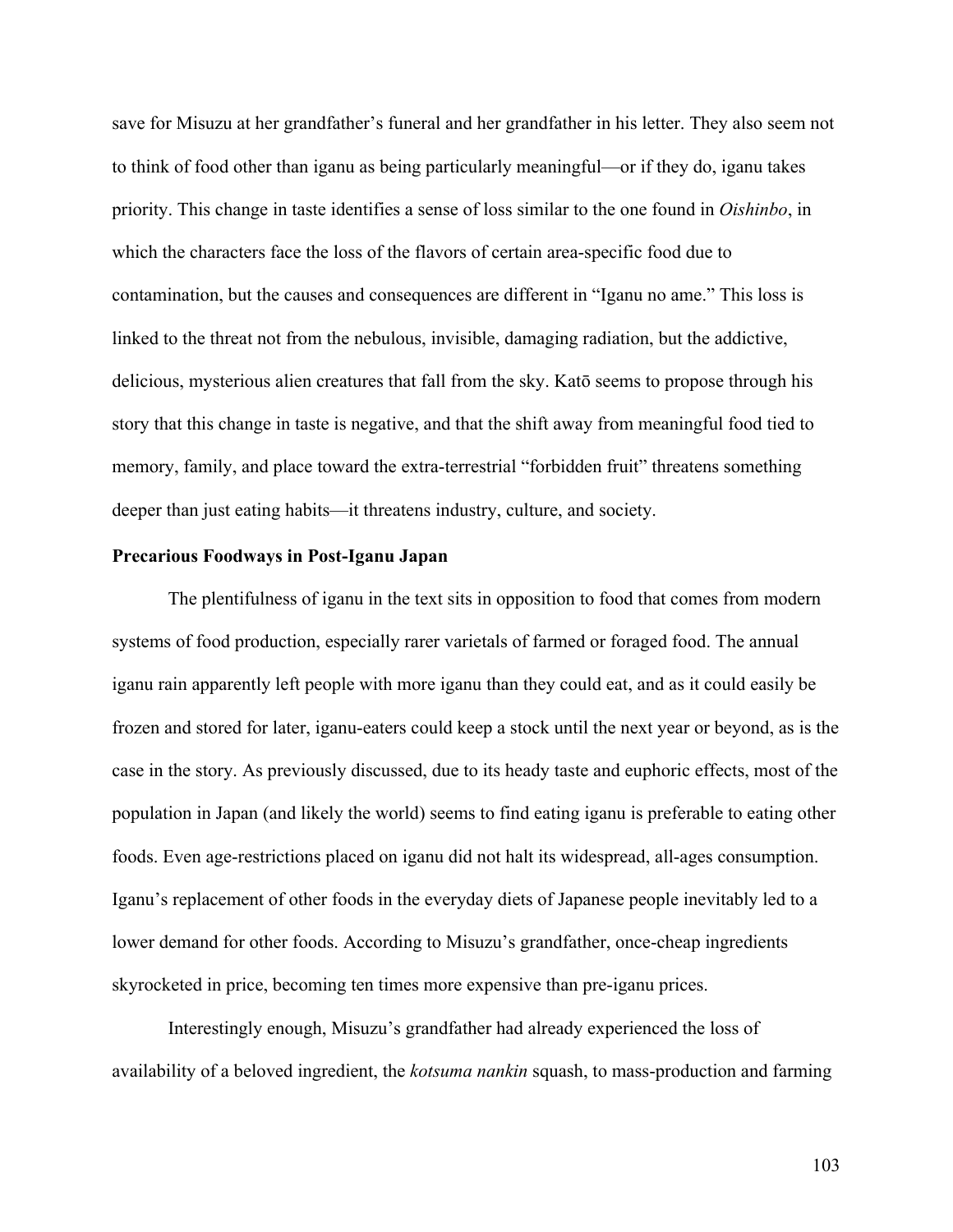save for Misuzu at her grandfather's funeral and her grandfather in his letter. They also seem not to think of food other than iganu as being particularly meaningful—or if they do, iganu takes priority. This change in taste identifies a sense of loss similar to the one found in *Oishinbo*, in which the characters face the loss of the flavors of certain area-specific food due to contamination, but the causes and consequences are different in "Iganu no ame." This loss is linked to the threat not from the nebulous, invisible, damaging radiation, but the addictive, delicious, mysterious alien creatures that fall from the sky. Katō seems to propose through his story that this change in taste is negative, and that the shift away from meaningful food tied to memory, family, and place toward the extra-terrestrial "forbidden fruit" threatens something deeper than just eating habits—it threatens industry, culture, and society.

## **Precarious Foodways in Post-Iganu Japan**

The plentifulness of iganu in the text sits in opposition to food that comes from modern systems of food production, especially rarer varietals of farmed or foraged food. The annual iganu rain apparently left people with more iganu than they could eat, and as it could easily be frozen and stored for later, iganu-eaters could keep a stock until the next year or beyond, as is the case in the story. As previously discussed, due to its heady taste and euphoric effects, most of the population in Japan (and likely the world) seems to find eating iganu is preferable to eating other foods. Even age-restrictions placed on iganu did not halt its widespread, all-ages consumption. Iganu's replacement of other foods in the everyday diets of Japanese people inevitably led to a lower demand for other foods. According to Misuzu's grandfather, once-cheap ingredients skyrocketed in price, becoming ten times more expensive than pre-iganu prices.

Interestingly enough, Misuzu's grandfather had already experienced the loss of availability of a beloved ingredient, the *kotsuma nankin* squash, to mass-production and farming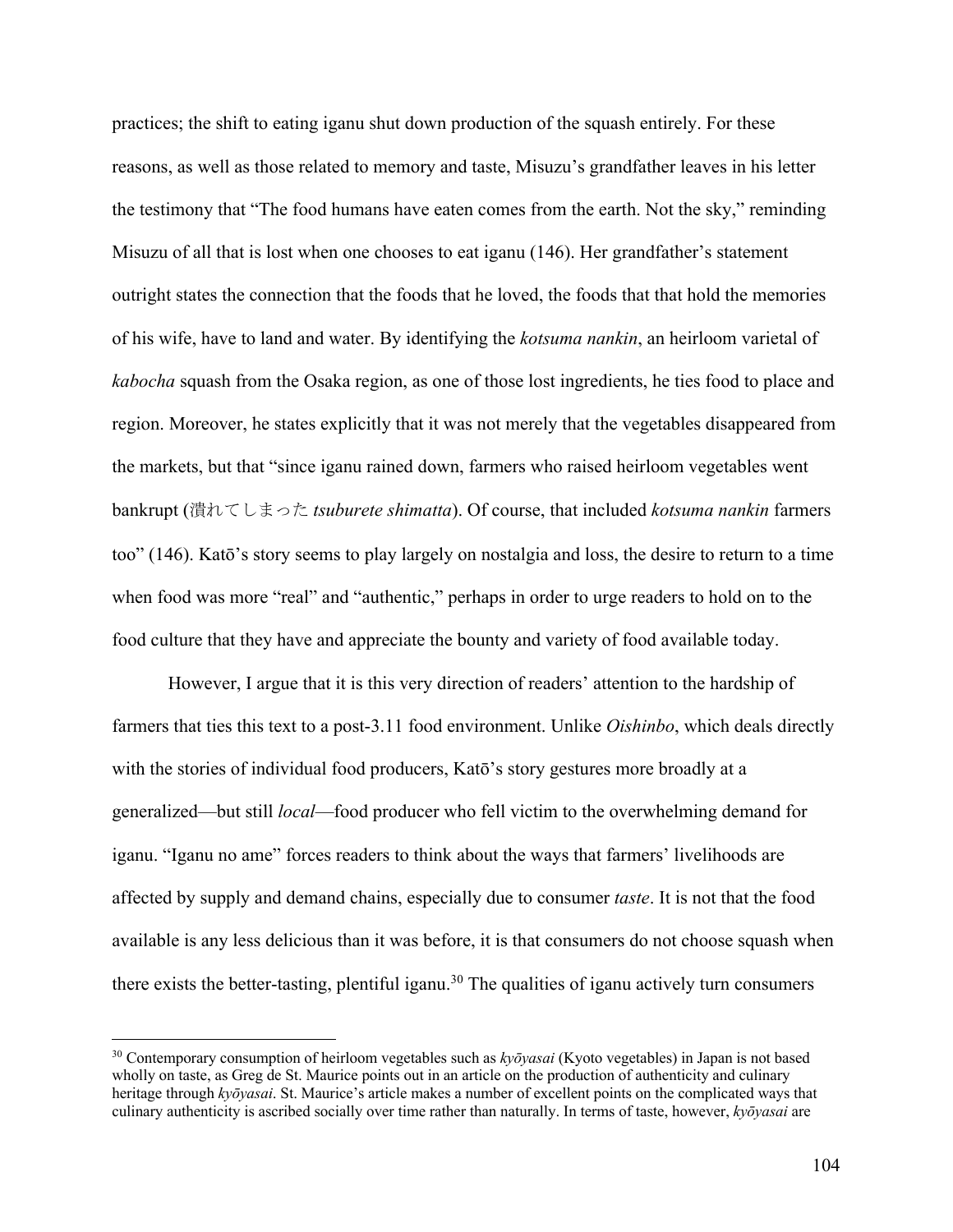practices; the shift to eating iganu shut down production of the squash entirely. For these reasons, as well as those related to memory and taste, Misuzu's grandfather leaves in his letter the testimony that "The food humans have eaten comes from the earth. Not the sky," reminding Misuzu of all that is lost when one chooses to eat iganu (146). Her grandfather's statement outright states the connection that the foods that he loved, the foods that that hold the memories of his wife, have to land and water. By identifying the *kotsuma nankin*, an heirloom varietal of *kabocha* squash from the Osaka region, as one of those lost ingredients, he ties food to place and region. Moreover, he states explicitly that it was not merely that the vegetables disappeared from the markets, but that "since iganu rained down, farmers who raised heirloom vegetables went bankrupt (潰れてしまった *tsuburete shimatta*). Of course, that included *kotsuma nankin* farmers too" (146). Katō's story seems to play largely on nostalgia and loss, the desire to return to a time when food was more "real" and "authentic," perhaps in order to urge readers to hold on to the food culture that they have and appreciate the bounty and variety of food available today.

However, I argue that it is this very direction of readers' attention to the hardship of farmers that ties this text to a post-3.11 food environment. Unlike *Oishinbo*, which deals directly with the stories of individual food producers, Katō's story gestures more broadly at a generalized—but still *local*—food producer who fell victim to the overwhelming demand for iganu. "Iganu no ame" forces readers to think about the ways that farmers' livelihoods are affected by supply and demand chains, especially due to consumer *taste*. It is not that the food available is any less delicious than it was before, it is that consumers do not choose squash when there exists the better-tasting, plentiful iganu.<sup>30</sup> The qualities of iganu actively turn consumers

<sup>30</sup> Contemporary consumption of heirloom vegetables such as *kyōyasai* (Kyoto vegetables) in Japan is not based wholly on taste, as Greg de St. Maurice points out in an article on the production of authenticity and culinary heritage through *kyōyasai*. St. Maurice's article makes a number of excellent points on the complicated ways that culinary authenticity is ascribed socially over time rather than naturally. In terms of taste, however, *kyōyasai* are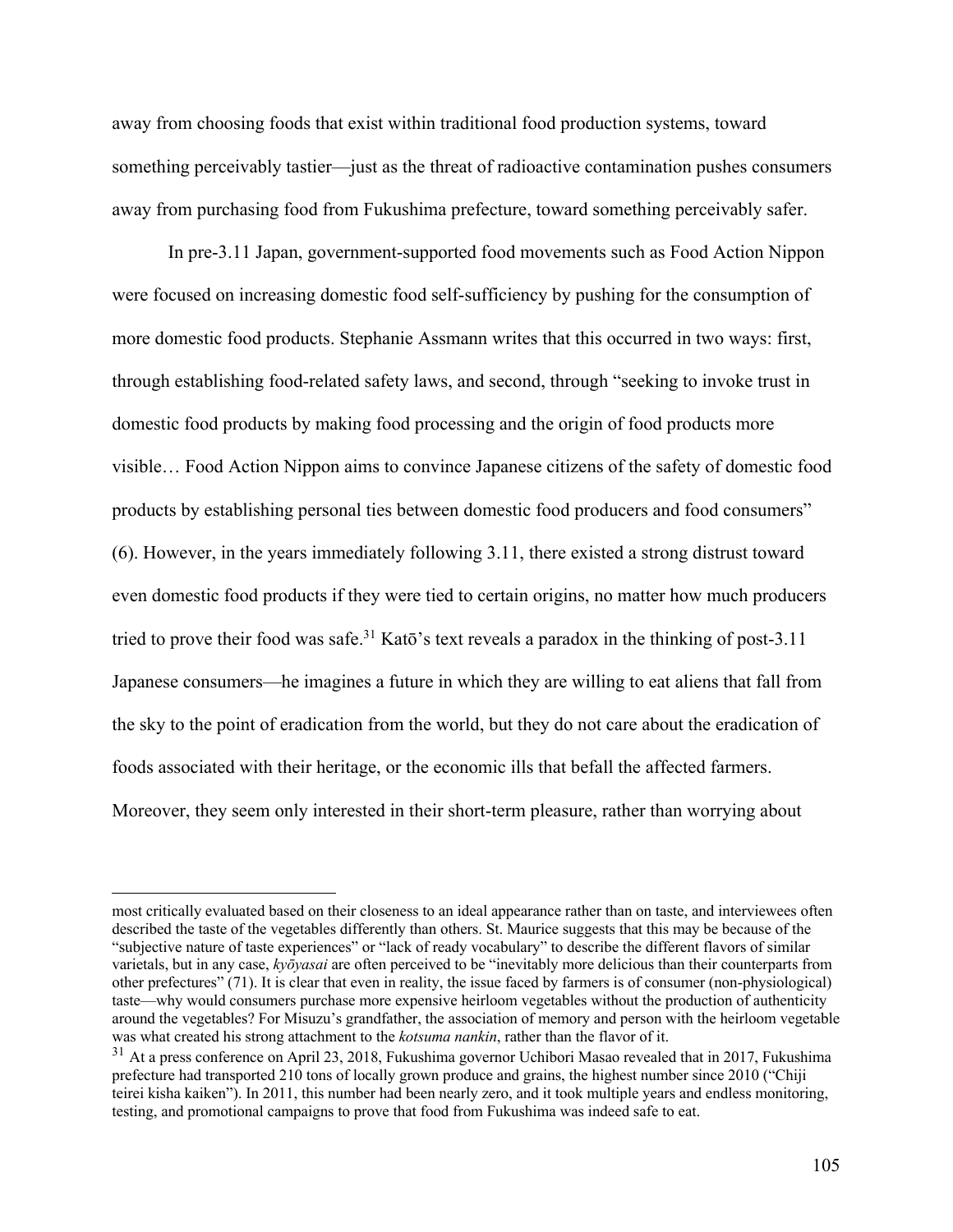away from choosing foods that exist within traditional food production systems, toward something perceivably tastier—just as the threat of radioactive contamination pushes consumers away from purchasing food from Fukushima prefecture, toward something perceivably safer.

In pre-3.11 Japan, government-supported food movements such as Food Action Nippon were focused on increasing domestic food self-sufficiency by pushing for the consumption of more domestic food products. Stephanie Assmann writes that this occurred in two ways: first, through establishing food-related safety laws, and second, through "seeking to invoke trust in domestic food products by making food processing and the origin of food products more visible… Food Action Nippon aims to convince Japanese citizens of the safety of domestic food products by establishing personal ties between domestic food producers and food consumers" (6). However, in the years immediately following 3.11, there existed a strong distrust toward even domestic food products if they were tied to certain origins, no matter how much producers tried to prove their food was safe.<sup>31</sup> Katō's text reveals a paradox in the thinking of post-3.11 Japanese consumers—he imagines a future in which they are willing to eat aliens that fall from the sky to the point of eradication from the world, but they do not care about the eradication of foods associated with their heritage, or the economic ills that befall the affected farmers. Moreover, they seem only interested in their short-term pleasure, rather than worrying about

most critically evaluated based on their closeness to an ideal appearance rather than on taste, and interviewees often described the taste of the vegetables differently than others. St. Maurice suggests that this may be because of the "subjective nature of taste experiences" or "lack of ready vocabulary" to describe the different flavors of similar varietals, but in any case, *kyōyasai* are often perceived to be "inevitably more delicious than their counterparts from other prefectures" (71). It is clear that even in reality, the issue faced by farmers is of consumer (non-physiological) taste—why would consumers purchase more expensive heirloom vegetables without the production of authenticity around the vegetables? For Misuzu's grandfather, the association of memory and person with the heirloom vegetable was what created his strong attachment to the *kotsuma nankin*, rather than the flavor of it.

<sup>&</sup>lt;sup>31</sup> At a press conference on April 23, 2018, Fukushima governor Uchibori Masao revealed that in 2017, Fukushima prefecture had transported 210 tons of locally grown produce and grains, the highest number since 2010 ("Chiji teirei kisha kaiken"). In 2011, this number had been nearly zero, and it took multiple years and endless monitoring, testing, and promotional campaigns to prove that food from Fukushima was indeed safe to eat.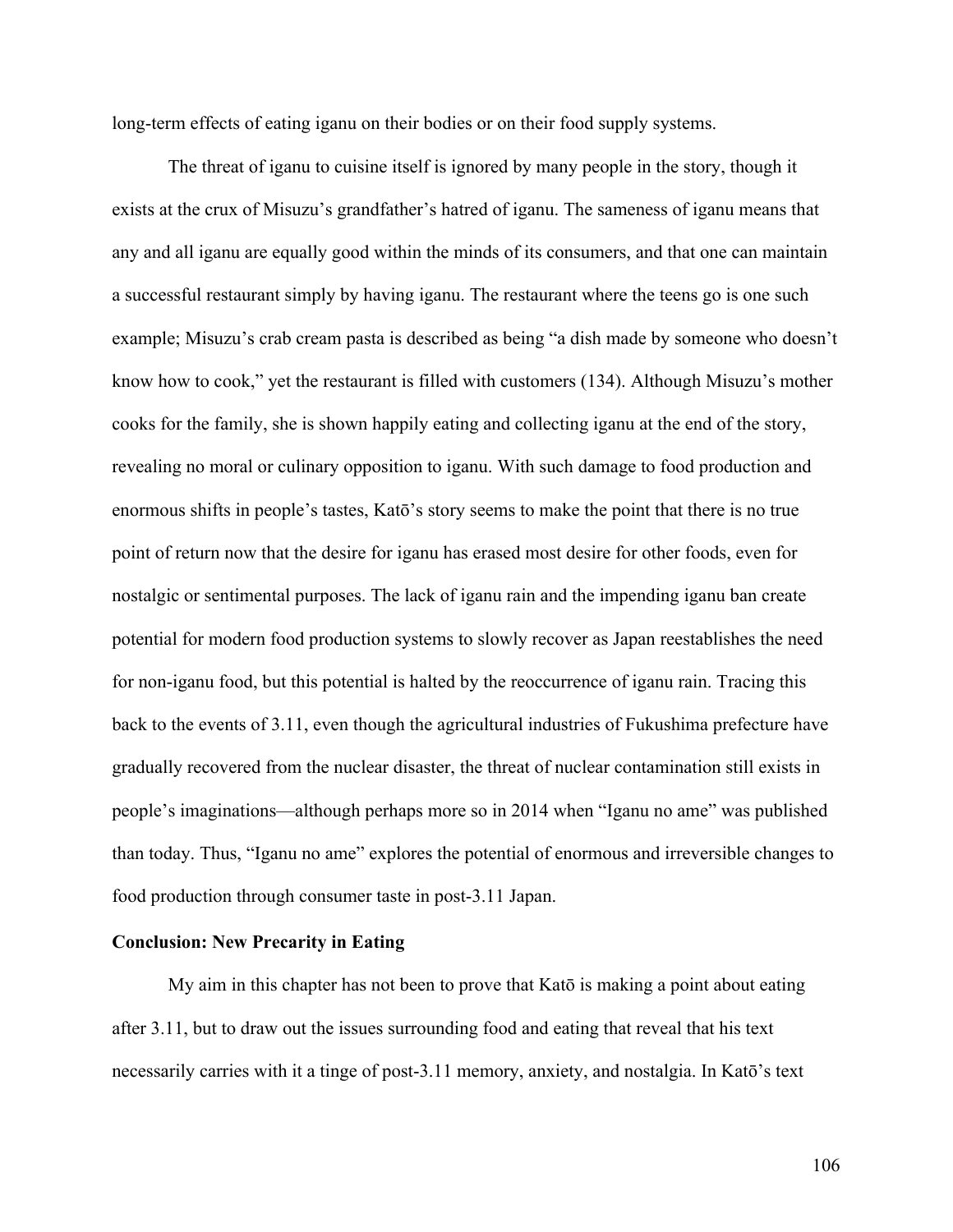long-term effects of eating iganu on their bodies or on their food supply systems.

The threat of iganu to cuisine itself is ignored by many people in the story, though it exists at the crux of Misuzu's grandfather's hatred of iganu. The sameness of iganu means that any and all iganu are equally good within the minds of its consumers, and that one can maintain a successful restaurant simply by having iganu. The restaurant where the teens go is one such example; Misuzu's crab cream pasta is described as being "a dish made by someone who doesn't know how to cook," yet the restaurant is filled with customers (134). Although Misuzu's mother cooks for the family, she is shown happily eating and collecting iganu at the end of the story, revealing no moral or culinary opposition to iganu. With such damage to food production and enormous shifts in people's tastes, Katō's story seems to make the point that there is no true point of return now that the desire for iganu has erased most desire for other foods, even for nostalgic or sentimental purposes. The lack of iganu rain and the impending iganu ban create potential for modern food production systems to slowly recover as Japan reestablishes the need for non-iganu food, but this potential is halted by the reoccurrence of iganu rain. Tracing this back to the events of 3.11, even though the agricultural industries of Fukushima prefecture have gradually recovered from the nuclear disaster, the threat of nuclear contamination still exists in people's imaginations—although perhaps more so in 2014 when "Iganu no ame" was published than today. Thus, "Iganu no ame" explores the potential of enormous and irreversible changes to food production through consumer taste in post-3.11 Japan.

## **Conclusion: New Precarity in Eating**

My aim in this chapter has not been to prove that Katō is making a point about eating after 3.11, but to draw out the issues surrounding food and eating that reveal that his text necessarily carries with it a tinge of post-3.11 memory, anxiety, and nostalgia. In Katō's text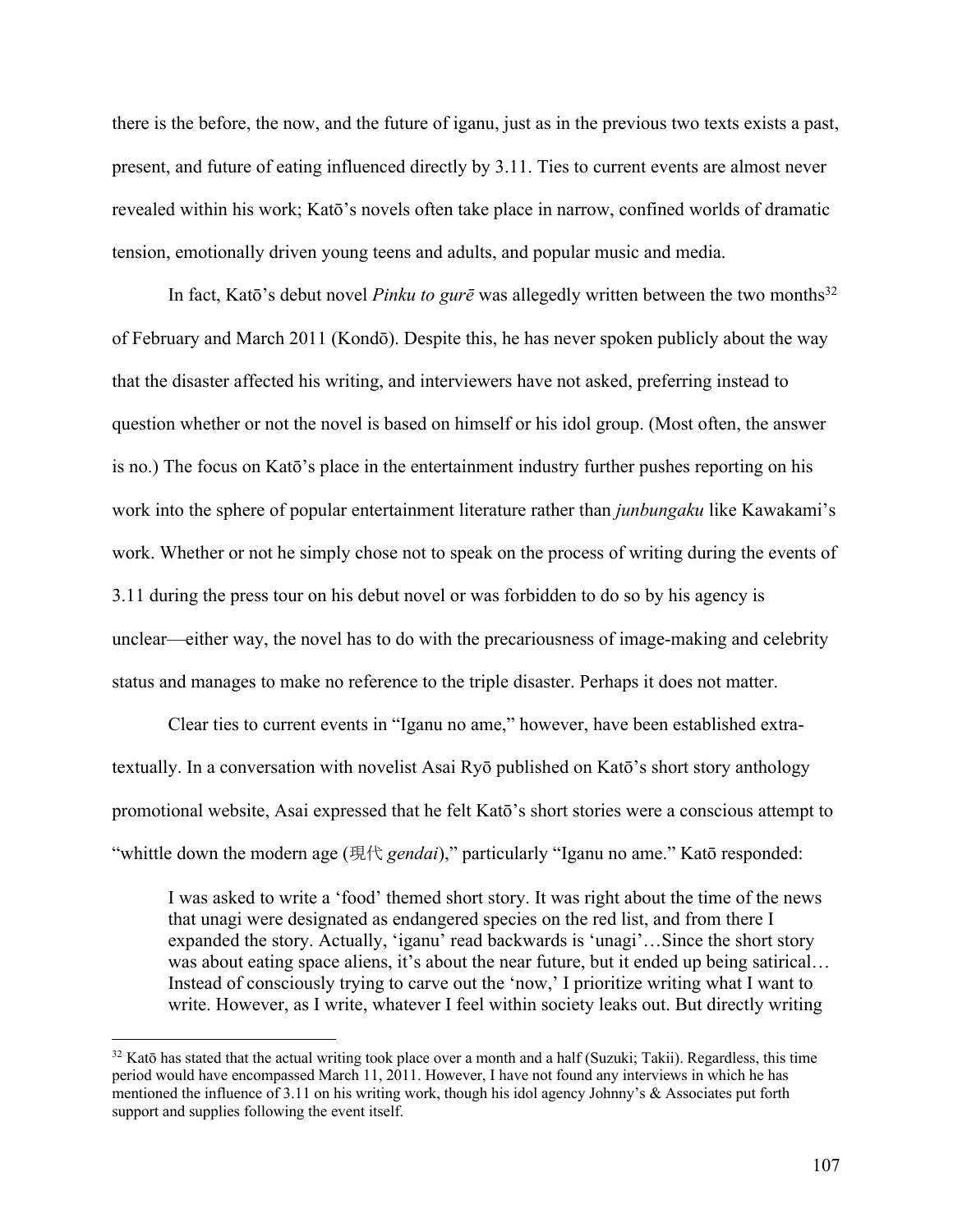there is the before, the now, and the future of iganu, just as in the previous two texts exists a past, present, and future of eating influenced directly by 3.11. Ties to current events are almost never revealed within his work; Katō's novels often take place in narrow, confined worlds of dramatic tension, emotionally driven young teens and adults, and popular music and media.

In fact, Katō's debut novel *Pinku to gurē* was allegedly written between the two months<sup>32</sup> of February and March 2011 (Kondō). Despite this, he has never spoken publicly about the way that the disaster affected his writing, and interviewers have not asked, preferring instead to question whether or not the novel is based on himself or his idol group. (Most often, the answer is no.) The focus on Katō's place in the entertainment industry further pushes reporting on his work into the sphere of popular entertainment literature rather than *junbungaku* like Kawakami's work. Whether or not he simply chose not to speak on the process of writing during the events of 3.11 during the press tour on his debut novel or was forbidden to do so by his agency is unclear—either way, the novel has to do with the precariousness of image-making and celebrity status and manages to make no reference to the triple disaster. Perhaps it does not matter.

Clear ties to current events in "Iganu no ame," however, have been established extratextually. In a conversation with novelist Asai Ryō published on Katō's short story anthology promotional website, Asai expressed that he felt Katō's short stories were a conscious attempt to "whittle down the modern age (現代 *gendai*)," particularly "Iganu no ame." Katō responded:

I was asked to write a 'food' themed short story. It was right about the time of the news that unagi were designated as endangered species on the red list, and from there I expanded the story. Actually, 'iganu' read backwards is 'unagi'…Since the short story was about eating space aliens, it's about the near future, but it ended up being satirical... Instead of consciously trying to carve out the 'now,' I prioritize writing what I want to write. However, as I write, whatever I feel within society leaks out. But directly writing

 $32$  Katō has stated that the actual writing took place over a month and a half (Suzuki; Takii). Regardless, this time period would have encompassed March 11, 2011. However, I have not found any interviews in which he has mentioned the influence of 3.11 on his writing work, though his idol agency Johnny's & Associates put forth support and supplies following the event itself.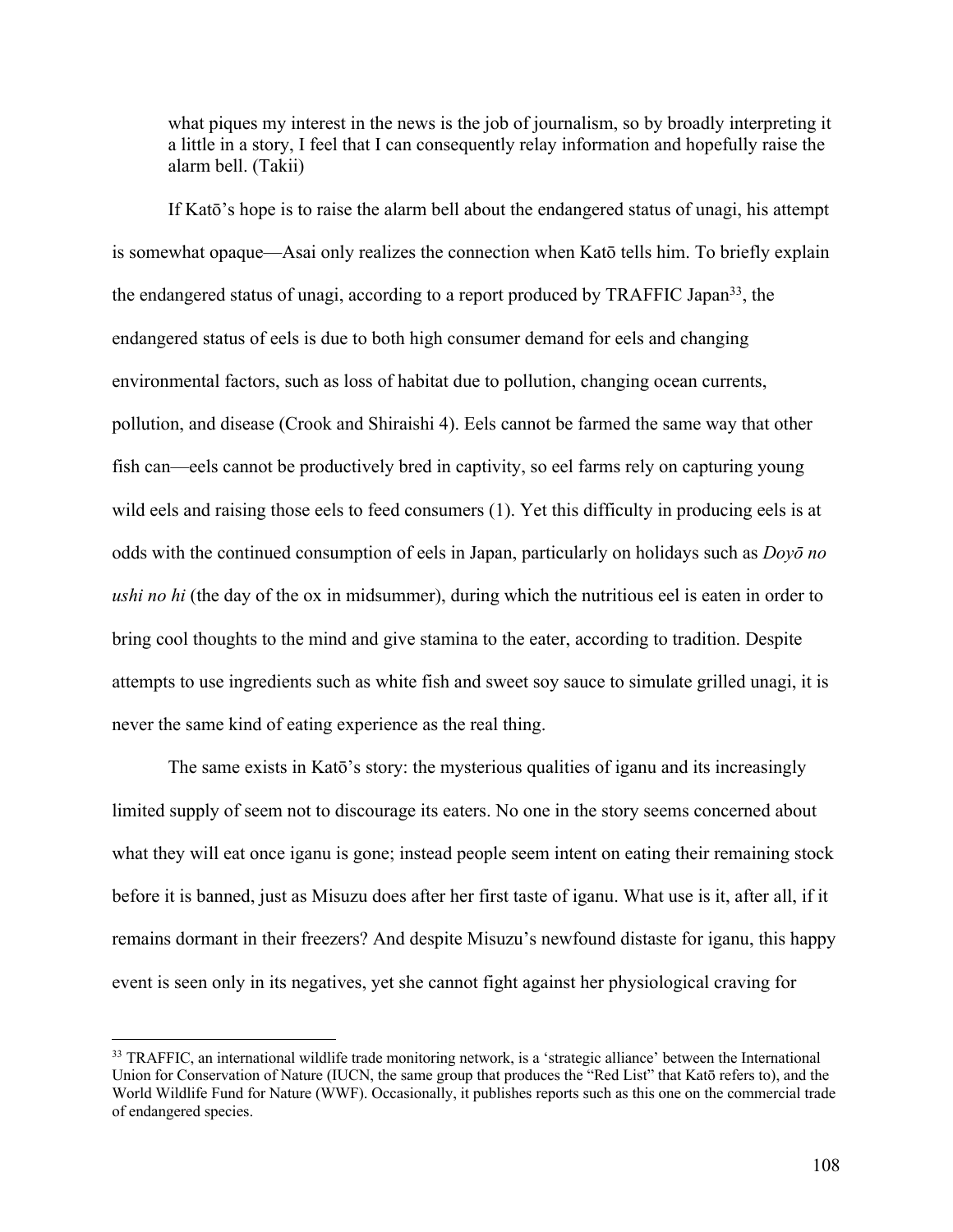what piques my interest in the news is the job of journalism, so by broadly interpreting it a little in a story, I feel that I can consequently relay information and hopefully raise the alarm bell. (Takii)

If Katō's hope is to raise the alarm bell about the endangered status of unagi, his attempt is somewhat opaque—Asai only realizes the connection when Katō tells him. To briefly explain the endangered status of unagi, according to a report produced by TRAFFIC Japan<sup>33</sup>, the endangered status of eels is due to both high consumer demand for eels and changing environmental factors, such as loss of habitat due to pollution, changing ocean currents, pollution, and disease (Crook and Shiraishi 4). Eels cannot be farmed the same way that other fish can—eels cannot be productively bred in captivity, so eel farms rely on capturing young wild eels and raising those eels to feed consumers (1). Yet this difficulty in producing eels is at odds with the continued consumption of eels in Japan, particularly on holidays such as *Doyō no ushi no hi* (the day of the ox in midsummer), during which the nutritious eel is eaten in order to bring cool thoughts to the mind and give stamina to the eater, according to tradition. Despite attempts to use ingredients such as white fish and sweet soy sauce to simulate grilled unagi, it is never the same kind of eating experience as the real thing.

The same exists in Katō's story: the mysterious qualities of iganu and its increasingly limited supply of seem not to discourage its eaters. No one in the story seems concerned about what they will eat once iganu is gone; instead people seem intent on eating their remaining stock before it is banned, just as Misuzu does after her first taste of iganu. What use is it, after all, if it remains dormant in their freezers? And despite Misuzu's newfound distaste for iganu, this happy event is seen only in its negatives, yet she cannot fight against her physiological craving for

<sup>&</sup>lt;sup>33</sup> TRAFFIC, an international wildlife trade monitoring network, is a 'strategic alliance' between the International Union for Conservation of Nature (IUCN, the same group that produces the "Red List" that Katō refers to), and the World Wildlife Fund for Nature (WWF). Occasionally, it publishes reports such as this one on the commercial trade of endangered species.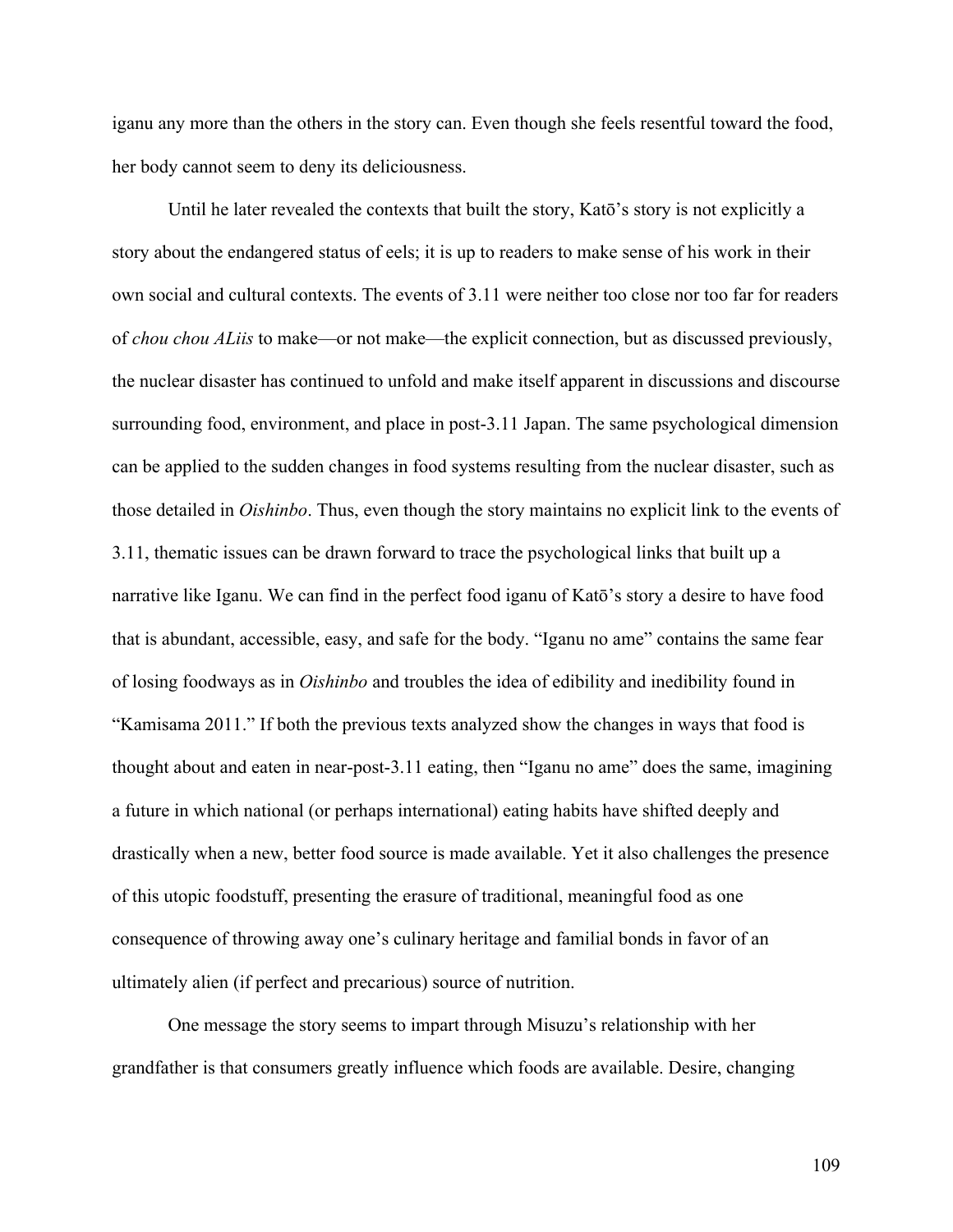iganu any more than the others in the story can. Even though she feels resentful toward the food, her body cannot seem to deny its deliciousness.

Until he later revealed the contexts that built the story, Katō's story is not explicitly a story about the endangered status of eels; it is up to readers to make sense of his work in their own social and cultural contexts. The events of 3.11 were neither too close nor too far for readers of *chou chou ALiis* to make—or not make—the explicit connection, but as discussed previously, the nuclear disaster has continued to unfold and make itself apparent in discussions and discourse surrounding food, environment, and place in post-3.11 Japan. The same psychological dimension can be applied to the sudden changes in food systems resulting from the nuclear disaster, such as those detailed in *Oishinbo*. Thus, even though the story maintains no explicit link to the events of 3.11, thematic issues can be drawn forward to trace the psychological links that built up a narrative like Iganu. We can find in the perfect food iganu of Katō's story a desire to have food that is abundant, accessible, easy, and safe for the body. "Iganu no ame" contains the same fear of losing foodways as in *Oishinbo* and troubles the idea of edibility and inedibility found in "Kamisama 2011." If both the previous texts analyzed show the changes in ways that food is thought about and eaten in near-post-3.11 eating, then "Iganu no ame" does the same, imagining a future in which national (or perhaps international) eating habits have shifted deeply and drastically when a new, better food source is made available. Yet it also challenges the presence of this utopic foodstuff, presenting the erasure of traditional, meaningful food as one consequence of throwing away one's culinary heritage and familial bonds in favor of an ultimately alien (if perfect and precarious) source of nutrition.

One message the story seems to impart through Misuzu's relationship with her grandfather is that consumers greatly influence which foods are available. Desire, changing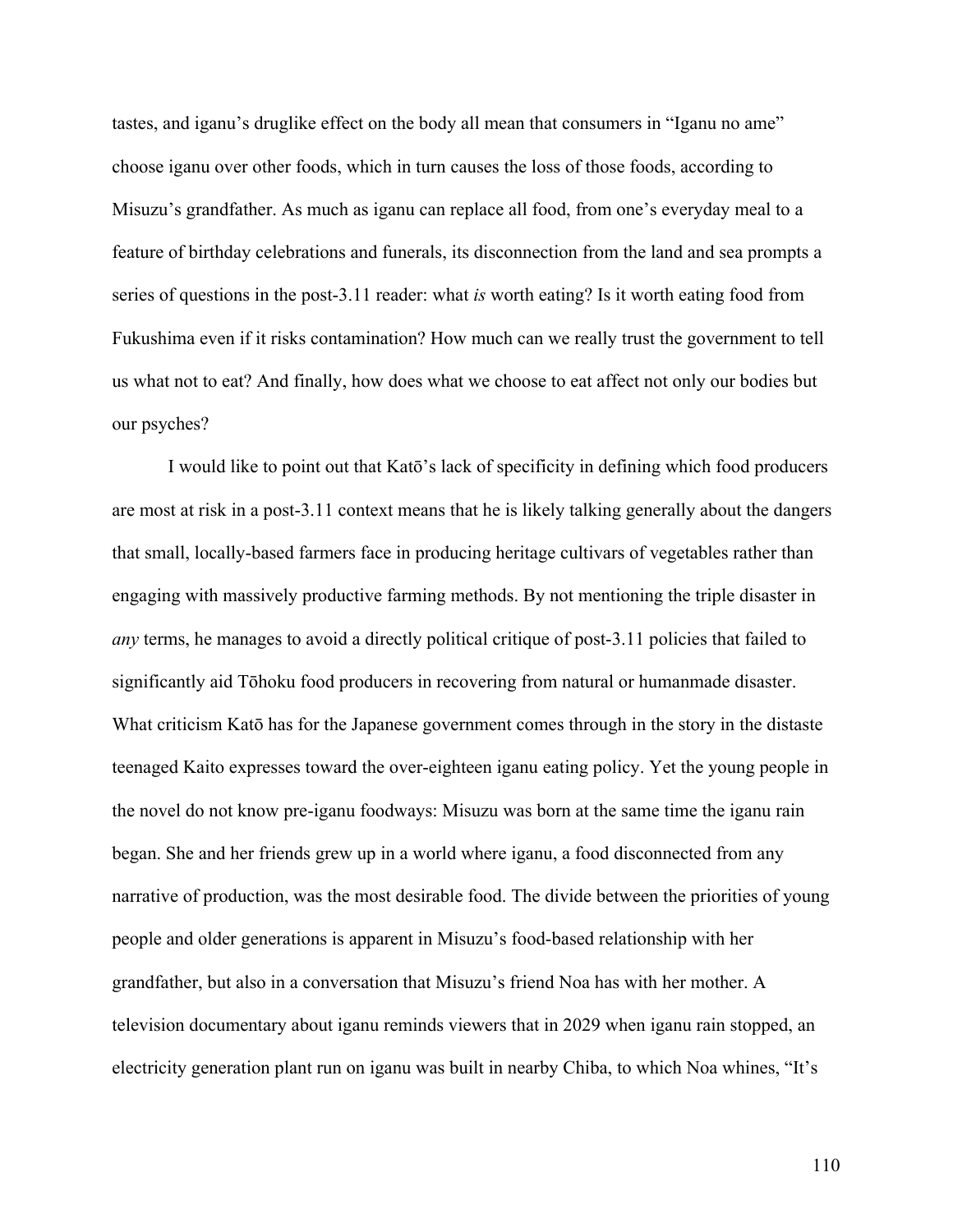tastes, and iganu's druglike effect on the body all mean that consumers in "Iganu no ame" choose iganu over other foods, which in turn causes the loss of those foods, according to Misuzu's grandfather. As much as iganu can replace all food, from one's everyday meal to a feature of birthday celebrations and funerals, its disconnection from the land and sea prompts a series of questions in the post-3.11 reader: what *is* worth eating? Is it worth eating food from Fukushima even if it risks contamination? How much can we really trust the government to tell us what not to eat? And finally, how does what we choose to eat affect not only our bodies but our psyches?

I would like to point out that Katō's lack of specificity in defining which food producers are most at risk in a post-3.11 context means that he is likely talking generally about the dangers that small, locally-based farmers face in producing heritage cultivars of vegetables rather than engaging with massively productive farming methods. By not mentioning the triple disaster in *any* terms, he manages to avoid a directly political critique of post-3.11 policies that failed to significantly aid Tōhoku food producers in recovering from natural or humanmade disaster. What criticism Katō has for the Japanese government comes through in the story in the distaste teenaged Kaito expresses toward the over-eighteen iganu eating policy. Yet the young people in the novel do not know pre-iganu foodways: Misuzu was born at the same time the iganu rain began. She and her friends grew up in a world where iganu, a food disconnected from any narrative of production, was the most desirable food. The divide between the priorities of young people and older generations is apparent in Misuzu's food-based relationship with her grandfather, but also in a conversation that Misuzu's friend Noa has with her mother. A television documentary about iganu reminds viewers that in 2029 when iganu rain stopped, an electricity generation plant run on iganu was built in nearby Chiba, to which Noa whines, "It's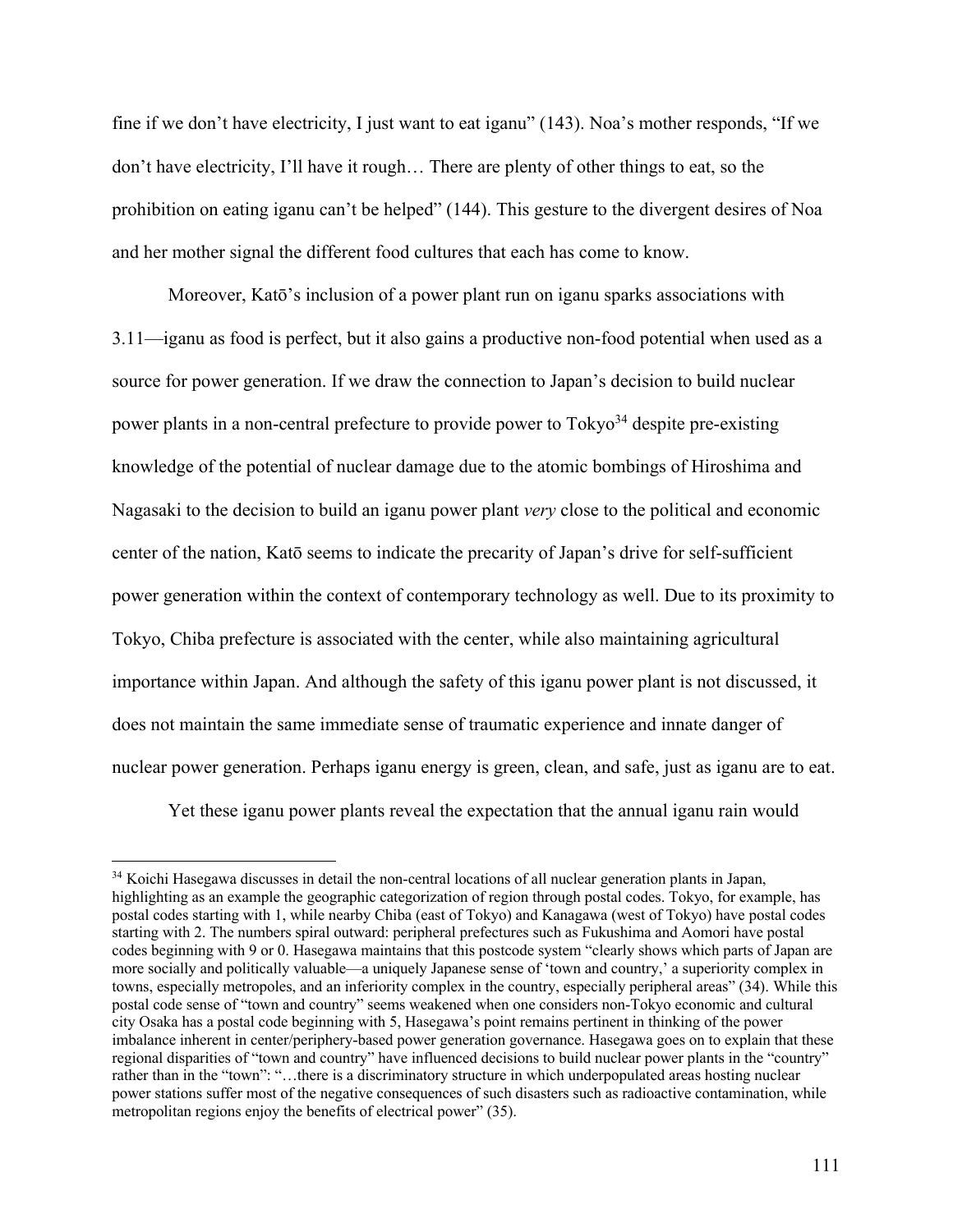fine if we don't have electricity, I just want to eat iganu" (143). Noa's mother responds, "If we don't have electricity, I'll have it rough… There are plenty of other things to eat, so the prohibition on eating iganu can't be helped" (144). This gesture to the divergent desires of Noa and her mother signal the different food cultures that each has come to know.

Moreover, Katō's inclusion of a power plant run on iganu sparks associations with 3.11—iganu as food is perfect, but it also gains a productive non-food potential when used as a source for power generation. If we draw the connection to Japan's decision to build nuclear power plants in a non-central prefecture to provide power to  $Tokyo<sup>34</sup>$  despite pre-existing knowledge of the potential of nuclear damage due to the atomic bombings of Hiroshima and Nagasaki to the decision to build an iganu power plant *very* close to the political and economic center of the nation, Katō seems to indicate the precarity of Japan's drive for self-sufficient power generation within the context of contemporary technology as well. Due to its proximity to Tokyo, Chiba prefecture is associated with the center, while also maintaining agricultural importance within Japan. And although the safety of this iganu power plant is not discussed, it does not maintain the same immediate sense of traumatic experience and innate danger of nuclear power generation. Perhaps iganu energy is green, clean, and safe, just as iganu are to eat.

Yet these iganu power plants reveal the expectation that the annual iganu rain would

<sup>&</sup>lt;sup>34</sup> Koichi Hasegawa discusses in detail the non-central locations of all nuclear generation plants in Japan, highlighting as an example the geographic categorization of region through postal codes. Tokyo, for example, has postal codes starting with 1, while nearby Chiba (east of Tokyo) and Kanagawa (west of Tokyo) have postal codes starting with 2. The numbers spiral outward: peripheral prefectures such as Fukushima and Aomori have postal codes beginning with 9 or 0. Hasegawa maintains that this postcode system "clearly shows which parts of Japan are more socially and politically valuable—a uniquely Japanese sense of 'town and country,' a superiority complex in towns, especially metropoles, and an inferiority complex in the country, especially peripheral areas" (34). While this postal code sense of "town and country" seems weakened when one considers non-Tokyo economic and cultural city Osaka has a postal code beginning with 5, Hasegawa's point remains pertinent in thinking of the power imbalance inherent in center/periphery-based power generation governance. Hasegawa goes on to explain that these regional disparities of "town and country" have influenced decisions to build nuclear power plants in the "country" rather than in the "town": "…there is a discriminatory structure in which underpopulated areas hosting nuclear power stations suffer most of the negative consequences of such disasters such as radioactive contamination, while metropolitan regions enjoy the benefits of electrical power" (35).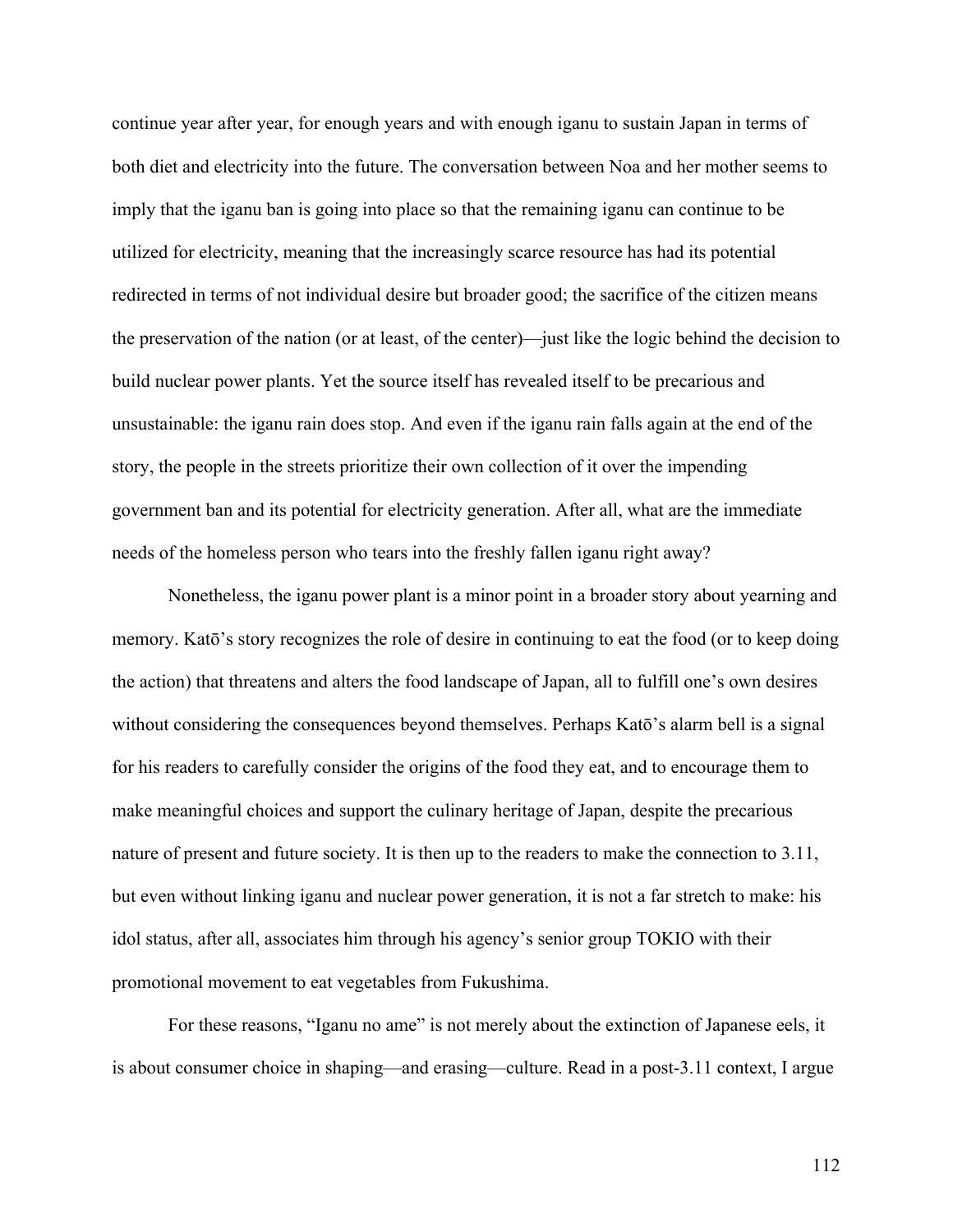continue year after year, for enough years and with enough iganu to sustain Japan in terms of both diet and electricity into the future. The conversation between Noa and her mother seems to imply that the iganu ban is going into place so that the remaining iganu can continue to be utilized for electricity, meaning that the increasingly scarce resource has had its potential redirected in terms of not individual desire but broader good; the sacrifice of the citizen means the preservation of the nation (or at least, of the center)—just like the logic behind the decision to build nuclear power plants. Yet the source itself has revealed itself to be precarious and unsustainable: the iganu rain does stop. And even if the iganu rain falls again at the end of the story, the people in the streets prioritize their own collection of it over the impending government ban and its potential for electricity generation. After all, what are the immediate needs of the homeless person who tears into the freshly fallen iganu right away?

Nonetheless, the iganu power plant is a minor point in a broader story about yearning and memory. Katō's story recognizes the role of desire in continuing to eat the food (or to keep doing the action) that threatens and alters the food landscape of Japan, all to fulfill one's own desires without considering the consequences beyond themselves. Perhaps Katō's alarm bell is a signal for his readers to carefully consider the origins of the food they eat, and to encourage them to make meaningful choices and support the culinary heritage of Japan, despite the precarious nature of present and future society. It is then up to the readers to make the connection to 3.11, but even without linking iganu and nuclear power generation, it is not a far stretch to make: his idol status, after all, associates him through his agency's senior group TOKIO with their promotional movement to eat vegetables from Fukushima.

For these reasons, "Iganu no ame" is not merely about the extinction of Japanese eels, it is about consumer choice in shaping—and erasing—culture. Read in a post-3.11 context, I argue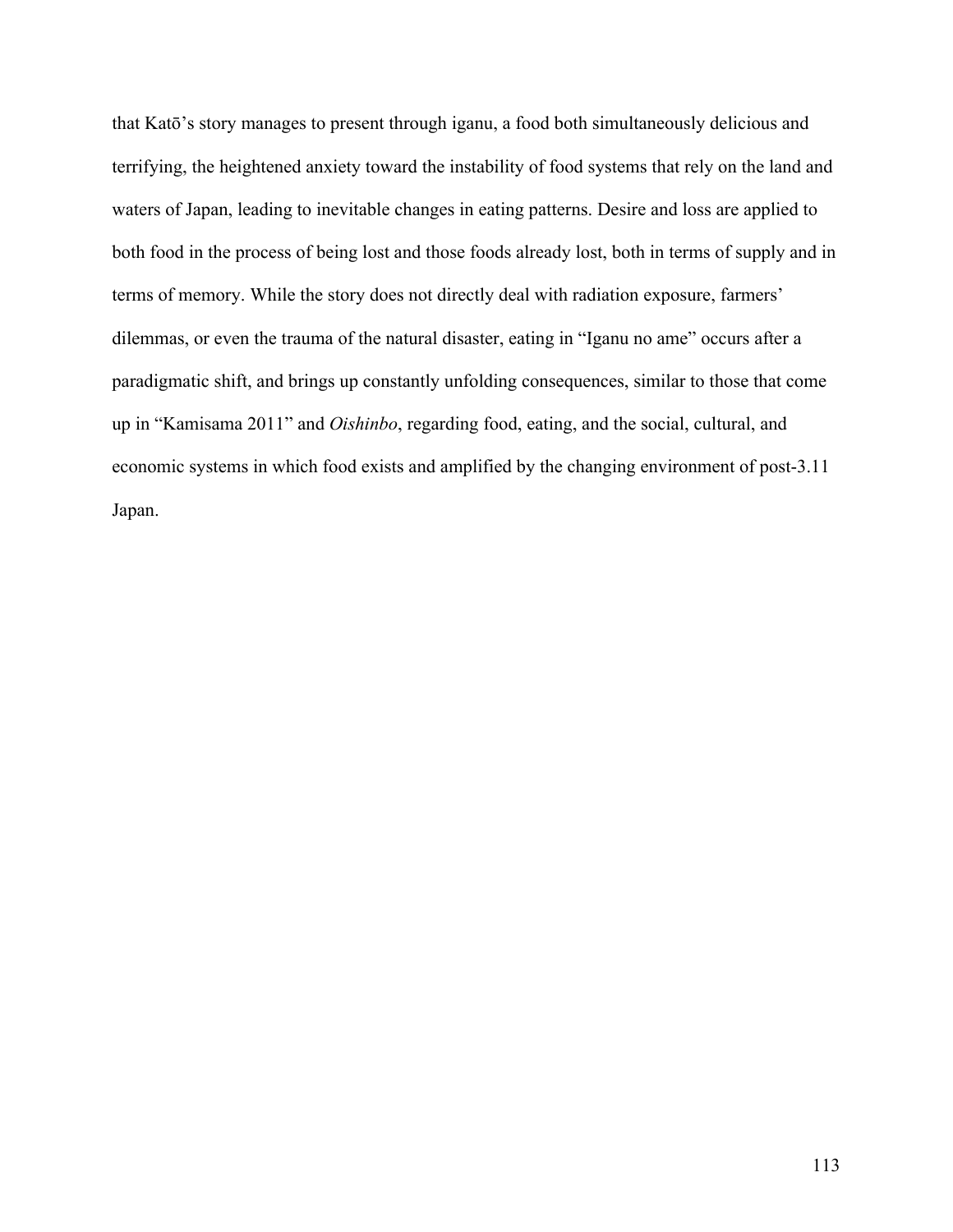that Katō's story manages to present through iganu, a food both simultaneously delicious and terrifying, the heightened anxiety toward the instability of food systems that rely on the land and waters of Japan, leading to inevitable changes in eating patterns. Desire and loss are applied to both food in the process of being lost and those foods already lost, both in terms of supply and in terms of memory. While the story does not directly deal with radiation exposure, farmers' dilemmas, or even the trauma of the natural disaster, eating in "Iganu no ame" occurs after a paradigmatic shift, and brings up constantly unfolding consequences, similar to those that come up in "Kamisama 2011" and *Oishinbo*, regarding food, eating, and the social, cultural, and economic systems in which food exists and amplified by the changing environment of post-3.11 Japan.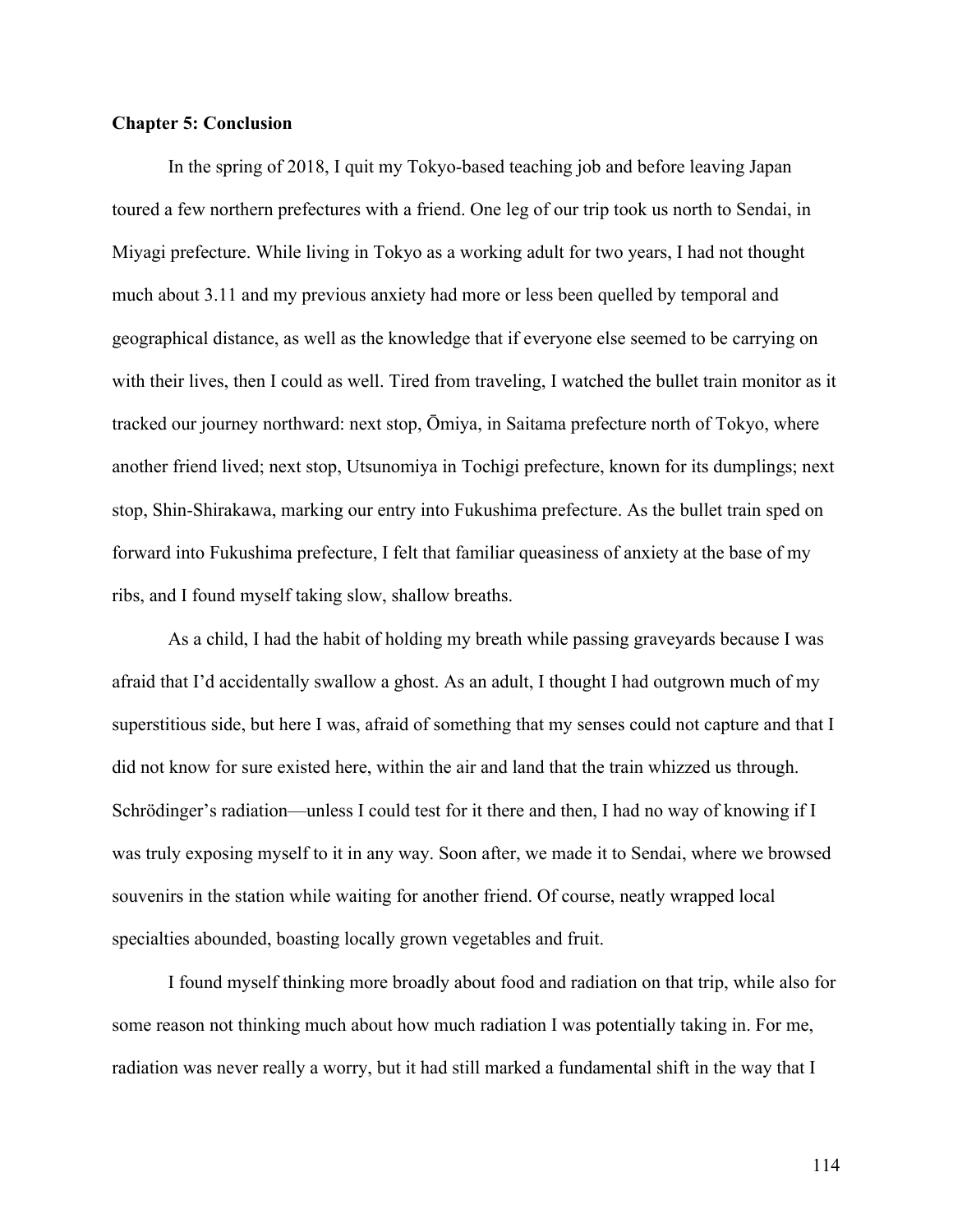## **Chapter 5: Conclusion**

In the spring of 2018, I quit my Tokyo-based teaching job and before leaving Japan toured a few northern prefectures with a friend. One leg of our trip took us north to Sendai, in Miyagi prefecture. While living in Tokyo as a working adult for two years, I had not thought much about 3.11 and my previous anxiety had more or less been quelled by temporal and geographical distance, as well as the knowledge that if everyone else seemed to be carrying on with their lives, then I could as well. Tired from traveling, I watched the bullet train monitor as it tracked our journey northward: next stop, Ōmiya, in Saitama prefecture north of Tokyo, where another friend lived; next stop, Utsunomiya in Tochigi prefecture, known for its dumplings; next stop, Shin-Shirakawa, marking our entry into Fukushima prefecture. As the bullet train sped on forward into Fukushima prefecture, I felt that familiar queasiness of anxiety at the base of my ribs, and I found myself taking slow, shallow breaths.

As a child, I had the habit of holding my breath while passing graveyards because I was afraid that I'd accidentally swallow a ghost. As an adult, I thought I had outgrown much of my superstitious side, but here I was, afraid of something that my senses could not capture and that I did not know for sure existed here, within the air and land that the train whizzed us through. Schrödinger's radiation—unless I could test for it there and then, I had no way of knowing if I was truly exposing myself to it in any way. Soon after, we made it to Sendai, where we browsed souvenirs in the station while waiting for another friend. Of course, neatly wrapped local specialties abounded, boasting locally grown vegetables and fruit.

I found myself thinking more broadly about food and radiation on that trip, while also for some reason not thinking much about how much radiation I was potentially taking in. For me, radiation was never really a worry, but it had still marked a fundamental shift in the way that I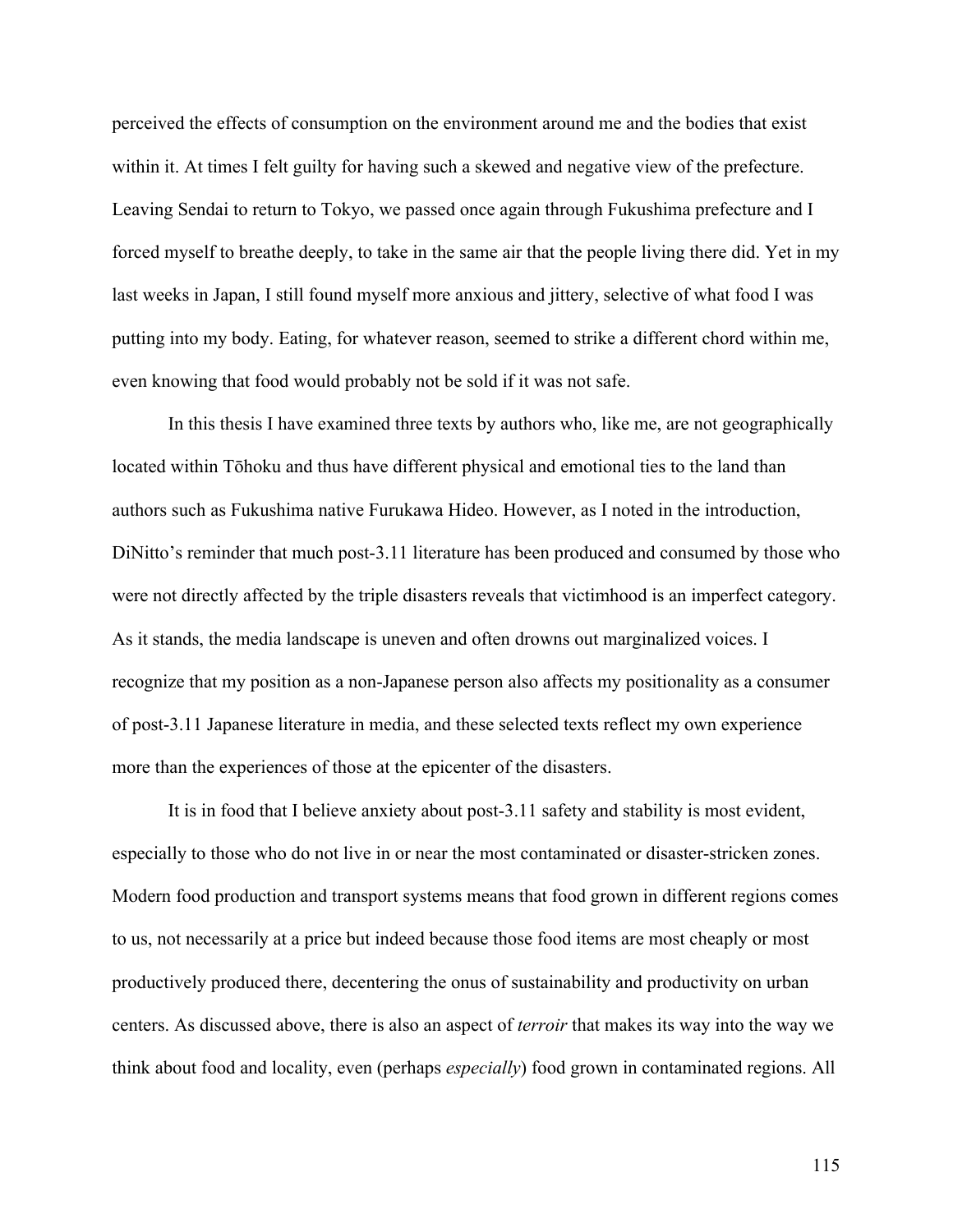perceived the effects of consumption on the environment around me and the bodies that exist within it. At times I felt guilty for having such a skewed and negative view of the prefecture. Leaving Sendai to return to Tokyo, we passed once again through Fukushima prefecture and I forced myself to breathe deeply, to take in the same air that the people living there did. Yet in my last weeks in Japan, I still found myself more anxious and jittery, selective of what food I was putting into my body. Eating, for whatever reason, seemed to strike a different chord within me, even knowing that food would probably not be sold if it was not safe.

In this thesis I have examined three texts by authors who, like me, are not geographically located within Tōhoku and thus have different physical and emotional ties to the land than authors such as Fukushima native Furukawa Hideo. However, as I noted in the introduction, DiNitto's reminder that much post-3.11 literature has been produced and consumed by those who were not directly affected by the triple disasters reveals that victimhood is an imperfect category. As it stands, the media landscape is uneven and often drowns out marginalized voices. I recognize that my position as a non-Japanese person also affects my positionality as a consumer of post-3.11 Japanese literature in media, and these selected texts reflect my own experience more than the experiences of those at the epicenter of the disasters.

It is in food that I believe anxiety about post-3.11 safety and stability is most evident, especially to those who do not live in or near the most contaminated or disaster-stricken zones. Modern food production and transport systems means that food grown in different regions comes to us, not necessarily at a price but indeed because those food items are most cheaply or most productively produced there, decentering the onus of sustainability and productivity on urban centers. As discussed above, there is also an aspect of *terroir* that makes its way into the way we think about food and locality, even (perhaps *especially*) food grown in contaminated regions. All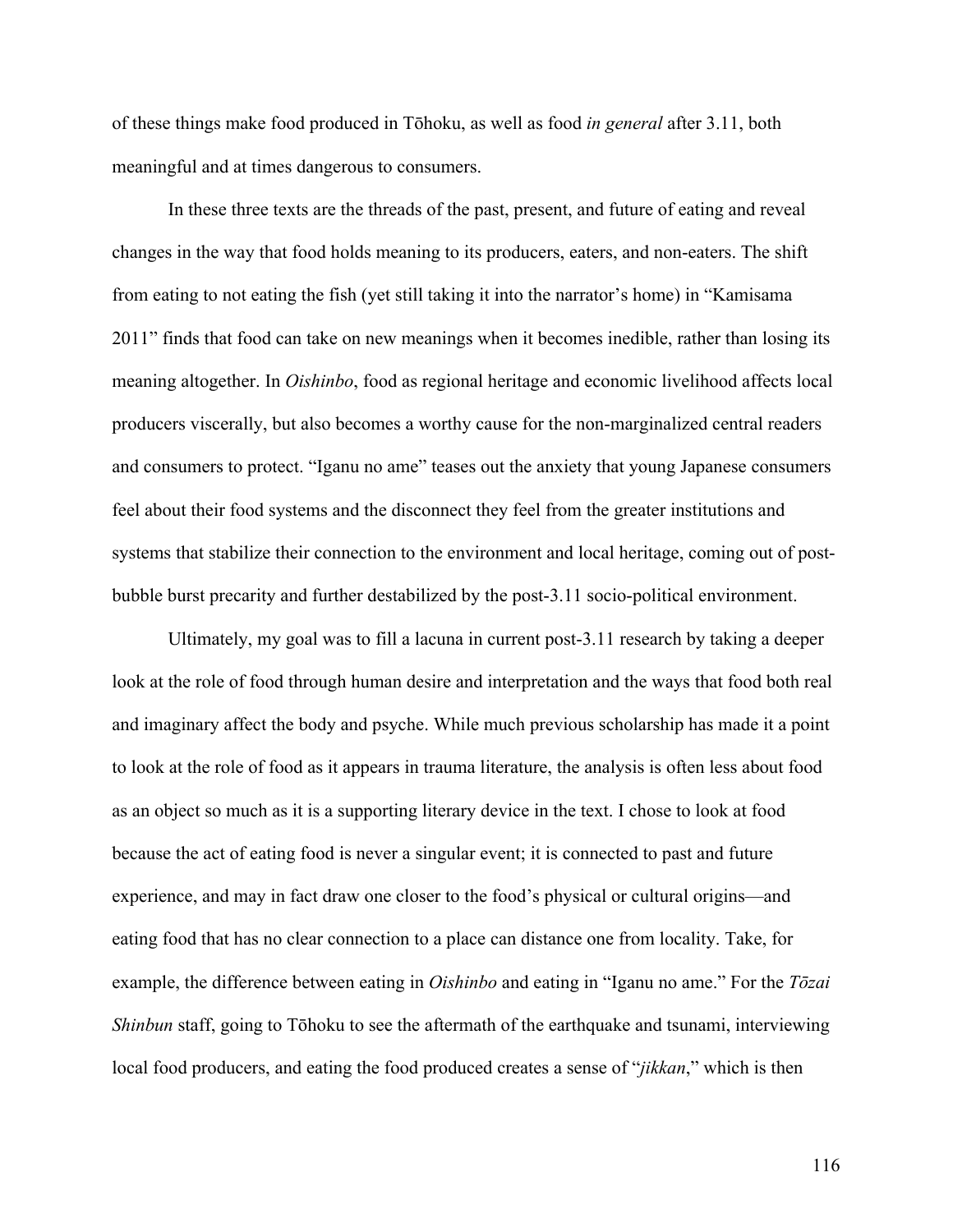of these things make food produced in Tōhoku, as well as food *in general* after 3.11, both meaningful and at times dangerous to consumers.

In these three texts are the threads of the past, present, and future of eating and reveal changes in the way that food holds meaning to its producers, eaters, and non-eaters. The shift from eating to not eating the fish (yet still taking it into the narrator's home) in "Kamisama 2011" finds that food can take on new meanings when it becomes inedible, rather than losing its meaning altogether. In *Oishinbo*, food as regional heritage and economic livelihood affects local producers viscerally, but also becomes a worthy cause for the non-marginalized central readers and consumers to protect. "Iganu no ame" teases out the anxiety that young Japanese consumers feel about their food systems and the disconnect they feel from the greater institutions and systems that stabilize their connection to the environment and local heritage, coming out of postbubble burst precarity and further destabilized by the post-3.11 socio-political environment.

Ultimately, my goal was to fill a lacuna in current post-3.11 research by taking a deeper look at the role of food through human desire and interpretation and the ways that food both real and imaginary affect the body and psyche. While much previous scholarship has made it a point to look at the role of food as it appears in trauma literature, the analysis is often less about food as an object so much as it is a supporting literary device in the text. I chose to look at food because the act of eating food is never a singular event; it is connected to past and future experience, and may in fact draw one closer to the food's physical or cultural origins—and eating food that has no clear connection to a place can distance one from locality. Take, for example, the difference between eating in *Oishinbo* and eating in "Iganu no ame." For the *Tōzai Shinbun* staff, going to Tōhoku to see the aftermath of the earthquake and tsunami, interviewing local food producers, and eating the food produced creates a sense of "*jikkan*," which is then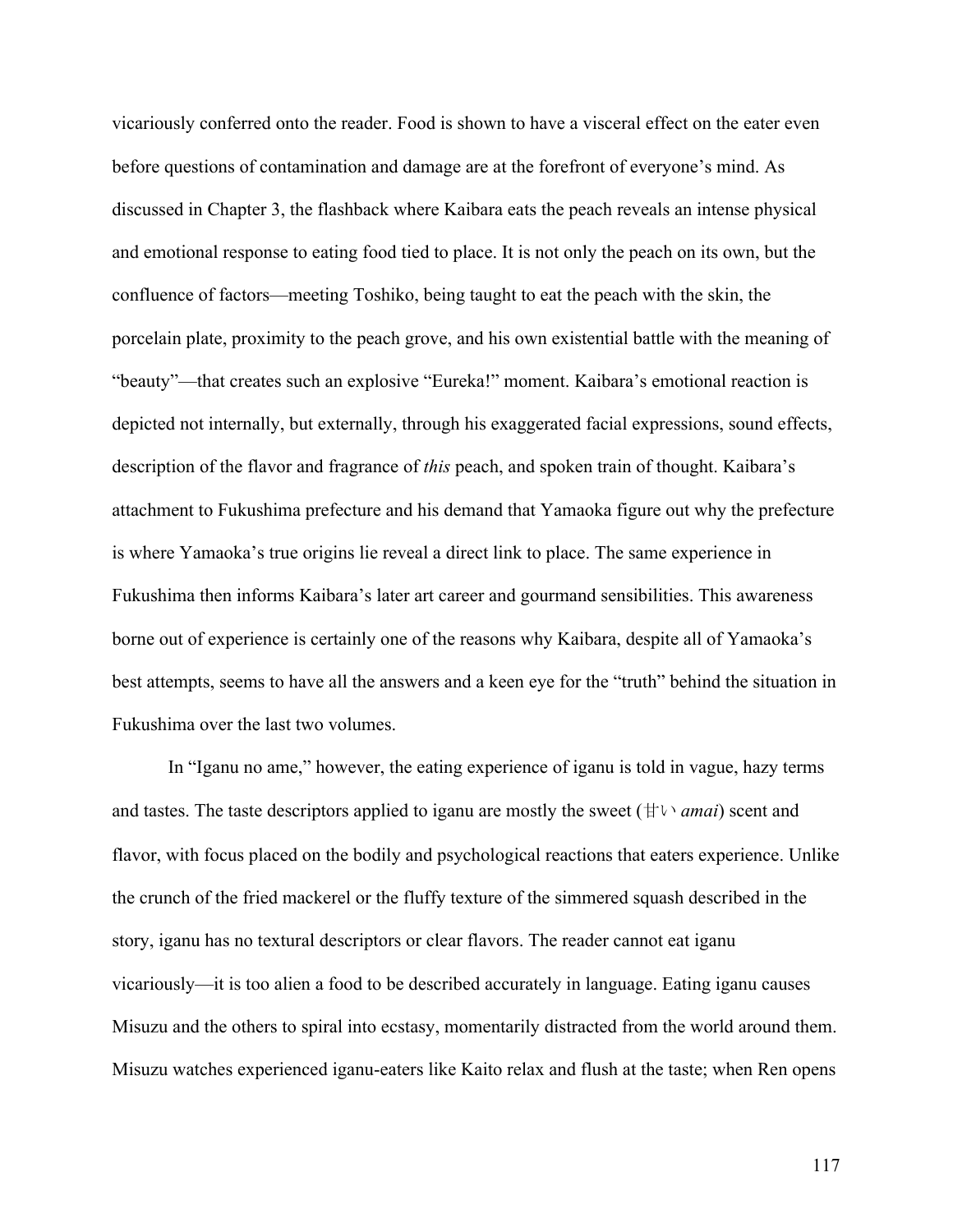vicariously conferred onto the reader. Food is shown to have a visceral effect on the eater even before questions of contamination and damage are at the forefront of everyone's mind. As discussed in Chapter 3, the flashback where Kaibara eats the peach reveals an intense physical and emotional response to eating food tied to place. It is not only the peach on its own, but the confluence of factors—meeting Toshiko, being taught to eat the peach with the skin, the porcelain plate, proximity to the peach grove, and his own existential battle with the meaning of "beauty"—that creates such an explosive "Eureka!" moment. Kaibara's emotional reaction is depicted not internally, but externally, through his exaggerated facial expressions, sound effects, description of the flavor and fragrance of *this* peach, and spoken train of thought. Kaibara's attachment to Fukushima prefecture and his demand that Yamaoka figure out why the prefecture is where Yamaoka's true origins lie reveal a direct link to place. The same experience in Fukushima then informs Kaibara's later art career and gourmand sensibilities. This awareness borne out of experience is certainly one of the reasons why Kaibara, despite all of Yamaoka's best attempts, seems to have all the answers and a keen eye for the "truth" behind the situation in Fukushima over the last two volumes.

In "Iganu no ame," however, the eating experience of iganu is told in vague, hazy terms and tastes. The taste descriptors applied to iganu are mostly the sweet (甘い *amai*) scent and flavor, with focus placed on the bodily and psychological reactions that eaters experience. Unlike the crunch of the fried mackerel or the fluffy texture of the simmered squash described in the story, iganu has no textural descriptors or clear flavors. The reader cannot eat iganu vicariously—it is too alien a food to be described accurately in language. Eating iganu causes Misuzu and the others to spiral into ecstasy, momentarily distracted from the world around them. Misuzu watches experienced iganu-eaters like Kaito relax and flush at the taste; when Ren opens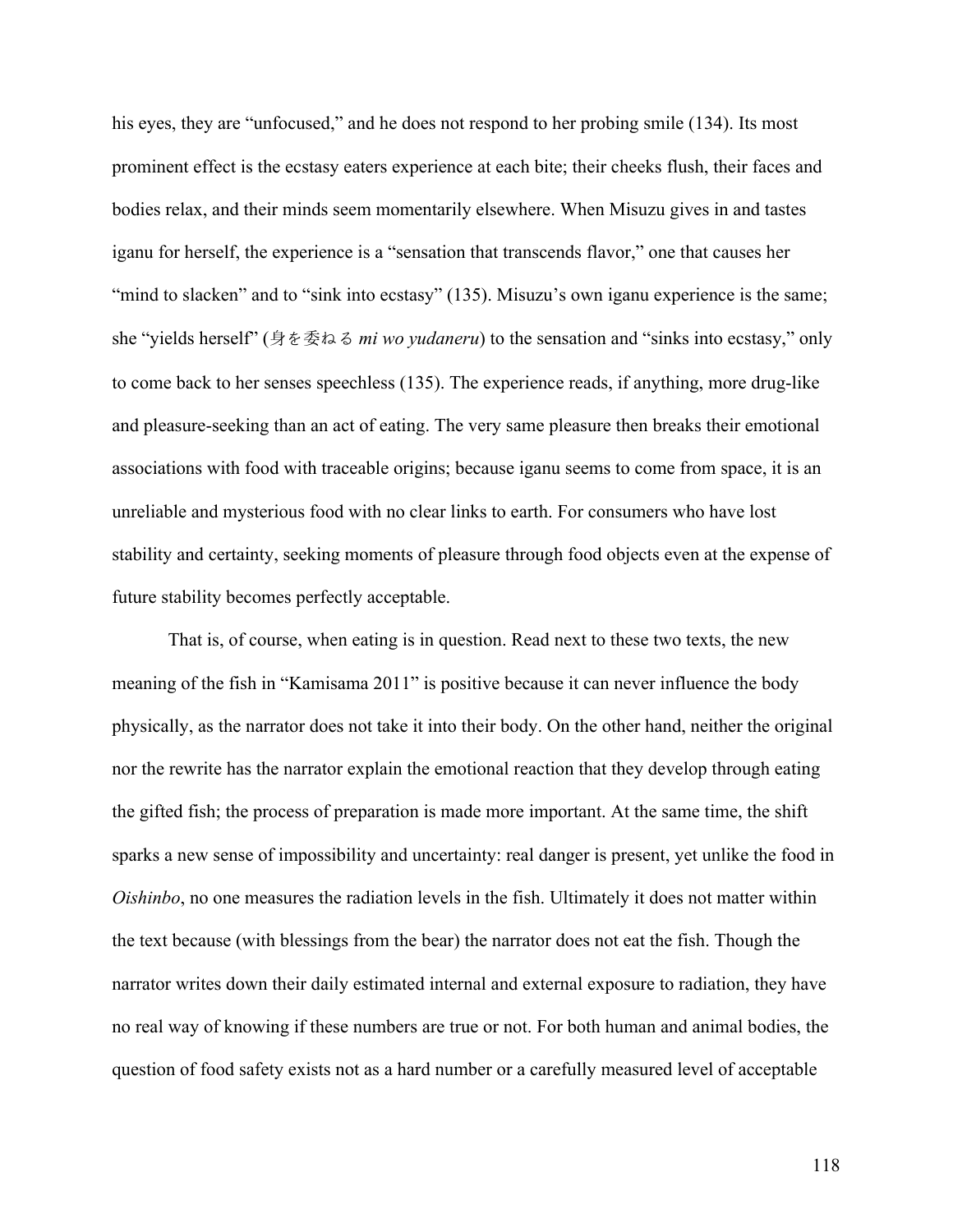his eyes, they are "unfocused," and he does not respond to her probing smile (134). Its most prominent effect is the ecstasy eaters experience at each bite; their cheeks flush, their faces and bodies relax, and their minds seem momentarily elsewhere. When Misuzu gives in and tastes iganu for herself, the experience is a "sensation that transcends flavor," one that causes her "mind to slacken" and to "sink into ecstasy" (135). Misuzu's own iganu experience is the same; she "yields herself" (身を委ねる *mi wo yudaneru*) to the sensation and "sinks into ecstasy," only to come back to her senses speechless (135). The experience reads, if anything, more drug-like and pleasure-seeking than an act of eating. The very same pleasure then breaks their emotional associations with food with traceable origins; because iganu seems to come from space, it is an unreliable and mysterious food with no clear links to earth. For consumers who have lost stability and certainty, seeking moments of pleasure through food objects even at the expense of future stability becomes perfectly acceptable.

That is, of course, when eating is in question. Read next to these two texts, the new meaning of the fish in "Kamisama 2011" is positive because it can never influence the body physically, as the narrator does not take it into their body. On the other hand, neither the original nor the rewrite has the narrator explain the emotional reaction that they develop through eating the gifted fish; the process of preparation is made more important. At the same time, the shift sparks a new sense of impossibility and uncertainty: real danger is present, yet unlike the food in *Oishinbo*, no one measures the radiation levels in the fish. Ultimately it does not matter within the text because (with blessings from the bear) the narrator does not eat the fish. Though the narrator writes down their daily estimated internal and external exposure to radiation, they have no real way of knowing if these numbers are true or not. For both human and animal bodies, the question of food safety exists not as a hard number or a carefully measured level of acceptable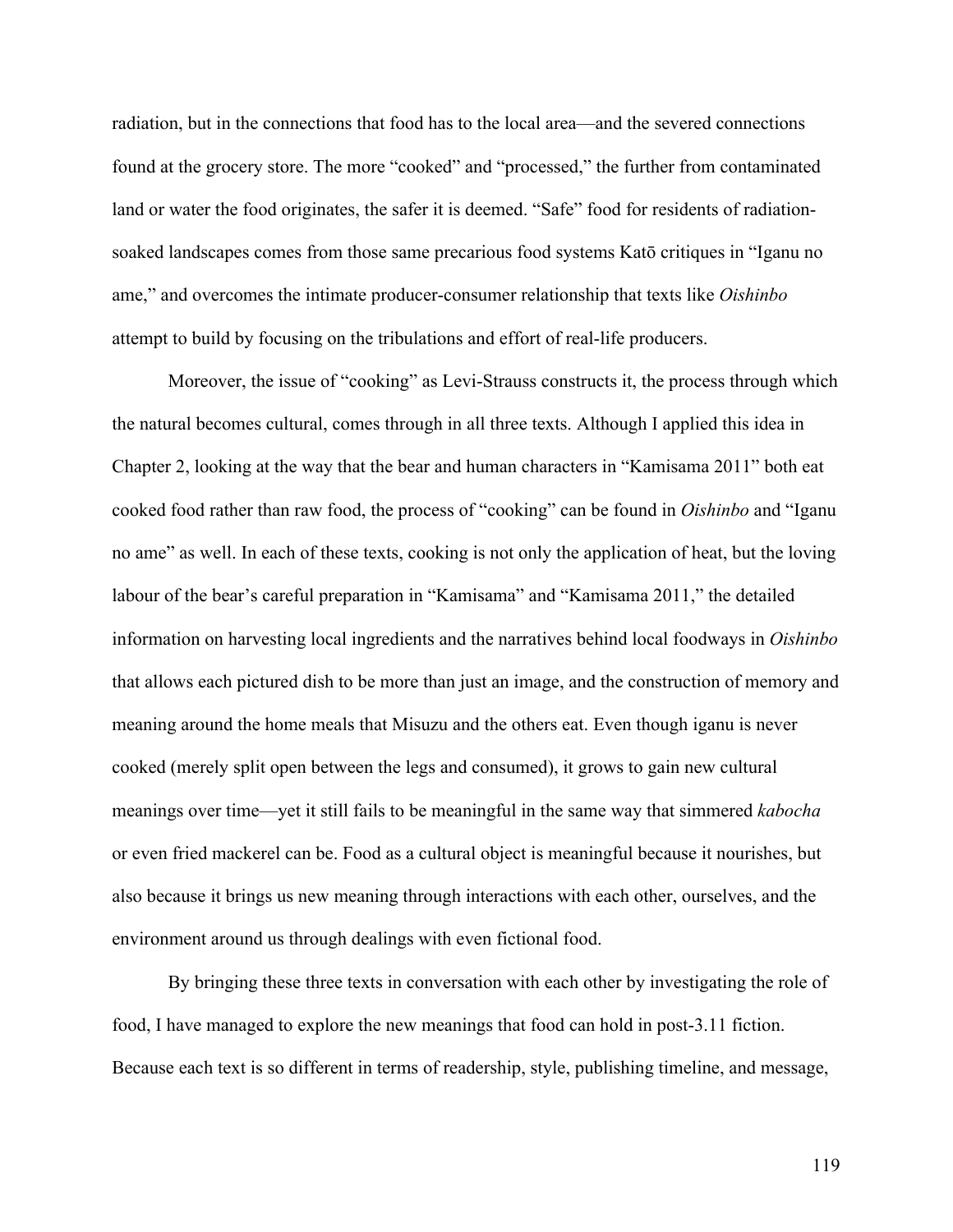radiation, but in the connections that food has to the local area—and the severed connections found at the grocery store. The more "cooked" and "processed," the further from contaminated land or water the food originates, the safer it is deemed. "Safe" food for residents of radiationsoaked landscapes comes from those same precarious food systems Katō critiques in "Iganu no ame," and overcomes the intimate producer-consumer relationship that texts like *Oishinbo* attempt to build by focusing on the tribulations and effort of real-life producers.

Moreover, the issue of "cooking" as Levi-Strauss constructs it, the process through which the natural becomes cultural, comes through in all three texts. Although I applied this idea in Chapter 2, looking at the way that the bear and human characters in "Kamisama 2011" both eat cooked food rather than raw food, the process of "cooking" can be found in *Oishinbo* and "Iganu no ame" as well. In each of these texts, cooking is not only the application of heat, but the loving labour of the bear's careful preparation in "Kamisama" and "Kamisama 2011," the detailed information on harvesting local ingredients and the narratives behind local foodways in *Oishinbo* that allows each pictured dish to be more than just an image, and the construction of memory and meaning around the home meals that Misuzu and the others eat. Even though iganu is never cooked (merely split open between the legs and consumed), it grows to gain new cultural meanings over time—yet it still fails to be meaningful in the same way that simmered *kabocha* or even fried mackerel can be. Food as a cultural object is meaningful because it nourishes, but also because it brings us new meaning through interactions with each other, ourselves, and the environment around us through dealings with even fictional food.

By bringing these three texts in conversation with each other by investigating the role of food, I have managed to explore the new meanings that food can hold in post-3.11 fiction. Because each text is so different in terms of readership, style, publishing timeline, and message,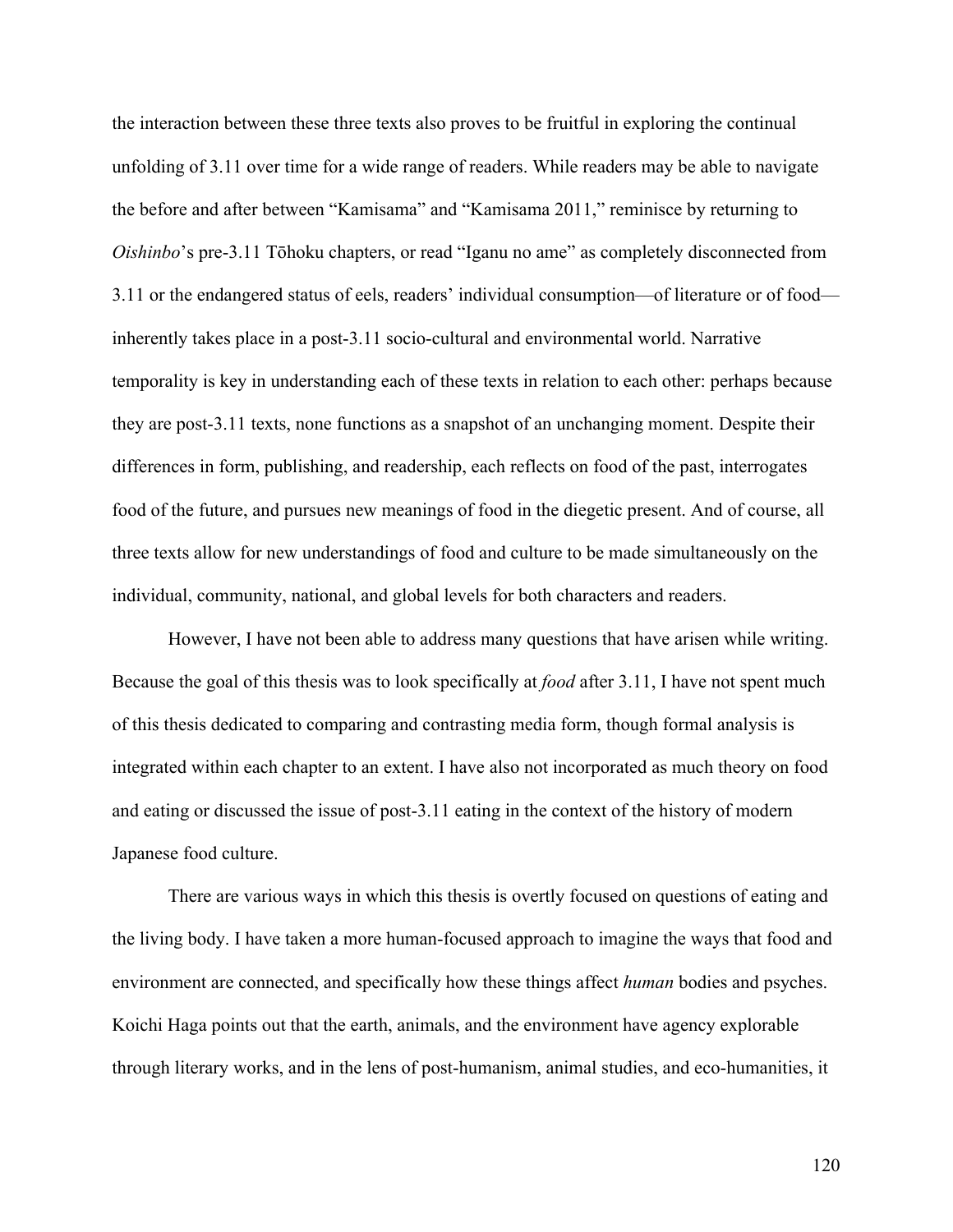the interaction between these three texts also proves to be fruitful in exploring the continual unfolding of 3.11 over time for a wide range of readers. While readers may be able to navigate the before and after between "Kamisama" and "Kamisama 2011," reminisce by returning to *Oishinbo*'s pre-3.11 Tōhoku chapters, or read "Iganu no ame" as completely disconnected from 3.11 or the endangered status of eels, readers' individual consumption—of literature or of food inherently takes place in a post-3.11 socio-cultural and environmental world. Narrative temporality is key in understanding each of these texts in relation to each other: perhaps because they are post-3.11 texts, none functions as a snapshot of an unchanging moment. Despite their differences in form, publishing, and readership, each reflects on food of the past, interrogates food of the future, and pursues new meanings of food in the diegetic present. And of course, all three texts allow for new understandings of food and culture to be made simultaneously on the individual, community, national, and global levels for both characters and readers.

However, I have not been able to address many questions that have arisen while writing. Because the goal of this thesis was to look specifically at *food* after 3.11, I have not spent much of this thesis dedicated to comparing and contrasting media form, though formal analysis is integrated within each chapter to an extent. I have also not incorporated as much theory on food and eating or discussed the issue of post-3.11 eating in the context of the history of modern Japanese food culture.

There are various ways in which this thesis is overtly focused on questions of eating and the living body. I have taken a more human-focused approach to imagine the ways that food and environment are connected, and specifically how these things affect *human* bodies and psyches. Koichi Haga points out that the earth, animals, and the environment have agency explorable through literary works, and in the lens of post-humanism, animal studies, and eco-humanities, it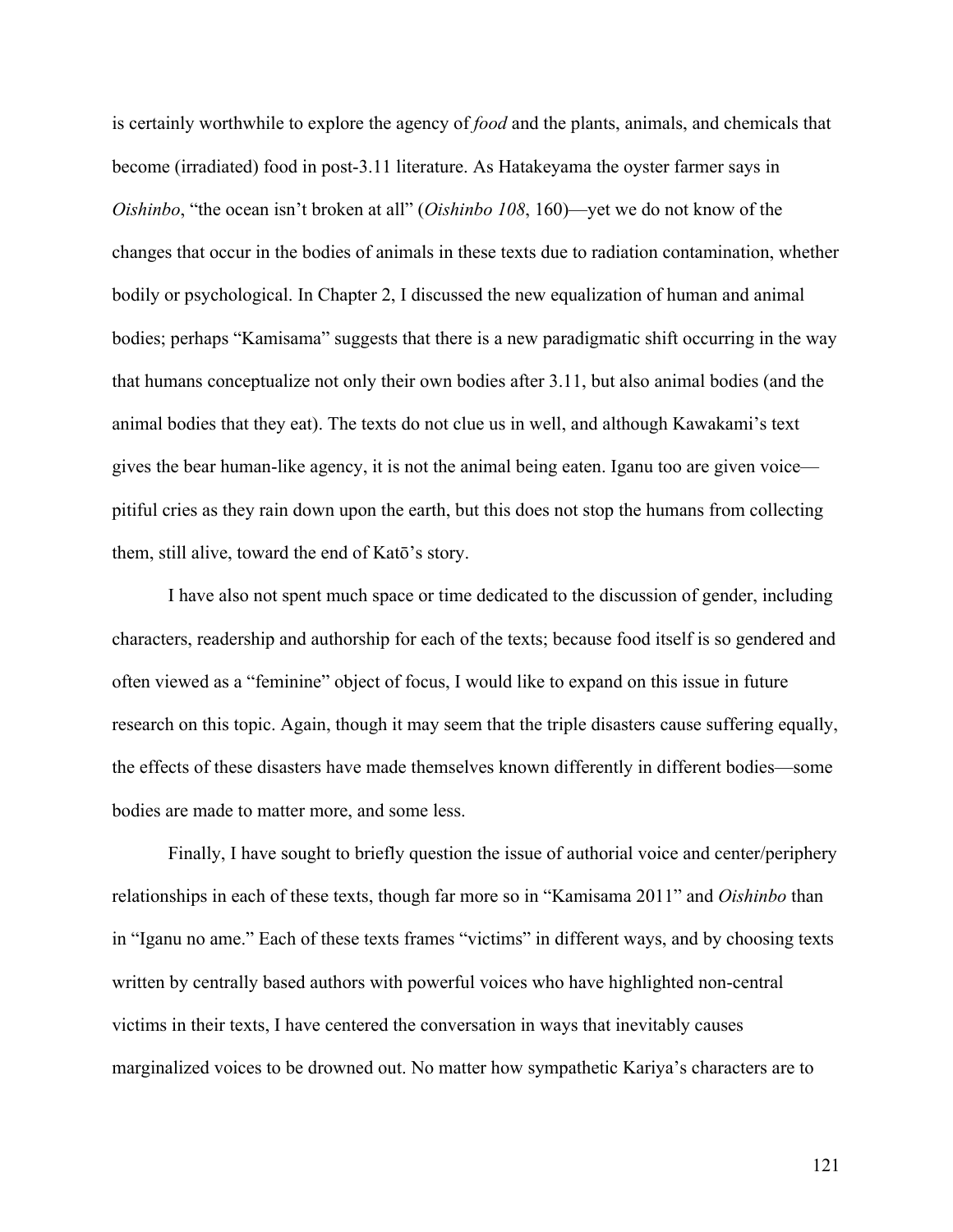is certainly worthwhile to explore the agency of *food* and the plants, animals, and chemicals that become (irradiated) food in post-3.11 literature. As Hatakeyama the oyster farmer says in *Oishinbo*, "the ocean isn't broken at all" (*Oishinbo 108*, 160)—yet we do not know of the changes that occur in the bodies of animals in these texts due to radiation contamination, whether bodily or psychological. In Chapter 2, I discussed the new equalization of human and animal bodies; perhaps "Kamisama" suggests that there is a new paradigmatic shift occurring in the way that humans conceptualize not only their own bodies after 3.11, but also animal bodies (and the animal bodies that they eat). The texts do not clue us in well, and although Kawakami's text gives the bear human-like agency, it is not the animal being eaten. Iganu too are given voice pitiful cries as they rain down upon the earth, but this does not stop the humans from collecting them, still alive, toward the end of Katō's story.

I have also not spent much space or time dedicated to the discussion of gender, including characters, readership and authorship for each of the texts; because food itself is so gendered and often viewed as a "feminine" object of focus, I would like to expand on this issue in future research on this topic. Again, though it may seem that the triple disasters cause suffering equally, the effects of these disasters have made themselves known differently in different bodies—some bodies are made to matter more, and some less.

Finally, I have sought to briefly question the issue of authorial voice and center/periphery relationships in each of these texts, though far more so in "Kamisama 2011" and *Oishinbo* than in "Iganu no ame." Each of these texts frames "victims" in different ways, and by choosing texts written by centrally based authors with powerful voices who have highlighted non-central victims in their texts, I have centered the conversation in ways that inevitably causes marginalized voices to be drowned out. No matter how sympathetic Kariya's characters are to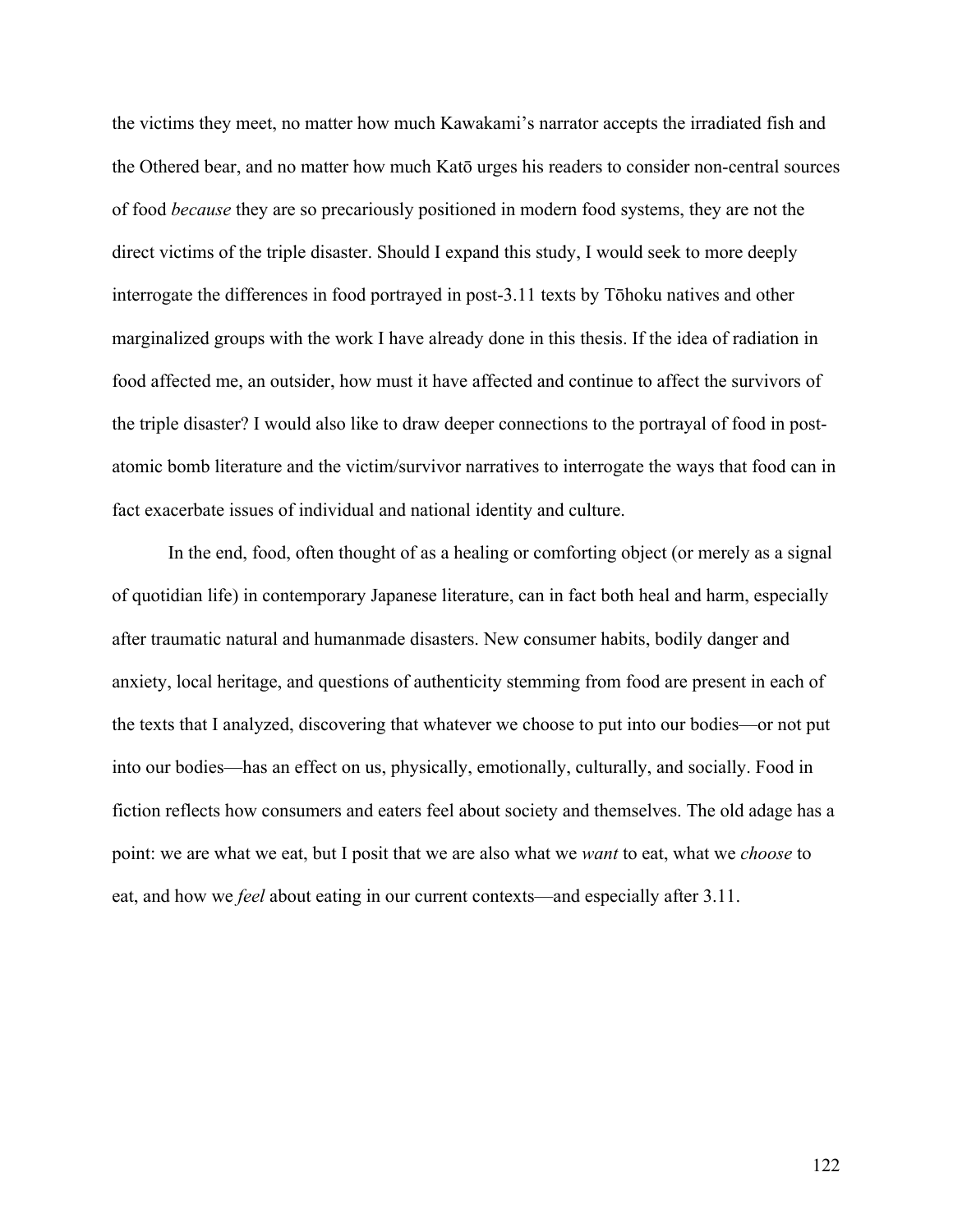the victims they meet, no matter how much Kawakami's narrator accepts the irradiated fish and the Othered bear, and no matter how much Katō urges his readers to consider non-central sources of food *because* they are so precariously positioned in modern food systems, they are not the direct victims of the triple disaster. Should I expand this study, I would seek to more deeply interrogate the differences in food portrayed in post-3.11 texts by Tōhoku natives and other marginalized groups with the work I have already done in this thesis. If the idea of radiation in food affected me, an outsider, how must it have affected and continue to affect the survivors of the triple disaster? I would also like to draw deeper connections to the portrayal of food in postatomic bomb literature and the victim/survivor narratives to interrogate the ways that food can in fact exacerbate issues of individual and national identity and culture.

In the end, food, often thought of as a healing or comforting object (or merely as a signal of quotidian life) in contemporary Japanese literature, can in fact both heal and harm, especially after traumatic natural and humanmade disasters. New consumer habits, bodily danger and anxiety, local heritage, and questions of authenticity stemming from food are present in each of the texts that I analyzed, discovering that whatever we choose to put into our bodies—or not put into our bodies—has an effect on us, physically, emotionally, culturally, and socially. Food in fiction reflects how consumers and eaters feel about society and themselves. The old adage has a point: we are what we eat, but I posit that we are also what we *want* to eat, what we *choose* to eat, and how we *feel* about eating in our current contexts—and especially after 3.11.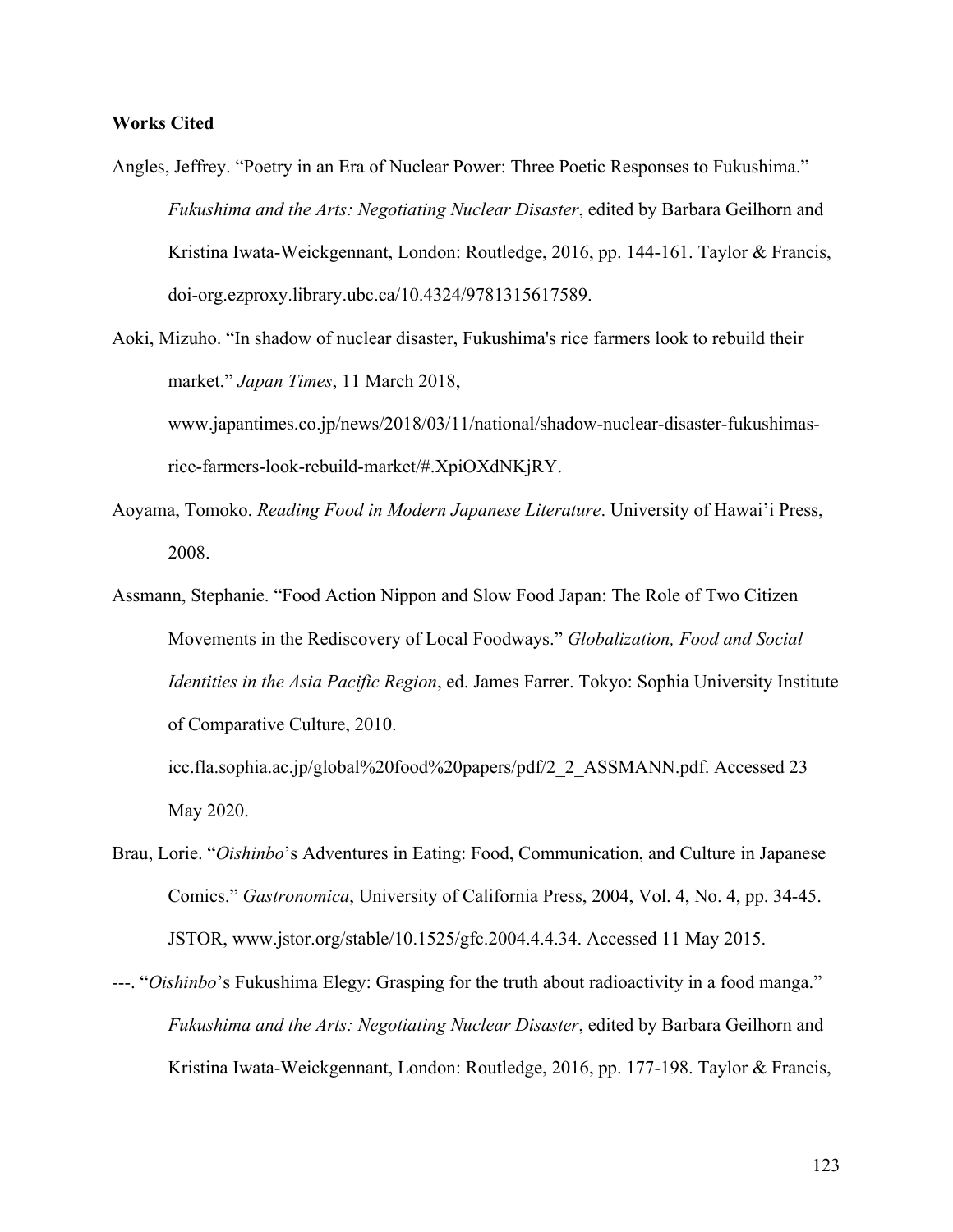## **Works Cited**

- Angles, Jeffrey. "Poetry in an Era of Nuclear Power: Three Poetic Responses to Fukushima." *Fukushima and the Arts: Negotiating Nuclear Disaster*, edited by Barbara Geilhorn and Kristina Iwata-Weickgennant, London: Routledge, 2016, pp. 144-161. Taylor & Francis, doi-org.ezproxy.library.ubc.ca/10.4324/9781315617589.
- Aoki, Mizuho. "In shadow of nuclear disaster, Fukushima's rice farmers look to rebuild their market." *Japan Times*, 11 March 2018, www.japantimes.co.jp/news/2018/03/11/national/shadow-nuclear-disaster-fukushimasrice-farmers-look-rebuild-market/#.XpiOXdNKjRY.
- Aoyama, Tomoko. *Reading Food in Modern Japanese Literature*. University of Hawai'i Press, 2008.
- Assmann, Stephanie. "Food Action Nippon and Slow Food Japan: The Role of Two Citizen Movements in the Rediscovery of Local Foodways." *Globalization, Food and Social Identities in the Asia Pacific Region*, ed. James Farrer. Tokyo: Sophia University Institute of Comparative Culture, 2010.

icc.fla.sophia.ac.jp/global%20food%20papers/pdf/2\_2\_ASSMANN.pdf. Accessed 23 May 2020.

- Brau, Lorie. "*Oishinbo*'s Adventures in Eating: Food, Communication, and Culture in Japanese Comics." *Gastronomica*, University of California Press, 2004, Vol. 4, No. 4, pp. 34-45. JSTOR, www.jstor.org/stable/10.1525/gfc.2004.4.4.34. Accessed 11 May 2015.
- ---. "*Oishinbo*'s Fukushima Elegy: Grasping for the truth about radioactivity in a food manga." *Fukushima and the Arts: Negotiating Nuclear Disaster*, edited by Barbara Geilhorn and Kristina Iwata-Weickgennant, London: Routledge, 2016, pp. 177-198. Taylor & Francis,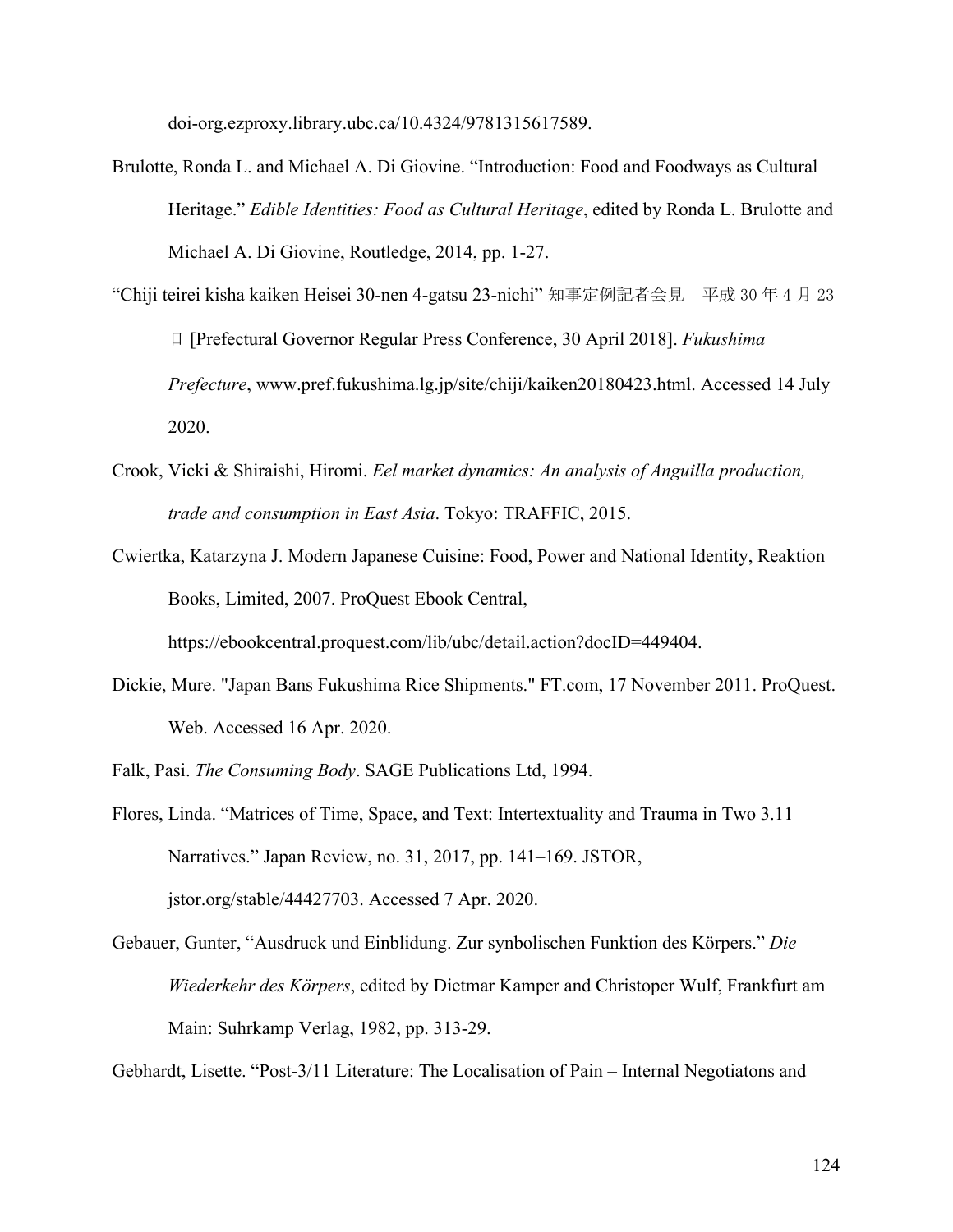doi-org.ezproxy.library.ubc.ca/10.4324/9781315617589.

- Brulotte, Ronda L. and Michael A. Di Giovine. "Introduction: Food and Foodways as Cultural Heritage." *Edible Identities: Food as Cultural Heritage*, edited by Ronda L. Brulotte and Michael A. Di Giovine, Routledge, 2014, pp. 1-27.
- "Chiji teirei kisha kaiken Heisei 30-nen 4-gatsu 23-nichi" 知事定例記者会見 平成 30 年 4 月 23 日 [Prefectural Governor Regular Press Conference, 30 April 2018]. *Fukushima Prefecture*, www.pref.fukushima.lg.jp/site/chiji/kaiken20180423.html. Accessed 14 July 2020.
- Crook, Vicki & Shiraishi, Hiromi. *Eel market dynamics: An analysis of Anguilla production, trade and consumption in East Asia*. Tokyo: TRAFFIC, 2015.
- Cwiertka, Katarzyna J. Modern Japanese Cuisine: Food, Power and National Identity, Reaktion Books, Limited, 2007. ProQuest Ebook Central,

https://ebookcentral.proquest.com/lib/ubc/detail.action?docID=449404.

Dickie, Mure. "Japan Bans Fukushima Rice Shipments." FT.com, 17 November 2011. ProQuest. Web. Accessed 16 Apr. 2020.

Falk, Pasi. *The Consuming Body*. SAGE Publications Ltd, 1994.

- Flores, Linda. "Matrices of Time, Space, and Text: Intertextuality and Trauma in Two 3.11 Narratives." Japan Review, no. 31, 2017, pp. 141–169. JSTOR, jstor.org/stable/44427703. Accessed 7 Apr. 2020.
- Gebauer, Gunter, "Ausdruck und Einblidung. Zur synbolischen Funktion des Körpers." *Die Wiederkehr des Körpers*, edited by Dietmar Kamper and Christoper Wulf, Frankfurt am Main: Suhrkamp Verlag, 1982, pp. 313-29.

Gebhardt, Lisette. "Post-3/11 Literature: The Localisation of Pain – Internal Negotiatons and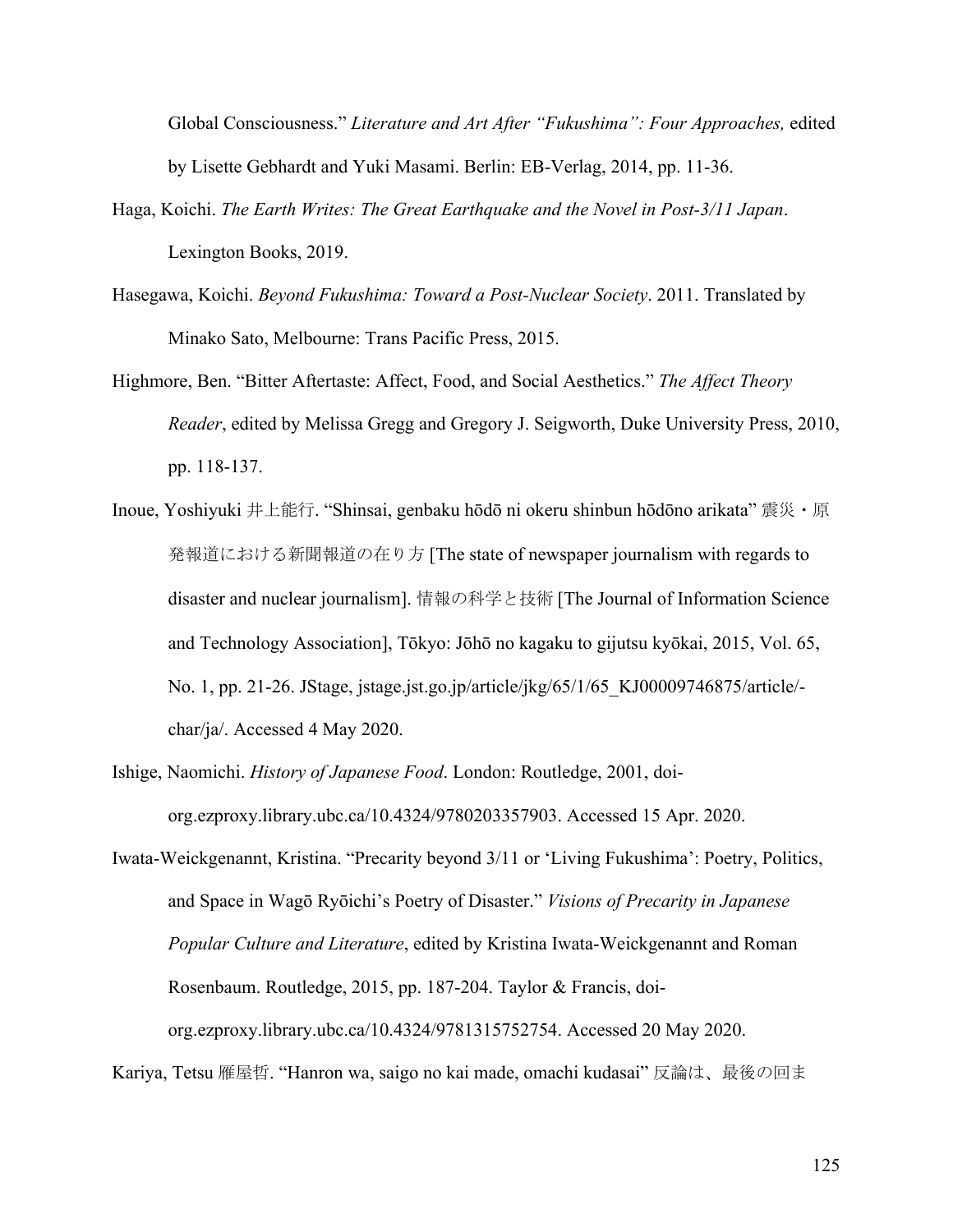Global Consciousness." *Literature and Art After "Fukushima": Four Approaches,* edited by Lisette Gebhardt and Yuki Masami. Berlin: EB-Verlag, 2014, pp. 11-36.

- Haga, Koichi. *The Earth Writes: The Great Earthquake and the Novel in Post-3/11 Japan*. Lexington Books, 2019.
- Hasegawa, Koichi. *Beyond Fukushima: Toward a Post-Nuclear Society*. 2011. Translated by Minako Sato, Melbourne: Trans Pacific Press, 2015.
- Highmore, Ben. "Bitter Aftertaste: Affect, Food, and Social Aesthetics." *The Affect Theory Reader*, edited by Melissa Gregg and Gregory J. Seigworth, Duke University Press, 2010, pp. 118-137.
- Inoue, Yoshiyuki 井上能行. "Shinsai, genbaku hōdō ni okeru shinbun hōdōno arikata" 震災・原 発報道における新聞報道の在り方 [The state of newspaper journalism with regards to disaster and nuclear journalism]. 情報の科学と技術 [The Journal of Information Science and Technology Association], Tōkyo: Jōhō no kagaku to gijutsu kyōkai, 2015, Vol. 65, No. 1, pp. 21-26. JStage, jstage.jst.go.jp/article/jkg/65/1/65\_KJ00009746875/article/ char/ja/. Accessed 4 May 2020.
- Ishige, Naomichi. *History of Japanese Food*. London: Routledge, 2001, doiorg.ezproxy.library.ubc.ca/10.4324/9780203357903. Accessed 15 Apr. 2020.

Iwata-Weickgenannt, Kristina. "Precarity beyond 3/11 or 'Living Fukushima': Poetry, Politics, and Space in Wagō Ryōichi's Poetry of Disaster." *Visions of Precarity in Japanese Popular Culture and Literature*, edited by Kristina Iwata-Weickgenannt and Roman Rosenbaum. Routledge, 2015, pp. 187-204. Taylor & Francis, doiorg.ezproxy.library.ubc.ca/10.4324/9781315752754. Accessed 20 May 2020.

Kariya, Tetsu 雁屋哲. "Hanron wa, saigo no kai made, omachi kudasai" 反論は、最後の回ま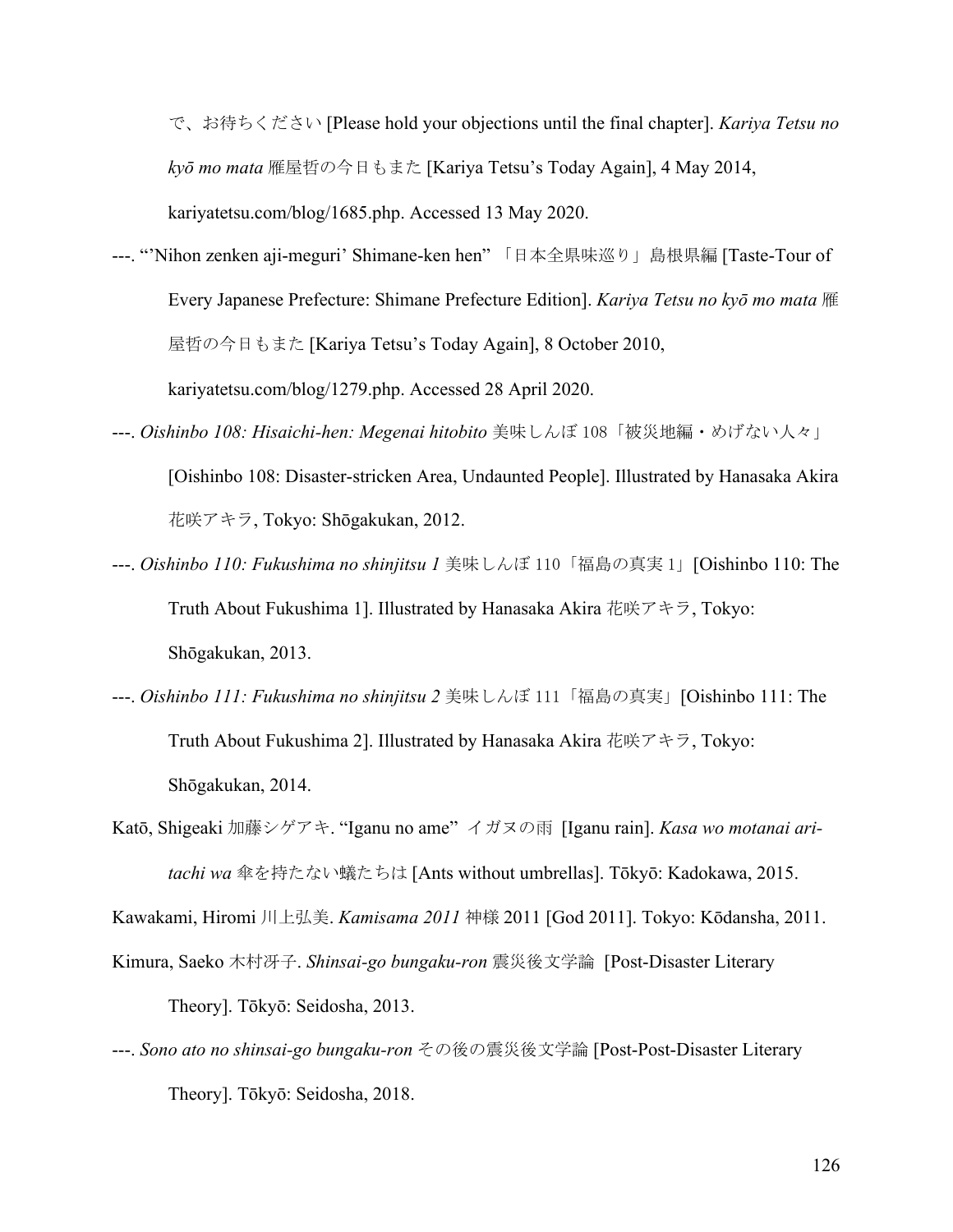で、お待ちください [Please hold your objections until the final chapter]. *Kariya Tetsu no kyō mo mata* 雁屋哲の今日もまた [Kariya Tetsu's Today Again], 4 May 2014,

kariyatetsu.com/blog/1685.php. Accessed 13 May 2020.

---. "'Nihon zenken aji-meguri' Shimane-ken hen" 「日本全県味巡り」島根県編 [Taste-Tour of Every Japanese Prefecture: Shimane Prefecture Edition]. *Kariya Tetsu no kyō mo mata* 雁 屋哲の今日もまた [Kariya Tetsu's Today Again], 8 October 2010,

kariyatetsu.com/blog/1279.php. Accessed 28 April 2020.

- ---. *Oishinbo 108: Hisaichi-hen: Megenai hitobito* 美味しんぼ 108「被災地編・めげない人々」 [Oishinbo 108: Disaster-stricken Area, Undaunted People]. Illustrated by Hanasaka Akira 花咲アキラ, Tokyo: Shōgakukan, 2012.
- ---. *Oishinbo 110: Fukushima no shinjitsu 1* 美味しんぼ 110「福島の真実 1」[Oishinbo 110: The Truth About Fukushima 1]. Illustrated by Hanasaka Akira 花咲アキラ, Tokyo: Shōgakukan, 2013.
- ---. *Oishinbo 111: Fukushima no shinjitsu 2* 美味しんぼ 111「福島の真実」[Oishinbo 111: The Truth About Fukushima 2]. Illustrated by Hanasaka Akira 花咲アキラ, Tokyo: Shōgakukan, 2014.
- Katō, Shigeaki 加藤シゲアキ. "Iganu no ame" イガヌの雨 [Iganu rain]. *Kasa wo motanai aritachi wa* 傘を持たない蟻たちは [Ants without umbrellas]. Tōkyō: Kadokawa, 2015.

Kawakami, Hiromi 川上弘美. *Kamisama 2011* 神様 2011 [God 2011]. Tokyo: Kōdansha, 2011.

- Kimura, Saeko 木村冴子. *Shinsai-go bungaku-ron* 震災後文学論 [Post-Disaster Literary Theory]. Tōkyō: Seidosha, 2013.
- ---. *Sono ato no shinsai-go bungaku-ron* その後の震災後文学論 [Post-Post-Disaster Literary Theory]. Tōkyō: Seidosha, 2018.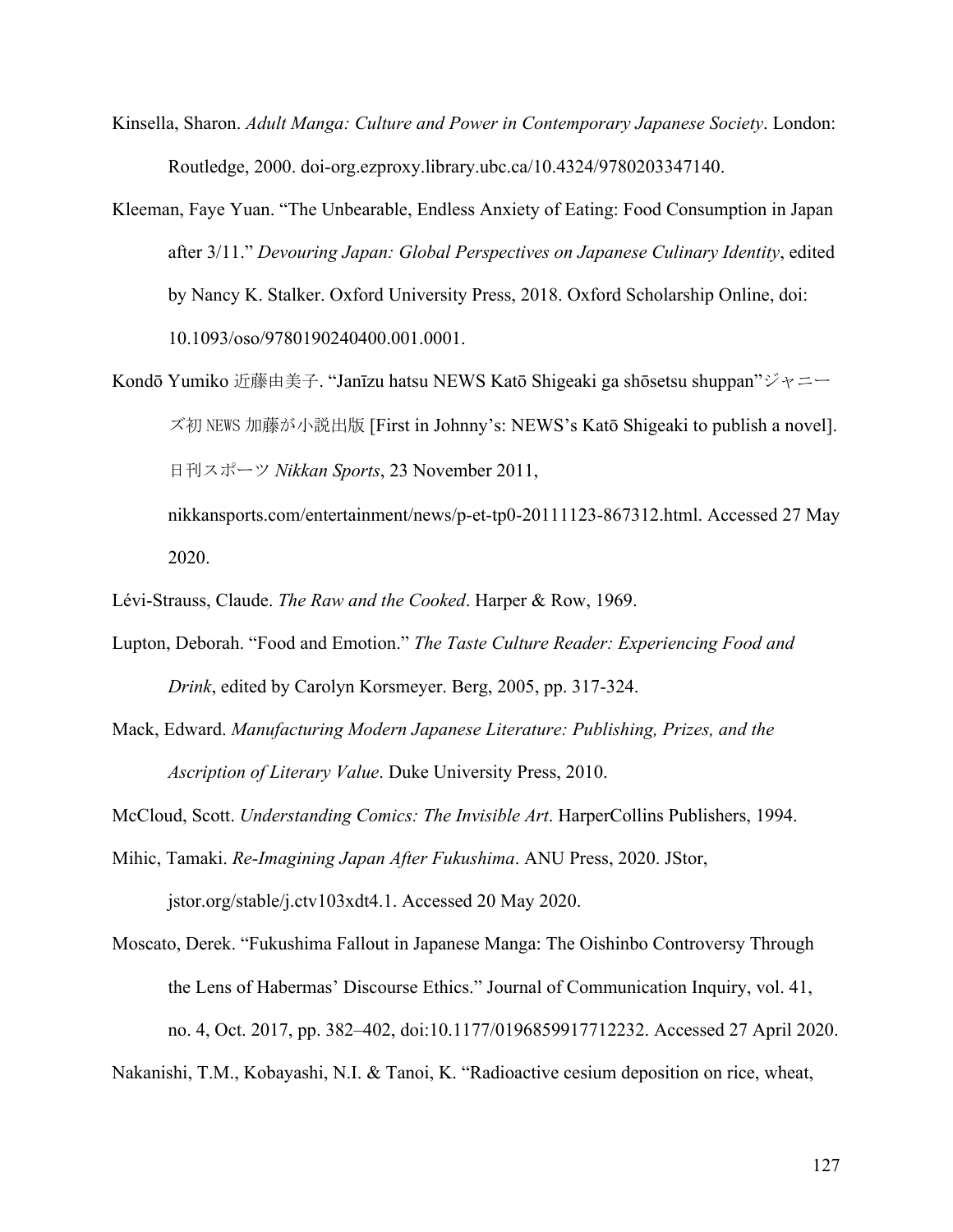- Kinsella, Sharon. *Adult Manga: Culture and Power in Contemporary Japanese Society*. London: Routledge, 2000. doi-org.ezproxy.library.ubc.ca/10.4324/9780203347140.
- Kleeman, Faye Yuan. "The Unbearable, Endless Anxiety of Eating: Food Consumption in Japan after 3/11." *Devouring Japan: Global Perspectives on Japanese Culinary Identity*, edited by Nancy K. Stalker. Oxford University Press, 2018. Oxford Scholarship Online, doi: 10.1093/oso/9780190240400.001.0001.
- Kondō Yumiko 近藤由美子. "Janīzu hatsu NEWS Katō Shigeaki ga shōsetsu shuppan"ジャニー ズ初 NEWS 加藤が小説出版 [First in Johnny's: NEWS's Katō Shigeaki to publish a novel]. 日刊スポーツ *Nikkan Sports*, 23 November 2011,
	- nikkansports.com/entertainment/news/p-et-tp0-20111123-867312.html. Accessed 27 May 2020.
- Lévi-Strauss, Claude. *The Raw and the Cooked*. Harper & Row, 1969.
- Lupton, Deborah. "Food and Emotion." *The Taste Culture Reader: Experiencing Food and Drink*, edited by Carolyn Korsmeyer. Berg, 2005, pp. 317-324.
- Mack, Edward. *Manufacturing Modern Japanese Literature: Publishing, Prizes, and the Ascription of Literary Value*. Duke University Press, 2010.
- McCloud, Scott. *Understanding Comics: The Invisible Art*. HarperCollins Publishers, 1994.
- Mihic, Tamaki. *Re-Imagining Japan After Fukushima*. ANU Press, 2020. JStor,

jstor.org/stable/j.ctv103xdt4.1. Accessed 20 May 2020.

- Moscato, Derek. "Fukushima Fallout in Japanese Manga: The Oishinbo Controversy Through the Lens of Habermas' Discourse Ethics." Journal of Communication Inquiry, vol. 41, no. 4, Oct. 2017, pp. 382–402, doi:10.1177/0196859917712232. Accessed 27 April 2020.
- Nakanishi, T.M., Kobayashi, N.I. & Tanoi, K. "Radioactive cesium deposition on rice, wheat,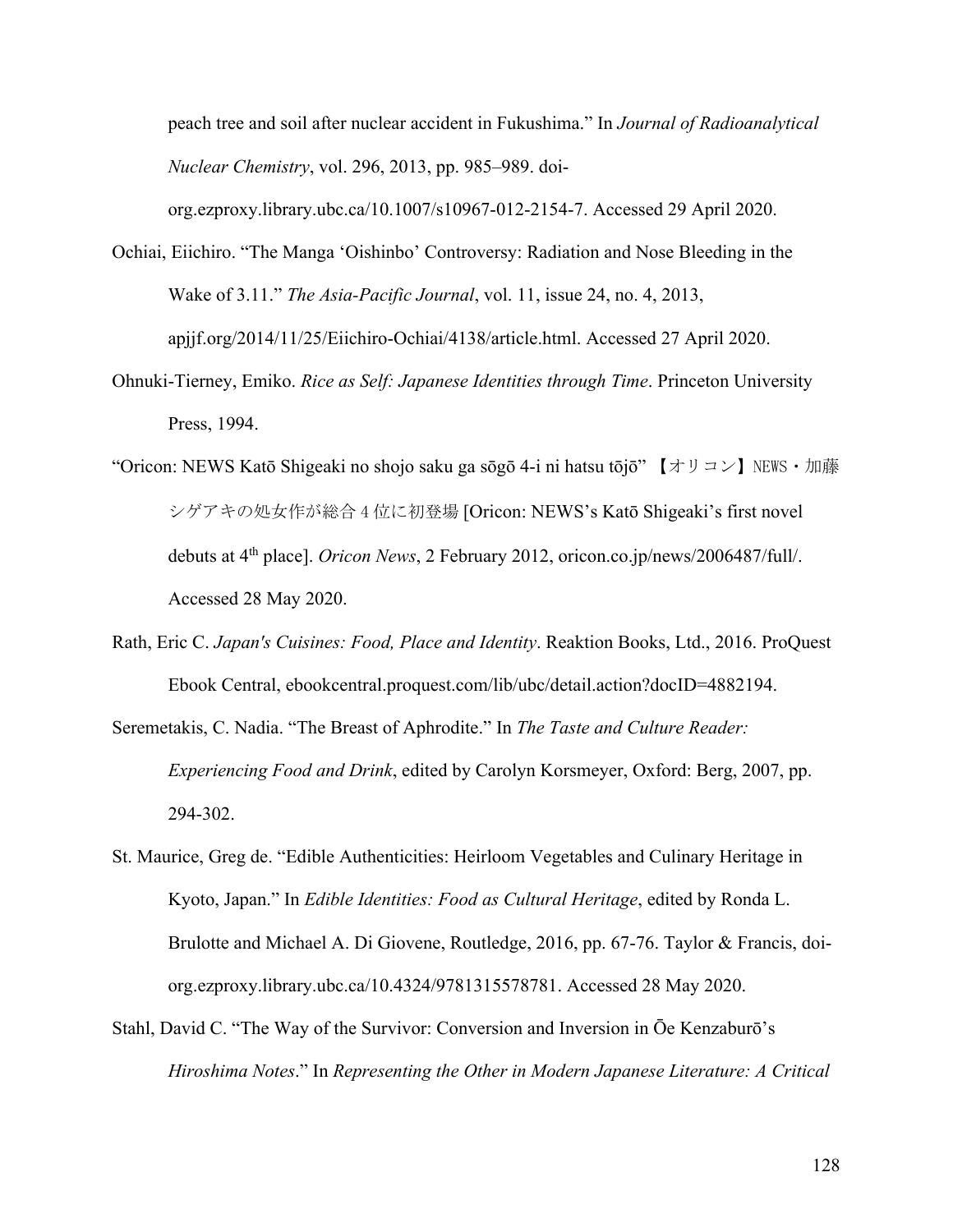peach tree and soil after nuclear accident in Fukushima." In *Journal of Radioanalytical Nuclear Chemistry*, vol. 296, 2013, pp. 985–989. doi-

org.ezproxy.library.ubc.ca/10.1007/s10967-012-2154-7. Accessed 29 April 2020.

- Ochiai, Eiichiro. "The Manga 'Oishinbo' Controversy: Radiation and Nose Bleeding in the Wake of 3.11." *The Asia-Pacific Journal*, vol. 11, issue 24, no. 4, 2013, apjjf.org/2014/11/25/Eiichiro-Ochiai/4138/article.html. Accessed 27 April 2020.
- Ohnuki-Tierney, Emiko. *Rice as Self: Japanese Identities through Time*. Princeton University Press, 1994.
- "Oricon: NEWS Katō Shigeaki no shojo saku ga sōgō 4-i ni hatsu tōjō"  $\forall$   $\forall$   $\forall$   $\forall$   $\forall$  NEWS  $\cdot$   $\exists$   $\forall$   $\exists$ シゲアキの処女作が総合 4 位に初登場 [Oricon: NEWS's Katō Shigeaki's first novel debuts at 4th place]. *Oricon News*, 2 February 2012, oricon.co.jp/news/2006487/full/. Accessed 28 May 2020.
- Rath, Eric C. *Japan's Cuisines: Food, Place and Identity*. Reaktion Books, Ltd., 2016. ProQuest Ebook Central, ebookcentral.proquest.com/lib/ubc/detail.action?docID=4882194.
- Seremetakis, C. Nadia. "The Breast of Aphrodite." In *The Taste and Culture Reader: Experiencing Food and Drink*, edited by Carolyn Korsmeyer, Oxford: Berg, 2007, pp. 294-302.
- St. Maurice, Greg de. "Edible Authenticities: Heirloom Vegetables and Culinary Heritage in Kyoto, Japan." In *Edible Identities: Food as Cultural Heritage*, edited by Ronda L. Brulotte and Michael A. Di Giovene, Routledge, 2016, pp. 67-76. Taylor & Francis, doiorg.ezproxy.library.ubc.ca/10.4324/9781315578781. Accessed 28 May 2020.
- Stahl, David C. "The Way of the Survivor: Conversion and Inversion in Ōe Kenzaburō's *Hiroshima Notes*." In *Representing the Other in Modern Japanese Literature: A Critical*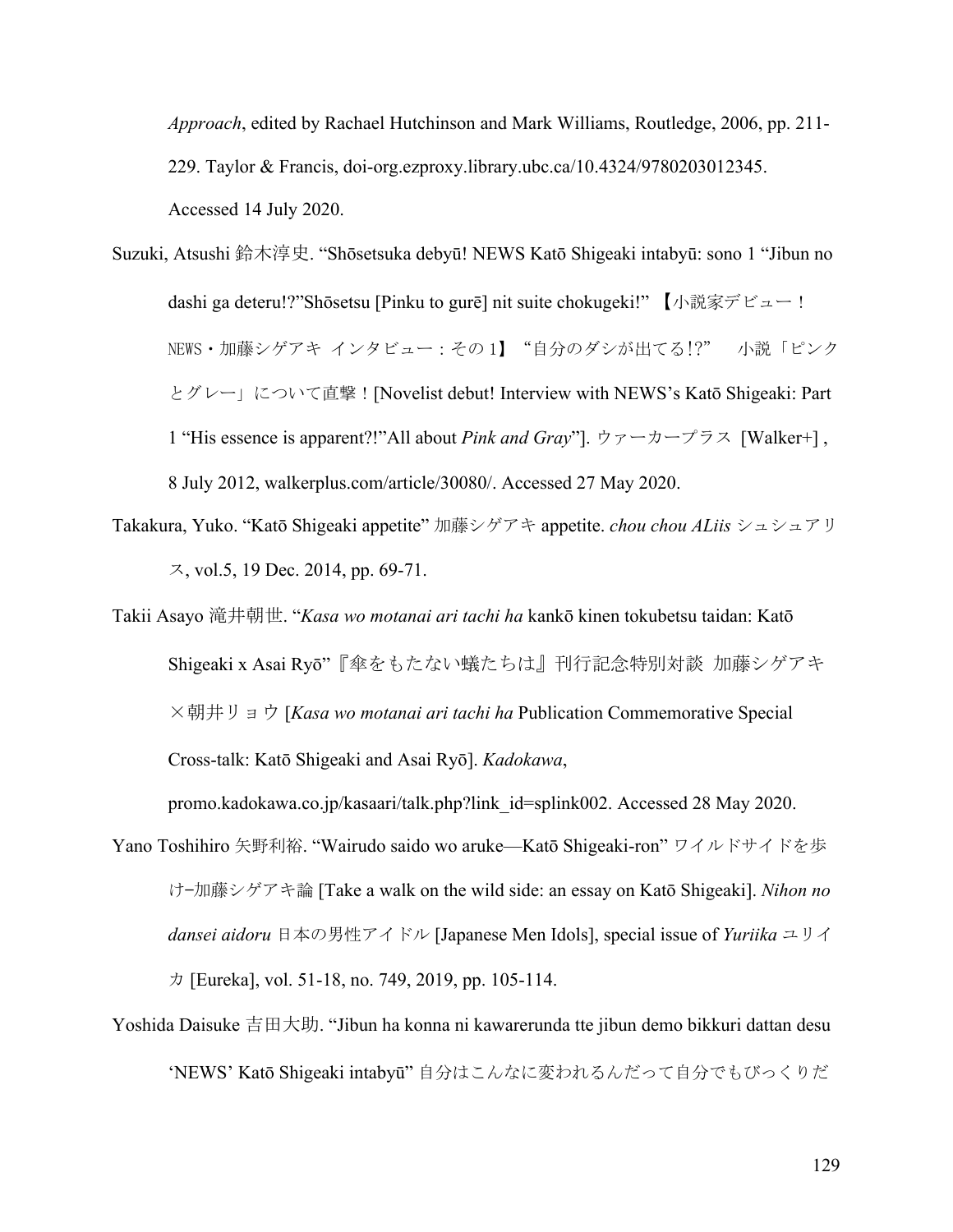*Approach*, edited by Rachael Hutchinson and Mark Williams, Routledge, 2006, pp. 211- 229. Taylor & Francis, doi-org.ezproxy.library.ubc.ca/10.4324/9780203012345. Accessed 14 July 2020.

Suzuki, Atsushi 鈴木淳史. "Shōsetsuka debyū! NEWS Katō Shigeaki intabyū: sono 1 "Jibun no dashi ga deteru!?"Shōsetsu [Pinku to gurē] nit suite chokugeki!" 【小説家デビュー! NEWS・加藤シゲアキ インタビュー:その 1】"自分のダシが出てる!?" 小説「ピンク とグレー」について直撃![Novelist debut! Interview with NEWS's Katō Shigeaki: Part 1 "His essence is apparent?!"All about *Pink and Gray*"]. ウァーカープラス [Walker+] , 8 July 2012, walkerplus.com/article/30080/. Accessed 27 May 2020.

Takakura, Yuko. "Katō Shigeaki appetite" 加藤シゲアキ appetite. *chou chou ALiis* シュシュアリ ス, vol.5, 19 Dec. 2014, pp. 69-71.

Takii Asayo 滝井朝世. "*Kasa wo motanai ari tachi ha* kankō kinen tokubetsu taidan: Katō Shigeaki x Asai Ryō"『傘をもたない蟻たちは』刊行記念特別対談 加藤シゲアキ ×朝井リョウ [*Kasa wo motanai ari tachi ha* Publication Commemorative Special Cross-talk: Katō Shigeaki and Asai Ryō]. *Kadokawa*,

promo.kadokawa.co.jp/kasaari/talk.php?link\_id=splink002. Accessed 28 May 2020.

- Yano Toshihiro 矢野利裕. "Wairudo saido wo aruke—Katō Shigeaki-ron" ワイルドサイドを歩 け—加藤シゲアキ論 [Take a walk on the wild side: an essay on Katō Shigeaki]. *Nihon no dansei aidoru* 日本の男性アイドル [Japanese Men Idols], special issue of *Yuriika* ユリイ カ [Eureka], vol. 51-18, no. 749, 2019, pp. 105-114.
- Yoshida Daisuke 吉田大助. "Jibun ha konna ni kawarerunda tte jibun demo bikkuri dattan desu 'NEWS' Katō Shigeaki intabyū" 自分はこんなに変われるんだって自分でもびっくりだ